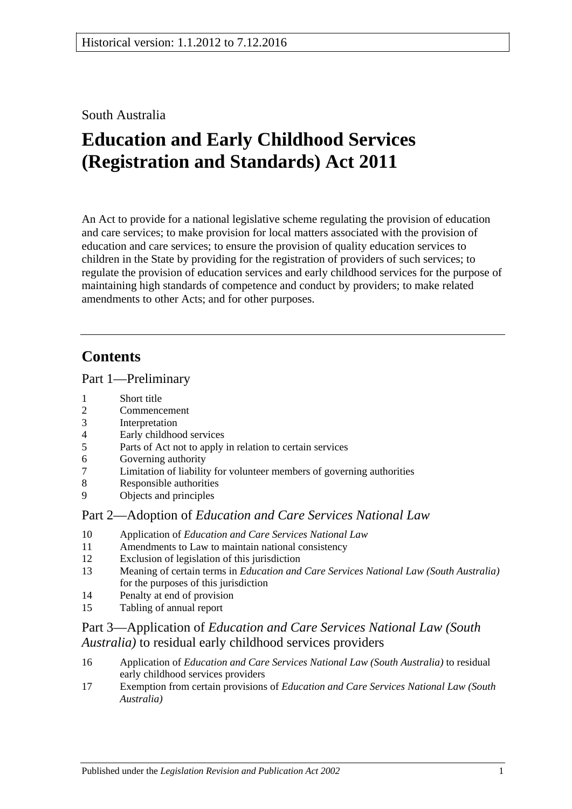## South Australia

# **Education and Early Childhood Services (Registration and Standards) Act 2011**

An Act to provide for a national legislative scheme regulating the provision of education and care services; to make provision for local matters associated with the provision of education and care services; to ensure the provision of quality education services to children in the State by providing for the registration of providers of such services; to regulate the provision of education services and early childhood services for the purpose of maintaining high standards of competence and conduct by providers; to make related amendments to other Acts; and for other purposes.

# **Contents**

Part [1—Preliminary](#page-16-0)

- 1 [Short title](#page-16-1)
- 2 [Commencement](#page-16-2)
- 3 [Interpretation](#page-16-3)
- 4 [Early childhood services](#page-19-0)
- 5 [Parts of Act not to apply in relation to certain services](#page-20-0)
- 6 [Governing authority](#page-20-1)
- 7 [Limitation of liability for volunteer members of governing authorities](#page-20-2)
- 8 [Responsible authorities](#page-20-3)
- 9 [Objects and principles](#page-21-0)

## Part 2—Adoption of *[Education and Care Services National Law](#page-22-0)*

- 10 Application of *[Education and Care Services National Law](#page-22-1)*
- 11 [Amendments to Law to maintain national consistency](#page-23-0)
- 12 [Exclusion of legislation of this jurisdiction](#page-23-1)
- 13 Meaning of certain terms in *[Education and Care Services National Law \(South Australia\)](#page-24-0)* [for the purposes of this jurisdiction](#page-24-0)
- 14 [Penalty at end of provision](#page-27-0)
- 15 [Tabling of annual report](#page-27-1)

## Part 3—Application of *[Education and Care Services National Law \(South](#page-28-0)  Australia)* [to residual early childhood services providers](#page-28-0)

- 16 Application of *[Education and Care Services National Law \(South Australia\)](#page-28-1)* to residual [early childhood services providers](#page-28-1)
- 17 Exemption from certain provisions of *[Education and Care Services National Law \(South](#page-28-2)  [Australia\)](#page-28-2)*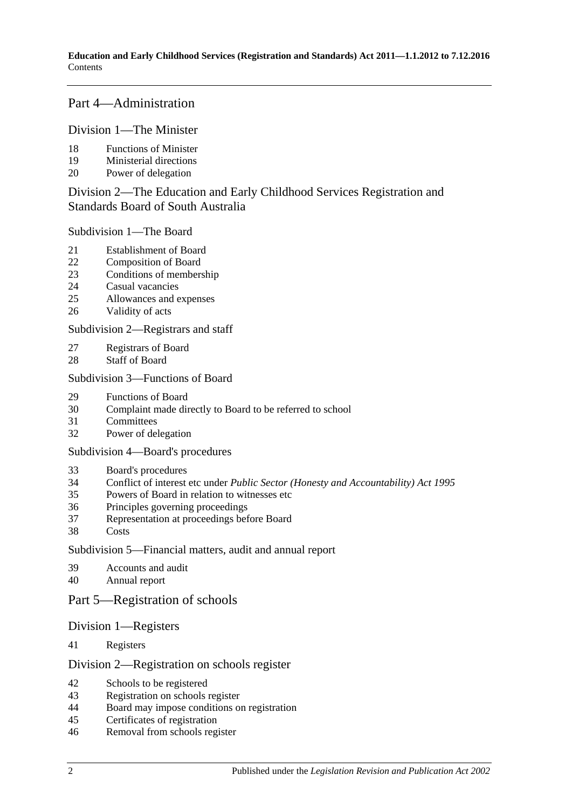**Education and Early Childhood Services (Registration and Standards) Act 2011—1.1.2012 to 7.12.2016** Contents

## Part [4—Administration](#page-28-3)

Division [1—The Minister](#page-28-4)

- [Functions of Minister](#page-28-5)
- [Ministerial directions](#page-29-0)
- [Power of delegation](#page-29-1)

Division [2—The Education and Early Childhood Services Registration and](#page-30-0)  [Standards Board of South Australia](#page-30-0)

Subdivision [1—The Board](#page-30-1)

- [Establishment of Board](#page-30-2)
- [Composition of Board](#page-30-3)
- [Conditions of membership](#page-31-0)
- [Casual vacancies](#page-32-0)
- [Allowances and expenses](#page-32-1)
- [Validity of acts](#page-32-2)

#### Subdivision [2—Registrars and staff](#page-32-3)

- [Registrars of Board](#page-32-4)
- [Staff of Board](#page-33-0)

## Subdivision [3—Functions of Board](#page-34-0)

- [Functions of Board](#page-34-1)
- [Complaint made directly to Board to be referred to school](#page-34-2)
- [Committees](#page-35-0)
- [Power of delegation](#page-35-1)

#### Subdivision [4—Board's procedures](#page-35-2)

- [Board's procedures](#page-35-3)
- Conflict of interest etc under *[Public Sector \(Honesty and Accountability\) Act](#page-36-0) 1995*
- [Powers of Board in relation to witnesses etc](#page-37-0)
- [Principles governing proceedings](#page-38-0)
- [Representation at proceedings before Board](#page-38-1)
- [Costs](#page-38-2)

#### Subdivision [5—Financial matters, audit and annual report](#page-38-3)

- [Accounts and audit](#page-38-4)
- [Annual report](#page-39-0)

## Part [5—Registration of schools](#page-39-1)

#### Division [1—Registers](#page-39-2)

[Registers](#page-39-3)

#### Division [2—Registration on schools register](#page-40-0)

- [Schools to be registered](#page-40-1)
- [Registration on schools register](#page-40-2)
- [Board may impose conditions on registration](#page-40-3)
- [Certificates of registration](#page-41-0)
- [Removal from schools register](#page-41-1)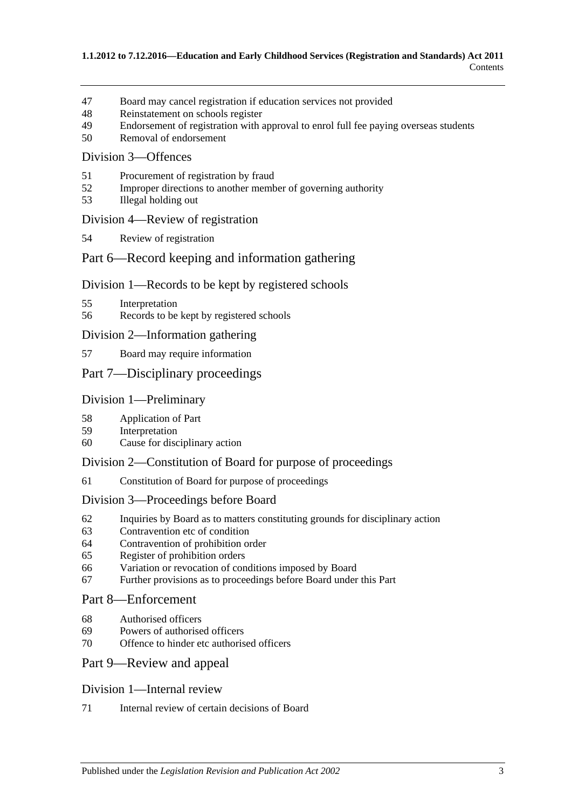- [Board may cancel registration if education services not provided](#page-41-2)
- [Reinstatement on schools register](#page-41-3)
- [Endorsement of registration with approval to enrol full fee paying overseas students](#page-42-0)
- [Removal of endorsement](#page-42-1)

#### Division [3—Offences](#page-43-0)

- [Procurement of registration by fraud](#page-43-1)
- [Improper directions to another member of governing authority](#page-43-2)
- [Illegal holding out](#page-43-3)

#### Division [4—Review of registration](#page-43-4)

[Review of registration](#page-43-5)

## Part [6—Record keeping and information gathering](#page-44-0)

#### Division [1—Records to be kept by registered schools](#page-44-1)

- [Interpretation](#page-44-2)
- [Records to be kept by registered schools](#page-44-3)

#### Division [2—Information gathering](#page-44-4)

[Board may require information](#page-44-5)

## Part [7—Disciplinary proceedings](#page-45-0)

## Division [1—Preliminary](#page-45-1)

- [Application of Part](#page-45-2)
- [Interpretation](#page-45-3)
- [Cause for disciplinary action](#page-45-4)

#### Division [2—Constitution of Board for purpose of proceedings](#page-46-0)

[Constitution of Board for purpose of proceedings](#page-46-1)

#### Division [3—Proceedings before Board](#page-48-0)

- [Inquiries by Board as to matters constituting grounds for disciplinary action](#page-48-1)
- [Contravention etc of condition](#page-49-0)
- [Contravention of prohibition order](#page-49-1)
- [Register of prohibition orders](#page-49-2)
- [Variation or revocation of conditions imposed by Board](#page-50-0)
- [Further provisions as to proceedings before Board under this Part](#page-50-1)

#### Part [8—Enforcement](#page-51-0)

- [Authorised officers](#page-51-1)
- [Powers of authorised officers](#page-51-2)
- [Offence to hinder etc authorised officers](#page-52-0)

#### Part [9—Review and appeal](#page-52-1)

#### Division [1—Internal review](#page-52-2)

[Internal review of certain decisions of Board](#page-52-3)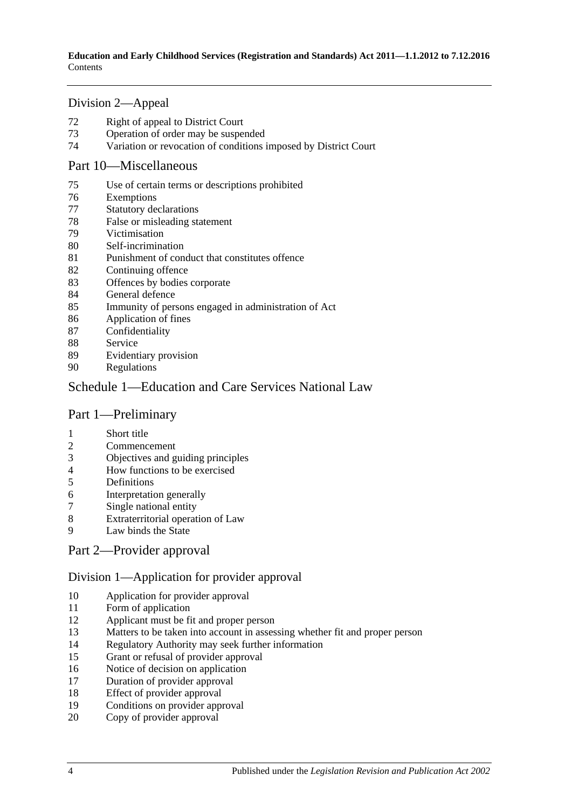## Division [2—Appeal](#page-53-0)

- [Right of appeal to District Court](#page-53-1)
- [Operation of order may be suspended](#page-54-0)
- [Variation or revocation of conditions imposed by District Court](#page-54-1)

#### Part [10—Miscellaneous](#page-54-2)

- [Use of certain terms or descriptions prohibited](#page-54-3)
- [Exemptions](#page-55-0)
- [Statutory declarations](#page-55-1)
- [False or misleading statement](#page-55-2)
- [Victimisation](#page-56-0)
- [Self-incrimination](#page-56-1)
- [Punishment of conduct that constitutes offence](#page-57-0)
- [Continuing offence](#page-57-1)
- [Offences by bodies corporate](#page-57-2)
- [General defence](#page-57-3)
- [Immunity of persons engaged in administration of Act](#page-57-4)
- [Application of fines](#page-57-5)
- [Confidentiality](#page-58-0)
- [Service](#page-58-1)
- [Evidentiary provision](#page-59-0)
- [Regulations](#page-59-1)

## [Schedule 1—Education and Care Services National Law](#page-60-0)

## Part 1—Preliminary

- Short title
- Commencement
- Objectives and guiding principles
- 4 How functions to be exercised<br>5 Definitions
- **Definitions**
- Interpretation generally
- Single national entity
- Extraterritorial operation of Law
- Law binds the State

## Part 2—Provider approval

## Division 1—Application for provider approval

- Application for provider approval
- Form of application
- Applicant must be fit and proper person
- Matters to be taken into account in assessing whether fit and proper person
- Regulatory Authority may seek further information
- Grant or refusal of provider approval
- Notice of decision on application
- Duration of provider approval
- Effect of provider approval
- Conditions on provider approval
- Copy of provider approval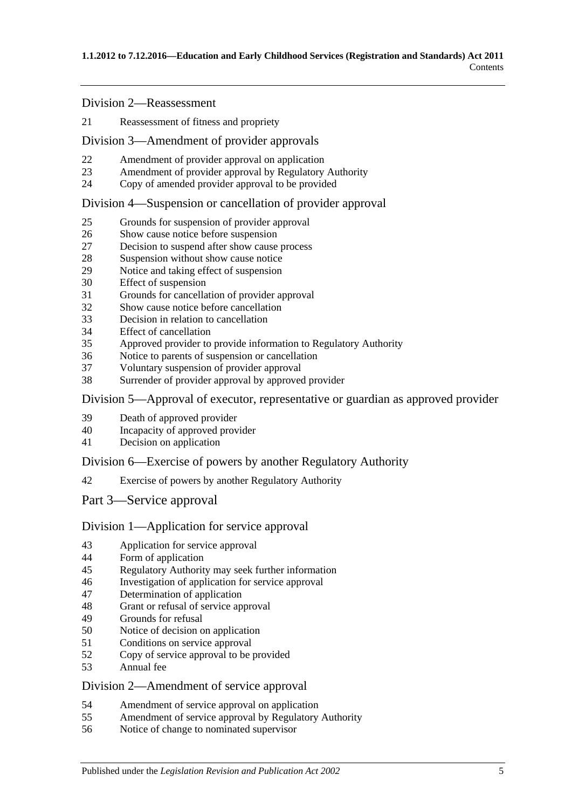#### Division 2—Reassessment

Reassessment of fitness and propriety

## Division 3—Amendment of provider approvals

- Amendment of provider approval on application
- Amendment of provider approval by Regulatory Authority
- Copy of amended provider approval to be provided

## Division 4—Suspension or cancellation of provider approval

- Grounds for suspension of provider approval
- Show cause notice before suspension
- Decision to suspend after show cause process
- Suspension without show cause notice
- Notice and taking effect of suspension
- Effect of suspension
- Grounds for cancellation of provider approval
- Show cause notice before cancellation
- Decision in relation to cancellation
- Effect of cancellation
- Approved provider to provide information to Regulatory Authority
- Notice to parents of suspension or cancellation
- Voluntary suspension of provider approval
- Surrender of provider approval by approved provider

## Division 5—Approval of executor, representative or guardian as approved provider

- Death of approved provider
- Incapacity of approved provider
- Decision on application

## Division 6—Exercise of powers by another Regulatory Authority

Exercise of powers by another Regulatory Authority

## Part 3—Service approval

## Division 1—Application for service approval

- Application for service approval
- Form of application
- Regulatory Authority may seek further information
- Investigation of application for service approval
- Determination of application
- Grant or refusal of service approval
- Grounds for refusal
- Notice of decision on application
- Conditions on service approval
- Copy of service approval to be provided
- Annual fee

## Division 2—Amendment of service approval

- 54 Amendment of service approval on application<br>55 Amendment of service approval by Regulatory
- Amendment of service approval by Regulatory Authority
- Notice of change to nominated supervisor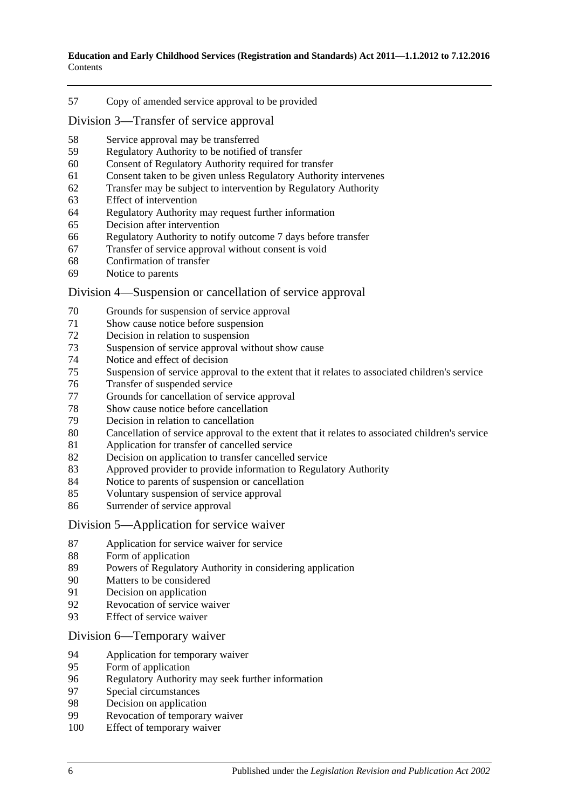Copy of amended service approval to be provided

Division 3—Transfer of service approval

- Service approval may be transferred
- Regulatory Authority to be notified of transfer
- Consent of Regulatory Authority required for transfer
- Consent taken to be given unless Regulatory Authority intervenes
- Transfer may be subject to intervention by Regulatory Authority
- Effect of intervention
- Regulatory Authority may request further information
- Decision after intervention
- Regulatory Authority to notify outcome 7 days before transfer
- Transfer of service approval without consent is void
- Confirmation of transfer
- Notice to parents

#### Division 4—Suspension or cancellation of service approval

- Grounds for suspension of service approval
- Show cause notice before suspension
- Decision in relation to suspension
- Suspension of service approval without show cause
- Notice and effect of decision
- Suspension of service approval to the extent that it relates to associated children's service
- Transfer of suspended service
- Grounds for cancellation of service approval
- Show cause notice before cancellation
- Decision in relation to cancellation
- Cancellation of service approval to the extent that it relates to associated children's service
- 81 Application for transfer of cancelled service<br>82 Decision on application to transfer cancelled
- Decision on application to transfer cancelled service
- Approved provider to provide information to Regulatory Authority
- Notice to parents of suspension or cancellation
- Voluntary suspension of service approval
- Surrender of service approval

## Division 5—Application for service waiver

- Application for service waiver for service
- Form of application
- Powers of Regulatory Authority in considering application
- Matters to be considered
- Decision on application
- Revocation of service waiver
- Effect of service waiver

#### Division 6—Temporary waiver

- Application for temporary waiver
- 95 Form of application<br>96 Regulatory Authority
- 96 Regulatory Authority may seek further information<br>97 Special circumstances
- Special circumstances
- Decision on application
- Revocation of temporary waiver
- Effect of temporary waiver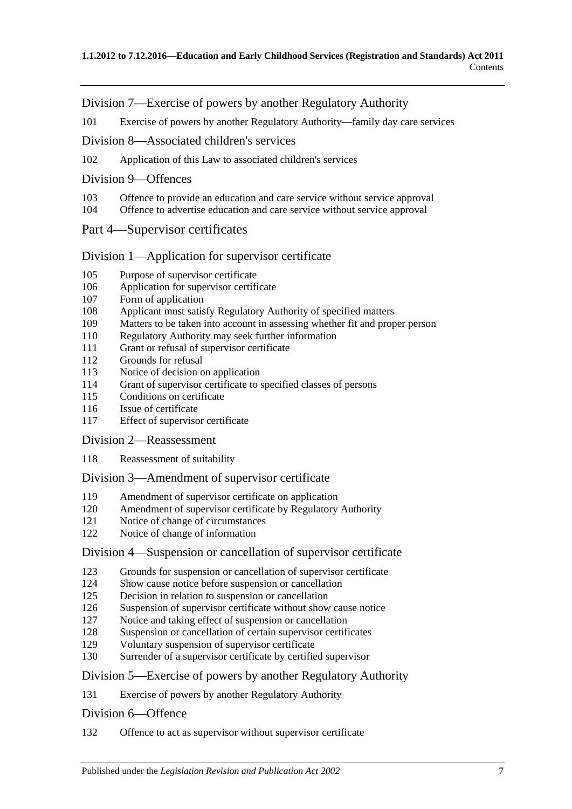Division 7—Exercise of powers by another Regulatory Authority

Exercise of powers by another Regulatory Authority—family day care services

Division 8—Associated children's services

Application of this Law to associated children's services

#### Division 9—Offences

- Offence to provide an education and care service without service approval
- Offence to advertise education and care service without service approval

#### Part 4—Supervisor certificates

#### Division 1—Application for supervisor certificate

- Purpose of supervisor certificate
- Application for supervisor certificate
- Form of application
- Applicant must satisfy Regulatory Authority of specified matters
- Matters to be taken into account in assessing whether fit and proper person
- Regulatory Authority may seek further information
- Grant or refusal of supervisor certificate
- Grounds for refusal
- Notice of decision on application
- Grant of supervisor certificate to specified classes of persons
- Conditions on certificate
- Issue of certificate
- Effect of supervisor certificate

Division 2—Reassessment

Reassessment of suitability

#### Division 3—Amendment of supervisor certificate

- Amendment of supervisor certificate on application
- Amendment of supervisor certificate by Regulatory Authority
- 121 Notice of change of circumstances
- Notice of change of information

#### Division 4—Suspension or cancellation of supervisor certificate

- Grounds for suspension or cancellation of supervisor certificate
- Show cause notice before suspension or cancellation
- Decision in relation to suspension or cancellation
- Suspension of supervisor certificate without show cause notice
- Notice and taking effect of suspension or cancellation
- Suspension or cancellation of certain supervisor certificates
- Voluntary suspension of supervisor certificate
- Surrender of a supervisor certificate by certified supervisor

#### Division 5—Exercise of powers by another Regulatory Authority

Exercise of powers by another Regulatory Authority

#### Division 6—Offence

Offence to act as supervisor without supervisor certificate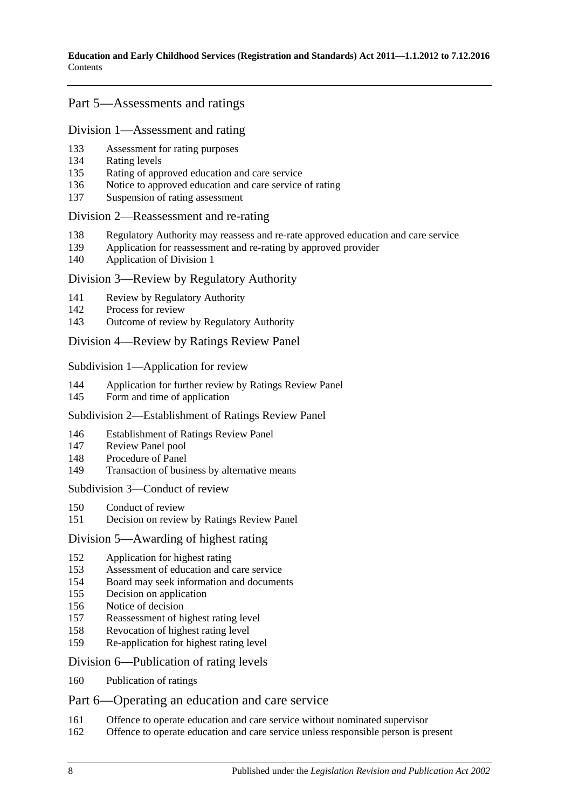## Part 5—Assessments and ratings

#### Division 1—Assessment and rating

- Assessment for rating purposes
- Rating levels
- Rating of approved education and care service
- Notice to approved education and care service of rating
- Suspension of rating assessment

#### Division 2—Reassessment and re-rating

- Regulatory Authority may reassess and re-rate approved education and care service
- Application for reassessment and re-rating by approved provider
- Application of Division 1

#### Division 3—Review by Regulatory Authority

- Review by Regulatory Authority
- Process for review
- Outcome of review by Regulatory Authority

#### Division 4—Review by Ratings Review Panel

Subdivision 1—Application for review

- Application for further review by Ratings Review Panel
- Form and time of application

#### Subdivision 2—Establishment of Ratings Review Panel

- Establishment of Ratings Review Panel
- Review Panel pool
- Procedure of Panel
- Transaction of business by alternative means

Subdivision 3—Conduct of review

- Conduct of review
- Decision on review by Ratings Review Panel

#### Division 5—Awarding of highest rating

- Application for highest rating
- Assessment of education and care service
- Board may seek information and documents
- Decision on application
- Notice of decision
- Reassessment of highest rating level
- Revocation of highest rating level
- Re-application for highest rating level

#### Division 6—Publication of rating levels

Publication of ratings

## Part 6—Operating an education and care service

- Offence to operate education and care service without nominated supervisor
- Offence to operate education and care service unless responsible person is present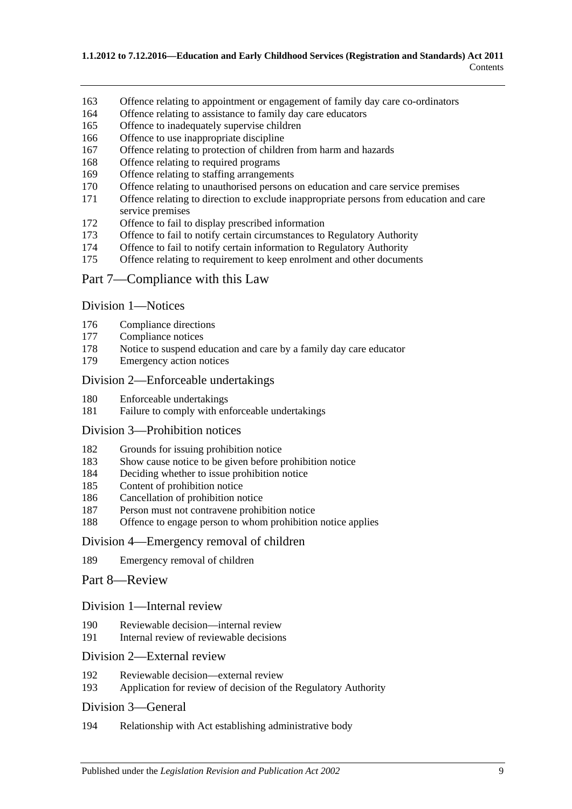- Offence relating to appointment or engagement of family day care co-ordinators
- Offence relating to assistance to family day care educators
- Offence to inadequately supervise children
- Offence to use inappropriate discipline
- Offence relating to protection of children from harm and hazards
- 168 Offence relating to required programs<br>169 Offence relating to staffing arrangeme
- Offence relating to staffing arrangements
- Offence relating to unauthorised persons on education and care service premises
- Offence relating to direction to exclude inappropriate persons from education and care service premises
- Offence to fail to display prescribed information
- 173 Offence to fail to notify certain circumstances to Regulatory Authority<br>174 Offence to fail to notify certain information to Regulatory Authority
- Offence to fail to notify certain information to Regulatory Authority
- Offence relating to requirement to keep enrolment and other documents

## Part 7—Compliance with this Law

#### Division 1—Notices

- Compliance directions
- Compliance notices
- Notice to suspend education and care by a family day care educator
- Emergency action notices

#### Division 2—Enforceable undertakings

- Enforceable undertakings
- Failure to comply with enforceable undertakings

#### Division 3—Prohibition notices

- Grounds for issuing prohibition notice
- Show cause notice to be given before prohibition notice
- Deciding whether to issue prohibition notice
- Content of prohibition notice
- Cancellation of prohibition notice
- Person must not contravene prohibition notice
- Offence to engage person to whom prohibition notice applies

#### Division 4—Emergency removal of children

Emergency removal of children

#### Part 8—Review

#### Division 1—Internal review

- Reviewable decision—internal review
- Internal review of reviewable decisions

## Division 2—External review

- Reviewable decision—external review
- Application for review of decision of the Regulatory Authority

#### Division 3—General

Relationship with Act establishing administrative body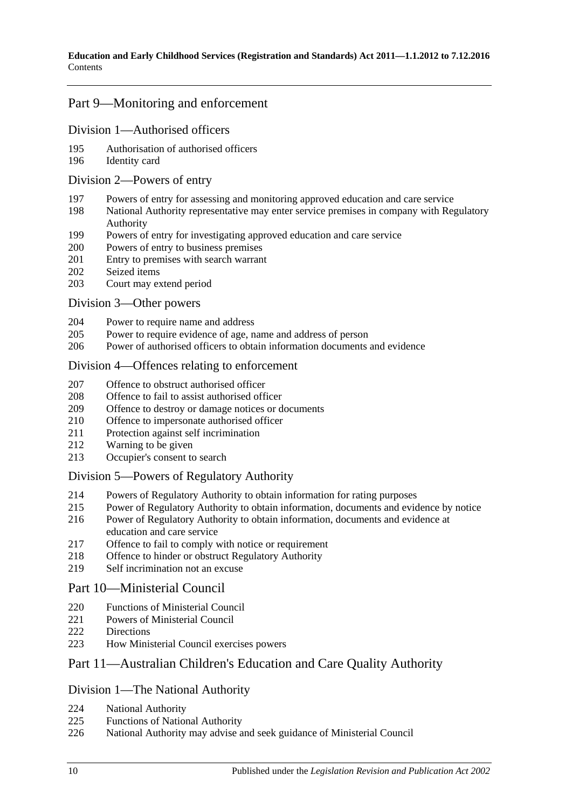## Part 9—Monitoring and enforcement

#### Division 1—Authorised officers

- Authorisation of authorised officers
- Identity card

#### Division 2—Powers of entry

- Powers of entry for assessing and monitoring approved education and care service
- National Authority representative may enter service premises in company with Regulatory Authority
- Powers of entry for investigating approved education and care service
- Powers of entry to business premises
- Entry to premises with search warrant
- Seized items
- Court may extend period

#### Division 3—Other powers

- Power to require name and address
- Power to require evidence of age, name and address of person
- Power of authorised officers to obtain information documents and evidence

#### Division 4—Offences relating to enforcement

- 207 Offence to obstruct authorised officer
- Offence to fail to assist authorised officer
- Offence to destroy or damage notices or documents
- Offence to impersonate authorised officer
- Protection against self incrimination
- Warning to be given
- Occupier's consent to search

#### Division 5—Powers of Regulatory Authority

- Powers of Regulatory Authority to obtain information for rating purposes
- Power of Regulatory Authority to obtain information, documents and evidence by notice
- Power of Regulatory Authority to obtain information, documents and evidence at education and care service
- Offence to fail to comply with notice or requirement
- Offence to hinder or obstruct Regulatory Authority
- Self incrimination not an excuse

## Part 10—Ministerial Council

- Functions of Ministerial Council
- Powers of Ministerial Council
- Directions
- How Ministerial Council exercises powers

## Part 11—Australian Children's Education and Care Quality Authority

#### Division 1—The National Authority

- National Authority
- Functions of National Authority
- National Authority may advise and seek guidance of Ministerial Council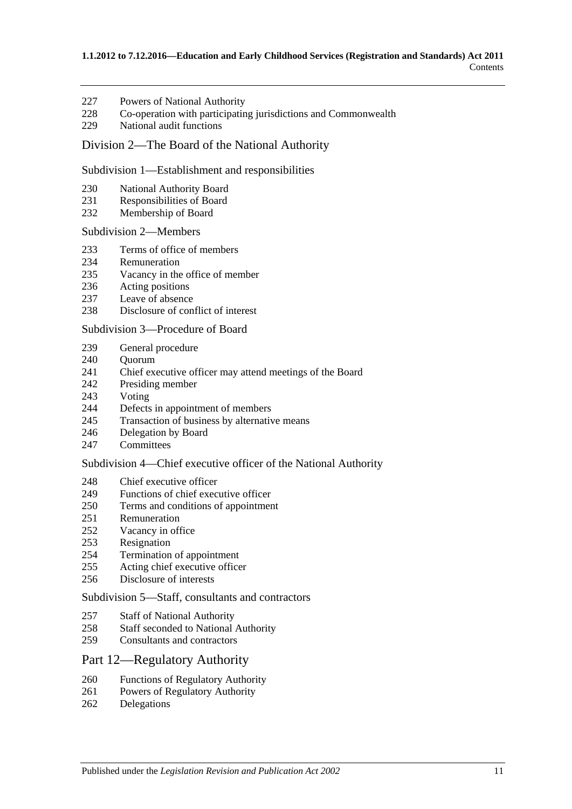- Powers of National Authority
- Co-operation with participating jurisdictions and Commonwealth
- National audit functions

#### Division 2—The Board of the National Authority

#### Subdivision 1—Establishment and responsibilities

- National Authority Board
- Responsibilities of Board
- Membership of Board

#### Subdivision 2—Members

- Terms of office of members
- Remuneration
- Vacancy in the office of member
- Acting positions
- Leave of absence
- Disclosure of conflict of interest

#### Subdivision 3—Procedure of Board

- General procedure
- Quorum
- Chief executive officer may attend meetings of the Board
- Presiding member
- Voting
- Defects in appointment of members
- Transaction of business by alternative means
- Delegation by Board
- Committees

#### Subdivision 4—Chief executive officer of the National Authority

- Chief executive officer
- Functions of chief executive officer
- Terms and conditions of appointment
- Remuneration
- Vacancy in office
- 253 Resignation<br>254 Termination
- Termination of appointment
- Acting chief executive officer
- Disclosure of interests

#### Subdivision 5—Staff, consultants and contractors

- Staff of National Authority
- Staff seconded to National Authority
- Consultants and contractors

#### Part 12—Regulatory Authority

- Functions of Regulatory Authority
- Powers of Regulatory Authority
- Delegations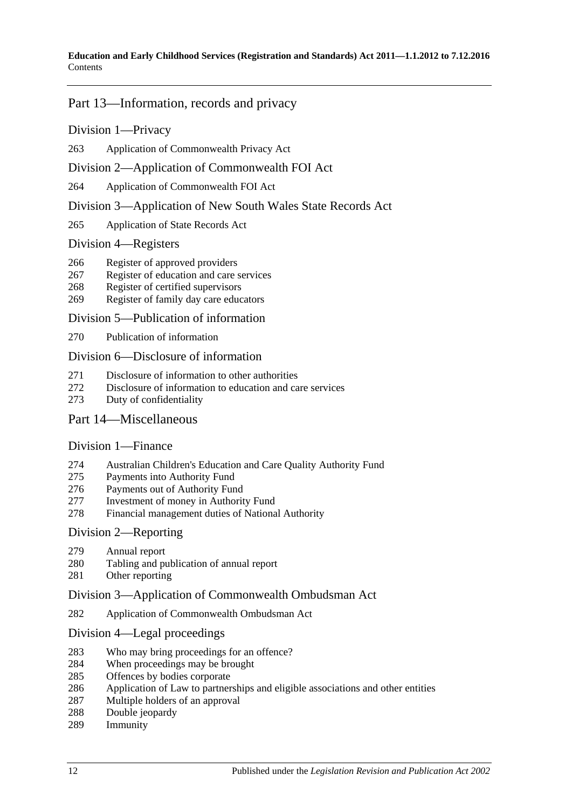**Education and Early Childhood Services (Registration and Standards) Act 2011—1.1.2012 to 7.12.2016 Contents** 

## Part 13—Information, records and privacy

Division 1—Privacy

Application of Commonwealth Privacy Act

#### Division 2—Application of Commonwealth FOI Act

Application of Commonwealth FOI Act

Division 3—Application of New South Wales State Records Act

Application of State Records Act

Division 4—Registers

- Register of approved providers
- Register of education and care services
- Register of certified supervisors
- Register of family day care educators

#### Division 5—Publication of information

Publication of information

#### Division 6—Disclosure of information

- 271 Disclosure of information to other authorities
- Disclosure of information to education and care services
- Duty of confidentiality

#### Part 14—Miscellaneous

#### Division 1—Finance

- Australian Children's Education and Care Quality Authority Fund
- Payments into Authority Fund
- Payments out of Authority Fund
- Investment of money in Authority Fund
- Financial management duties of National Authority

#### Division 2—Reporting

- Annual report
- Tabling and publication of annual report
- Other reporting

#### Division 3—Application of Commonwealth Ombudsman Act

Application of Commonwealth Ombudsman Act

#### Division 4—Legal proceedings

- Who may bring proceedings for an offence?
- When proceedings may be brought
- Offences by bodies corporate
- Application of Law to partnerships and eligible associations and other entities
- Multiple holders of an approval
- Double jeopardy
- Immunity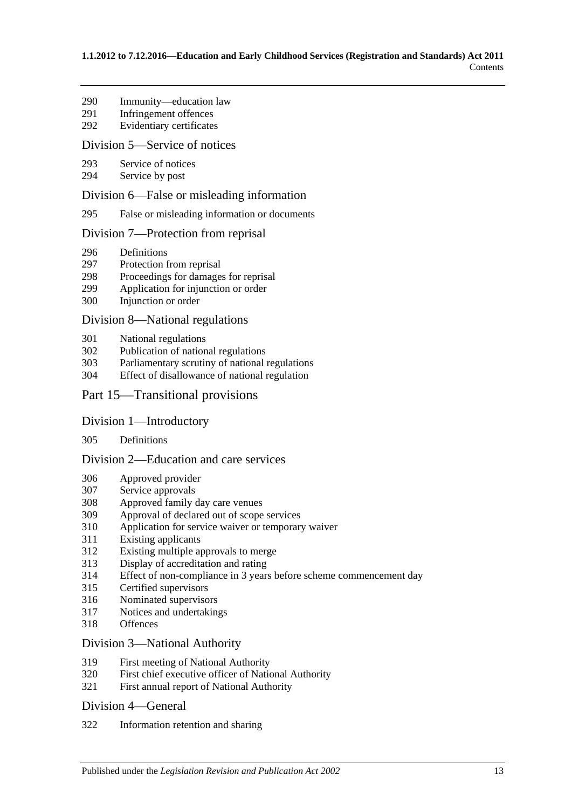- Immunity—education law
- Infringement offences
- Evidentiary certificates

#### Division 5—Service of notices

- Service of notices
- Service by post

#### Division 6—False or misleading information

False or misleading information or documents

#### Division 7—Protection from reprisal

- Definitions
- Protection from reprisal
- Proceedings for damages for reprisal
- Application for injunction or order
- Injunction or order

#### Division 8—National regulations

- National regulations
- Publication of national regulations
- Parliamentary scrutiny of national regulations
- Effect of disallowance of national regulation

## Part 15—Transitional provisions

#### Division 1—Introductory

#### Definitions

#### Division 2—Education and care services

- Approved provider
- Service approvals
- Approved family day care venues
- Approval of declared out of scope services
- Application for service waiver or temporary waiver
- Existing applicants
- Existing multiple approvals to merge
- Display of accreditation and rating
- Effect of non-compliance in 3 years before scheme commencement day
- Certified supervisors
- Nominated supervisors
- Notices and undertakings
- Offences

#### Division 3—National Authority

- First meeting of National Authority
- First chief executive officer of National Authority
- First annual report of National Authority

#### Division 4—General

Information retention and sharing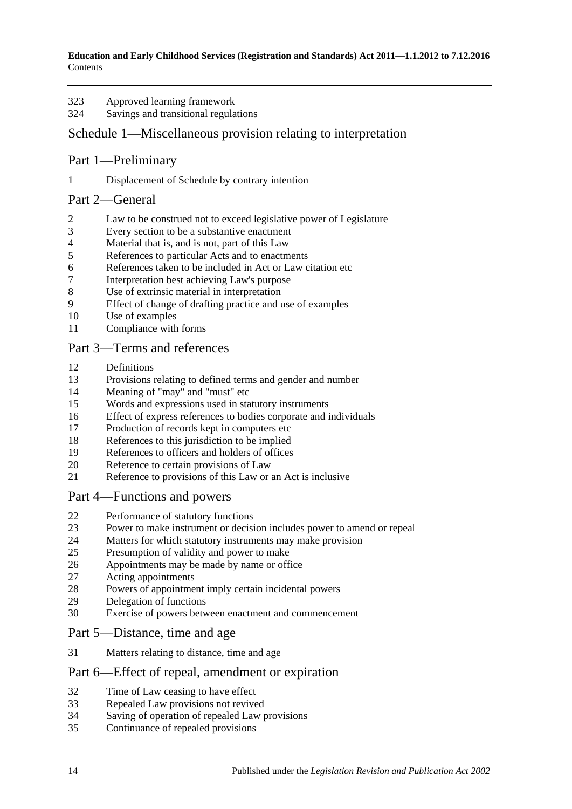**Education and Early Childhood Services (Registration and Standards) Act 2011—1.1.2012 to 7.12.2016 Contents** 

- Approved learning framework
- Savings and transitional regulations

## Schedule 1—Miscellaneous provision relating to interpretation

## Part 1—Preliminary

Displacement of Schedule by contrary intention

#### Part 2—General

- Law to be construed not to exceed legislative power of Legislature
- Every section to be a substantive enactment
- 4 Material that is, and is not, part of this Law<br>5 References to particular Acts and to enactm
- References to particular Acts and to enactments
- 6 References taken to be included in Act or Law citation etc<br>
The interpretation hest achieving Law's purpose
- Interpretation best achieving Law's purpose
- Use of extrinsic material in interpretation
- Effect of change of drafting practice and use of examples
- Use of examples
- Compliance with forms

## Part 3—Terms and references

- Definitions
- Provisions relating to defined terms and gender and number
- Meaning of "may" and "must" etc
- Words and expressions used in statutory instruments
- Effect of express references to bodies corporate and individuals
- Production of records kept in computers etc
- References to this jurisdiction to be implied
- References to officers and holders of offices
- Reference to certain provisions of Law
- Reference to provisions of this Law or an Act is inclusive

#### Part 4—Functions and powers

- Performance of statutory functions
- Power to make instrument or decision includes power to amend or repeal
- Matters for which statutory instruments may make provision
- Presumption of validity and power to make
- Appointments may be made by name or office
- Acting appointments
- Powers of appointment imply certain incidental powers
- Delegation of functions
- Exercise of powers between enactment and commencement

#### Part 5—Distance, time and age

Matters relating to distance, time and age

#### Part 6—Effect of repeal, amendment or expiration

- Time of Law ceasing to have effect
- Repealed Law provisions not revived
- Saving of operation of repealed Law provisions
- Continuance of repealed provisions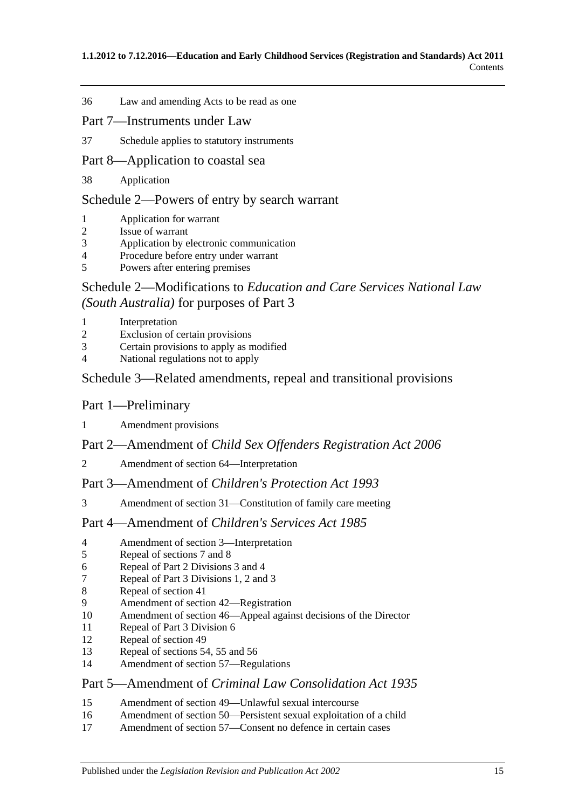- Law and amending Acts to be read as one
- Part 7—Instruments under Law
- Schedule applies to statutory instruments

## Part 8—Application to coastal sea

Application

## Schedule 2—Powers of entry by search warrant

- Application for warrant
- Issue of warrant
- Application by electronic communication
- Procedure before entry under warrant
- Powers after entering premises

## Schedule 2—Modifications to *[Education and Care Services National Law](#page-200-0)  (South Australia)* [for purposes of Part](#page-200-0) 3

- [Interpretation](#page-200-1)<br>2 Exclusion of a
- [Exclusion of certain provisions](#page-201-0)
- [Certain provisions to apply as modified](#page-201-1)
- [National regulations not to apply](#page-202-0)

## Schedule [3—Related amendments, repeal and transitional provisions](#page-203-0)

## Part 1—Preliminary

[Amendment provisions](#page-203-1)

## Part 2—Amendment of *Child Sex Offenders Registration Act 2006*

[Amendment of section 64—Interpretation](#page-203-2)

## Part 3—Amendment of *Children's Protection Act 1993*

[Amendment of section 31—Constitution of family care meeting](#page-203-3)

## Part 4—Amendment of *Children's Services Act 1985*

- [Amendment of section 3—Interpretation](#page-203-4)<br>5 Repeal of sections 7 and 8
- [Repeal of sections 7 and 8](#page-203-5)
- [Repeal of Part 2 Divisions 3 and 4](#page-204-0)
- [Repeal of Part 3 Divisions 1, 2 and 3](#page-204-1)
- [Repeal of section 41](#page-204-2)
- [Amendment of section 42—Registration](#page-204-3)
- [Amendment of section 46—Appeal against decisions of the Director](#page-204-4)
- [Repeal of Part 3 Division 6](#page-204-5)
- [Repeal of section 49](#page-204-6)
- [Repeal of sections 54, 55 and 56](#page-204-7)
- [Amendment of section 57—Regulations](#page-204-8)

## Part 5—Amendment of *Criminal Law Consolidation Act 1935*

- [Amendment of section 49—Unlawful sexual intercourse](#page-204-9)
- [Amendment of section 50—Persistent sexual exploitation of a child](#page-204-10)<br>17 Amendment of section 57—Consent no defence in certain cases
- [Amendment of section 57—Consent no defence in certain cases](#page-205-0)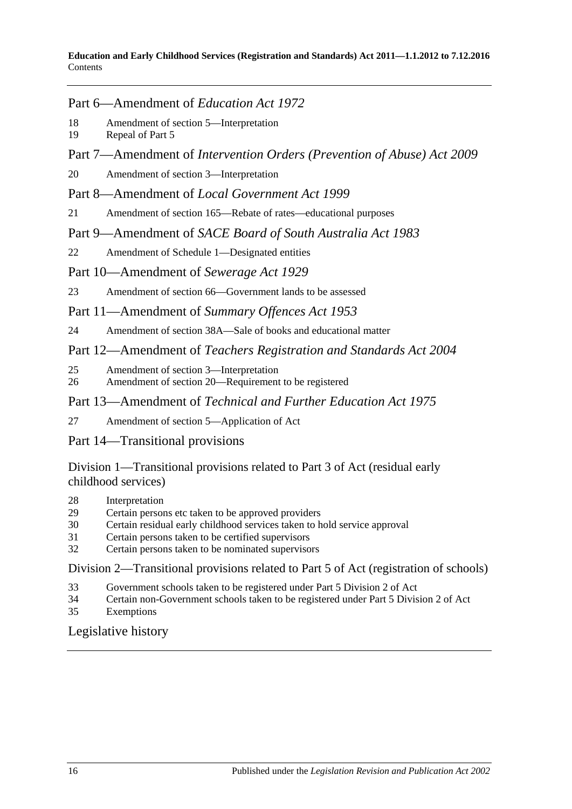**Education and Early Childhood Services (Registration and Standards) Act 2011—1.1.2012 to 7.12.2016 Contents** 

## Part 6—Amendment of *Education Act 1972*

- 18 [Amendment of section 5—Interpretation](#page-205-1)
- 19 [Repeal of Part 5](#page-205-2)
- Part 7—Amendment of *Intervention Orders (Prevention of Abuse) Act 2009*
- 20 [Amendment of section 3—Interpretation](#page-205-3)
- Part 8—Amendment of *Local Government Act 1999*
- 21 [Amendment of section 165—Rebate of rates—educational purposes](#page-205-4)

## Part 9—Amendment of *SACE Board of South Australia Act 1983*

- 22 [Amendment of Schedule 1—Designated entities](#page-206-0)
- Part 10—Amendment of *Sewerage Act 1929*
- 23 [Amendment of section 66—Government lands to be assessed](#page-206-1)
- Part 11—Amendment of *Summary Offences Act 1953*
- 24 [Amendment of section 38A—Sale of books and educational matter](#page-206-2)

## Part 12—Amendment of *Teachers Registration and Standards Act 2004*

- 25 [Amendment of section 3—Interpretation](#page-206-3)
- 26 [Amendment of section 20—Requirement to be registered](#page-207-0)

## Part 13—Amendment of *Technical and Further Education Act 1975*

- 27 [Amendment of section 5—Application of Act](#page-207-1)
- Part 14—Transitional provisions

Division 1—Transitional provisions related to Part 3 of Act (residual early childhood services)

- 28 [Interpretation](#page-207-2)
- 29 [Certain persons etc taken to be approved providers](#page-207-3)
- 30 [Certain residual early childhood services taken to hold service approval](#page-208-0)
- 31 [Certain persons taken to be certified supervisors](#page-208-1)
- 32 [Certain persons taken to be nominated supervisors](#page-209-0)

Division 2—Transitional provisions related to Part 5 of Act (registration of schools)

- 33 [Government schools taken to be registered under Part](#page-209-1) [5 Division](#page-209-1) 2 of Act
- 34 [Certain non-Government schools taken to be registered under Part](#page-209-2) [5 Division](#page-209-2) 2 of Act
- 35 [Exemptions](#page-210-0)

## [Legislative history](#page-211-0)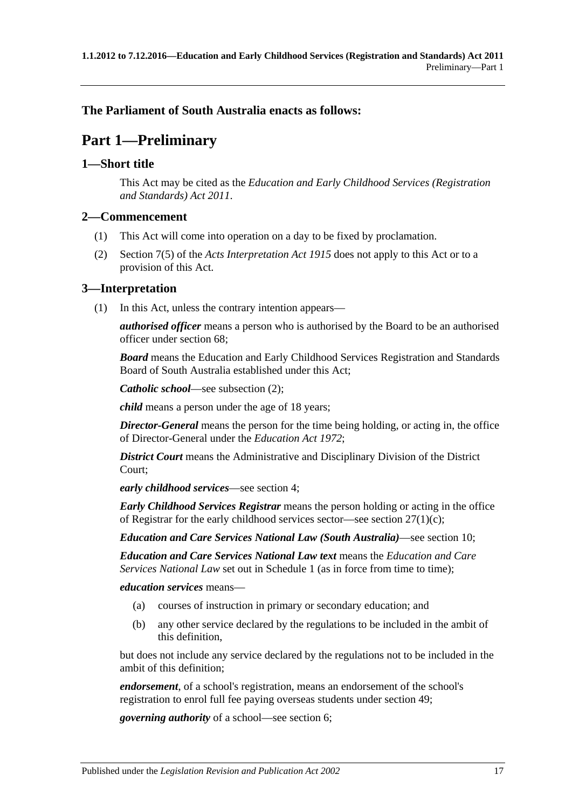## <span id="page-16-0"></span>**The Parliament of South Australia enacts as follows:**

# **Part 1—Preliminary**

## <span id="page-16-1"></span>**1—Short title**

This Act may be cited as the *Education and Early Childhood Services (Registration and Standards) Act 2011*.

## <span id="page-16-2"></span>**2—Commencement**

- (1) This Act will come into operation on a day to be fixed by proclamation.
- (2) Section 7(5) of the *[Acts Interpretation Act](http://www.legislation.sa.gov.au/index.aspx?action=legref&type=act&legtitle=Acts%20Interpretation%20Act%201915) 1915* does not apply to this Act or to a provision of this Act.

## <span id="page-16-3"></span>**3—Interpretation**

(1) In this Act, unless the contrary intention appears—

*authorised officer* means a person who is authorised by the Board to be an authorised officer under [section](#page-51-1) 68;

*Board* means the Education and Early Childhood Services Registration and Standards Board of South Australia established under this Act;

*Catholic school*—see [subsection](#page-18-0) (2);

*child* means a person under the age of 18 years;

*Director-General* means the person for the time being holding, or acting in, the office of Director-General under the *[Education Act](http://www.legislation.sa.gov.au/index.aspx?action=legref&type=act&legtitle=Education%20Act%201972) 1972*;

*District Court* means the Administrative and Disciplinary Division of the District Court;

*early childhood services*—see [section](#page-19-0) 4;

*Early Childhood Services Registrar* means the person holding or acting in the office of Registrar for the early childhood services sector—see section  $27(1)(c)$ ;

*Education and Care Services National Law (South Australia)*—see [section](#page-22-1) 10;

*Education and Care Services National Law text* means the *Education and Care Services National Law* set out in [Schedule 1](#page-60-0) (as in force from time to time):

*education services* means—

- (a) courses of instruction in primary or secondary education; and
- (b) any other service declared by the regulations to be included in the ambit of this definition,

but does not include any service declared by the regulations not to be included in the ambit of this definition;

*endorsement*, of a school's registration, means an endorsement of the school's registration to enrol full fee paying overseas students under [section](#page-42-0) 49;

*governing authority* of a school—see [section](#page-20-1) 6;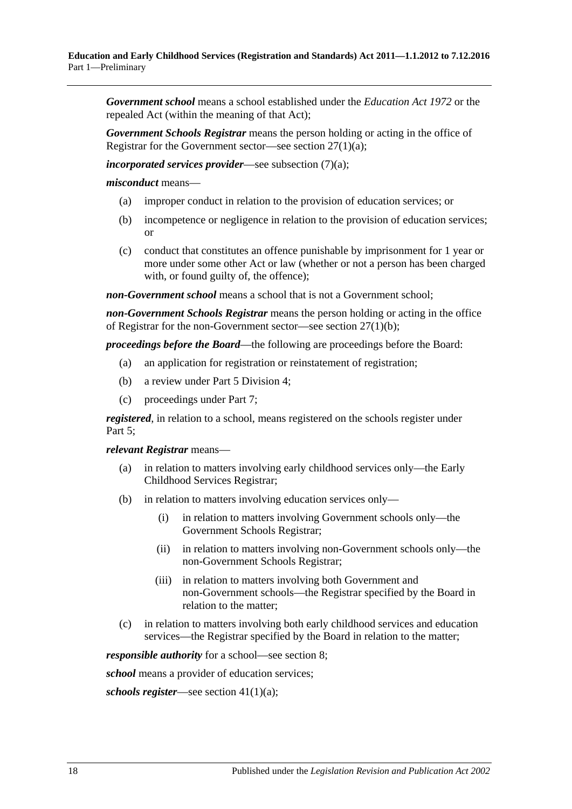*Government school* means a school established under the *[Education Act](http://www.legislation.sa.gov.au/index.aspx?action=legref&type=act&legtitle=Education%20Act%201972) 1972* or the repealed Act (within the meaning of that Act);

*Government Schools Registrar* means the person holding or acting in the office of Registrar for the Government sector—see section [27\(1\)\(a\);](#page-32-5)

*incorporated services provider*—see [subsection](#page-18-1) (7)(a);

#### *misconduct* means—

- (a) improper conduct in relation to the provision of education services; or
- (b) incompetence or negligence in relation to the provision of education services; or
- (c) conduct that constitutes an offence punishable by imprisonment for 1 year or more under some other Act or law (whether or not a person has been charged with, or found guilty of, the offence);

*non-Government school* means a school that is not a Government school;

*non-Government Schools Registrar* means the person holding or acting in the office of Registrar for the non-Government sector—see section [27\(1\)\(b\);](#page-32-6)

*proceedings before the Board*—the following are proceedings before the Board:

- (a) an application for registration or reinstatement of registration;
- (b) a review under Part [5 Division](#page-43-4) 4;
- (c) proceedings under [Part](#page-45-0) 7;

*registered*, in relation to a school, means registered on the schools register under [Part](#page-39-1) 5:

#### *relevant Registrar* means—

- (a) in relation to matters involving early childhood services only—the Early Childhood Services Registrar;
- (b) in relation to matters involving education services only—
	- (i) in relation to matters involving Government schools only—the Government Schools Registrar;
	- (ii) in relation to matters involving non-Government schools only—the non-Government Schools Registrar;
	- (iii) in relation to matters involving both Government and non-Government schools—the Registrar specified by the Board in relation to the matter;
- (c) in relation to matters involving both early childhood services and education services—the Registrar specified by the Board in relation to the matter;

*responsible authority* for a school—see [section](#page-20-3) 8;

*school* means a provider of education services;

*schools register*—see section [41\(1\)\(a\);](#page-39-4)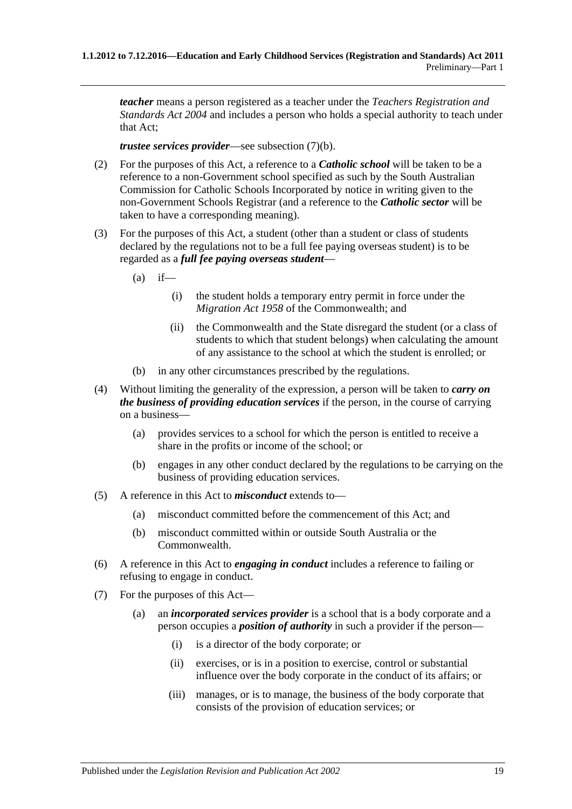*teacher* means a person registered as a teacher under the *[Teachers Registration and](http://www.legislation.sa.gov.au/index.aspx?action=legref&type=act&legtitle=Teachers%20Registration%20and%20Standards%20Act%202004)  [Standards Act](http://www.legislation.sa.gov.au/index.aspx?action=legref&type=act&legtitle=Teachers%20Registration%20and%20Standards%20Act%202004) 2004* and includes a person who holds a special authority to teach under that Act;

*trustee services provider*—see [subsection](#page-19-1) (7)(b).

- <span id="page-18-0"></span>(2) For the purposes of this Act, a reference to a *Catholic school* will be taken to be a reference to a non-Government school specified as such by the South Australian Commission for Catholic Schools Incorporated by notice in writing given to the non-Government Schools Registrar (and a reference to the *Catholic sector* will be taken to have a corresponding meaning).
- (3) For the purposes of this Act, a student (other than a student or class of students declared by the regulations not to be a full fee paying overseas student) is to be regarded as a *full fee paying overseas student*—
	- $(a)$  if—
		- (i) the student holds a temporary entry permit in force under the *Migration Act 1958* of the Commonwealth; and
		- (ii) the Commonwealth and the State disregard the student (or a class of students to which that student belongs) when calculating the amount of any assistance to the school at which the student is enrolled; or
	- (b) in any other circumstances prescribed by the regulations.
- (4) Without limiting the generality of the expression, a person will be taken to *carry on the business of providing education services* if the person, in the course of carrying on a business—
	- (a) provides services to a school for which the person is entitled to receive a share in the profits or income of the school; or
	- (b) engages in any other conduct declared by the regulations to be carrying on the business of providing education services.
- (5) A reference in this Act to *misconduct* extends to—
	- (a) misconduct committed before the commencement of this Act; and
	- (b) misconduct committed within or outside South Australia or the Commonwealth.
- (6) A reference in this Act to *engaging in conduct* includes a reference to failing or refusing to engage in conduct.
- <span id="page-18-1"></span>(7) For the purposes of this Act—
	- (a) an *incorporated services provider* is a school that is a body corporate and a person occupies a *position of authority* in such a provider if the person—
		- (i) is a director of the body corporate; or
		- (ii) exercises, or is in a position to exercise, control or substantial influence over the body corporate in the conduct of its affairs; or
		- (iii) manages, or is to manage, the business of the body corporate that consists of the provision of education services; or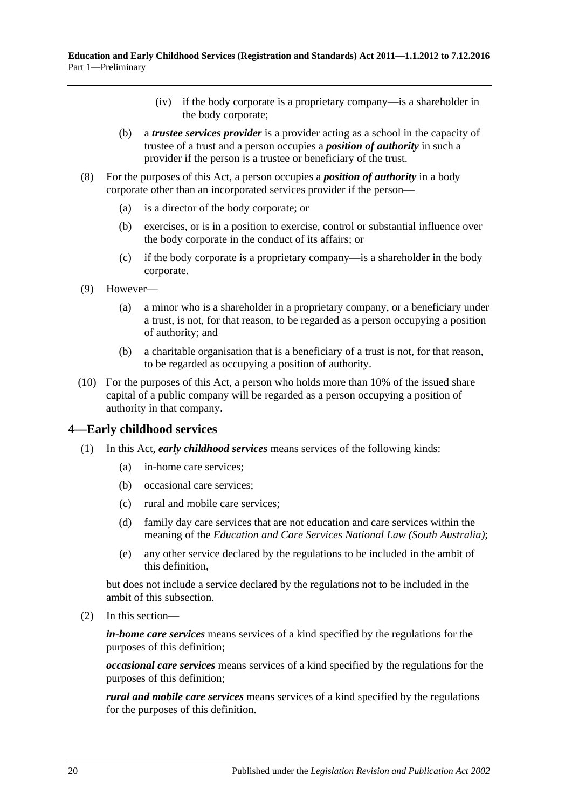- (iv) if the body corporate is a proprietary company—is a shareholder in the body corporate;
- <span id="page-19-1"></span>(b) a *trustee services provider* is a provider acting as a school in the capacity of trustee of a trust and a person occupies a *position of authority* in such a provider if the person is a trustee or beneficiary of the trust.
- (8) For the purposes of this Act, a person occupies a *position of authority* in a body corporate other than an incorporated services provider if the person—
	- (a) is a director of the body corporate; or
	- (b) exercises, or is in a position to exercise, control or substantial influence over the body corporate in the conduct of its affairs; or
	- (c) if the body corporate is a proprietary company—is a shareholder in the body corporate.
- (9) However—
	- (a) a minor who is a shareholder in a proprietary company, or a beneficiary under a trust, is not, for that reason, to be regarded as a person occupying a position of authority; and
	- (b) a charitable organisation that is a beneficiary of a trust is not, for that reason, to be regarded as occupying a position of authority.
- (10) For the purposes of this Act, a person who holds more than 10% of the issued share capital of a public company will be regarded as a person occupying a position of authority in that company.

## <span id="page-19-0"></span>**4—Early childhood services**

- (1) In this Act, *early childhood services* means services of the following kinds:
	- (a) in-home care services;
	- (b) occasional care services;
	- (c) rural and mobile care services;
	- (d) family day care services that are not education and care services within the meaning of the *Education and Care Services National Law (South Australia)*;
	- (e) any other service declared by the regulations to be included in the ambit of this definition,

but does not include a service declared by the regulations not to be included in the ambit of this subsection.

(2) In this section—

*in-home care services* means services of a kind specified by the regulations for the purposes of this definition;

*occasional care services* means services of a kind specified by the regulations for the purposes of this definition;

*rural and mobile care services* means services of a kind specified by the regulations for the purposes of this definition.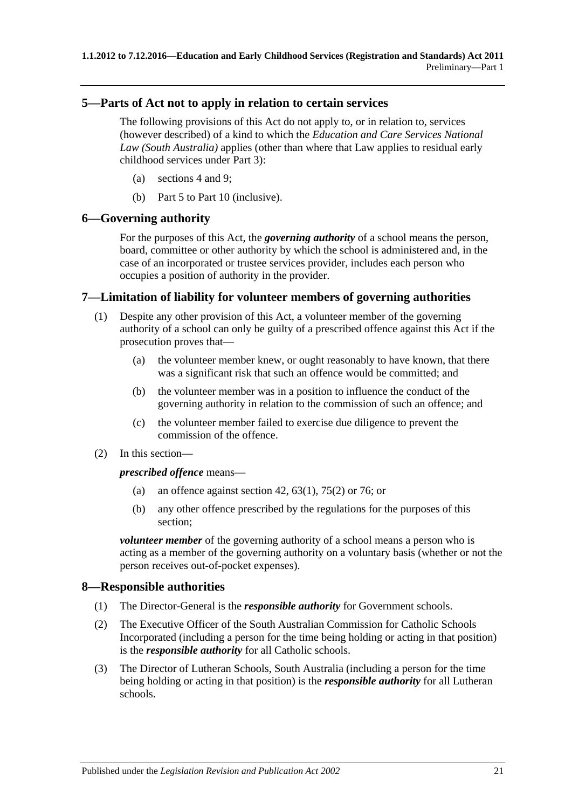## <span id="page-20-0"></span>**5—Parts of Act not to apply in relation to certain services**

The following provisions of this Act do not apply to, or in relation to, services (however described) of a kind to which the *Education and Care Services National Law (South Australia)* applies (other than where that Law applies to residual early childhood services under [Part](#page-28-0) 3):

- (a) [sections](#page-19-0) 4 and [9;](#page-21-0)
- (b) [Part](#page-39-1) 5 to [Part](#page-54-2) 10 (inclusive).

## <span id="page-20-1"></span>**6—Governing authority**

For the purposes of this Act, the *governing authority* of a school means the person, board, committee or other authority by which the school is administered and, in the case of an incorporated or trustee services provider, includes each person who occupies a position of authority in the provider.

## <span id="page-20-2"></span>**7—Limitation of liability for volunteer members of governing authorities**

- (1) Despite any other provision of this Act, a volunteer member of the governing authority of a school can only be guilty of a prescribed offence against this Act if the prosecution proves that—
	- (a) the volunteer member knew, or ought reasonably to have known, that there was a significant risk that such an offence would be committed; and
	- (b) the volunteer member was in a position to influence the conduct of the governing authority in relation to the commission of such an offence; and
	- (c) the volunteer member failed to exercise due diligence to prevent the commission of the offence.
- (2) In this section—

*prescribed offence* means—

- (a) an offence against [section](#page-40-1) 42,  $63(1)$ ,  $75(2)$  or [76;](#page-55-0) or
- (b) any other offence prescribed by the regulations for the purposes of this section;

*volunteer member* of the governing authority of a school means a person who is acting as a member of the governing authority on a voluntary basis (whether or not the person receives out-of-pocket expenses).

## <span id="page-20-3"></span>**8—Responsible authorities**

- (1) The Director-General is the *responsible authority* for Government schools.
- (2) The Executive Officer of the South Australian Commission for Catholic Schools Incorporated (including a person for the time being holding or acting in that position) is the *responsible authority* for all Catholic schools.
- (3) The Director of Lutheran Schools, South Australia (including a person for the time being holding or acting in that position) is the *responsible authority* for all Lutheran schools.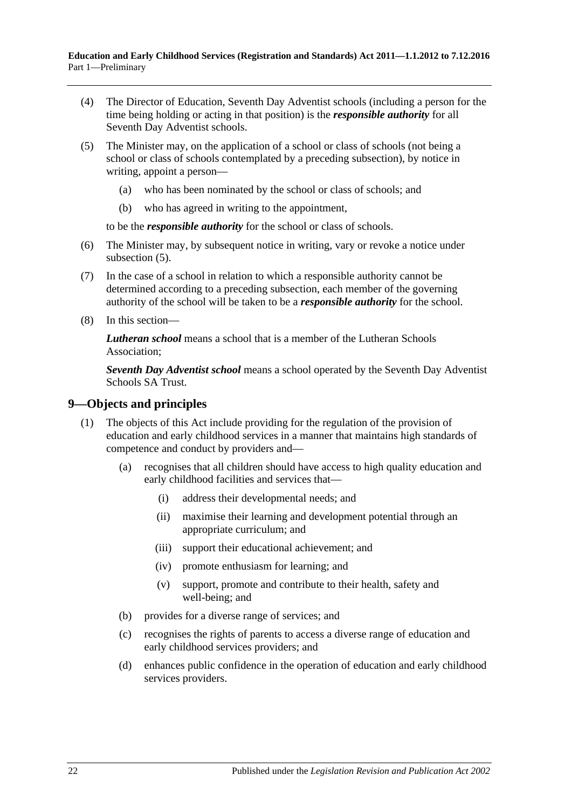- (4) The Director of Education, Seventh Day Adventist schools (including a person for the time being holding or acting in that position) is the *responsible authority* for all Seventh Day Adventist schools.
- <span id="page-21-1"></span>(5) The Minister may, on the application of a school or class of schools (not being a school or class of schools contemplated by a preceding subsection), by notice in writing, appoint a person—
	- (a) who has been nominated by the school or class of schools; and
	- (b) who has agreed in writing to the appointment,

to be the *responsible authority* for the school or class of schools.

- (6) The Minister may, by subsequent notice in writing, vary or revoke a notice under [subsection](#page-21-1) (5).
- (7) In the case of a school in relation to which a responsible authority cannot be determined according to a preceding subsection, each member of the governing authority of the school will be taken to be a *responsible authority* for the school.
- (8) In this section—

*Lutheran school* means a school that is a member of the Lutheran Schools Association;

*Seventh Day Adventist school* means a school operated by the Seventh Day Adventist Schools SA Trust.

## <span id="page-21-0"></span>**9—Objects and principles**

- (1) The objects of this Act include providing for the regulation of the provision of education and early childhood services in a manner that maintains high standards of competence and conduct by providers and—
	- (a) recognises that all children should have access to high quality education and early childhood facilities and services that—
		- (i) address their developmental needs; and
		- (ii) maximise their learning and development potential through an appropriate curriculum; and
		- (iii) support their educational achievement; and
		- (iv) promote enthusiasm for learning; and
		- (v) support, promote and contribute to their health, safety and well-being; and
	- (b) provides for a diverse range of services; and
	- (c) recognises the rights of parents to access a diverse range of education and early childhood services providers; and
	- (d) enhances public confidence in the operation of education and early childhood services providers.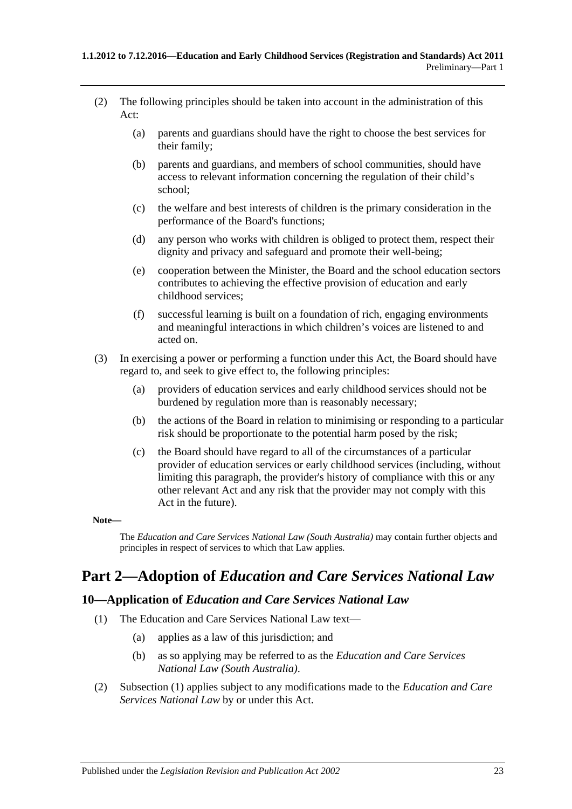- (2) The following principles should be taken into account in the administration of this Act:
	- (a) parents and guardians should have the right to choose the best services for their family;
	- (b) parents and guardians, and members of school communities, should have access to relevant information concerning the regulation of their child's school;
	- (c) the welfare and best interests of children is the primary consideration in the performance of the Board's functions;
	- (d) any person who works with children is obliged to protect them, respect their dignity and privacy and safeguard and promote their well-being;
	- (e) cooperation between the Minister, the Board and the school education sectors contributes to achieving the effective provision of education and early childhood services;
	- (f) successful learning is built on a foundation of rich, engaging environments and meaningful interactions in which children's voices are listened to and acted on.
- (3) In exercising a power or performing a function under this Act, the Board should have regard to, and seek to give effect to, the following principles:
	- (a) providers of education services and early childhood services should not be burdened by regulation more than is reasonably necessary;
	- (b) the actions of the Board in relation to minimising or responding to a particular risk should be proportionate to the potential harm posed by the risk;
	- (c) the Board should have regard to all of the circumstances of a particular provider of education services or early childhood services (including, without limiting this paragraph, the provider's history of compliance with this or any other relevant Act and any risk that the provider may not comply with this Act in the future).

#### **Note—**

The *Education and Care Services National Law (South Australia)* may contain further objects and principles in respect of services to which that Law applies.

# <span id="page-22-0"></span>**Part 2—Adoption of** *Education and Care Services National Law*

## <span id="page-22-2"></span><span id="page-22-1"></span>**10—Application of** *Education and Care Services National Law*

- (1) The Education and Care Services National Law text—
	- (a) applies as a law of this jurisdiction; and
	- (b) as so applying may be referred to as the *Education and Care Services National Law (South Australia)*.
- (2) [Subsection](#page-22-2) (1) applies subject to any modifications made to the *Education and Care Services National Law* by or under this Act.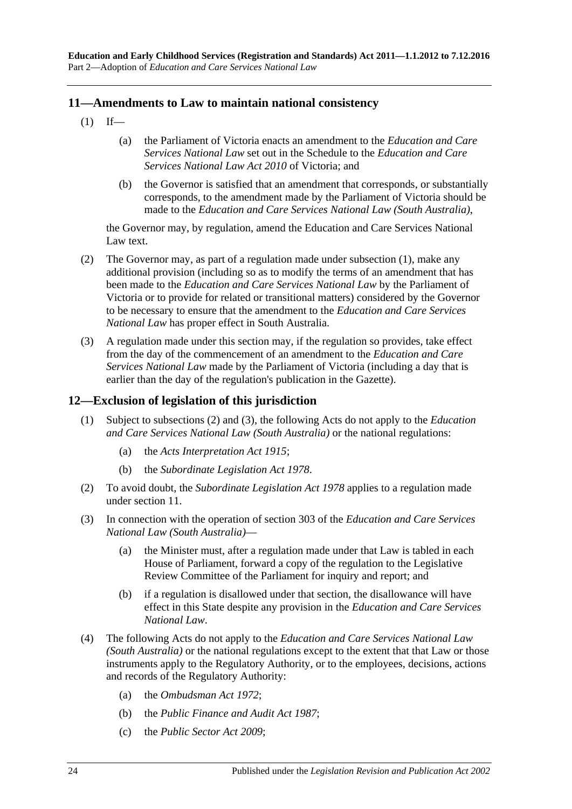## <span id="page-23-2"></span><span id="page-23-0"></span>**11—Amendments to Law to maintain national consistency**

- $(1)$  If—
	- (a) the Parliament of Victoria enacts an amendment to the *Education and Care Services National Law* set out in the Schedule to the *Education and Care Services National Law Act 2010* of Victoria; and
	- (b) the Governor is satisfied that an amendment that corresponds, or substantially corresponds, to the amendment made by the Parliament of Victoria should be made to the *Education and Care Services National Law (South Australia)*,

the Governor may, by regulation, amend the Education and Care Services National Law text.

- (2) The Governor may, as part of a regulation made under [subsection](#page-23-2) (1), make any additional provision (including so as to modify the terms of an amendment that has been made to the *Education and Care Services National Law* by the Parliament of Victoria or to provide for related or transitional matters) considered by the Governor to be necessary to ensure that the amendment to the *Education and Care Services National Law* has proper effect in South Australia.
- (3) A regulation made under this section may, if the regulation so provides, take effect from the day of the commencement of an amendment to the *Education and Care Services National Law* made by the Parliament of Victoria (including a day that is earlier than the day of the regulation's publication in the Gazette).

## <span id="page-23-1"></span>**12—Exclusion of legislation of this jurisdiction**

- (1) Subject to [subsections](#page-23-3) (2) and [\(3\),](#page-23-4) the following Acts do not apply to the *Education and Care Services National Law (South Australia)* or the national regulations:
	- (a) the *[Acts Interpretation Act](http://www.legislation.sa.gov.au/index.aspx?action=legref&type=act&legtitle=Acts%20Interpretation%20Act%201915) 1915*;
	- (b) the *[Subordinate Legislation Act](http://www.legislation.sa.gov.au/index.aspx?action=legref&type=act&legtitle=Subordinate%20Legislation%20Act%201978) 1978*.
- <span id="page-23-3"></span>(2) To avoid doubt, the *[Subordinate Legislation Act](http://www.legislation.sa.gov.au/index.aspx?action=legref&type=act&legtitle=Subordinate%20Legislation%20Act%201978) 1978* applies to a regulation made under [section](#page-23-0) 11.
- <span id="page-23-4"></span>(3) In connection with the operation of section 303 of the *Education and Care Services National Law (South Australia)*—
	- (a) the Minister must, after a regulation made under that Law is tabled in each House of Parliament, forward a copy of the regulation to the Legislative Review Committee of the Parliament for inquiry and report; and
	- (b) if a regulation is disallowed under that section, the disallowance will have effect in this State despite any provision in the *Education and Care Services National Law*.
- (4) The following Acts do not apply to the *Education and Care Services National Law (South Australia)* or the national regulations except to the extent that that Law or those instruments apply to the Regulatory Authority, or to the employees, decisions, actions and records of the Regulatory Authority:
	- (a) the *[Ombudsman Act](http://www.legislation.sa.gov.au/index.aspx?action=legref&type=act&legtitle=Ombudsman%20Act%201972) 1972*;
	- (b) the *[Public Finance and Audit Act](http://www.legislation.sa.gov.au/index.aspx?action=legref&type=act&legtitle=Public%20Finance%20and%20Audit%20Act%201987) 1987*;
	- (c) the *[Public Sector Act](http://www.legislation.sa.gov.au/index.aspx?action=legref&type=act&legtitle=Public%20Sector%20Act%202009) 2009*;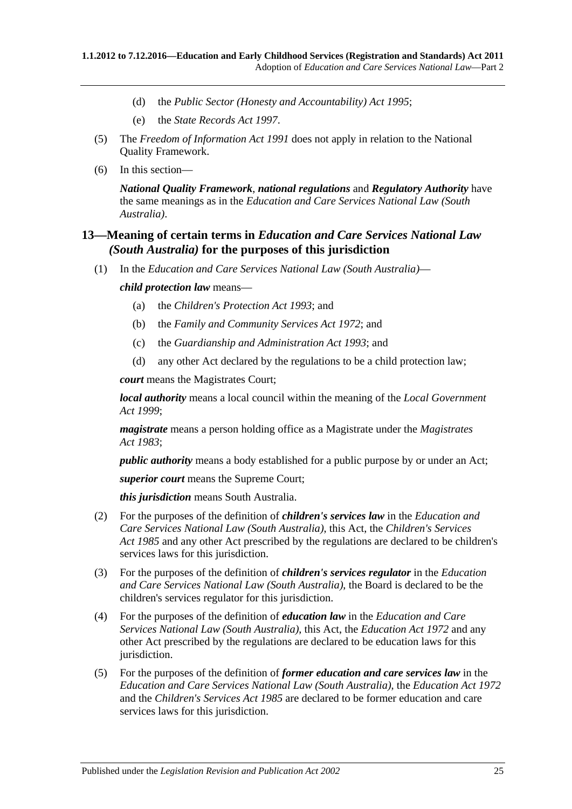- (d) the *[Public Sector \(Honesty and Accountability\) Act](http://www.legislation.sa.gov.au/index.aspx?action=legref&type=act&legtitle=Public%20Sector%20(Honesty%20and%20Accountability)%20Act%201995) 1995*;
- (e) the *[State Records Act](http://www.legislation.sa.gov.au/index.aspx?action=legref&type=act&legtitle=State%20Records%20Act%201997) 1997*.
- (5) The *[Freedom of Information Act](http://www.legislation.sa.gov.au/index.aspx?action=legref&type=act&legtitle=Freedom%20of%20Information%20Act%201991) 1991* does not apply in relation to the National Quality Framework.
- (6) In this section—

*National Quality Framework*, *national regulations* and *Regulatory Authority* have the same meanings as in the *Education and Care Services National Law (South Australia)*.

## <span id="page-24-0"></span>**13—Meaning of certain terms in** *Education and Care Services National Law (South Australia)* **for the purposes of this jurisdiction**

(1) In the *Education and Care Services National Law (South Australia)*—

*child protection law* means—

- (a) the *[Children's Protection Act](http://www.legislation.sa.gov.au/index.aspx?action=legref&type=act&legtitle=Childrens%20Protection%20Act%201993) 1993*; and
- (b) the *[Family and Community](http://www.legislation.sa.gov.au/index.aspx?action=legref&type=act&legtitle=Family%20and%20Community%20Services%20Act%201972) Services Act 1972*; and
- (c) the *[Guardianship and Administration Act](http://www.legislation.sa.gov.au/index.aspx?action=legref&type=act&legtitle=Guardianship%20and%20Administration%20Act%201993) 1993*; and
- (d) any other Act declared by the regulations to be a child protection law;

*court* means the Magistrates Court;

*local authority* means a local council within the meaning of the *[Local Government](http://www.legislation.sa.gov.au/index.aspx?action=legref&type=act&legtitle=Local%20Government%20Act%201999)  Act [1999](http://www.legislation.sa.gov.au/index.aspx?action=legref&type=act&legtitle=Local%20Government%20Act%201999)*;

*magistrate* means a person holding office as a Magistrate under the *[Magistrates](http://www.legislation.sa.gov.au/index.aspx?action=legref&type=act&legtitle=Magistrates%20Act%201983)  Act [1983](http://www.legislation.sa.gov.au/index.aspx?action=legref&type=act&legtitle=Magistrates%20Act%201983)*;

*public authority* means a body established for a public purpose by or under an Act;

*superior court* means the Supreme Court;

*this jurisdiction* means South Australia.

- (2) For the purposes of the definition of *children's services law* in the *Education and Care Services National Law (South Australia)*, this Act, the *[Children's Services](http://www.legislation.sa.gov.au/index.aspx?action=legref&type=act&legtitle=Childrens%20Services%20Act%201985)  Act [1985](http://www.legislation.sa.gov.au/index.aspx?action=legref&type=act&legtitle=Childrens%20Services%20Act%201985)* and any other Act prescribed by the regulations are declared to be children's services laws for this jurisdiction.
- (3) For the purposes of the definition of *children's services regulator* in the *Education and Care Services National Law (South Australia)*, the Board is declared to be the children's services regulator for this jurisdiction.
- (4) For the purposes of the definition of *education law* in the *Education and Care Services National Law (South Australia)*, this Act, the *[Education Act](http://www.legislation.sa.gov.au/index.aspx?action=legref&type=act&legtitle=Education%20Act%201972) 1972* and any other Act prescribed by the regulations are declared to be education laws for this jurisdiction.
- (5) For the purposes of the definition of *former education and care services law* in the *Education and Care Services National Law (South Australia)*, the *[Education Act](http://www.legislation.sa.gov.au/index.aspx?action=legref&type=act&legtitle=Education%20Act%201972) 1972* and the *[Children's Services Act](http://www.legislation.sa.gov.au/index.aspx?action=legref&type=act&legtitle=Childrens%20Services%20Act%201985) 1985* are declared to be former education and care services laws for this jurisdiction.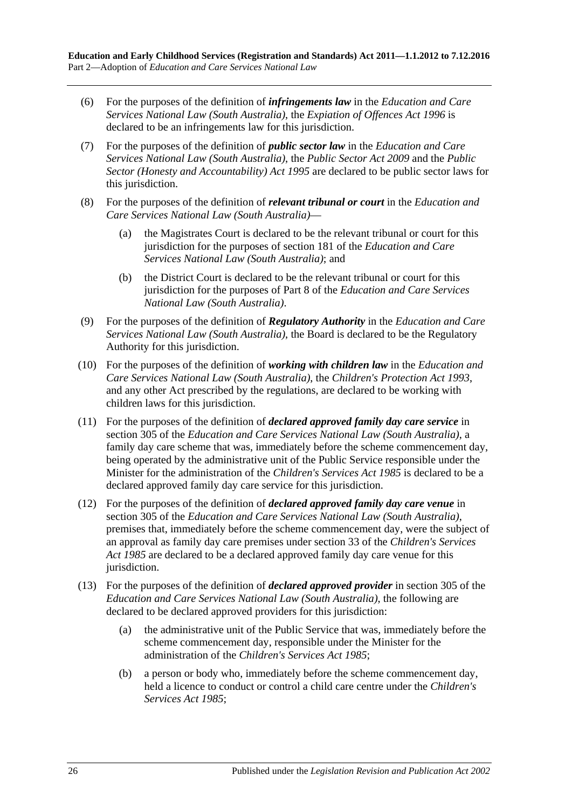- (6) For the purposes of the definition of *infringements law* in the *Education and Care Services National Law (South Australia)*, the *[Expiation of Offences Act](http://www.legislation.sa.gov.au/index.aspx?action=legref&type=act&legtitle=Expiation%20of%20Offences%20Act%201996) 1996* is declared to be an infringements law for this jurisdiction.
- (7) For the purposes of the definition of *public sector law* in the *Education and Care Services National Law (South Australia)*, the *[Public Sector Act](http://www.legislation.sa.gov.au/index.aspx?action=legref&type=act&legtitle=Public%20Sector%20Act%202009) 2009* and the *[Public](http://www.legislation.sa.gov.au/index.aspx?action=legref&type=act&legtitle=Public%20Sector%20(Honesty%20and%20Accountability)%20Act%201995)  [Sector \(Honesty and Accountability\) Act](http://www.legislation.sa.gov.au/index.aspx?action=legref&type=act&legtitle=Public%20Sector%20(Honesty%20and%20Accountability)%20Act%201995) 1995* are declared to be public sector laws for this jurisdiction.
- (8) For the purposes of the definition of *relevant tribunal or court* in the *Education and Care Services National Law (South Australia)*—
	- (a) the Magistrates Court is declared to be the relevant tribunal or court for this jurisdiction for the purposes of section 181 of the *Education and Care Services National Law (South Australia)*; and
	- (b) the District Court is declared to be the relevant tribunal or court for this jurisdiction for the purposes of Part 8 of the *Education and Care Services National Law (South Australia)*.
- (9) For the purposes of the definition of *Regulatory Authority* in the *Education and Care Services National Law (South Australia)*, the Board is declared to be the Regulatory Authority for this jurisdiction.
- (10) For the purposes of the definition of *working with children law* in the *Education and Care Services National Law (South Australia)*, the *[Children's Protection Act](http://www.legislation.sa.gov.au/index.aspx?action=legref&type=act&legtitle=Childrens%20Protection%20Act%201993) 1993*, and any other Act prescribed by the regulations, are declared to be working with children laws for this jurisdiction.
- (11) For the purposes of the definition of *declared approved family day care service* in section 305 of the *Education and Care Services National Law (South Australia)*, a family day care scheme that was, immediately before the scheme commencement day, being operated by the administrative unit of the Public Service responsible under the Minister for the administration of the *[Children's Services Act](http://www.legislation.sa.gov.au/index.aspx?action=legref&type=act&legtitle=Childrens%20Services%20Act%201985) 1985* is declared to be a declared approved family day care service for this jurisdiction.
- (12) For the purposes of the definition of *declared approved family day care venue* in section 305 of the *Education and Care Services National Law (South Australia)*, premises that, immediately before the scheme commencement day, were the subject of an approval as family day care premises under section 33 of the *[Children's Services](http://www.legislation.sa.gov.au/index.aspx?action=legref&type=act&legtitle=Childrens%20Services%20Act%201985)  Act [1985](http://www.legislation.sa.gov.au/index.aspx?action=legref&type=act&legtitle=Childrens%20Services%20Act%201985)* are declared to be a declared approved family day care venue for this jurisdiction.
- (13) For the purposes of the definition of *declared approved provider* in section 305 of the *Education and Care Services National Law (South Australia)*, the following are declared to be declared approved providers for this jurisdiction:
	- (a) the administrative unit of the Public Service that was, immediately before the scheme commencement day, responsible under the Minister for the administration of the *[Children's Services Act](http://www.legislation.sa.gov.au/index.aspx?action=legref&type=act&legtitle=Childrens%20Services%20Act%201985) 1985*;
	- (b) a person or body who, immediately before the scheme commencement day, held a licence to conduct or control a child care centre under the *[Children's](http://www.legislation.sa.gov.au/index.aspx?action=legref&type=act&legtitle=Childrens%20Services%20Act%201985)  [Services Act](http://www.legislation.sa.gov.au/index.aspx?action=legref&type=act&legtitle=Childrens%20Services%20Act%201985) 1985*;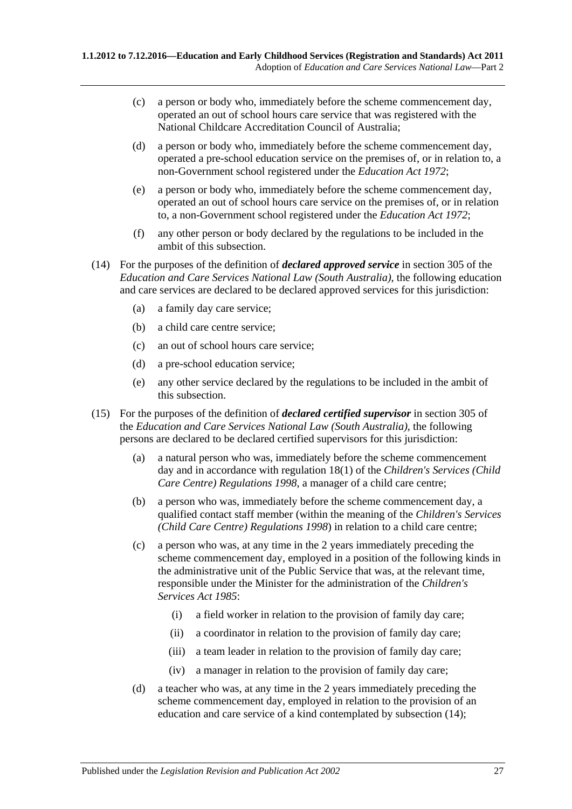- (c) a person or body who, immediately before the scheme commencement day, operated an out of school hours care service that was registered with the National Childcare Accreditation Council of Australia;
- (d) a person or body who, immediately before the scheme commencement day, operated a pre-school education service on the premises of, or in relation to, a non-Government school registered under the *[Education Act](http://www.legislation.sa.gov.au/index.aspx?action=legref&type=act&legtitle=Education%20Act%201972) 1972*;
- (e) a person or body who, immediately before the scheme commencement day, operated an out of school hours care service on the premises of, or in relation to, a non-Government school registered under the *[Education Act](http://www.legislation.sa.gov.au/index.aspx?action=legref&type=act&legtitle=Education%20Act%201972) 1972*;
- (f) any other person or body declared by the regulations to be included in the ambit of this subsection.
- <span id="page-26-0"></span>(14) For the purposes of the definition of *declared approved service* in section 305 of the *Education and Care Services National Law (South Australia)*, the following education and care services are declared to be declared approved services for this jurisdiction:
	- (a) a family day care service;
	- (b) a child care centre service;
	- (c) an out of school hours care service;
	- (d) a pre-school education service;
	- (e) any other service declared by the regulations to be included in the ambit of this subsection.
- (15) For the purposes of the definition of *declared certified supervisor* in section 305 of the *Education and Care Services National Law (South Australia)*, the following persons are declared to be declared certified supervisors for this jurisdiction:
	- (a) a natural person who was, immediately before the scheme commencement day and in accordance with regulation 18(1) of the *[Children's Services \(Child](http://www.legislation.sa.gov.au/index.aspx?action=legref&type=subordleg&legtitle=Childrens%20Services%20(Child%20Care%20Centre)%20Regulations%201998)  [Care Centre\) Regulations](http://www.legislation.sa.gov.au/index.aspx?action=legref&type=subordleg&legtitle=Childrens%20Services%20(Child%20Care%20Centre)%20Regulations%201998) 1998*, a manager of a child care centre;
	- (b) a person who was, immediately before the scheme commencement day, a qualified contact staff member (within the meaning of the *[Children's Services](http://www.legislation.sa.gov.au/index.aspx?action=legref&type=subordleg&legtitle=Childrens%20Services%20(Child%20Care%20Centre)%20Regulations%201998)  [\(Child Care Centre\) Regulations](http://www.legislation.sa.gov.au/index.aspx?action=legref&type=subordleg&legtitle=Childrens%20Services%20(Child%20Care%20Centre)%20Regulations%201998) 1998*) in relation to a child care centre;
	- (c) a person who was, at any time in the 2 years immediately preceding the scheme commencement day, employed in a position of the following kinds in the administrative unit of the Public Service that was, at the relevant time, responsible under the Minister for the administration of the *[Children's](http://www.legislation.sa.gov.au/index.aspx?action=legref&type=act&legtitle=Childrens%20Services%20Act%201985)  [Services Act](http://www.legislation.sa.gov.au/index.aspx?action=legref&type=act&legtitle=Childrens%20Services%20Act%201985) 1985*:
		- (i) a field worker in relation to the provision of family day care;
		- (ii) a coordinator in relation to the provision of family day care;
		- (iii) a team leader in relation to the provision of family day care;
		- (iv) a manager in relation to the provision of family day care;
	- (d) a teacher who was, at any time in the 2 years immediately preceding the scheme commencement day, employed in relation to the provision of an education and care service of a kind contemplated by [subsection](#page-26-0) (14);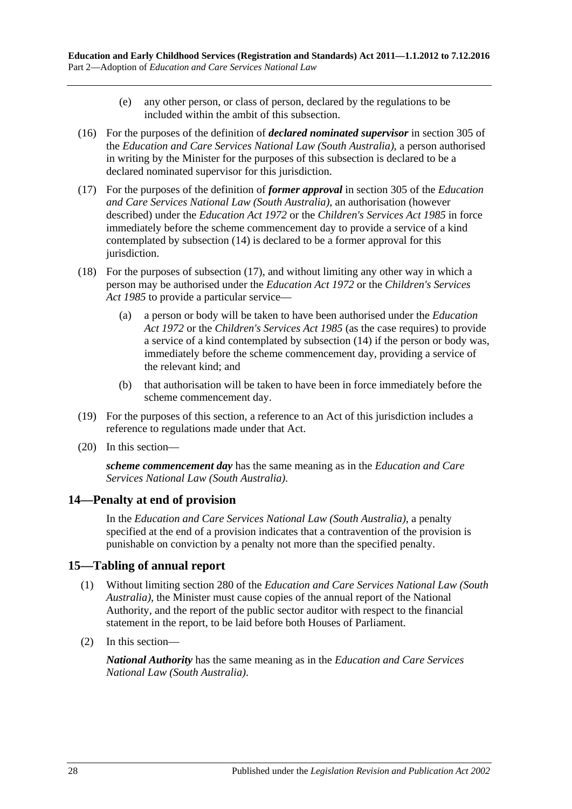- (e) any other person, or class of person, declared by the regulations to be included within the ambit of this subsection.
- (16) For the purposes of the definition of *declared nominated supervisor* in section 305 of the *Education and Care Services National Law (South Australia)*, a person authorised in writing by the Minister for the purposes of this subsection is declared to be a declared nominated supervisor for this jurisdiction.
- <span id="page-27-2"></span>(17) For the purposes of the definition of *former approval* in section 305 of the *Education and Care Services National Law (South Australia)*, an authorisation (however described) under the *[Education Act](http://www.legislation.sa.gov.au/index.aspx?action=legref&type=act&legtitle=Education%20Act%201972) 1972* or the *[Children's Services Act](http://www.legislation.sa.gov.au/index.aspx?action=legref&type=act&legtitle=Childrens%20Services%20Act%201985) 1985* in force immediately before the scheme commencement day to provide a service of a kind contemplated by [subsection](#page-26-0) (14) is declared to be a former approval for this jurisdiction.
- (18) For the purposes of [subsection](#page-27-2) (17), and without limiting any other way in which a person may be authorised under the *[Education Act](http://www.legislation.sa.gov.au/index.aspx?action=legref&type=act&legtitle=Education%20Act%201972) 1972* or the *[Children's Services](http://www.legislation.sa.gov.au/index.aspx?action=legref&type=act&legtitle=Childrens%20Services%20Act%201985)  Act [1985](http://www.legislation.sa.gov.au/index.aspx?action=legref&type=act&legtitle=Childrens%20Services%20Act%201985)* to provide a particular service—
	- (a) a person or body will be taken to have been authorised under the *[Education](http://www.legislation.sa.gov.au/index.aspx?action=legref&type=act&legtitle=Education%20Act%201972)  Act [1972](http://www.legislation.sa.gov.au/index.aspx?action=legref&type=act&legtitle=Education%20Act%201972)* or the *[Children's Services Act](http://www.legislation.sa.gov.au/index.aspx?action=legref&type=act&legtitle=Childrens%20Services%20Act%201985) 1985* (as the case requires) to provide a service of a kind contemplated by [subsection](#page-26-0) (14) if the person or body was, immediately before the scheme commencement day, providing a service of the relevant kind; and
	- (b) that authorisation will be taken to have been in force immediately before the scheme commencement day.
- (19) For the purposes of this section, a reference to an Act of this jurisdiction includes a reference to regulations made under that Act.
- (20) In this section—

*scheme commencement day* has the same meaning as in the *Education and Care Services National Law (South Australia)*.

## <span id="page-27-0"></span>**14—Penalty at end of provision**

In the *Education and Care Services National Law (South Australia)*, a penalty specified at the end of a provision indicates that a contravention of the provision is punishable on conviction by a penalty not more than the specified penalty.

## <span id="page-27-1"></span>**15—Tabling of annual report**

- (1) Without limiting section 280 of the *Education and Care Services National Law (South Australia)*, the Minister must cause copies of the annual report of the National Authority, and the report of the public sector auditor with respect to the financial statement in the report, to be laid before both Houses of Parliament.
- (2) In this section—

*National Authority* has the same meaning as in the *Education and Care Services National Law (South Australia)*.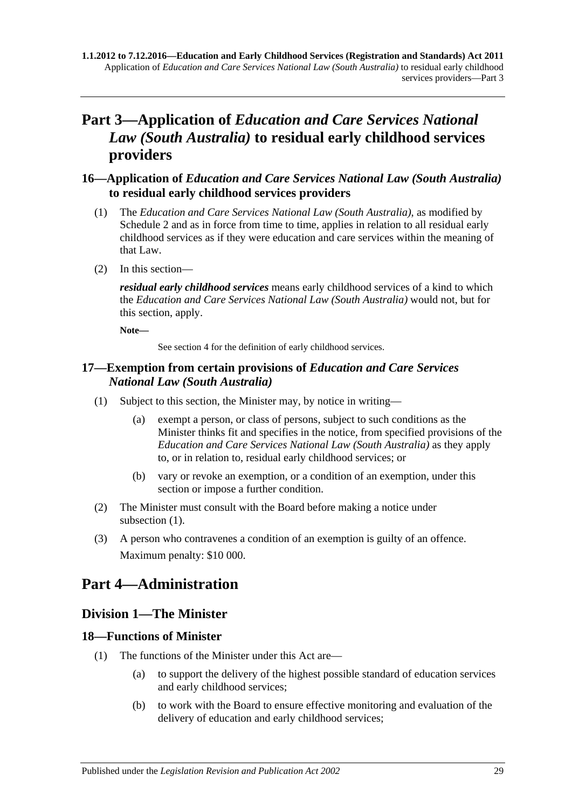# <span id="page-28-0"></span>**Part 3—Application of** *Education and Care Services National Law (South Australia)* **to residual early childhood services providers**

## <span id="page-28-1"></span>**16—Application of** *Education and Care Services National Law (South Australia)* **to residual early childhood services providers**

- (1) The *Education and Care Services National Law (South Australia)*, as modified by [Schedule](#page-200-0) 2 and as in force from time to time, applies in relation to all residual early childhood services as if they were education and care services within the meaning of that Law.
- (2) In this section—

*residual early childhood services* means early childhood services of a kind to which the *Education and Care Services National Law (South Australia)* would not, but for this section, apply.

**Note—**

See section 4 for the definition of early childhood services.

## <span id="page-28-2"></span>**17—Exemption from certain provisions of** *Education and Care Services National Law (South Australia)*

- <span id="page-28-6"></span>(1) Subject to this section, the Minister may, by notice in writing—
	- (a) exempt a person, or class of persons, subject to such conditions as the Minister thinks fit and specifies in the notice, from specified provisions of the *Education and Care Services National Law (South Australia)* as they apply to, or in relation to, residual early childhood services; or
	- (b) vary or revoke an exemption, or a condition of an exemption, under this section or impose a further condition.
- (2) The Minister must consult with the Board before making a notice under [subsection](#page-28-6) (1).
- (3) A person who contravenes a condition of an exemption is guilty of an offence. Maximum penalty: \$10 000.

# <span id="page-28-3"></span>**Part 4—Administration**

# <span id="page-28-4"></span>**Division 1—The Minister**

## <span id="page-28-5"></span>**18—Functions of Minister**

- (1) The functions of the Minister under this Act are—
	- (a) to support the delivery of the highest possible standard of education services and early childhood services;
	- (b) to work with the Board to ensure effective monitoring and evaluation of the delivery of education and early childhood services;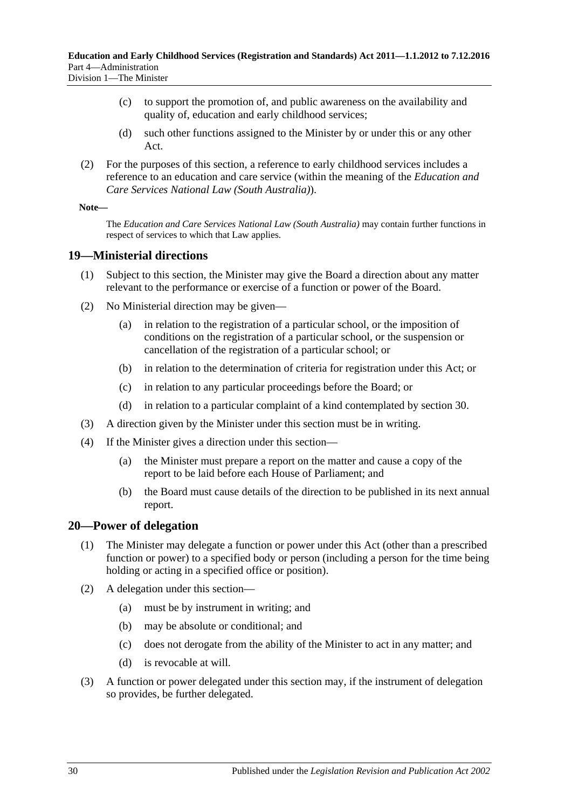- (c) to support the promotion of, and public awareness on the availability and quality of, education and early childhood services;
- (d) such other functions assigned to the Minister by or under this or any other Act.
- (2) For the purposes of this section, a reference to early childhood services includes a reference to an education and care service (within the meaning of the *Education and Care Services National Law (South Australia)*).

#### **Note—**

The *Education and Care Services National Law (South Australia)* may contain further functions in respect of services to which that Law applies.

## <span id="page-29-0"></span>**19—Ministerial directions**

- (1) Subject to this section, the Minister may give the Board a direction about any matter relevant to the performance or exercise of a function or power of the Board.
- (2) No Ministerial direction may be given—
	- (a) in relation to the registration of a particular school, or the imposition of conditions on the registration of a particular school, or the suspension or cancellation of the registration of a particular school; or
	- (b) in relation to the determination of criteria for registration under this Act; or
	- (c) in relation to any particular proceedings before the Board; or
	- (d) in relation to a particular complaint of a kind contemplated by [section](#page-34-2) 30.
- (3) A direction given by the Minister under this section must be in writing.
- (4) If the Minister gives a direction under this section—
	- (a) the Minister must prepare a report on the matter and cause a copy of the report to be laid before each House of Parliament; and
	- (b) the Board must cause details of the direction to be published in its next annual report.

#### <span id="page-29-2"></span><span id="page-29-1"></span>**20—Power of delegation**

- (1) The Minister may delegate a function or power under this Act (other than a prescribed function or power) to a specified body or person (including a person for the time being holding or acting in a specified office or position).
- (2) A delegation under this section—
	- (a) must be by instrument in writing; and
	- (b) may be absolute or conditional; and
	- (c) does not derogate from the ability of the Minister to act in any matter; and
	- (d) is revocable at will.
- (3) A function or power delegated under this section may, if the instrument of delegation so provides, be further delegated.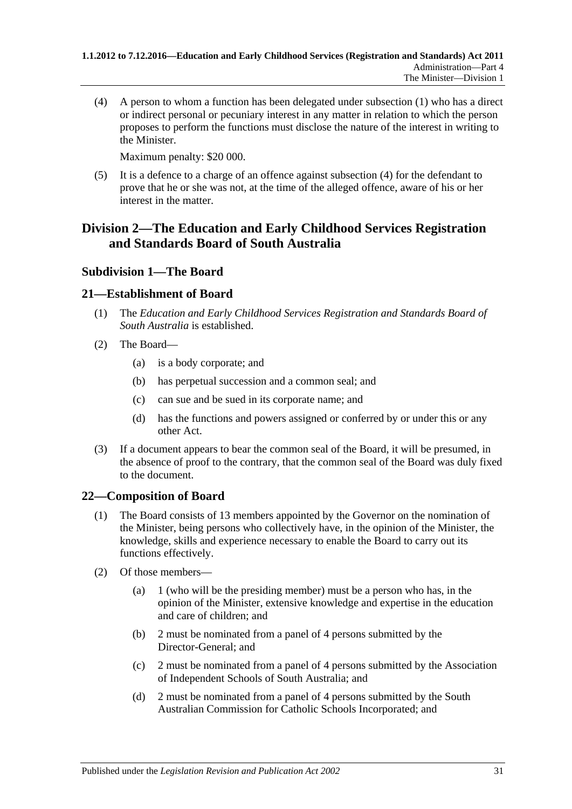<span id="page-30-4"></span>(4) A person to whom a function has been delegated under [subsection](#page-29-2) (1) who has a direct or indirect personal or pecuniary interest in any matter in relation to which the person proposes to perform the functions must disclose the nature of the interest in writing to the Minister.

Maximum penalty: \$20 000.

(5) It is a defence to a charge of an offence against [subsection](#page-30-4) (4) for the defendant to prove that he or she was not, at the time of the alleged offence, aware of his or her interest in the matter.

## <span id="page-30-0"></span>**Division 2—The Education and Early Childhood Services Registration and Standards Board of South Australia**

## <span id="page-30-1"></span>**Subdivision 1—The Board**

## <span id="page-30-2"></span>**21—Establishment of Board**

- (1) The *Education and Early Childhood Services Registration and Standards Board of South Australia* is established.
- (2) The Board—
	- (a) is a body corporate; and
	- (b) has perpetual succession and a common seal; and
	- (c) can sue and be sued in its corporate name; and
	- (d) has the functions and powers assigned or conferred by or under this or any other Act.
- (3) If a document appears to bear the common seal of the Board, it will be presumed, in the absence of proof to the contrary, that the common seal of the Board was duly fixed to the document.

## <span id="page-30-3"></span>**22—Composition of Board**

- (1) The Board consists of 13 members appointed by the Governor on the nomination of the Minister, being persons who collectively have, in the opinion of the Minister, the knowledge, skills and experience necessary to enable the Board to carry out its functions effectively.
- <span id="page-30-6"></span><span id="page-30-5"></span>(2) Of those members—
	- (a) 1 (who will be the presiding member) must be a person who has, in the opinion of the Minister, extensive knowledge and expertise in the education and care of children; and
	- (b) 2 must be nominated from a panel of 4 persons submitted by the Director-General; and
	- (c) 2 must be nominated from a panel of 4 persons submitted by the Association of Independent Schools of South Australia; and
	- (d) 2 must be nominated from a panel of 4 persons submitted by the South Australian Commission for Catholic Schools Incorporated; and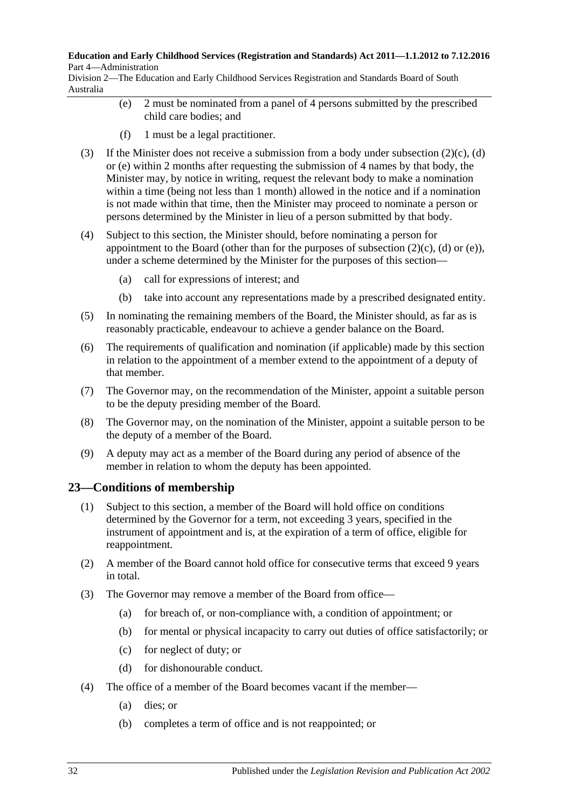**Education and Early Childhood Services (Registration and Standards) Act 2011—1.1.2012 to 7.12.2016** Part 4—Administration

<span id="page-31-1"></span>Division 2—The Education and Early Childhood Services Registration and Standards Board of South Australia

- (e) 2 must be nominated from a panel of 4 persons submitted by the prescribed child care bodies; and
- (f) 1 must be a legal practitioner.
- (3) If the Minister does not receive a submission from a body under [subsection](#page-30-5)  $(2)(c)$ , [\(d\)](#page-30-6) or [\(e\)](#page-31-1) within 2 months after requesting the submission of 4 names by that body, the Minister may, by notice in writing, request the relevant body to make a nomination within a time (being not less than 1 month) allowed in the notice and if a nomination is not made within that time, then the Minister may proceed to nominate a person or persons determined by the Minister in lieu of a person submitted by that body.
- (4) Subject to this section, the Minister should, before nominating a person for appointment to the Board (other than for the purposes of [subsection](#page-30-5)  $(2)(c)$ ,  $(d)$  or  $(e)$ ), under a scheme determined by the Minister for the purposes of this section—
	- (a) call for expressions of interest; and
	- (b) take into account any representations made by a prescribed designated entity.
- (5) In nominating the remaining members of the Board, the Minister should, as far as is reasonably practicable, endeavour to achieve a gender balance on the Board.
- (6) The requirements of qualification and nomination (if applicable) made by this section in relation to the appointment of a member extend to the appointment of a deputy of that member.
- (7) The Governor may, on the recommendation of the Minister, appoint a suitable person to be the deputy presiding member of the Board.
- (8) The Governor may, on the nomination of the Minister, appoint a suitable person to be the deputy of a member of the Board.
- (9) A deputy may act as a member of the Board during any period of absence of the member in relation to whom the deputy has been appointed.

## <span id="page-31-0"></span>**23—Conditions of membership**

- (1) Subject to this section, a member of the Board will hold office on conditions determined by the Governor for a term, not exceeding 3 years, specified in the instrument of appointment and is, at the expiration of a term of office, eligible for reappointment.
- (2) A member of the Board cannot hold office for consecutive terms that exceed 9 years in total.
- <span id="page-31-2"></span>(3) The Governor may remove a member of the Board from office—
	- (a) for breach of, or non-compliance with, a condition of appointment; or
	- (b) for mental or physical incapacity to carry out duties of office satisfactorily; or
	- (c) for neglect of duty; or
	- (d) for dishonourable conduct.
- (4) The office of a member of the Board becomes vacant if the member—
	- (a) dies; or
	- (b) completes a term of office and is not reappointed; or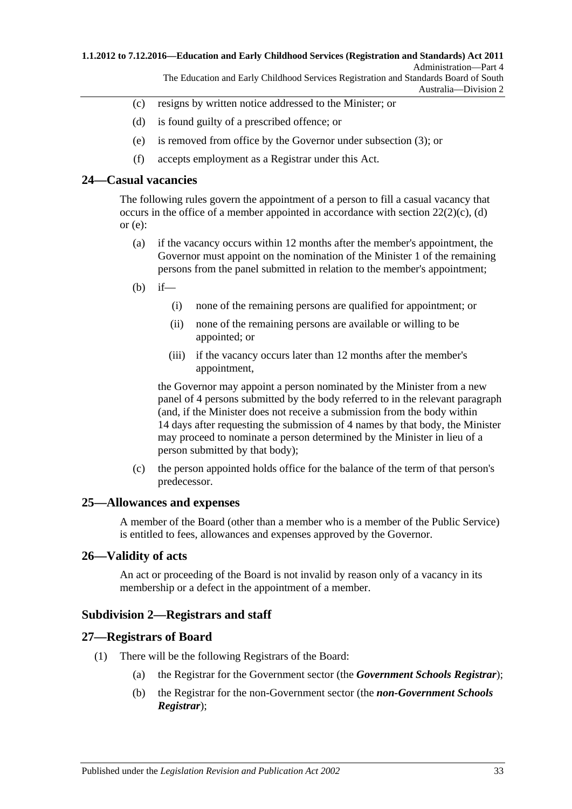#### **1.1.2012 to 7.12.2016—Education and Early Childhood Services (Registration and Standards) Act 2011** Administration—Part 4 The Education and Early Childhood Services Registration and Standards Board of South

- Australia—Division 2
- (c) resigns by written notice addressed to the Minister; or
- (d) is found guilty of a prescribed offence; or
- (e) is removed from office by the Governor under [subsection](#page-31-2) (3); or
- (f) accepts employment as a Registrar under this Act.

#### <span id="page-32-0"></span>**24—Casual vacancies**

The following rules govern the appointment of a person to fill a casual vacancy that occurs in the office of a member appointed in accordance with section  $22(2)(c)$ , [\(d\)](#page-30-6) or  $(e)$ :

- (a) if the vacancy occurs within 12 months after the member's appointment, the Governor must appoint on the nomination of the Minister 1 of the remaining persons from the panel submitted in relation to the member's appointment;
- (b) if—
	- (i) none of the remaining persons are qualified for appointment; or
	- (ii) none of the remaining persons are available or willing to be appointed; or
	- (iii) if the vacancy occurs later than 12 months after the member's appointment,

the Governor may appoint a person nominated by the Minister from a new panel of 4 persons submitted by the body referred to in the relevant paragraph (and, if the Minister does not receive a submission from the body within 14 days after requesting the submission of 4 names by that body, the Minister may proceed to nominate a person determined by the Minister in lieu of a person submitted by that body);

(c) the person appointed holds office for the balance of the term of that person's predecessor.

## <span id="page-32-1"></span>**25—Allowances and expenses**

A member of the Board (other than a member who is a member of the Public Service) is entitled to fees, allowances and expenses approved by the Governor.

## <span id="page-32-2"></span>**26—Validity of acts**

An act or proceeding of the Board is not invalid by reason only of a vacancy in its membership or a defect in the appointment of a member.

## <span id="page-32-3"></span>**Subdivision 2—Registrars and staff**

## <span id="page-32-4"></span>**27—Registrars of Board**

- <span id="page-32-6"></span><span id="page-32-5"></span>(1) There will be the following Registrars of the Board:
	- (a) the Registrar for the Government sector (the *Government Schools Registrar*);
	- (b) the Registrar for the non-Government sector (the *non-Government Schools Registrar*);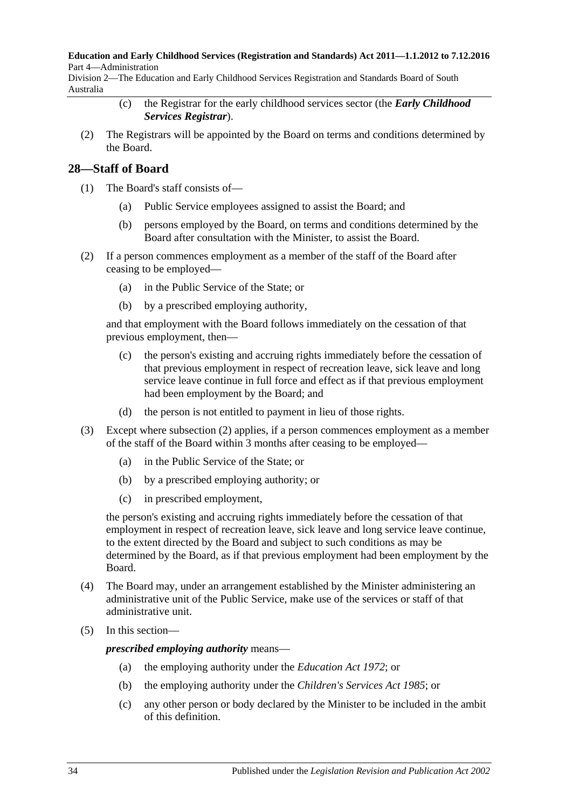**Education and Early Childhood Services (Registration and Standards) Act 2011—1.1.2012 to 7.12.2016** Part 4—Administration

<span id="page-33-1"></span>Division 2—The Education and Early Childhood Services Registration and Standards Board of South Australia

- (c) the Registrar for the early childhood services sector (the *Early Childhood Services Registrar*).
- (2) The Registrars will be appointed by the Board on terms and conditions determined by the Board.

## <span id="page-33-0"></span>**28—Staff of Board**

- (1) The Board's staff consists of—
	- (a) Public Service employees assigned to assist the Board; and
	- (b) persons employed by the Board, on terms and conditions determined by the Board after consultation with the Minister, to assist the Board.
- <span id="page-33-2"></span>(2) If a person commences employment as a member of the staff of the Board after ceasing to be employed—
	- (a) in the Public Service of the State; or
	- (b) by a prescribed employing authority,

and that employment with the Board follows immediately on the cessation of that previous employment, then—

- (c) the person's existing and accruing rights immediately before the cessation of that previous employment in respect of recreation leave, sick leave and long service leave continue in full force and effect as if that previous employment had been employment by the Board; and
- (d) the person is not entitled to payment in lieu of those rights.
- (3) Except where [subsection](#page-33-2) (2) applies, if a person commences employment as a member of the staff of the Board within 3 months after ceasing to be employed—
	- (a) in the Public Service of the State; or
	- (b) by a prescribed employing authority; or
	- (c) in prescribed employment,

the person's existing and accruing rights immediately before the cessation of that employment in respect of recreation leave, sick leave and long service leave continue, to the extent directed by the Board and subject to such conditions as may be determined by the Board, as if that previous employment had been employment by the Board.

- (4) The Board may, under an arrangement established by the Minister administering an administrative unit of the Public Service, make use of the services or staff of that administrative unit.
- (5) In this section—

*prescribed employing authority* means—

- (a) the employing authority under the *[Education Act](http://www.legislation.sa.gov.au/index.aspx?action=legref&type=act&legtitle=Education%20Act%201972) 1972*; or
- (b) the employing authority under the *[Children's Services Act](http://www.legislation.sa.gov.au/index.aspx?action=legref&type=act&legtitle=Childrens%20Services%20Act%201985) 1985*; or
- (c) any other person or body declared by the Minister to be included in the ambit of this definition.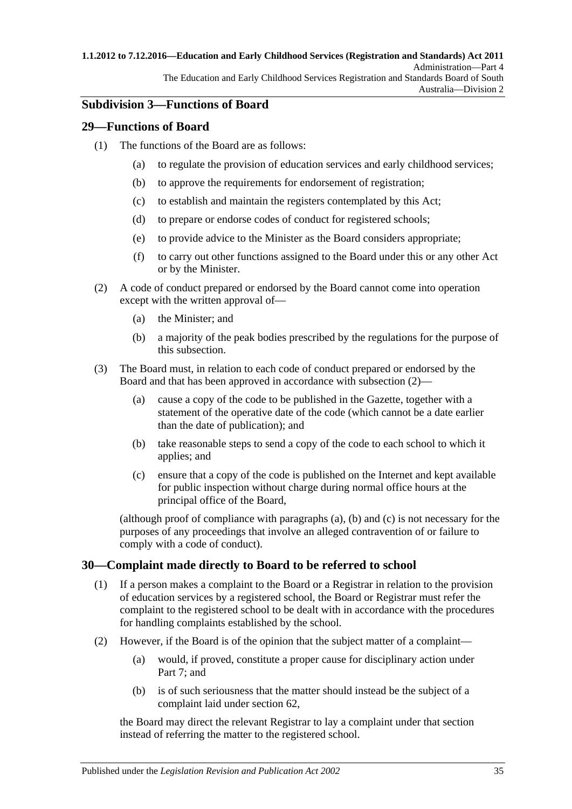## <span id="page-34-0"></span>**Subdivision 3—Functions of Board**

## <span id="page-34-1"></span>**29—Functions of Board**

- (1) The functions of the Board are as follows:
	- to regulate the provision of education services and early childhood services;
	- (b) to approve the requirements for endorsement of registration;
	- (c) to establish and maintain the registers contemplated by this Act;
	- (d) to prepare or endorse codes of conduct for registered schools;
	- (e) to provide advice to the Minister as the Board considers appropriate;
	- (f) to carry out other functions assigned to the Board under this or any other Act or by the Minister.
- <span id="page-34-3"></span>(2) A code of conduct prepared or endorsed by the Board cannot come into operation except with the written approval of—
	- (a) the Minister; and
	- (b) a majority of the peak bodies prescribed by the regulations for the purpose of this subsection.
- <span id="page-34-5"></span><span id="page-34-4"></span>(3) The Board must, in relation to each code of conduct prepared or endorsed by the Board and that has been approved in accordance with [subsection](#page-34-3) (2)—
	- (a) cause a copy of the code to be published in the Gazette, together with a statement of the operative date of the code (which cannot be a date earlier than the date of publication); and
	- (b) take reasonable steps to send a copy of the code to each school to which it applies; and
	- (c) ensure that a copy of the code is published on the Internet and kept available for public inspection without charge during normal office hours at the principal office of the Board,

<span id="page-34-6"></span>(although proof of compliance with [paragraphs](#page-34-4) (a), [\(b\)](#page-34-5) and [\(c\)](#page-34-6) is not necessary for the purposes of any proceedings that involve an alleged contravention of or failure to comply with a code of conduct).

## <span id="page-34-2"></span>**30—Complaint made directly to Board to be referred to school**

- (1) If a person makes a complaint to the Board or a Registrar in relation to the provision of education services by a registered school, the Board or Registrar must refer the complaint to the registered school to be dealt with in accordance with the procedures for handling complaints established by the school.
- (2) However, if the Board is of the opinion that the subject matter of a complaint—
	- (a) would, if proved, constitute a proper cause for disciplinary action under [Part](#page-45-0) 7; and
	- (b) is of such seriousness that the matter should instead be the subject of a complaint laid under [section](#page-48-1) 62,

the Board may direct the relevant Registrar to lay a complaint under that section instead of referring the matter to the registered school.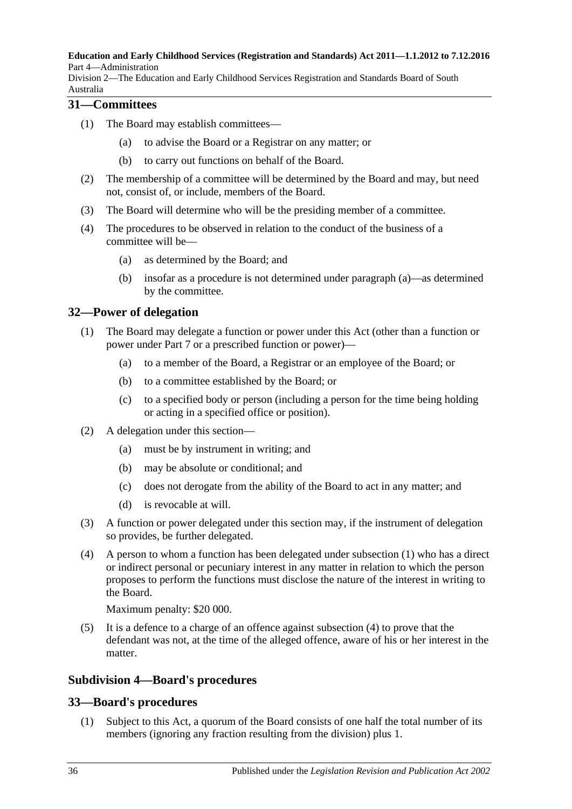**Education and Early Childhood Services (Registration and Standards) Act 2011—1.1.2012 to 7.12.2016** Part 4—Administration

Division 2—The Education and Early Childhood Services Registration and Standards Board of South Australia

## <span id="page-35-0"></span>**31—Committees**

- (1) The Board may establish committees
	- to advise the Board or a Registrar on any matter; or
	- (b) to carry out functions on behalf of the Board.
- (2) The membership of a committee will be determined by the Board and may, but need not, consist of, or include, members of the Board.
- (3) The Board will determine who will be the presiding member of a committee.
- <span id="page-35-4"></span>(4) The procedures to be observed in relation to the conduct of the business of a committee will be—
	- (a) as determined by the Board; and
	- (b) insofar as a procedure is not determined under [paragraph](#page-35-4) (a)—as determined by the committee.

## <span id="page-35-5"></span><span id="page-35-1"></span>**32—Power of delegation**

- (1) The Board may delegate a function or power under this Act (other than a function or power under [Part](#page-45-0) 7 or a prescribed function or power)—
	- (a) to a member of the Board, a Registrar or an employee of the Board; or
	- (b) to a committee established by the Board; or
	- (c) to a specified body or person (including a person for the time being holding or acting in a specified office or position).
- (2) A delegation under this section—
	- (a) must be by instrument in writing; and
	- (b) may be absolute or conditional; and
	- (c) does not derogate from the ability of the Board to act in any matter; and
	- (d) is revocable at will.
- (3) A function or power delegated under this section may, if the instrument of delegation so provides, be further delegated.
- <span id="page-35-6"></span>(4) A person to whom a function has been delegated under [subsection](#page-35-5) (1) who has a direct or indirect personal or pecuniary interest in any matter in relation to which the person proposes to perform the functions must disclose the nature of the interest in writing to the Board.

Maximum penalty: \$20 000.

(5) It is a defence to a charge of an offence against [subsection](#page-35-6) (4) to prove that the defendant was not, at the time of the alleged offence, aware of his or her interest in the matter.

## <span id="page-35-2"></span>**Subdivision 4—Board's procedures**

#### <span id="page-35-3"></span>**33—Board's procedures**

(1) Subject to this Act, a quorum of the Board consists of one half the total number of its members (ignoring any fraction resulting from the division) plus 1.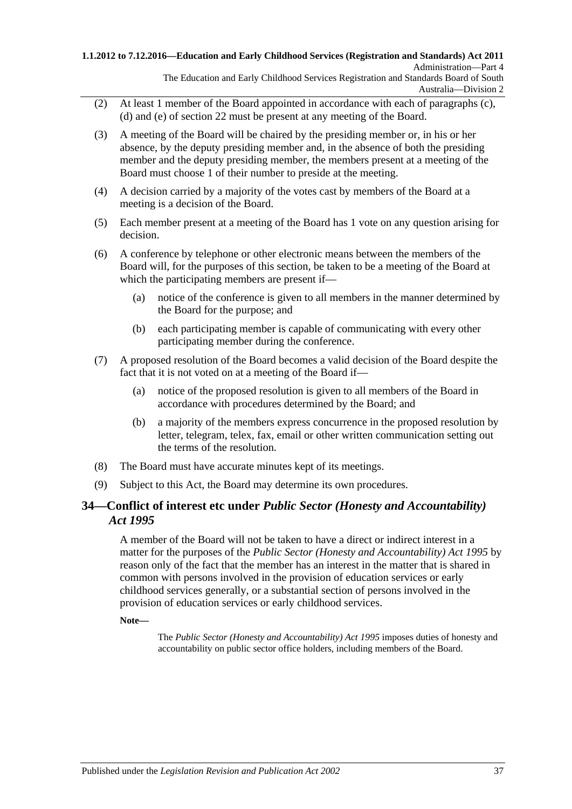### **1.1.2012 to 7.12.2016—Education and Early Childhood Services (Registration and Standards) Act 2011** Administration—Part 4

The Education and Early Childhood Services Registration and Standards Board of South Australia—Division 2

- (2) At least 1 member of the Board appointed in accordance with each of [paragraphs](#page-30-0) (c), [\(d\)](#page-30-1) and [\(e\)](#page-31-0) of [section](#page-30-2) 22 must be present at any meeting of the Board.
- (3) A meeting of the Board will be chaired by the presiding member or, in his or her absence, by the deputy presiding member and, in the absence of both the presiding member and the deputy presiding member, the members present at a meeting of the Board must choose 1 of their number to preside at the meeting.
- (4) A decision carried by a majority of the votes cast by members of the Board at a meeting is a decision of the Board.
- (5) Each member present at a meeting of the Board has 1 vote on any question arising for decision.
- (6) A conference by telephone or other electronic means between the members of the Board will, for the purposes of this section, be taken to be a meeting of the Board at which the participating members are present if—
	- (a) notice of the conference is given to all members in the manner determined by the Board for the purpose; and
	- (b) each participating member is capable of communicating with every other participating member during the conference.
- (7) A proposed resolution of the Board becomes a valid decision of the Board despite the fact that it is not voted on at a meeting of the Board if—
	- (a) notice of the proposed resolution is given to all members of the Board in accordance with procedures determined by the Board; and
	- (b) a majority of the members express concurrence in the proposed resolution by letter, telegram, telex, fax, email or other written communication setting out the terms of the resolution.
- (8) The Board must have accurate minutes kept of its meetings.
- (9) Subject to this Act, the Board may determine its own procedures.

### **34—Conflict of interest etc under** *Public Sector (Honesty and Accountability) Act 1995*

A member of the Board will not be taken to have a direct or indirect interest in a matter for the purposes of the *[Public Sector \(Honesty and Accountability\) Act](http://www.legislation.sa.gov.au/index.aspx?action=legref&type=act&legtitle=Public%20Sector%20(Honesty%20and%20Accountability)%20Act%201995) 1995* by reason only of the fact that the member has an interest in the matter that is shared in common with persons involved in the provision of education services or early childhood services generally, or a substantial section of persons involved in the provision of education services or early childhood services.

**Note—**

The *[Public Sector \(Honesty and Accountability\) Act](http://www.legislation.sa.gov.au/index.aspx?action=legref&type=act&legtitle=Public%20Sector%20(Honesty%20and%20Accountability)%20Act%201995) 1995* imposes duties of honesty and accountability on public sector office holders, including members of the Board.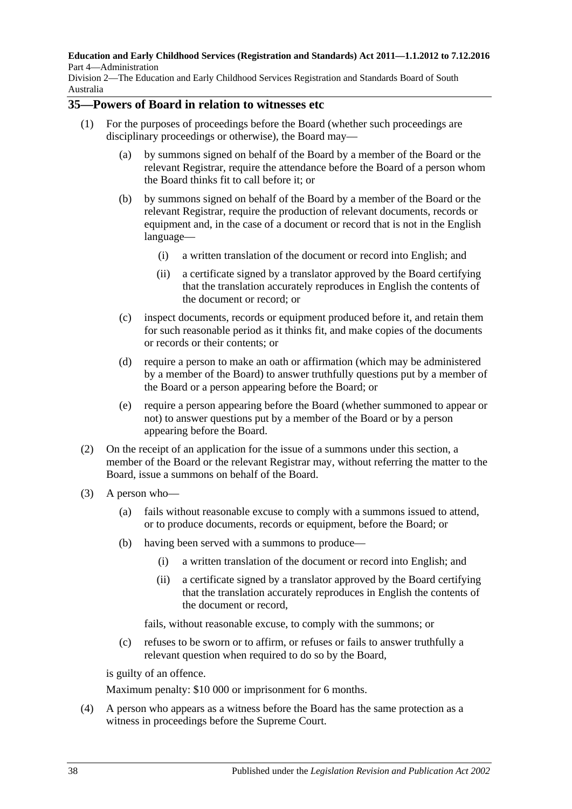**Education and Early Childhood Services (Registration and Standards) Act 2011—1.1.2012 to 7.12.2016** Part 4—Administration

Division 2—The Education and Early Childhood Services Registration and Standards Board of South Australia

### **35—Powers of Board in relation to witnesses etc**

- (1) For the purposes of proceedings before the Board (whether such proceedings are disciplinary proceedings or otherwise), the Board may—
	- (a) by summons signed on behalf of the Board by a member of the Board or the relevant Registrar, require the attendance before the Board of a person whom the Board thinks fit to call before it; or
	- (b) by summons signed on behalf of the Board by a member of the Board or the relevant Registrar, require the production of relevant documents, records or equipment and, in the case of a document or record that is not in the English language—
		- (i) a written translation of the document or record into English; and
		- (ii) a certificate signed by a translator approved by the Board certifying that the translation accurately reproduces in English the contents of the document or record; or
	- (c) inspect documents, records or equipment produced before it, and retain them for such reasonable period as it thinks fit, and make copies of the documents or records or their contents; or
	- (d) require a person to make an oath or affirmation (which may be administered by a member of the Board) to answer truthfully questions put by a member of the Board or a person appearing before the Board; or
	- (e) require a person appearing before the Board (whether summoned to appear or not) to answer questions put by a member of the Board or by a person appearing before the Board.
- (2) On the receipt of an application for the issue of a summons under this section, a member of the Board or the relevant Registrar may, without referring the matter to the Board, issue a summons on behalf of the Board.
- (3) A person who—
	- (a) fails without reasonable excuse to comply with a summons issued to attend, or to produce documents, records or equipment, before the Board; or
	- (b) having been served with a summons to produce—
		- (i) a written translation of the document or record into English; and
		- (ii) a certificate signed by a translator approved by the Board certifying that the translation accurately reproduces in English the contents of the document or record,

fails, without reasonable excuse, to comply with the summons; or

(c) refuses to be sworn or to affirm, or refuses or fails to answer truthfully a relevant question when required to do so by the Board,

is guilty of an offence.

Maximum penalty: \$10 000 or imprisonment for 6 months.

(4) A person who appears as a witness before the Board has the same protection as a witness in proceedings before the Supreme Court.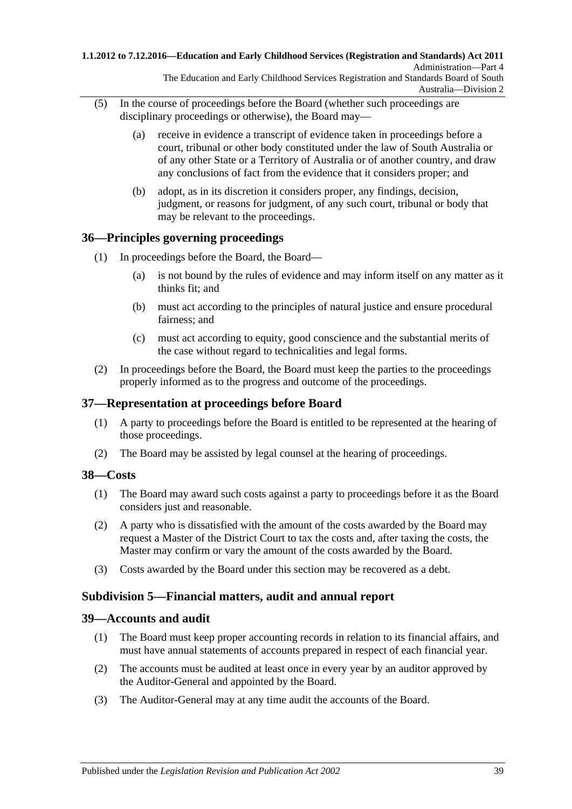#### **1.1.2012 to 7.12.2016—Education and Early Childhood Services (Registration and Standards) Act 2011** Administration—Part 4 The Education and Early Childhood Services Registration and Standards Board of South Australia—Division 2

- (5) In the course of proceedings before the Board (whether such proceedings are disciplinary proceedings or otherwise), the Board may—
	- (a) receive in evidence a transcript of evidence taken in proceedings before a court, tribunal or other body constituted under the law of South Australia or of any other State or a Territory of Australia or of another country, and draw any conclusions of fact from the evidence that it considers proper; and
	- (b) adopt, as in its discretion it considers proper, any findings, decision, judgment, or reasons for judgment, of any such court, tribunal or body that may be relevant to the proceedings.

### <span id="page-38-0"></span>**36—Principles governing proceedings**

- (1) In proceedings before the Board, the Board—
	- (a) is not bound by the rules of evidence and may inform itself on any matter as it thinks fit; and
	- (b) must act according to the principles of natural justice and ensure procedural fairness; and
	- (c) must act according to equity, good conscience and the substantial merits of the case without regard to technicalities and legal forms.
- (2) In proceedings before the Board, the Board must keep the parties to the proceedings properly informed as to the progress and outcome of the proceedings.

### **37—Representation at proceedings before Board**

- (1) A party to proceedings before the Board is entitled to be represented at the hearing of those proceedings.
- (2) The Board may be assisted by legal counsel at the hearing of proceedings.

### **38—Costs**

- (1) The Board may award such costs against a party to proceedings before it as the Board considers just and reasonable.
- (2) A party who is dissatisfied with the amount of the costs awarded by the Board may request a Master of the District Court to tax the costs and, after taxing the costs, the Master may confirm or vary the amount of the costs awarded by the Board.
- (3) Costs awarded by the Board under this section may be recovered as a debt.

### **Subdivision 5—Financial matters, audit and annual report**

### **39—Accounts and audit**

- (1) The Board must keep proper accounting records in relation to its financial affairs, and must have annual statements of accounts prepared in respect of each financial year.
- (2) The accounts must be audited at least once in every year by an auditor approved by the Auditor-General and appointed by the Board.
- (3) The Auditor-General may at any time audit the accounts of the Board.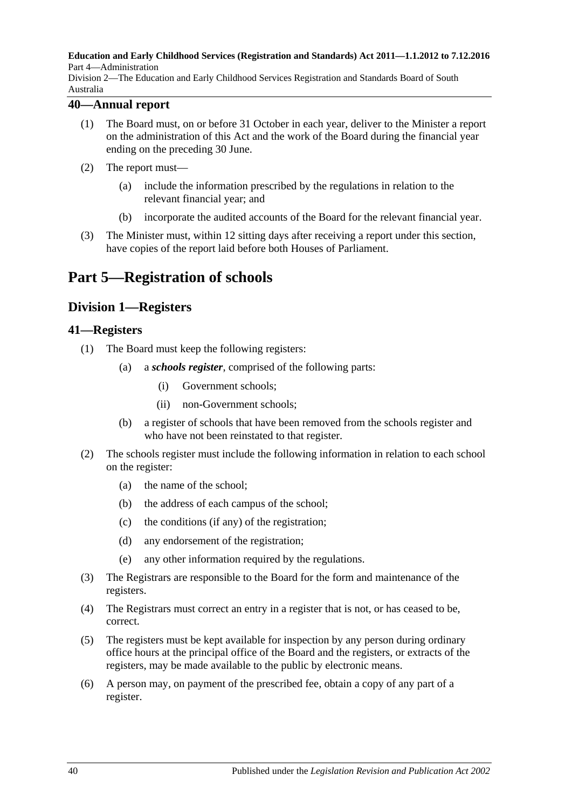#### **Education and Early Childhood Services (Registration and Standards) Act 2011—1.1.2012 to 7.12.2016** Part 4—Administration

Division 2—The Education and Early Childhood Services Registration and Standards Board of South Australia

### **40—Annual report**

- (1) The Board must, on or before 31 October in each year, deliver to the Minister a report on the administration of this Act and the work of the Board during the financial year ending on the preceding 30 June.
- (2) The report must—
	- (a) include the information prescribed by the regulations in relation to the relevant financial year; and
	- (b) incorporate the audited accounts of the Board for the relevant financial year.
- (3) The Minister must, within 12 sitting days after receiving a report under this section, have copies of the report laid before both Houses of Parliament.

# **Part 5—Registration of schools**

### **Division 1—Registers**

### **41—Registers**

- (1) The Board must keep the following registers:
	- (a) a *schools register*, comprised of the following parts:
		- (i) Government schools;
		- (ii) non-Government schools;
	- (b) a register of schools that have been removed from the schools register and who have not been reinstated to that register.
- (2) The schools register must include the following information in relation to each school on the register:
	- (a) the name of the school;
	- (b) the address of each campus of the school;
	- (c) the conditions (if any) of the registration;
	- (d) any endorsement of the registration;
	- (e) any other information required by the regulations.
- (3) The Registrars are responsible to the Board for the form and maintenance of the registers.
- (4) The Registrars must correct an entry in a register that is not, or has ceased to be, correct.
- (5) The registers must be kept available for inspection by any person during ordinary office hours at the principal office of the Board and the registers, or extracts of the registers, may be made available to the public by electronic means.
- (6) A person may, on payment of the prescribed fee, obtain a copy of any part of a register.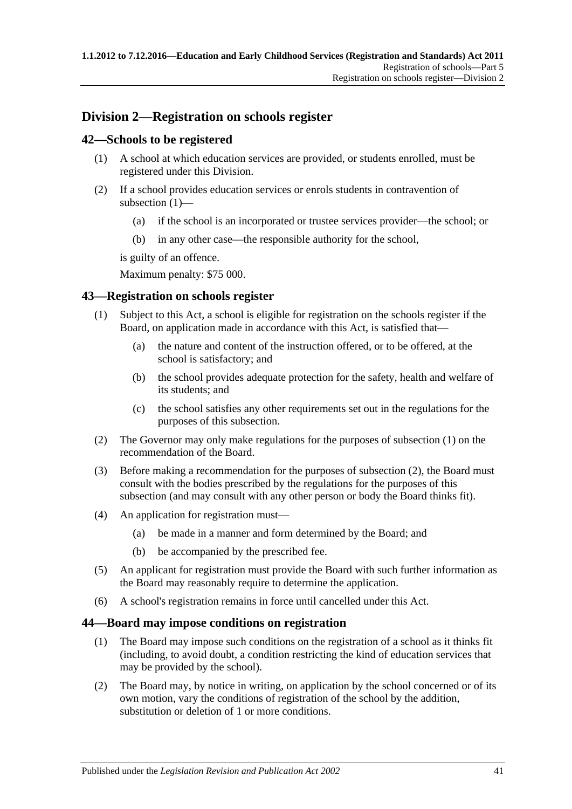### **Division 2—Registration on schools register**

### <span id="page-40-0"></span>**42—Schools to be registered**

- (1) A school at which education services are provided, or students enrolled, must be registered under this Division.
- (2) If a school provides education services or enrols students in contravention of [subsection](#page-40-0) (1)—
	- (a) if the school is an incorporated or trustee services provider—the school; or
	- (b) in any other case—the responsible authority for the school,

is guilty of an offence.

Maximum penalty: \$75 000.

### <span id="page-40-1"></span>**43—Registration on schools register**

- (1) Subject to this Act, a school is eligible for registration on the schools register if the Board, on application made in accordance with this Act, is satisfied that—
	- (a) the nature and content of the instruction offered, or to be offered, at the school is satisfactory; and
	- (b) the school provides adequate protection for the safety, health and welfare of its students; and
	- (c) the school satisfies any other requirements set out in the regulations for the purposes of this subsection.
- <span id="page-40-2"></span>(2) The Governor may only make regulations for the purposes of [subsection](#page-40-1) (1) on the recommendation of the Board.
- (3) Before making a recommendation for the purposes of [subsection](#page-40-2) (2), the Board must consult with the bodies prescribed by the regulations for the purposes of this subsection (and may consult with any other person or body the Board thinks fit).
- (4) An application for registration must—
	- (a) be made in a manner and form determined by the Board; and
	- (b) be accompanied by the prescribed fee.
- (5) An applicant for registration must provide the Board with such further information as the Board may reasonably require to determine the application.
- (6) A school's registration remains in force until cancelled under this Act.

### <span id="page-40-3"></span>**44—Board may impose conditions on registration**

- (1) The Board may impose such conditions on the registration of a school as it thinks fit (including, to avoid doubt, a condition restricting the kind of education services that may be provided by the school).
- (2) The Board may, by notice in writing, on application by the school concerned or of its own motion, vary the conditions of registration of the school by the addition, substitution or deletion of 1 or more conditions.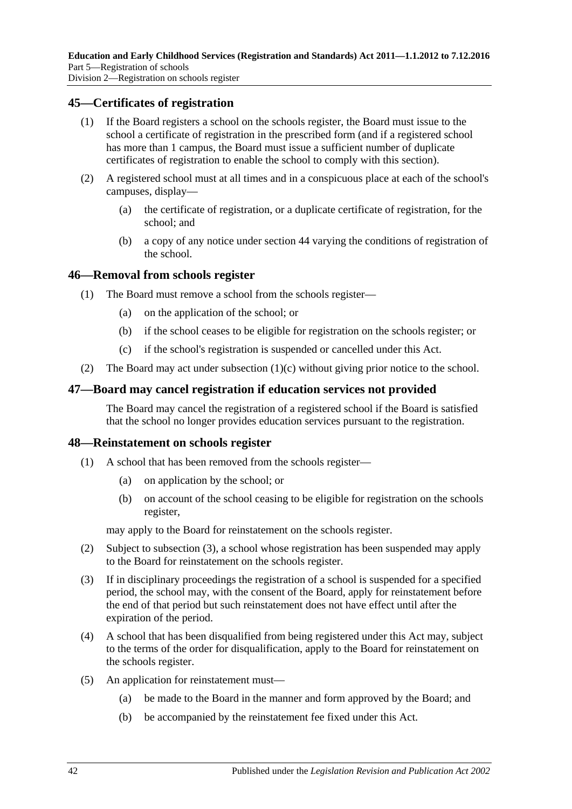### **45—Certificates of registration**

- (1) If the Board registers a school on the schools register, the Board must issue to the school a certificate of registration in the prescribed form (and if a registered school has more than 1 campus, the Board must issue a sufficient number of duplicate certificates of registration to enable the school to comply with this section).
- (2) A registered school must at all times and in a conspicuous place at each of the school's campuses, display—
	- (a) the certificate of registration, or a duplicate certificate of registration, for the school; and
	- (b) a copy of any notice under [section](#page-40-3) 44 varying the conditions of registration of the school.

### **46—Removal from schools register**

- (1) The Board must remove a school from the schools register—
	- (a) on the application of the school; or
	- (b) if the school ceases to be eligible for registration on the schools register; or
	- (c) if the school's registration is suspended or cancelled under this Act.
- <span id="page-41-0"></span>(2) The Board may act under [subsection](#page-41-0) (1)(c) without giving prior notice to the school.

### **47—Board may cancel registration if education services not provided**

The Board may cancel the registration of a registered school if the Board is satisfied that the school no longer provides education services pursuant to the registration.

### **48—Reinstatement on schools register**

- (1) A school that has been removed from the schools register—
	- (a) on application by the school; or
	- (b) on account of the school ceasing to be eligible for registration on the schools register,

may apply to the Board for reinstatement on the schools register.

- (2) Subject to [subsection](#page-41-1) (3), a school whose registration has been suspended may apply to the Board for reinstatement on the schools register.
- <span id="page-41-1"></span>(3) If in disciplinary proceedings the registration of a school is suspended for a specified period, the school may, with the consent of the Board, apply for reinstatement before the end of that period but such reinstatement does not have effect until after the expiration of the period.
- (4) A school that has been disqualified from being registered under this Act may, subject to the terms of the order for disqualification, apply to the Board for reinstatement on the schools register.
- (5) An application for reinstatement must—
	- (a) be made to the Board in the manner and form approved by the Board; and
	- (b) be accompanied by the reinstatement fee fixed under this Act.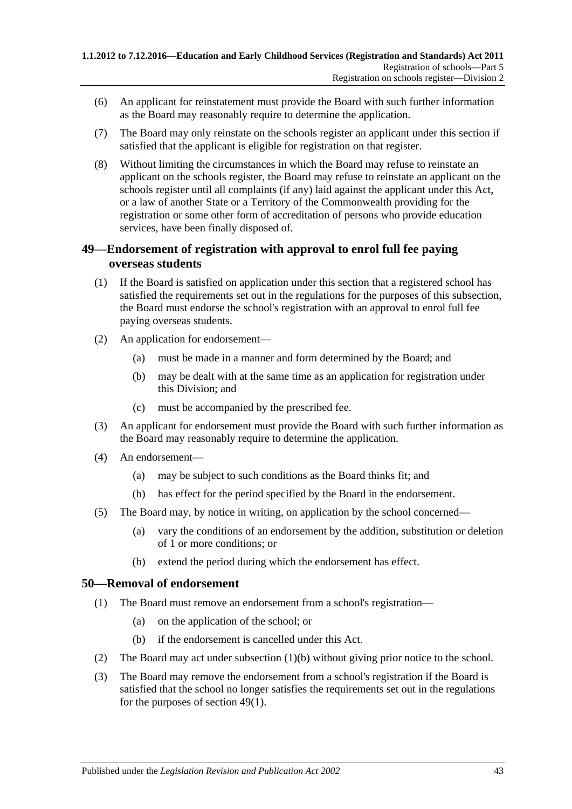- (6) An applicant for reinstatement must provide the Board with such further information as the Board may reasonably require to determine the application.
- (7) The Board may only reinstate on the schools register an applicant under this section if satisfied that the applicant is eligible for registration on that register.
- (8) Without limiting the circumstances in which the Board may refuse to reinstate an applicant on the schools register, the Board may refuse to reinstate an applicant on the schools register until all complaints (if any) laid against the applicant under this Act, or a law of another State or a Territory of the Commonwealth providing for the registration or some other form of accreditation of persons who provide education services, have been finally disposed of.

### <span id="page-42-2"></span>**49—Endorsement of registration with approval to enrol full fee paying overseas students**

- <span id="page-42-1"></span>(1) If the Board is satisfied on application under this section that a registered school has satisfied the requirements set out in the regulations for the purposes of this subsection, the Board must endorse the school's registration with an approval to enrol full fee paying overseas students.
- (2) An application for endorsement—
	- (a) must be made in a manner and form determined by the Board; and
	- (b) may be dealt with at the same time as an application for registration under this Division; and
	- (c) must be accompanied by the prescribed fee.
- (3) An applicant for endorsement must provide the Board with such further information as the Board may reasonably require to determine the application.
- (4) An endorsement—
	- (a) may be subject to such conditions as the Board thinks fit; and
	- (b) has effect for the period specified by the Board in the endorsement.
- (5) The Board may, by notice in writing, on application by the school concerned—
	- (a) vary the conditions of an endorsement by the addition, substitution or deletion of 1 or more conditions; or
	- (b) extend the period during which the endorsement has effect.

### **50—Removal of endorsement**

- (1) The Board must remove an endorsement from a school's registration—
	- (a) on the application of the school; or
	- (b) if the endorsement is cancelled under this Act.
- <span id="page-42-0"></span>(2) The Board may act under [subsection](#page-42-0) (1)(b) without giving prior notice to the school.
- <span id="page-42-3"></span>(3) The Board may remove the endorsement from a school's registration if the Board is satisfied that the school no longer satisfies the requirements set out in the regulations for the purposes of [section](#page-42-1) 49(1).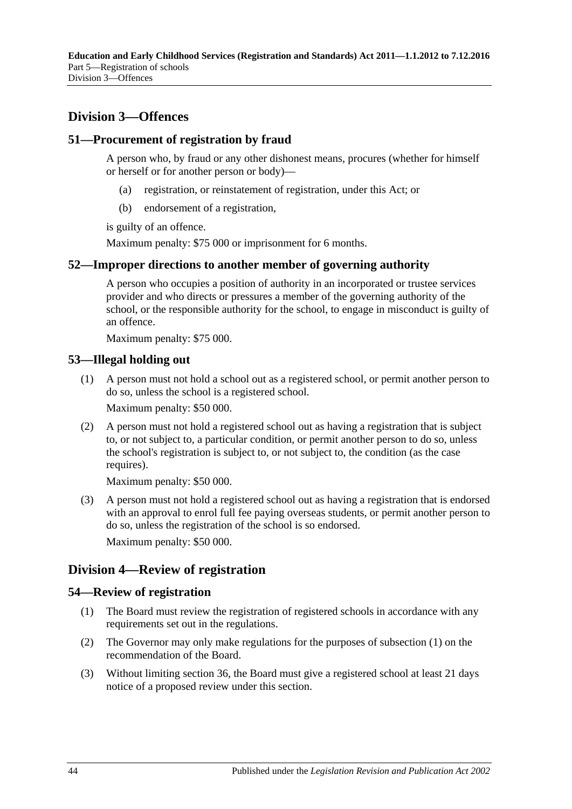## **Division 3—Offences**

### **51—Procurement of registration by fraud**

A person who, by fraud or any other dishonest means, procures (whether for himself or herself or for another person or body)—

- (a) registration, or reinstatement of registration, under this Act; or
- (b) endorsement of a registration,

is guilty of an offence.

Maximum penalty: \$75 000 or imprisonment for 6 months.

### **52—Improper directions to another member of governing authority**

A person who occupies a position of authority in an incorporated or trustee services provider and who directs or pressures a member of the governing authority of the school, or the responsible authority for the school, to engage in misconduct is guilty of an offence.

Maximum penalty: \$75 000.

### **53—Illegal holding out**

(1) A person must not hold a school out as a registered school, or permit another person to do so, unless the school is a registered school.

Maximum penalty: \$50 000.

(2) A person must not hold a registered school out as having a registration that is subject to, or not subject to, a particular condition, or permit another person to do so, unless the school's registration is subject to, or not subject to, the condition (as the case requires).

Maximum penalty: \$50 000.

(3) A person must not hold a registered school out as having a registration that is endorsed with an approval to enrol full fee paying overseas students, or permit another person to do so, unless the registration of the school is so endorsed.

Maximum penalty: \$50 000.

### <span id="page-43-1"></span>**Division 4—Review of registration**

#### <span id="page-43-0"></span>**54—Review of registration**

- (1) The Board must review the registration of registered schools in accordance with any requirements set out in the regulations.
- (2) The Governor may only make regulations for the purposes of [subsection](#page-43-0) (1) on the recommendation of the Board.
- (3) Without limiting [section](#page-38-0) 36, the Board must give a registered school at least 21 days notice of a proposed review under this section.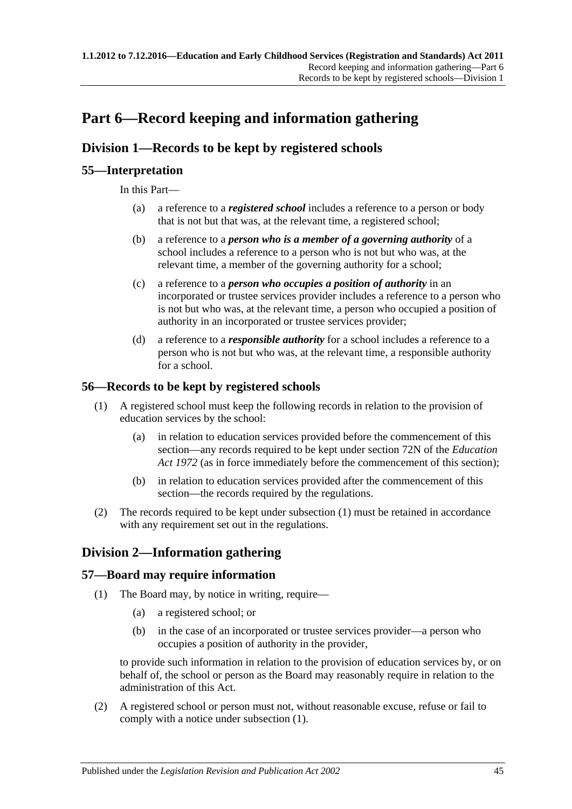# <span id="page-44-2"></span>**Part 6—Record keeping and information gathering**

## **Division 1—Records to be kept by registered schools**

### **55—Interpretation**

In this Part—

- (a) a reference to a *registered school* includes a reference to a person or body that is not but that was, at the relevant time, a registered school;
- (b) a reference to a *person who is a member of a governing authority* of a school includes a reference to a person who is not but who was, at the relevant time, a member of the governing authority for a school;
- (c) a reference to a *person who occupies a position of authority* in an incorporated or trustee services provider includes a reference to a person who is not but who was, at the relevant time, a person who occupied a position of authority in an incorporated or trustee services provider;
- (d) a reference to a *responsible authority* for a school includes a reference to a person who is not but who was, at the relevant time, a responsible authority for a school.

### <span id="page-44-0"></span>**56—Records to be kept by registered schools**

- (1) A registered school must keep the following records in relation to the provision of education services by the school:
	- (a) in relation to education services provided before the commencement of this section—any records required to be kept under section 72N of the *[Education](http://www.legislation.sa.gov.au/index.aspx?action=legref&type=act&legtitle=Education%20Act%201972)  Act [1972](http://www.legislation.sa.gov.au/index.aspx?action=legref&type=act&legtitle=Education%20Act%201972)* (as in force immediately before the commencement of this section);
	- (b) in relation to education services provided after the commencement of this section—the records required by the regulations.
- (2) The records required to be kept under [subsection](#page-44-0) (1) must be retained in accordance with any requirement set out in the regulations.

### **Division 2—Information gathering**

### <span id="page-44-1"></span>**57—Board may require information**

- (1) The Board may, by notice in writing, require—
	- (a) a registered school; or
	- (b) in the case of an incorporated or trustee services provider—a person who occupies a position of authority in the provider,

to provide such information in relation to the provision of education services by, or on behalf of, the school or person as the Board may reasonably require in relation to the administration of this Act.

(2) A registered school or person must not, without reasonable excuse, refuse or fail to comply with a notice under [subsection](#page-44-1) (1).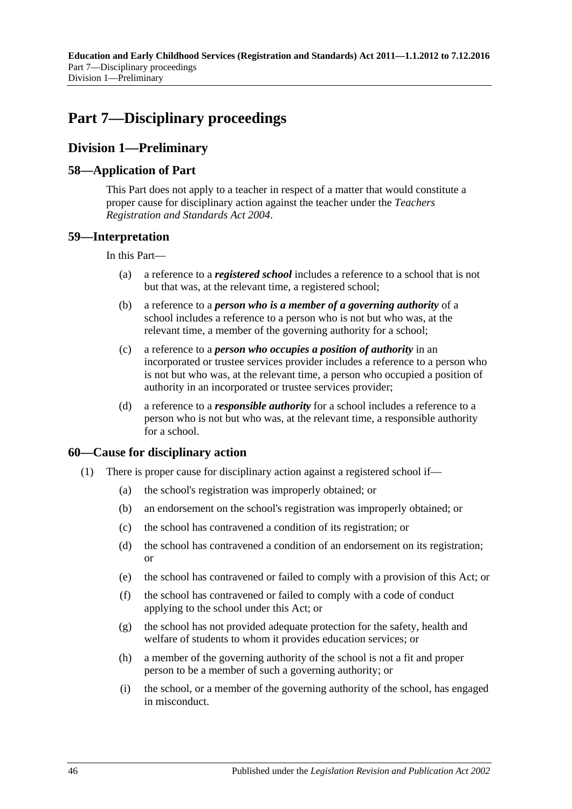# <span id="page-45-0"></span>**Part 7—Disciplinary proceedings**

### **Division 1—Preliminary**

### **58—Application of Part**

This Part does not apply to a teacher in respect of a matter that would constitute a proper cause for disciplinary action against the teacher under the *[Teachers](http://www.legislation.sa.gov.au/index.aspx?action=legref&type=act&legtitle=Teachers%20Registration%20and%20Standards%20Act%202004)  [Registration and Standards Act](http://www.legislation.sa.gov.au/index.aspx?action=legref&type=act&legtitle=Teachers%20Registration%20and%20Standards%20Act%202004) 2004*.

### **59—Interpretation**

In this Part—

- (a) a reference to a *registered school* includes a reference to a school that is not but that was, at the relevant time, a registered school;
- (b) a reference to a *person who is a member of a governing authority* of a school includes a reference to a person who is not but who was, at the relevant time, a member of the governing authority for a school;
- (c) a reference to a *person who occupies a position of authority* in an incorporated or trustee services provider includes a reference to a person who is not but who was, at the relevant time, a person who occupied a position of authority in an incorporated or trustee services provider;
- (d) a reference to a *responsible authority* for a school includes a reference to a person who is not but who was, at the relevant time, a responsible authority for a school.

### **60—Cause for disciplinary action**

- (1) There is proper cause for disciplinary action against a registered school if—
	- (a) the school's registration was improperly obtained; or
	- (b) an endorsement on the school's registration was improperly obtained; or
	- (c) the school has contravened a condition of its registration; or
	- (d) the school has contravened a condition of an endorsement on its registration; or
	- (e) the school has contravened or failed to comply with a provision of this Act; or
	- (f) the school has contravened or failed to comply with a code of conduct applying to the school under this Act; or
	- (g) the school has not provided adequate protection for the safety, health and welfare of students to whom it provides education services; or
	- (h) a member of the governing authority of the school is not a fit and proper person to be a member of such a governing authority; or
	- (i) the school, or a member of the governing authority of the school, has engaged in misconduct.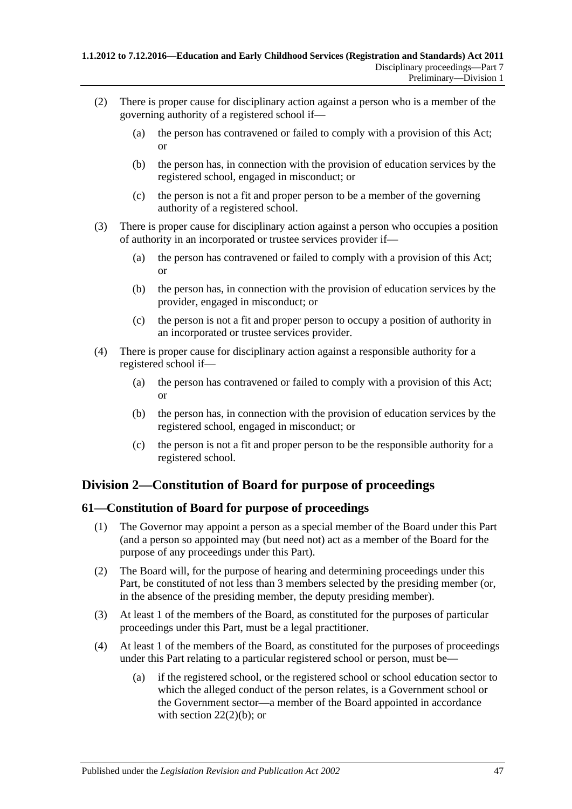- (2) There is proper cause for disciplinary action against a person who is a member of the governing authority of a registered school if—
	- (a) the person has contravened or failed to comply with a provision of this Act; or
	- (b) the person has, in connection with the provision of education services by the registered school, engaged in misconduct; or
	- (c) the person is not a fit and proper person to be a member of the governing authority of a registered school.
- (3) There is proper cause for disciplinary action against a person who occupies a position of authority in an incorporated or trustee services provider if—
	- (a) the person has contravened or failed to comply with a provision of this Act; or
	- (b) the person has, in connection with the provision of education services by the provider, engaged in misconduct; or
	- (c) the person is not a fit and proper person to occupy a position of authority in an incorporated or trustee services provider.
- (4) There is proper cause for disciplinary action against a responsible authority for a registered school if—
	- (a) the person has contravened or failed to comply with a provision of this Act; or
	- (b) the person has, in connection with the provision of education services by the registered school, engaged in misconduct; or
	- (c) the person is not a fit and proper person to be the responsible authority for a registered school.

### **Division 2—Constitution of Board for purpose of proceedings**

### **61—Constitution of Board for purpose of proceedings**

- (1) The Governor may appoint a person as a special member of the Board under this Part (and a person so appointed may (but need not) act as a member of the Board for the purpose of any proceedings under this Part).
- (2) The Board will, for the purpose of hearing and determining proceedings under this Part, be constituted of not less than 3 members selected by the presiding member (or, in the absence of the presiding member, the deputy presiding member).
- (3) At least 1 of the members of the Board, as constituted for the purposes of particular proceedings under this Part, must be a legal practitioner.
- (4) At least 1 of the members of the Board, as constituted for the purposes of proceedings under this Part relating to a particular registered school or person, must be—
	- (a) if the registered school, or the registered school or school education sector to which the alleged conduct of the person relates, is a Government school or the Government sector—a member of the Board appointed in accordance with section  $22(2)(b)$ ; or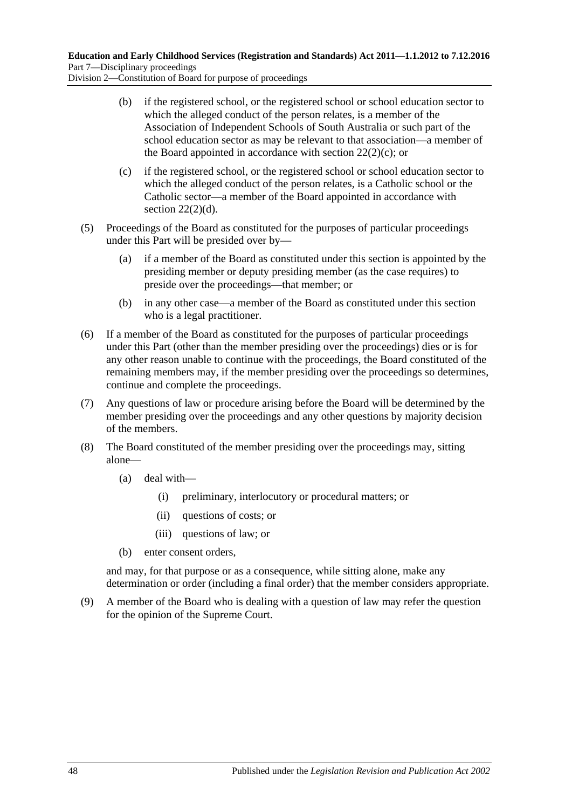Division 2—Constitution of Board for purpose of proceedings

- (b) if the registered school, or the registered school or school education sector to which the alleged conduct of the person relates, is a member of the Association of Independent Schools of South Australia or such part of the school education sector as may be relevant to that association—a member of the Board appointed in accordance with section  $22(2)(c)$ ; or
- (c) if the registered school, or the registered school or school education sector to which the alleged conduct of the person relates, is a Catholic school or the Catholic sector—a member of the Board appointed in accordance with section  $22(2)(d)$ .
- (5) Proceedings of the Board as constituted for the purposes of particular proceedings under this Part will be presided over by—
	- (a) if a member of the Board as constituted under this section is appointed by the presiding member or deputy presiding member (as the case requires) to preside over the proceedings—that member; or
	- (b) in any other case—a member of the Board as constituted under this section who is a legal practitioner.
- (6) If a member of the Board as constituted for the purposes of particular proceedings under this Part (other than the member presiding over the proceedings) dies or is for any other reason unable to continue with the proceedings, the Board constituted of the remaining members may, if the member presiding over the proceedings so determines, continue and complete the proceedings.
- (7) Any questions of law or procedure arising before the Board will be determined by the member presiding over the proceedings and any other questions by majority decision of the members.
- (8) The Board constituted of the member presiding over the proceedings may, sitting alone—
	- (a) deal with—
		- (i) preliminary, interlocutory or procedural matters; or
		- (ii) questions of costs; or
		- (iii) questions of law; or
	- (b) enter consent orders,

and may, for that purpose or as a consequence, while sitting alone, make any determination or order (including a final order) that the member considers appropriate.

(9) A member of the Board who is dealing with a question of law may refer the question for the opinion of the Supreme Court.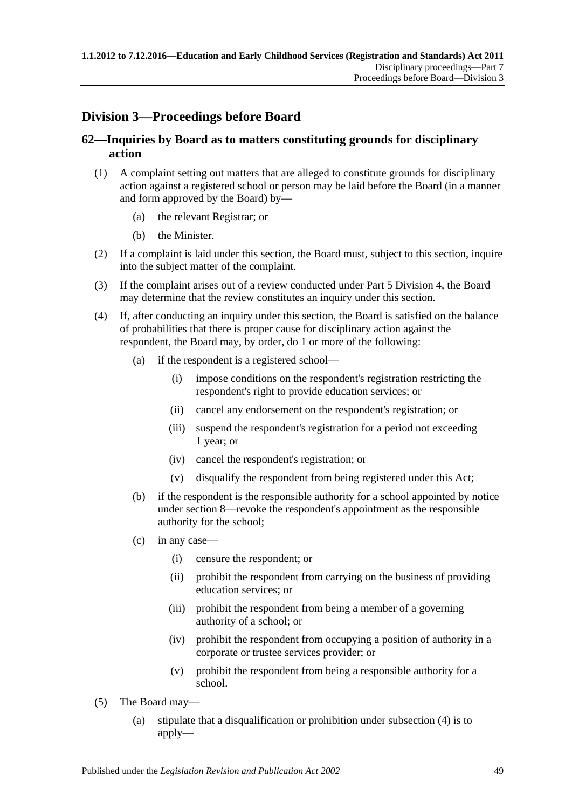## **Division 3—Proceedings before Board**

### <span id="page-48-1"></span>**62—Inquiries by Board as to matters constituting grounds for disciplinary action**

- (1) A complaint setting out matters that are alleged to constitute grounds for disciplinary action against a registered school or person may be laid before the Board (in a manner and form approved by the Board) by—
	- (a) the relevant Registrar; or
	- (b) the Minister.
- (2) If a complaint is laid under this section, the Board must, subject to this section, inquire into the subject matter of the complaint.
- (3) If the complaint arises out of a review conducted under Part [5 Division](#page-43-1) 4, the Board may determine that the review constitutes an inquiry under this section.
- <span id="page-48-0"></span>(4) If, after conducting an inquiry under this section, the Board is satisfied on the balance of probabilities that there is proper cause for disciplinary action against the respondent, the Board may, by order, do 1 or more of the following:
	- (a) if the respondent is a registered school—
		- (i) impose conditions on the respondent's registration restricting the respondent's right to provide education services; or
		- (ii) cancel any endorsement on the respondent's registration; or
		- (iii) suspend the respondent's registration for a period not exceeding 1 year; or
		- (iv) cancel the respondent's registration; or
		- (v) disqualify the respondent from being registered under this Act;
	- (b) if the respondent is the responsible authority for a school appointed by notice under [section](#page-20-0) 8—revoke the respondent's appointment as the responsible authority for the school;
	- (c) in any case—
		- (i) censure the respondent; or
		- (ii) prohibit the respondent from carrying on the business of providing education services; or
		- (iii) prohibit the respondent from being a member of a governing authority of a school; or
		- (iv) prohibit the respondent from occupying a position of authority in a corporate or trustee services provider; or
		- (v) prohibit the respondent from being a responsible authority for a school.
- (5) The Board may—
	- (a) stipulate that a disqualification or prohibition under [subsection](#page-48-0) (4) is to apply—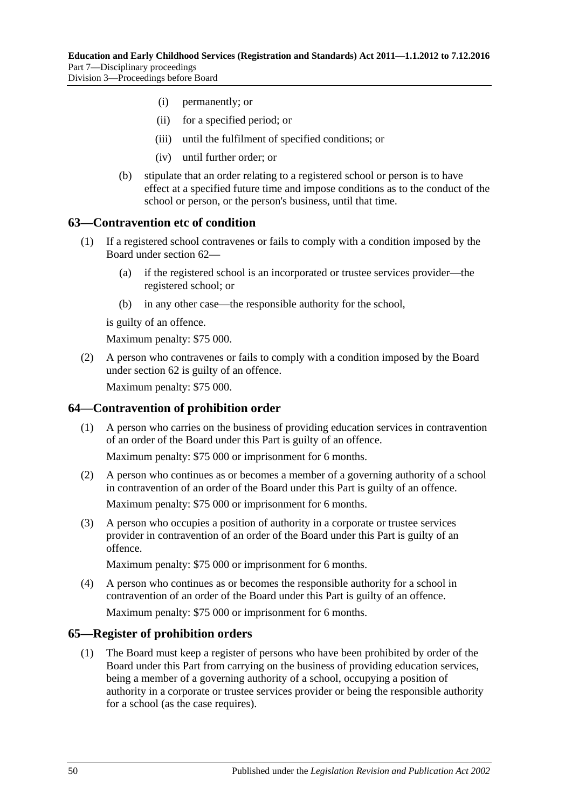- (i) permanently; or
- (ii) for a specified period; or
- (iii) until the fulfilment of specified conditions; or
- (iv) until further order; or
- (b) stipulate that an order relating to a registered school or person is to have effect at a specified future time and impose conditions as to the conduct of the school or person, or the person's business, until that time.

### **63—Contravention etc of condition**

- (1) If a registered school contravenes or fails to comply with a condition imposed by the Board under [section](#page-48-1) 62—
	- (a) if the registered school is an incorporated or trustee services provider—the registered school; or
	- (b) in any other case—the responsible authority for the school,

is guilty of an offence.

Maximum penalty: \$75 000.

(2) A person who contravenes or fails to comply with a condition imposed by the Board under [section](#page-48-1) 62 is guilty of an offence.

Maximum penalty: \$75 000.

### **64—Contravention of prohibition order**

(1) A person who carries on the business of providing education services in contravention of an order of the Board under this Part is guilty of an offence.

Maximum penalty: \$75 000 or imprisonment for 6 months.

(2) A person who continues as or becomes a member of a governing authority of a school in contravention of an order of the Board under this Part is guilty of an offence. Maximum penalty: \$75 000 or imprisonment for 6 months.

(3) A person who occupies a position of authority in a corporate or trustee services

provider in contravention of an order of the Board under this Part is guilty of an offence.

Maximum penalty: \$75 000 or imprisonment for 6 months.

(4) A person who continues as or becomes the responsible authority for a school in contravention of an order of the Board under this Part is guilty of an offence.

Maximum penalty: \$75 000 or imprisonment for 6 months.

### **65—Register of prohibition orders**

(1) The Board must keep a register of persons who have been prohibited by order of the Board under this Part from carrying on the business of providing education services, being a member of a governing authority of a school, occupying a position of authority in a corporate or trustee services provider or being the responsible authority for a school (as the case requires).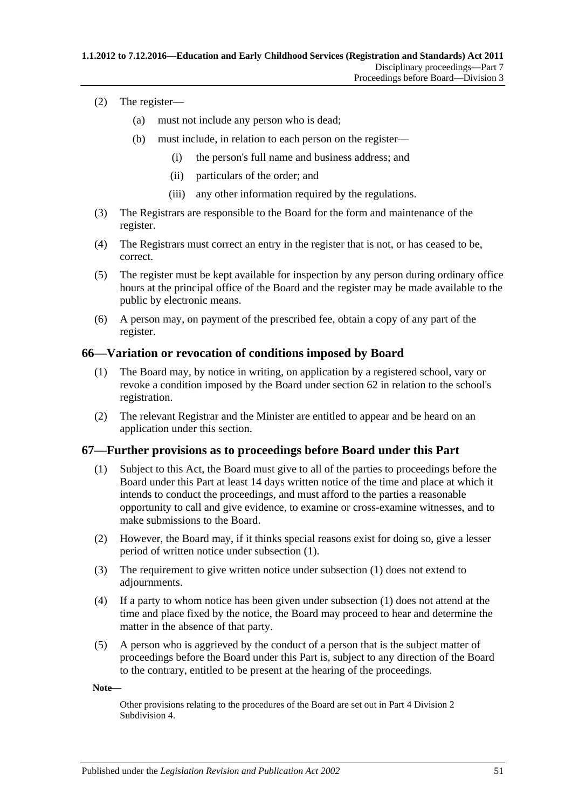- (2) The register—
	- (a) must not include any person who is dead;
	- (b) must include, in relation to each person on the register—
		- (i) the person's full name and business address; and
		- (ii) particulars of the order; and
		- (iii) any other information required by the regulations.
- (3) The Registrars are responsible to the Board for the form and maintenance of the register.
- (4) The Registrars must correct an entry in the register that is not, or has ceased to be, correct.
- (5) The register must be kept available for inspection by any person during ordinary office hours at the principal office of the Board and the register may be made available to the public by electronic means.
- (6) A person may, on payment of the prescribed fee, obtain a copy of any part of the register.

### <span id="page-50-1"></span>**66—Variation or revocation of conditions imposed by Board**

- (1) The Board may, by notice in writing, on application by a registered school, vary or revoke a condition imposed by the Board under [section](#page-48-1) 62 in relation to the school's registration.
- (2) The relevant Registrar and the Minister are entitled to appear and be heard on an application under this section.

### <span id="page-50-0"></span>**67—Further provisions as to proceedings before Board under this Part**

- (1) Subject to this Act, the Board must give to all of the parties to proceedings before the Board under this Part at least 14 days written notice of the time and place at which it intends to conduct the proceedings, and must afford to the parties a reasonable opportunity to call and give evidence, to examine or cross-examine witnesses, and to make submissions to the Board.
- (2) However, the Board may, if it thinks special reasons exist for doing so, give a lesser period of written notice under [subsection](#page-50-0) (1).
- (3) The requirement to give written notice under [subsection](#page-50-0) (1) does not extend to adjournments.
- (4) If a party to whom notice has been given under [subsection \(1\)](#page-50-0) does not attend at the time and place fixed by the notice, the Board may proceed to hear and determine the matter in the absence of that party.
- (5) A person who is aggrieved by the conduct of a person that is the subject matter of proceedings before the Board under this Part is, subject to any direction of the Board to the contrary, entitled to be present at the hearing of the proceedings.

**Note—**

Other provisions relating to the procedures of the Board are set out in Part [4 Division](#page-35-0) 2 [Subdivision](#page-35-0) 4.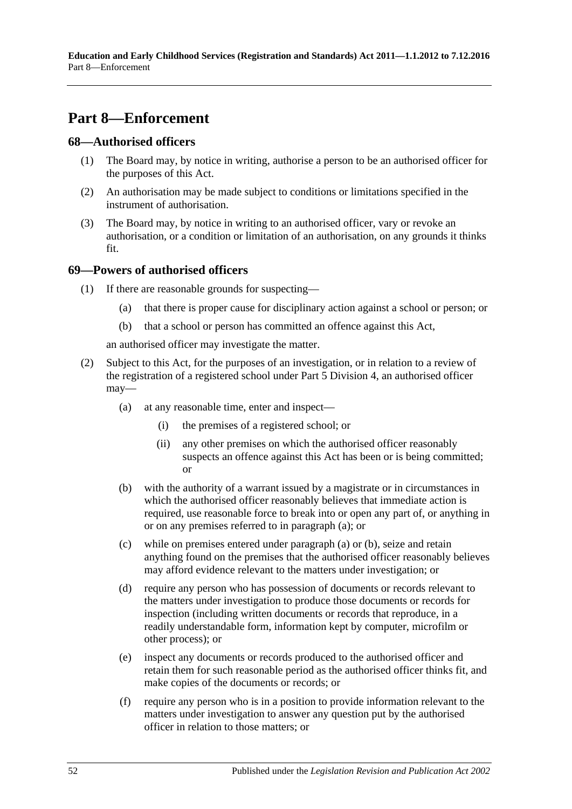## **Part 8—Enforcement**

### **68—Authorised officers**

- (1) The Board may, by notice in writing, authorise a person to be an authorised officer for the purposes of this Act.
- (2) An authorisation may be made subject to conditions or limitations specified in the instrument of authorisation.
- (3) The Board may, by notice in writing to an authorised officer, vary or revoke an authorisation, or a condition or limitation of an authorisation, on any grounds it thinks fit.

### **69—Powers of authorised officers**

- (1) If there are reasonable grounds for suspecting—
	- (a) that there is proper cause for disciplinary action against a school or person; or
	- (b) that a school or person has committed an offence against this Act,

an authorised officer may investigate the matter.

- <span id="page-51-1"></span><span id="page-51-0"></span>(2) Subject to this Act, for the purposes of an investigation, or in relation to a review of the registration of a registered school under Part [5 Division](#page-43-1) 4, an authorised officer may—
	- (a) at any reasonable time, enter and inspect—
		- (i) the premises of a registered school; or
		- (ii) any other premises on which the authorised officer reasonably suspects an offence against this Act has been or is being committed; or
	- (b) with the authority of a warrant issued by a magistrate or in circumstances in which the authorised officer reasonably believes that immediate action is required, use reasonable force to break into or open any part of, or anything in or on any premises referred to in [paragraph](#page-51-0) (a); or
	- (c) while on premises entered under [paragraph](#page-51-0) (a) or [\(b\),](#page-51-1) seize and retain anything found on the premises that the authorised officer reasonably believes may afford evidence relevant to the matters under investigation; or
	- (d) require any person who has possession of documents or records relevant to the matters under investigation to produce those documents or records for inspection (including written documents or records that reproduce, in a readily understandable form, information kept by computer, microfilm or other process); or
	- (e) inspect any documents or records produced to the authorised officer and retain them for such reasonable period as the authorised officer thinks fit, and make copies of the documents or records; or
	- (f) require any person who is in a position to provide information relevant to the matters under investigation to answer any question put by the authorised officer in relation to those matters; or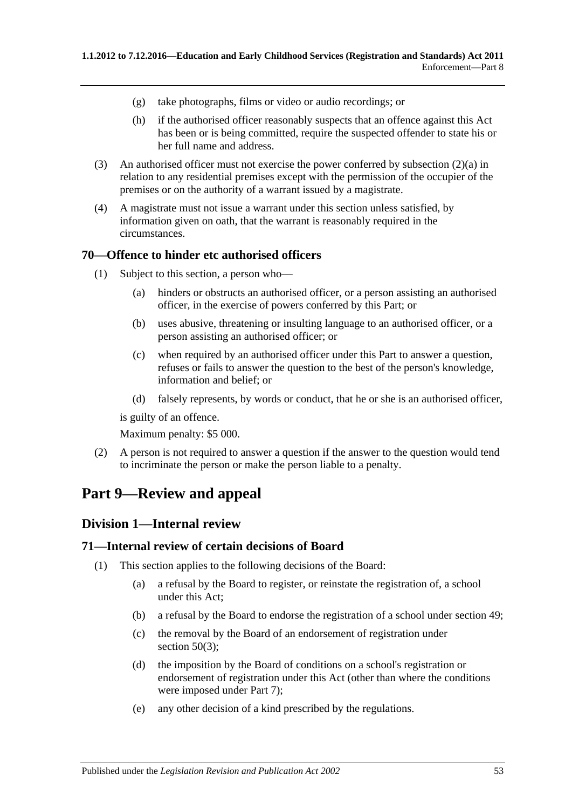- (g) take photographs, films or video or audio recordings; or
- (h) if the authorised officer reasonably suspects that an offence against this Act has been or is being committed, require the suspected offender to state his or her full name and address.
- (3) An authorised officer must not exercise the power conferred by [subsection](#page-51-0) (2)(a) in relation to any residential premises except with the permission of the occupier of the premises or on the authority of a warrant issued by a magistrate.
- (4) A magistrate must not issue a warrant under this section unless satisfied, by information given on oath, that the warrant is reasonably required in the circumstances.

### **70—Offence to hinder etc authorised officers**

- (1) Subject to this section, a person who—
	- (a) hinders or obstructs an authorised officer, or a person assisting an authorised officer, in the exercise of powers conferred by this Part; or
	- (b) uses abusive, threatening or insulting language to an authorised officer, or a person assisting an authorised officer; or
	- (c) when required by an authorised officer under this Part to answer a question, refuses or fails to answer the question to the best of the person's knowledge, information and belief; or
	- (d) falsely represents, by words or conduct, that he or she is an authorised officer,

is guilty of an offence.

Maximum penalty: \$5 000.

(2) A person is not required to answer a question if the answer to the question would tend to incriminate the person or make the person liable to a penalty.

## **Part 9—Review and appeal**

### **Division 1—Internal review**

#### <span id="page-52-0"></span>**71—Internal review of certain decisions of Board**

- (1) This section applies to the following decisions of the Board:
	- (a) a refusal by the Board to register, or reinstate the registration of, a school under this Act;
	- (b) a refusal by the Board to endorse the registration of a school under [section](#page-42-2) 49;
	- (c) the removal by the Board of an endorsement of registration under [section](#page-42-3) 50(3):
	- (d) the imposition by the Board of conditions on a school's registration or endorsement of registration under this Act (other than where the conditions were imposed under [Part](#page-45-0) 7);
	- (e) any other decision of a kind prescribed by the regulations.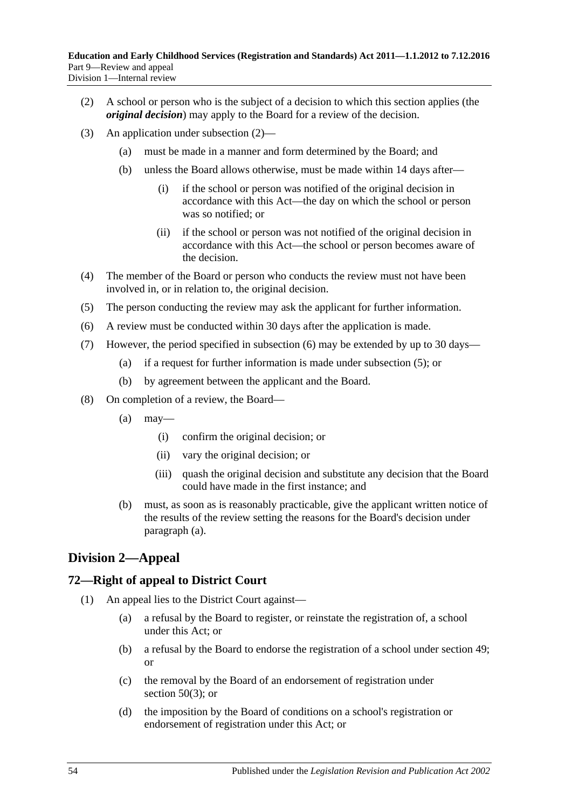- <span id="page-53-0"></span>(2) A school or person who is the subject of a decision to which this section applies (the *original decision*) may apply to the Board for a review of the decision.
- (3) An application under [subsection](#page-53-0) (2)—
	- (a) must be made in a manner and form determined by the Board; and
	- (b) unless the Board allows otherwise, must be made within 14 days after—
		- (i) if the school or person was notified of the original decision in accordance with this Act—the day on which the school or person was so notified; or
		- (ii) if the school or person was not notified of the original decision in accordance with this Act—the school or person becomes aware of the decision.
- (4) The member of the Board or person who conducts the review must not have been involved in, or in relation to, the original decision.
- <span id="page-53-2"></span>(5) The person conducting the review may ask the applicant for further information.
- <span id="page-53-1"></span>(6) A review must be conducted within 30 days after the application is made.
- (7) However, the period specified in [subsection](#page-53-1) (6) may be extended by up to 30 days—
	- (a) if a request for further information is made under [subsection](#page-53-2) (5); or
	- (b) by agreement between the applicant and the Board.
- <span id="page-53-4"></span><span id="page-53-3"></span>(8) On completion of a review, the Board—
	- $(a)$  may—
		- (i) confirm the original decision; or
		- (ii) vary the original decision; or
		- (iii) quash the original decision and substitute any decision that the Board could have made in the first instance; and
	- (b) must, as soon as is reasonably practicable, give the applicant written notice of the results of the review setting the reasons for the Board's decision under [paragraph](#page-53-3) (a).

## **Division 2—Appeal**

### **72—Right of appeal to District Court**

- (1) An appeal lies to the District Court against—
	- (a) a refusal by the Board to register, or reinstate the registration of, a school under this Act; or
	- (b) a refusal by the Board to endorse the registration of a school under [section](#page-42-2) 49; or
	- (c) the removal by the Board of an endorsement of registration under [section](#page-42-3)  $50(3)$ ; or
	- (d) the imposition by the Board of conditions on a school's registration or endorsement of registration under this Act; or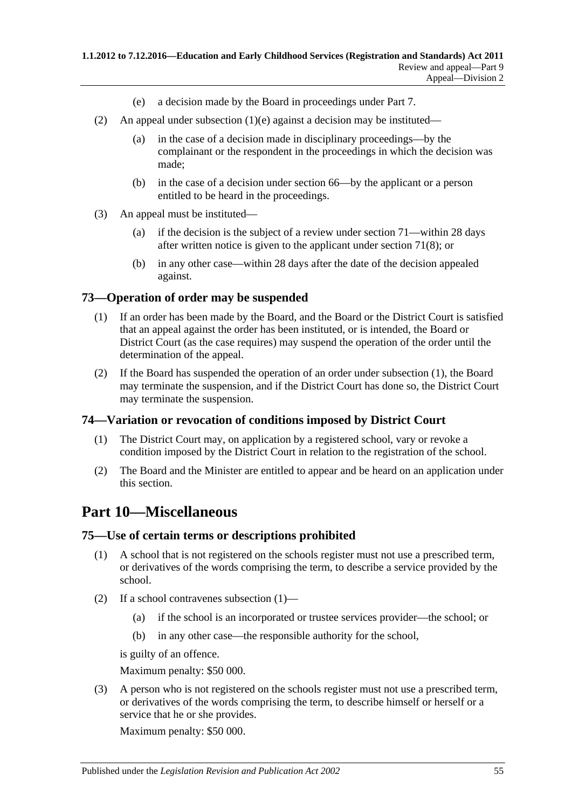- (e) a decision made by the Board in proceedings under [Part](#page-45-0) 7.
- <span id="page-54-0"></span>(2) An appeal under [subsection](#page-54-0) (1)(e) against a decision may be instituted—
	- (a) in the case of a decision made in disciplinary proceedings—by the complainant or the respondent in the proceedings in which the decision was made;
	- (b) in the case of a decision under [section](#page-50-1) 66—by the applicant or a person entitled to be heard in the proceedings.
- (3) An appeal must be instituted—
	- (a) if the decision is the subject of a review under [section](#page-52-0) 71—within 28 days after written notice is given to the applicant under [section](#page-53-4) 71(8); or
	- (b) in any other case—within 28 days after the date of the decision appealed against.

### <span id="page-54-1"></span>**73—Operation of order may be suspended**

- (1) If an order has been made by the Board, and the Board or the District Court is satisfied that an appeal against the order has been instituted, or is intended, the Board or District Court (as the case requires) may suspend the operation of the order until the determination of the appeal.
- (2) If the Board has suspended the operation of an order under [subsection](#page-54-1) (1), the Board may terminate the suspension, and if the District Court has done so, the District Court may terminate the suspension.

### **74—Variation or revocation of conditions imposed by District Court**

- (1) The District Court may, on application by a registered school, vary or revoke a condition imposed by the District Court in relation to the registration of the school.
- (2) The Board and the Minister are entitled to appear and be heard on an application under this section.

## **Part 10—Miscellaneous**

### <span id="page-54-2"></span>**75—Use of certain terms or descriptions prohibited**

- (1) A school that is not registered on the schools register must not use a prescribed term, or derivatives of the words comprising the term, to describe a service provided by the school.
- (2) If a school contravenes [subsection](#page-54-2) (1)—
	- (a) if the school is an incorporated or trustee services provider—the school; or
	- (b) in any other case—the responsible authority for the school,

is guilty of an offence.

Maximum penalty: \$50 000.

(3) A person who is not registered on the schools register must not use a prescribed term, or derivatives of the words comprising the term, to describe himself or herself or a service that he or she provides.

Maximum penalty: \$50 000.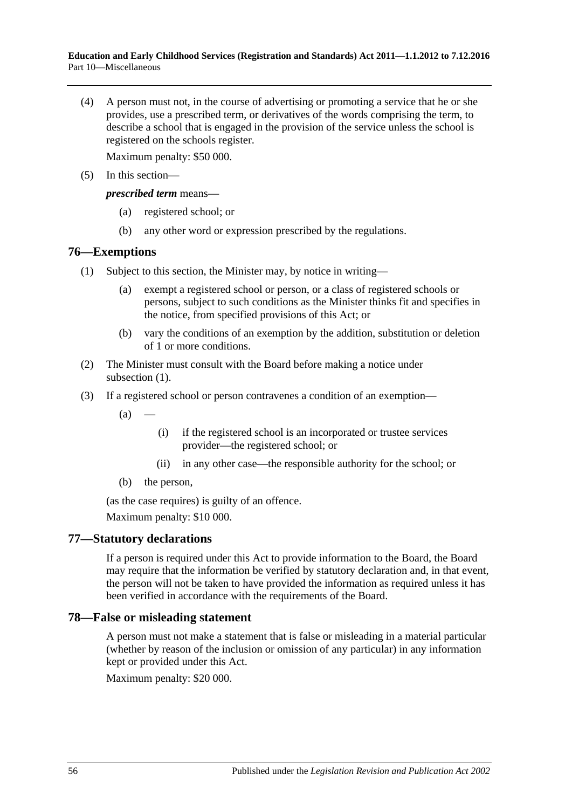(4) A person must not, in the course of advertising or promoting a service that he or she provides, use a prescribed term, or derivatives of the words comprising the term, to describe a school that is engaged in the provision of the service unless the school is registered on the schools register.

Maximum penalty: \$50 000.

(5) In this section—

*prescribed term* means—

- (a) registered school; or
- (b) any other word or expression prescribed by the regulations.

### <span id="page-55-0"></span>**76—Exemptions**

- (1) Subject to this section, the Minister may, by notice in writing—
	- (a) exempt a registered school or person, or a class of registered schools or persons, subject to such conditions as the Minister thinks fit and specifies in the notice, from specified provisions of this Act; or
	- (b) vary the conditions of an exemption by the addition, substitution or deletion of 1 or more conditions.
- (2) The Minister must consult with the Board before making a notice under [subsection](#page-55-0)  $(1)$ .
- (3) If a registered school or person contravenes a condition of an exemption—
	- $(a)$
- (i) if the registered school is an incorporated or trustee services provider—the registered school; or
- (ii) in any other case—the responsible authority for the school; or
- (b) the person,

(as the case requires) is guilty of an offence.

Maximum penalty: \$10 000.

### **77—Statutory declarations**

If a person is required under this Act to provide information to the Board, the Board may require that the information be verified by statutory declaration and, in that event, the person will not be taken to have provided the information as required unless it has been verified in accordance with the requirements of the Board.

### **78—False or misleading statement**

A person must not make a statement that is false or misleading in a material particular (whether by reason of the inclusion or omission of any particular) in any information kept or provided under this Act.

Maximum penalty: \$20 000.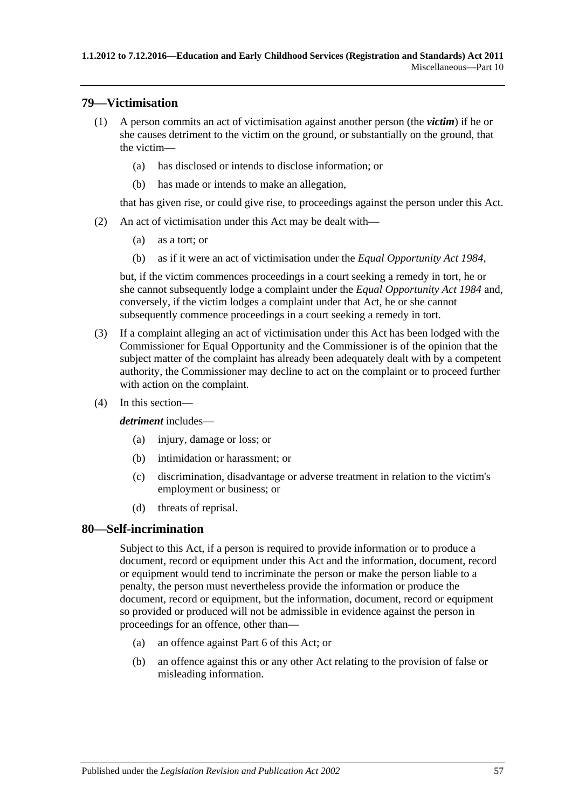### **79—Victimisation**

- (1) A person commits an act of victimisation against another person (the *victim*) if he or she causes detriment to the victim on the ground, or substantially on the ground, that the victim—
	- (a) has disclosed or intends to disclose information; or
	- (b) has made or intends to make an allegation,

that has given rise, or could give rise, to proceedings against the person under this Act.

- (2) An act of victimisation under this Act may be dealt with—
	- (a) as a tort; or
	- (b) as if it were an act of victimisation under the *[Equal Opportunity Act](http://www.legislation.sa.gov.au/index.aspx?action=legref&type=act&legtitle=Equal%20Opportunity%20Act%201984) 1984*,

but, if the victim commences proceedings in a court seeking a remedy in tort, he or she cannot subsequently lodge a complaint under the *[Equal Opportunity Act](http://www.legislation.sa.gov.au/index.aspx?action=legref&type=act&legtitle=Equal%20Opportunity%20Act%201984) 1984* and, conversely, if the victim lodges a complaint under that Act, he or she cannot subsequently commence proceedings in a court seeking a remedy in tort.

- (3) If a complaint alleging an act of victimisation under this Act has been lodged with the Commissioner for Equal Opportunity and the Commissioner is of the opinion that the subject matter of the complaint has already been adequately dealt with by a competent authority, the Commissioner may decline to act on the complaint or to proceed further with action on the complaint.
- (4) In this section—

*detriment* includes—

- (a) injury, damage or loss; or
- (b) intimidation or harassment; or
- (c) discrimination, disadvantage or adverse treatment in relation to the victim's employment or business; or
- (d) threats of reprisal.

### **80—Self-incrimination**

Subject to this Act, if a person is required to provide information or to produce a document, record or equipment under this Act and the information, document, record or equipment would tend to incriminate the person or make the person liable to a penalty, the person must nevertheless provide the information or produce the document, record or equipment, but the information, document, record or equipment so provided or produced will not be admissible in evidence against the person in proceedings for an offence, other than—

- (a) an offence against [Part](#page-44-2) 6 of this Act; or
- (b) an offence against this or any other Act relating to the provision of false or misleading information.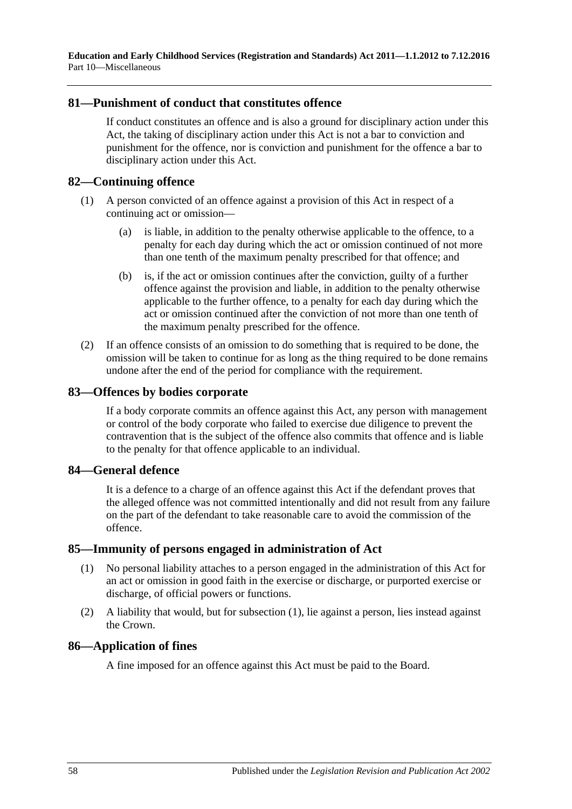### **81—Punishment of conduct that constitutes offence**

If conduct constitutes an offence and is also a ground for disciplinary action under this Act, the taking of disciplinary action under this Act is not a bar to conviction and punishment for the offence, nor is conviction and punishment for the offence a bar to disciplinary action under this Act.

### **82—Continuing offence**

- (1) A person convicted of an offence against a provision of this Act in respect of a continuing act or omission—
	- (a) is liable, in addition to the penalty otherwise applicable to the offence, to a penalty for each day during which the act or omission continued of not more than one tenth of the maximum penalty prescribed for that offence; and
	- (b) is, if the act or omission continues after the conviction, guilty of a further offence against the provision and liable, in addition to the penalty otherwise applicable to the further offence, to a penalty for each day during which the act or omission continued after the conviction of not more than one tenth of the maximum penalty prescribed for the offence.
- (2) If an offence consists of an omission to do something that is required to be done, the omission will be taken to continue for as long as the thing required to be done remains undone after the end of the period for compliance with the requirement.

### **83—Offences by bodies corporate**

If a body corporate commits an offence against this Act, any person with management or control of the body corporate who failed to exercise due diligence to prevent the contravention that is the subject of the offence also commits that offence and is liable to the penalty for that offence applicable to an individual.

#### **84—General defence**

It is a defence to a charge of an offence against this Act if the defendant proves that the alleged offence was not committed intentionally and did not result from any failure on the part of the defendant to take reasonable care to avoid the commission of the offence.

#### <span id="page-57-0"></span>**85—Immunity of persons engaged in administration of Act**

- (1) No personal liability attaches to a person engaged in the administration of this Act for an act or omission in good faith in the exercise or discharge, or purported exercise or discharge, of official powers or functions.
- (2) A liability that would, but for [subsection](#page-57-0) (1), lie against a person, lies instead against the Crown.

#### **86—Application of fines**

A fine imposed for an offence against this Act must be paid to the Board.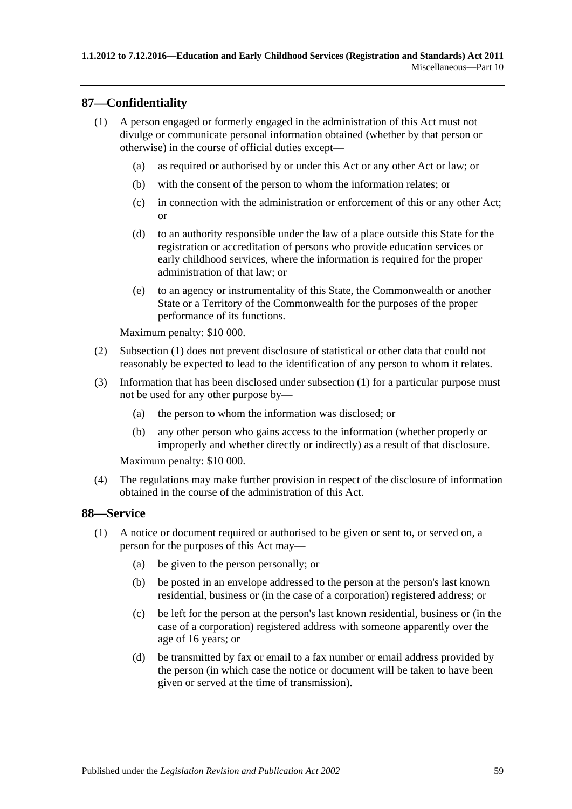### <span id="page-58-0"></span>**87—Confidentiality**

- (1) A person engaged or formerly engaged in the administration of this Act must not divulge or communicate personal information obtained (whether by that person or otherwise) in the course of official duties except—
	- (a) as required or authorised by or under this Act or any other Act or law; or
	- (b) with the consent of the person to whom the information relates; or
	- (c) in connection with the administration or enforcement of this or any other Act; or
	- (d) to an authority responsible under the law of a place outside this State for the registration or accreditation of persons who provide education services or early childhood services, where the information is required for the proper administration of that law; or
	- (e) to an agency or instrumentality of this State, the Commonwealth or another State or a Territory of the Commonwealth for the purposes of the proper performance of its functions.

Maximum penalty: \$10 000.

- (2) [Subsection](#page-58-0) (1) does not prevent disclosure of statistical or other data that could not reasonably be expected to lead to the identification of any person to whom it relates.
- (3) Information that has been disclosed under [subsection](#page-58-0) (1) for a particular purpose must not be used for any other purpose by—
	- (a) the person to whom the information was disclosed; or
	- (b) any other person who gains access to the information (whether properly or improperly and whether directly or indirectly) as a result of that disclosure.

Maximum penalty: \$10 000.

(4) The regulations may make further provision in respect of the disclosure of information obtained in the course of the administration of this Act.

### <span id="page-58-1"></span>**88—Service**

- (1) A notice or document required or authorised to be given or sent to, or served on, a person for the purposes of this Act may—
	- (a) be given to the person personally; or
	- (b) be posted in an envelope addressed to the person at the person's last known residential, business or (in the case of a corporation) registered address; or
	- (c) be left for the person at the person's last known residential, business or (in the case of a corporation) registered address with someone apparently over the age of 16 years; or
	- (d) be transmitted by fax or email to a fax number or email address provided by the person (in which case the notice or document will be taken to have been given or served at the time of transmission).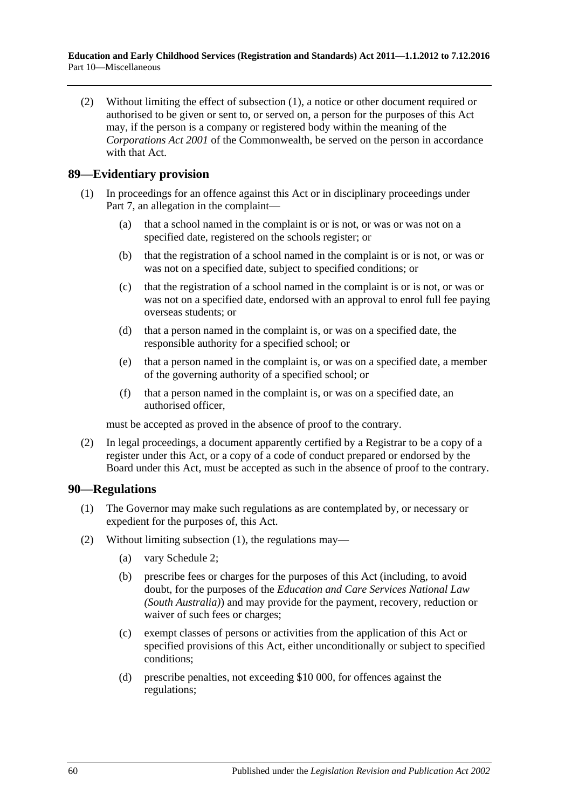(2) Without limiting the effect of [subsection](#page-58-1) (1), a notice or other document required or authorised to be given or sent to, or served on, a person for the purposes of this Act may, if the person is a company or registered body within the meaning of the *Corporations Act 2001* of the Commonwealth, be served on the person in accordance with that Act.

### **89—Evidentiary provision**

- (1) In proceedings for an offence against this Act or in disciplinary proceedings under [Part](#page-45-0) 7, an allegation in the complaint—
	- (a) that a school named in the complaint is or is not, or was or was not on a specified date, registered on the schools register; or
	- (b) that the registration of a school named in the complaint is or is not, or was or was not on a specified date, subject to specified conditions; or
	- (c) that the registration of a school named in the complaint is or is not, or was or was not on a specified date, endorsed with an approval to enrol full fee paying overseas students; or
	- (d) that a person named in the complaint is, or was on a specified date, the responsible authority for a specified school; or
	- (e) that a person named in the complaint is, or was on a specified date, a member of the governing authority of a specified school; or
	- (f) that a person named in the complaint is, or was on a specified date, an authorised officer,

must be accepted as proved in the absence of proof to the contrary.

(2) In legal proceedings, a document apparently certified by a Registrar to be a copy of a register under this Act, or a copy of a code of conduct prepared or endorsed by the Board under this Act, must be accepted as such in the absence of proof to the contrary.

### <span id="page-59-0"></span>**90—Regulations**

- (1) The Governor may make such regulations as are contemplated by, or necessary or expedient for the purposes of, this Act.
- <span id="page-59-1"></span>(2) Without limiting [subsection](#page-59-0) (1), the regulations may—
	- (a) vary [Schedule](#page-200-0) 2;
	- (b) prescribe fees or charges for the purposes of this Act (including, to avoid doubt, for the purposes of the *Education and Care Services National Law (South Australia)*) and may provide for the payment, recovery, reduction or waiver of such fees or charges;
	- (c) exempt classes of persons or activities from the application of this Act or specified provisions of this Act, either unconditionally or subject to specified conditions;
	- (d) prescribe penalties, not exceeding \$10 000, for offences against the regulations;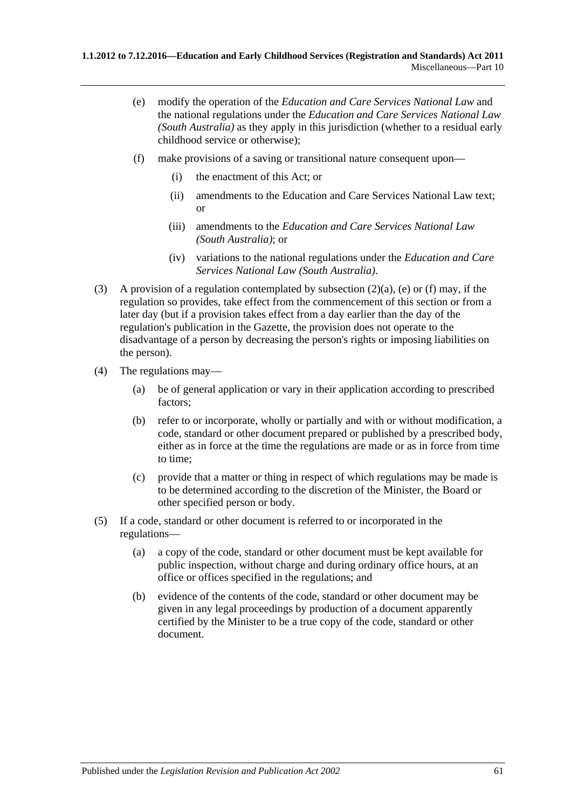- <span id="page-60-0"></span>(e) modify the operation of the *Education and Care Services National Law* and the national regulations under the *Education and Care Services National Law (South Australia)* as they apply in this jurisdiction (whether to a residual early childhood service or otherwise);
- <span id="page-60-1"></span>(f) make provisions of a saving or transitional nature consequent upon—
	- (i) the enactment of this Act; or
	- (ii) amendments to the Education and Care Services National Law text; or
	- (iii) amendments to the *Education and Care Services National Law (South Australia)*; or
	- (iv) variations to the national regulations under the *Education and Care Services National Law (South Australia)*.
- (3) A provision of a regulation contemplated by [subsection](#page-59-1)  $(2)(a)$ , [\(e\)](#page-60-0) or [\(f\)](#page-60-1) may, if the regulation so provides, take effect from the commencement of this section or from a later day (but if a provision takes effect from a day earlier than the day of the regulation's publication in the Gazette, the provision does not operate to the disadvantage of a person by decreasing the person's rights or imposing liabilities on the person).
- (4) The regulations may—
	- (a) be of general application or vary in their application according to prescribed factors;
	- (b) refer to or incorporate, wholly or partially and with or without modification, a code, standard or other document prepared or published by a prescribed body, either as in force at the time the regulations are made or as in force from time to time;
	- (c) provide that a matter or thing in respect of which regulations may be made is to be determined according to the discretion of the Minister, the Board or other specified person or body.
- (5) If a code, standard or other document is referred to or incorporated in the regulations—
	- (a) a copy of the code, standard or other document must be kept available for public inspection, without charge and during ordinary office hours, at an office or offices specified in the regulations; and
	- (b) evidence of the contents of the code, standard or other document may be given in any legal proceedings by production of a document apparently certified by the Minister to be a true copy of the code, standard or other document.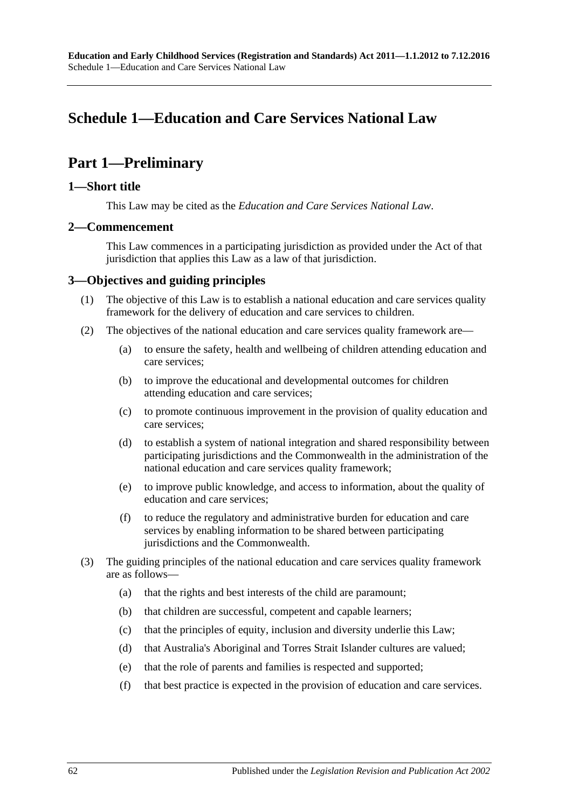# **Schedule 1—Education and Care Services National Law**

# **Part 1—Preliminary**

### **1—Short title**

This Law may be cited as the *Education and Care Services National Law*.

### **2—Commencement**

This Law commences in a participating jurisdiction as provided under the Act of that jurisdiction that applies this Law as a law of that jurisdiction.

### **3—Objectives and guiding principles**

- (1) The objective of this Law is to establish a national education and care services quality framework for the delivery of education and care services to children.
- (2) The objectives of the national education and care services quality framework are—
	- (a) to ensure the safety, health and wellbeing of children attending education and care services;
	- (b) to improve the educational and developmental outcomes for children attending education and care services;
	- (c) to promote continuous improvement in the provision of quality education and care services;
	- (d) to establish a system of national integration and shared responsibility between participating jurisdictions and the Commonwealth in the administration of the national education and care services quality framework;
	- (e) to improve public knowledge, and access to information, about the quality of education and care services;
	- (f) to reduce the regulatory and administrative burden for education and care services by enabling information to be shared between participating jurisdictions and the Commonwealth.
- (3) The guiding principles of the national education and care services quality framework are as follows—
	- (a) that the rights and best interests of the child are paramount;
	- (b) that children are successful, competent and capable learners;
	- (c) that the principles of equity, inclusion and diversity underlie this Law;
	- (d) that Australia's Aboriginal and Torres Strait Islander cultures are valued;
	- (e) that the role of parents and families is respected and supported;
	- (f) that best practice is expected in the provision of education and care services.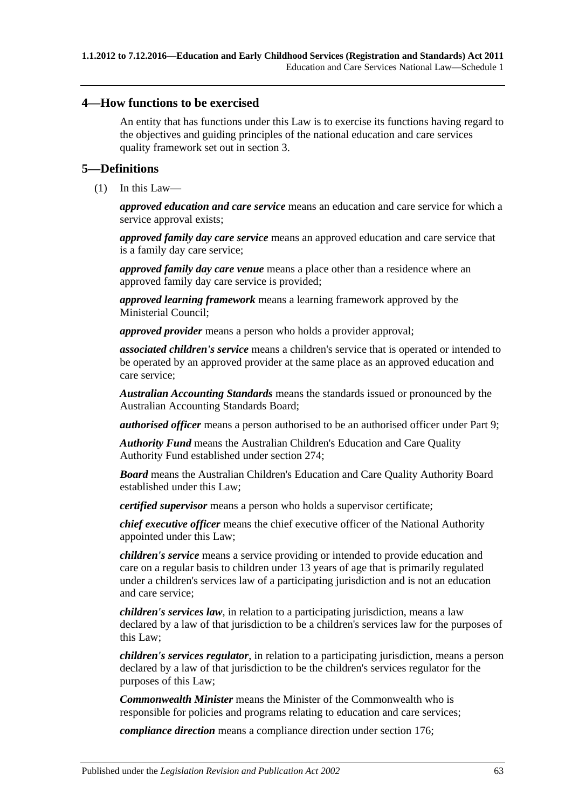### **4—How functions to be exercised**

An entity that has functions under this Law is to exercise its functions having regard to the objectives and guiding principles of the national education and care services quality framework set out in section 3.

#### <span id="page-62-0"></span>**5—Definitions**

(1) In this Law—

*approved education and care service* means an education and care service for which a service approval exists;

*approved family day care service* means an approved education and care service that is a family day care service;

*approved family day care venue* means a place other than a residence where an approved family day care service is provided;

*approved learning framework* means a learning framework approved by the Ministerial Council;

*approved provider* means a person who holds a provider approval;

*associated children's service* means a children's service that is operated or intended to be operated by an approved provider at the same place as an approved education and care service;

*Australian Accounting Standards* means the standards issued or pronounced by the Australian Accounting Standards Board;

*authorised officer* means a person authorised to be an authorised officer under Part 9;

*Authority Fund* means the Australian Children's Education and Care Quality Authority Fund established under section 274;

*Board* means the Australian Children's Education and Care Quality Authority Board established under this Law;

*certified supervisor* means a person who holds a supervisor certificate;

*chief executive officer* means the chief executive officer of the National Authority appointed under this Law;

*children's service* means a service providing or intended to provide education and care on a regular basis to children under 13 years of age that is primarily regulated under a children's services law of a participating jurisdiction and is not an education and care service;

*children's services law*, in relation to a participating jurisdiction, means a law declared by a law of that jurisdiction to be a children's services law for the purposes of this Law;

*children's services regulator*, in relation to a participating jurisdiction, means a person declared by a law of that jurisdiction to be the children's services regulator for the purposes of this Law;

*Commonwealth Minister* means the Minister of the Commonwealth who is responsible for policies and programs relating to education and care services;

*compliance direction* means a compliance direction under section 176;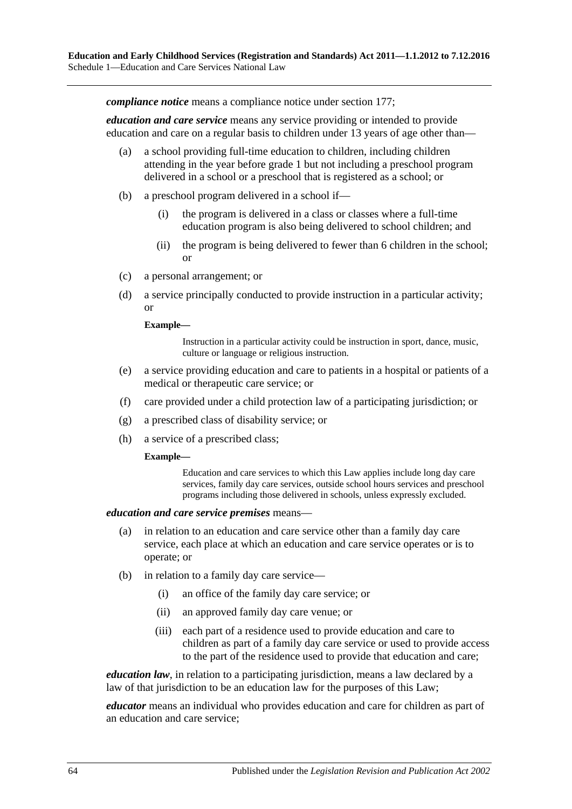*compliance notice* means a compliance notice under section 177;

*education and care service* means any service providing or intended to provide education and care on a regular basis to children under 13 years of age other than—

- (a) a school providing full-time education to children, including children attending in the year before grade 1 but not including a preschool program delivered in a school or a preschool that is registered as a school; or
- (b) a preschool program delivered in a school if—
	- (i) the program is delivered in a class or classes where a full-time education program is also being delivered to school children; and
	- (ii) the program is being delivered to fewer than 6 children in the school; or
- (c) a personal arrangement; or
- (d) a service principally conducted to provide instruction in a particular activity; or

#### **Example—**

Instruction in a particular activity could be instruction in sport, dance, music, culture or language or religious instruction.

- (e) a service providing education and care to patients in a hospital or patients of a medical or therapeutic care service; or
- (f) care provided under a child protection law of a participating jurisdiction; or
- (g) a prescribed class of disability service; or
- (h) a service of a prescribed class;

#### **Example—**

Education and care services to which this Law applies include long day care services, family day care services, outside school hours services and preschool programs including those delivered in schools, unless expressly excluded.

#### *education and care service premises* means—

- (a) in relation to an education and care service other than a family day care service, each place at which an education and care service operates or is to operate; or
- (b) in relation to a family day care service—
	- (i) an office of the family day care service; or
	- (ii) an approved family day care venue; or
	- (iii) each part of a residence used to provide education and care to children as part of a family day care service or used to provide access to the part of the residence used to provide that education and care;

*education law*, in relation to a participating jurisdiction, means a law declared by a law of that jurisdiction to be an education law for the purposes of this Law;

*educator* means an individual who provides education and care for children as part of an education and care service;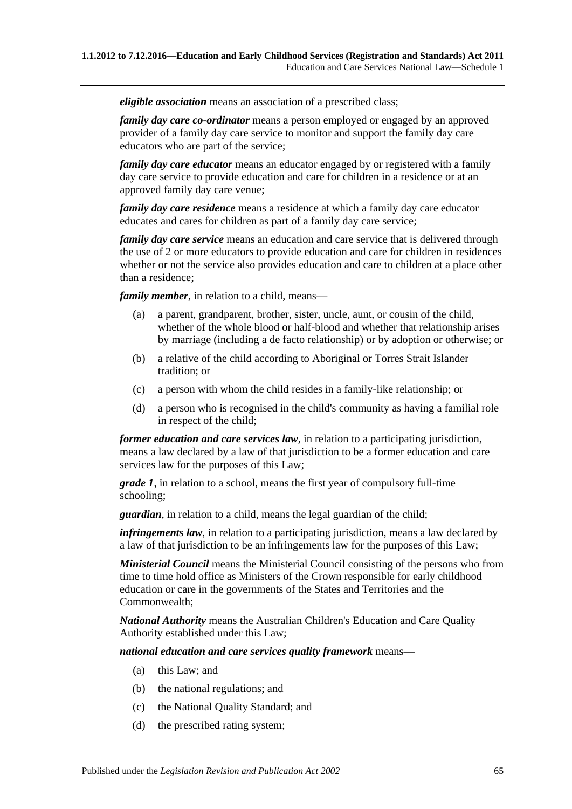*eligible association* means an association of a prescribed class;

*family day care co-ordinator* means a person employed or engaged by an approved provider of a family day care service to monitor and support the family day care educators who are part of the service;

*family day care educator* means an educator engaged by or registered with a family day care service to provide education and care for children in a residence or at an approved family day care venue;

*family day care residence* means a residence at which a family day care educator educates and cares for children as part of a family day care service;

*family day care service* means an education and care service that is delivered through the use of 2 or more educators to provide education and care for children in residences whether or not the service also provides education and care to children at a place other than a residence;

*family member*, in relation to a child, means—

- (a) a parent, grandparent, brother, sister, uncle, aunt, or cousin of the child, whether of the whole blood or half-blood and whether that relationship arises by marriage (including a de facto relationship) or by adoption or otherwise; or
- (b) a relative of the child according to Aboriginal or Torres Strait Islander tradition; or
- (c) a person with whom the child resides in a family-like relationship; or
- (d) a person who is recognised in the child's community as having a familial role in respect of the child;

*former education and care services law*, in relation to a participating jurisdiction, means a law declared by a law of that jurisdiction to be a former education and care services law for the purposes of this Law;

*grade 1*, in relation to a school, means the first year of compulsory full-time schooling;

*guardian*, in relation to a child, means the legal guardian of the child;

*infringements law*, in relation to a participating jurisdiction, means a law declared by a law of that jurisdiction to be an infringements law for the purposes of this Law;

*Ministerial Council* means the Ministerial Council consisting of the persons who from time to time hold office as Ministers of the Crown responsible for early childhood education or care in the governments of the States and Territories and the Commonwealth;

*National Authority* means the Australian Children's Education and Care Quality Authority established under this Law;

*national education and care services quality framework* means—

- (a) this Law; and
- (b) the national regulations; and
- (c) the National Quality Standard; and
- (d) the prescribed rating system;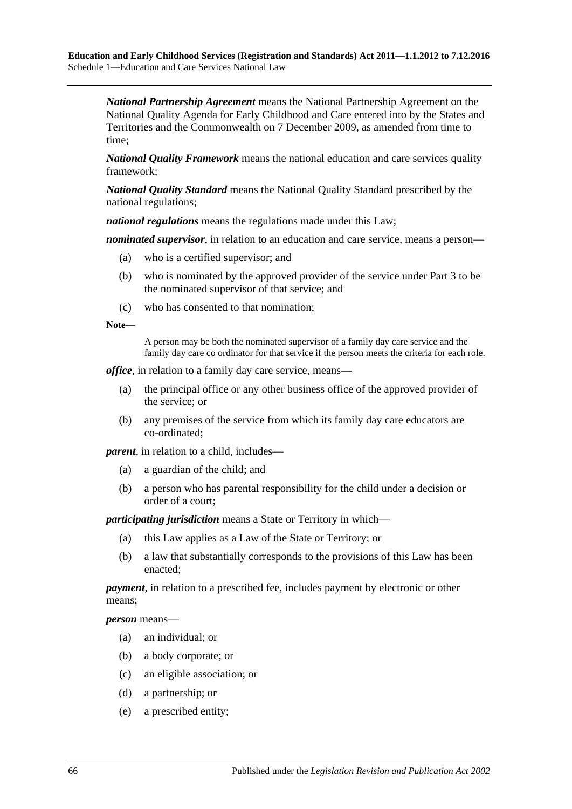*National Partnership Agreement* means the National Partnership Agreement on the National Quality Agenda for Early Childhood and Care entered into by the States and Territories and the Commonwealth on 7 December 2009, as amended from time to time;

*National Quality Framework* means the national education and care services quality framework;

*National Quality Standard* means the National Quality Standard prescribed by the national regulations;

*national regulations* means the regulations made under this Law;

*nominated supervisor*, in relation to an education and care service, means a person—

- (a) who is a certified supervisor; and
- (b) who is nominated by the approved provider of the service under Part 3 to be the nominated supervisor of that service; and
- (c) who has consented to that nomination;

**Note—**

A person may be both the nominated supervisor of a family day care service and the family day care co ordinator for that service if the person meets the criteria for each role.

*office*, in relation to a family day care service, means—

- (a) the principal office or any other business office of the approved provider of the service; or
- (b) any premises of the service from which its family day care educators are co-ordinated;

*parent*, in relation to a child, includes—

- (a) a guardian of the child; and
- (b) a person who has parental responsibility for the child under a decision or order of a court;

*participating jurisdiction* means a State or Territory in which—

- (a) this Law applies as a Law of the State or Territory; or
- (b) a law that substantially corresponds to the provisions of this Law has been enacted;

*payment*, in relation to a prescribed fee, includes payment by electronic or other means;

*person* means—

- (a) an individual; or
- (b) a body corporate; or
- (c) an eligible association; or
- (d) a partnership; or
- (e) a prescribed entity;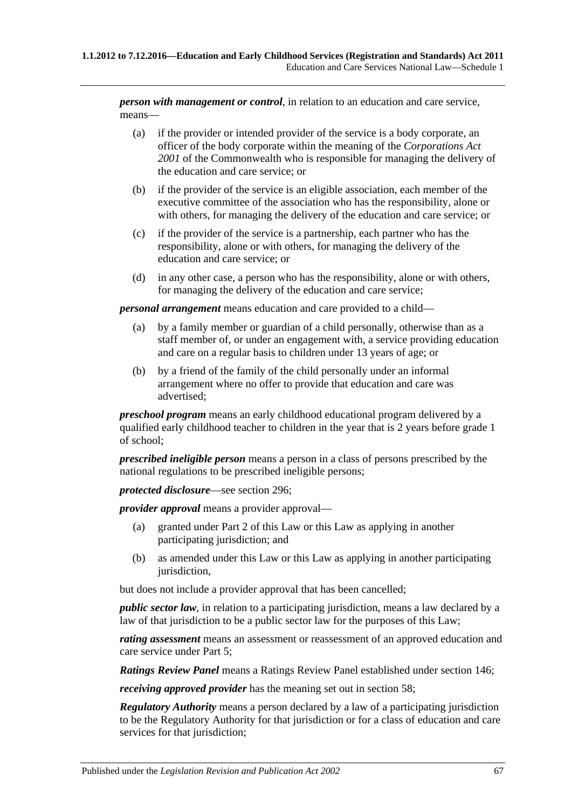*person with management or control*, in relation to an education and care service, means—

- (a) if the provider or intended provider of the service is a body corporate, an officer of the body corporate within the meaning of the *Corporations Act 2001* of the Commonwealth who is responsible for managing the delivery of the education and care service; or
- (b) if the provider of the service is an eligible association, each member of the executive committee of the association who has the responsibility, alone or with others, for managing the delivery of the education and care service; or
- (c) if the provider of the service is a partnership, each partner who has the responsibility, alone or with others, for managing the delivery of the education and care service; or
- (d) in any other case, a person who has the responsibility, alone or with others, for managing the delivery of the education and care service;

*personal arrangement* means education and care provided to a child—

- (a) by a family member or guardian of a child personally, otherwise than as a staff member of, or under an engagement with, a service providing education and care on a regular basis to children under 13 years of age; or
- (b) by a friend of the family of the child personally under an informal arrangement where no offer to provide that education and care was advertised;

*preschool program* means an early childhood educational program delivered by a qualified early childhood teacher to children in the year that is 2 years before grade 1 of school;

*prescribed ineligible person* means a person in a class of persons prescribed by the national regulations to be prescribed ineligible persons;

*protected disclosure*—see section 296;

*provider approval* means a provider approval—

- (a) granted under Part 2 of this Law or this Law as applying in another participating jurisdiction; and
- (b) as amended under this Law or this Law as applying in another participating jurisdiction,

but does not include a provider approval that has been cancelled;

*public sector law*, in relation to a participating jurisdiction, means a law declared by a law of that jurisdiction to be a public sector law for the purposes of this Law;

*rating assessment* means an assessment or reassessment of an approved education and care service under Part 5;

*Ratings Review Panel* means a Ratings Review Panel established under section 146;

*receiving approved provider* has the meaning set out in section 58;

*Regulatory Authority* means a person declared by a law of a participating jurisdiction to be the Regulatory Authority for that jurisdiction or for a class of education and care services for that jurisdiction;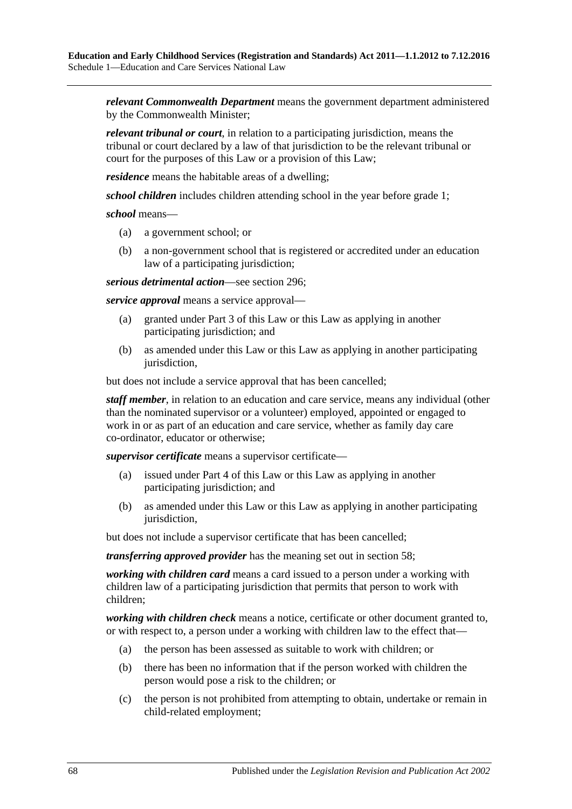*relevant Commonwealth Department* means the government department administered by the Commonwealth Minister;

*relevant tribunal or court*, in relation to a participating jurisdiction, means the tribunal or court declared by a law of that jurisdiction to be the relevant tribunal or court for the purposes of this Law or a provision of this Law;

*residence* means the habitable areas of a dwelling;

*school children* includes children attending school in the year before grade 1;

*school* means—

- (a) a government school; or
- (b) a non-government school that is registered or accredited under an education law of a participating jurisdiction;

*serious detrimental action*—see section 296;

*service approval* means a service approval—

- (a) granted under Part 3 of this Law or this Law as applying in another participating jurisdiction; and
- (b) as amended under this Law or this Law as applying in another participating jurisdiction,

but does not include a service approval that has been cancelled;

*staff member*, in relation to an education and care service, means any individual (other than the nominated supervisor or a volunteer) employed, appointed or engaged to work in or as part of an education and care service, whether as family day care co-ordinator, educator or otherwise;

*supervisor certificate* means a supervisor certificate—

- (a) issued under Part 4 of this Law or this Law as applying in another participating jurisdiction; and
- (b) as amended under this Law or this Law as applying in another participating jurisdiction,

but does not include a supervisor certificate that has been cancelled;

*transferring approved provider* has the meaning set out in section 58;

*working with children card* means a card issued to a person under a working with children law of a participating jurisdiction that permits that person to work with children;

*working with children check* means a notice, certificate or other document granted to, or with respect to, a person under a working with children law to the effect that—

- (a) the person has been assessed as suitable to work with children; or
- (b) there has been no information that if the person worked with children the person would pose a risk to the children; or
- (c) the person is not prohibited from attempting to obtain, undertake or remain in child-related employment;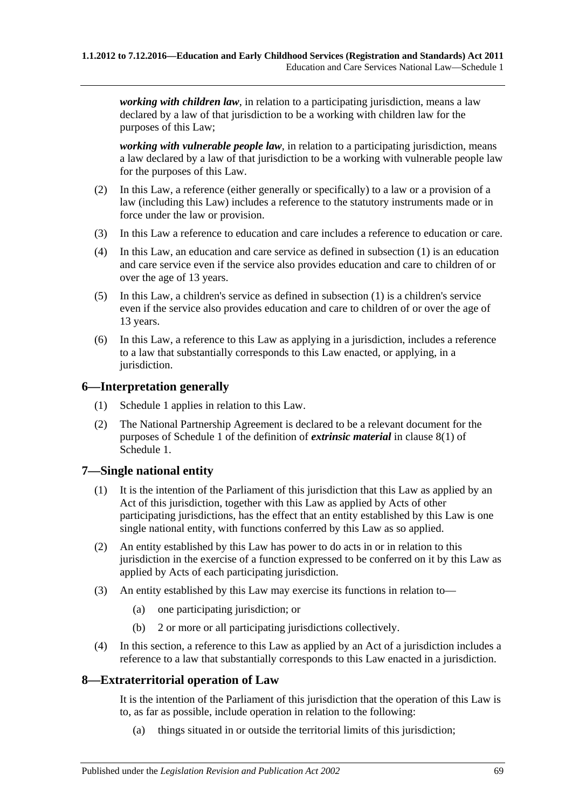*working with children law*, in relation to a participating jurisdiction, means a law declared by a law of that jurisdiction to be a working with children law for the purposes of this Law;

*working with vulnerable people law*, in relation to a participating jurisdiction, means a law declared by a law of that jurisdiction to be a working with vulnerable people law for the purposes of this Law.

- (2) In this Law, a reference (either generally or specifically) to a law or a provision of a law (including this Law) includes a reference to the statutory instruments made or in force under the law or provision.
- (3) In this Law a reference to education and care includes a reference to education or care.
- (4) In this Law, an education and care service as defined in [subsection](#page-62-0) (1) is an education and care service even if the service also provides education and care to children of or over the age of 13 years.
- (5) In this Law, a children's service as defined in [subsection](#page-62-0) (1) is a children's service even if the service also provides education and care to children of or over the age of 13 years.
- (6) In this Law, a reference to this Law as applying in a jurisdiction, includes a reference to a law that substantially corresponds to this Law enacted, or applying, in a jurisdiction.

### **6—Interpretation generally**

- (1) Schedule 1 applies in relation to this Law.
- (2) The National Partnership Agreement is declared to be a relevant document for the purposes of Schedule 1 of the definition of *extrinsic material* in [clause](#page-182-0) 8(1) of Schedule 1.

### **7—Single national entity**

- (1) It is the intention of the Parliament of this jurisdiction that this Law as applied by an Act of this jurisdiction, together with this Law as applied by Acts of other participating jurisdictions, has the effect that an entity established by this Law is one single national entity, with functions conferred by this Law as so applied.
- (2) An entity established by this Law has power to do acts in or in relation to this jurisdiction in the exercise of a function expressed to be conferred on it by this Law as applied by Acts of each participating jurisdiction.
- (3) An entity established by this Law may exercise its functions in relation to—
	- (a) one participating jurisdiction; or
	- (b) 2 or more or all participating jurisdictions collectively.
- (4) In this section, a reference to this Law as applied by an Act of a jurisdiction includes a reference to a law that substantially corresponds to this Law enacted in a jurisdiction.

### **8—Extraterritorial operation of Law**

It is the intention of the Parliament of this jurisdiction that the operation of this Law is to, as far as possible, include operation in relation to the following:

(a) things situated in or outside the territorial limits of this jurisdiction;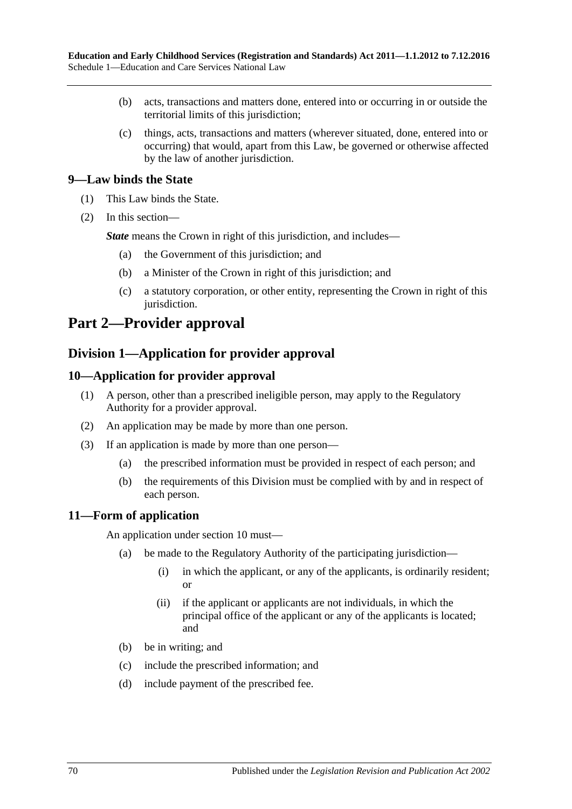- (b) acts, transactions and matters done, entered into or occurring in or outside the territorial limits of this jurisdiction;
- (c) things, acts, transactions and matters (wherever situated, done, entered into or occurring) that would, apart from this Law, be governed or otherwise affected by the law of another jurisdiction.

### **9—Law binds the State**

- (1) This Law binds the State.
- (2) In this section—

*State* means the Crown in right of this jurisdiction, and includes—

- (a) the Government of this jurisdiction; and
- (b) a Minister of the Crown in right of this jurisdiction; and
- (c) a statutory corporation, or other entity, representing the Crown in right of this jurisdiction.

## **Part 2—Provider approval**

### **Division 1—Application for provider approval**

### **10—Application for provider approval**

- (1) A person, other than a prescribed ineligible person, may apply to the Regulatory Authority for a provider approval.
- (2) An application may be made by more than one person.
- (3) If an application is made by more than one person—
	- (a) the prescribed information must be provided in respect of each person; and
	- (b) the requirements of this Division must be complied with by and in respect of each person.

### **11—Form of application**

An application under section 10 must—

- (a) be made to the Regulatory Authority of the participating jurisdiction—
	- (i) in which the applicant, or any of the applicants, is ordinarily resident; or
	- (ii) if the applicant or applicants are not individuals, in which the principal office of the applicant or any of the applicants is located; and
- (b) be in writing; and
- (c) include the prescribed information; and
- (d) include payment of the prescribed fee.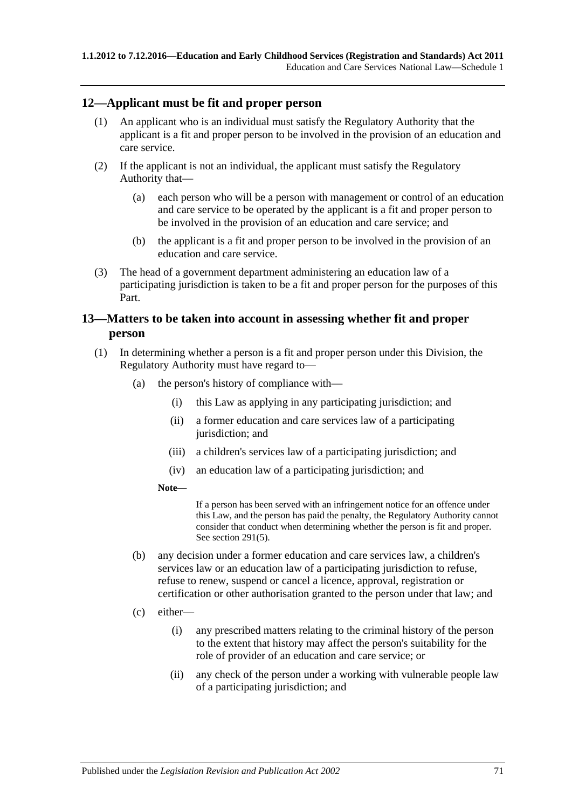### **12—Applicant must be fit and proper person**

- (1) An applicant who is an individual must satisfy the Regulatory Authority that the applicant is a fit and proper person to be involved in the provision of an education and care service.
- (2) If the applicant is not an individual, the applicant must satisfy the Regulatory Authority that—
	- (a) each person who will be a person with management or control of an education and care service to be operated by the applicant is a fit and proper person to be involved in the provision of an education and care service; and
	- (b) the applicant is a fit and proper person to be involved in the provision of an education and care service.
- (3) The head of a government department administering an education law of a participating jurisdiction is taken to be a fit and proper person for the purposes of this Part.

### **13—Matters to be taken into account in assessing whether fit and proper person**

- <span id="page-70-0"></span>(1) In determining whether a person is a fit and proper person under this Division, the Regulatory Authority must have regard to—
	- (a) the person's history of compliance with—
		- (i) this Law as applying in any participating jurisdiction; and
		- (ii) a former education and care services law of a participating jurisdiction; and
		- (iii) a children's services law of a participating jurisdiction; and
		- (iv) an education law of a participating jurisdiction; and
		- **Note—**

If a person has been served with an infringement notice for an offence under this Law, and the person has paid the penalty, the Regulatory Authority cannot consider that conduct when determining whether the person is fit and proper. See [section](#page-168-0) 291(5).

- (b) any decision under a former education and care services law, a children's services law or an education law of a participating jurisdiction to refuse, refuse to renew, suspend or cancel a licence, approval, registration or certification or other authorisation granted to the person under that law; and
- (c) either—
	- (i) any prescribed matters relating to the criminal history of the person to the extent that history may affect the person's suitability for the role of provider of an education and care service; or
	- (ii) any check of the person under a working with vulnerable people law of a participating jurisdiction; and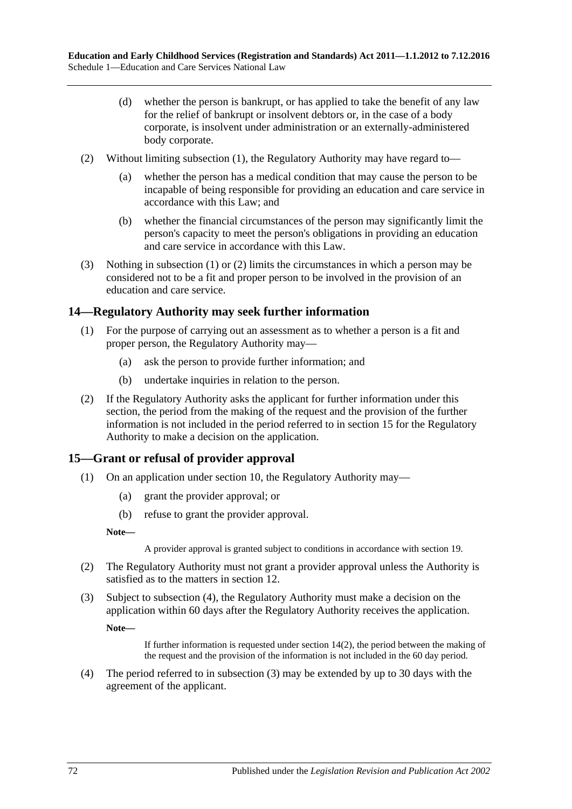- (d) whether the person is bankrupt, or has applied to take the benefit of any law for the relief of bankrupt or insolvent debtors or, in the case of a body corporate, is insolvent under administration or an externally-administered body corporate.
- <span id="page-71-0"></span>(2) Without limiting [subsection](#page-70-0) (1), the Regulatory Authority may have regard to—
	- (a) whether the person has a medical condition that may cause the person to be incapable of being responsible for providing an education and care service in accordance with this Law; and
	- (b) whether the financial circumstances of the person may significantly limit the person's capacity to meet the person's obligations in providing an education and care service in accordance with this Law.
- (3) Nothing in [subsection](#page-70-0) (1) or [\(2\)](#page-71-0) limits the circumstances in which a person may be considered not to be a fit and proper person to be involved in the provision of an education and care service.

### **14—Regulatory Authority may seek further information**

- (1) For the purpose of carrying out an assessment as to whether a person is a fit and proper person, the Regulatory Authority may—
	- (a) ask the person to provide further information; and
	- (b) undertake inquiries in relation to the person.
- <span id="page-71-2"></span>(2) If the Regulatory Authority asks the applicant for further information under this section, the period from the making of the request and the provision of the further information is not included in the period referred to in section 15 for the Regulatory Authority to make a decision on the application.

### **15—Grant or refusal of provider approval**

- (1) On an application under section 10, the Regulatory Authority may—
	- (a) grant the provider approval; or
	- (b) refuse to grant the provider approval.

**Note—**

A provider approval is granted subject to conditions in accordance with section 19.

- (2) The Regulatory Authority must not grant a provider approval unless the Authority is satisfied as to the matters in section 12.
- <span id="page-71-3"></span>(3) Subject to [subsection](#page-71-1) (4), the Regulatory Authority must make a decision on the application within 60 days after the Regulatory Authority receives the application. **Note—**

If further information is requested under [section](#page-71-2) 14(2), the period between the making of the request and the provision of the information is not included in the 60 day period.

<span id="page-71-1"></span>(4) The period referred to in [subsection](#page-71-3) (3) may be extended by up to 30 days with the agreement of the applicant.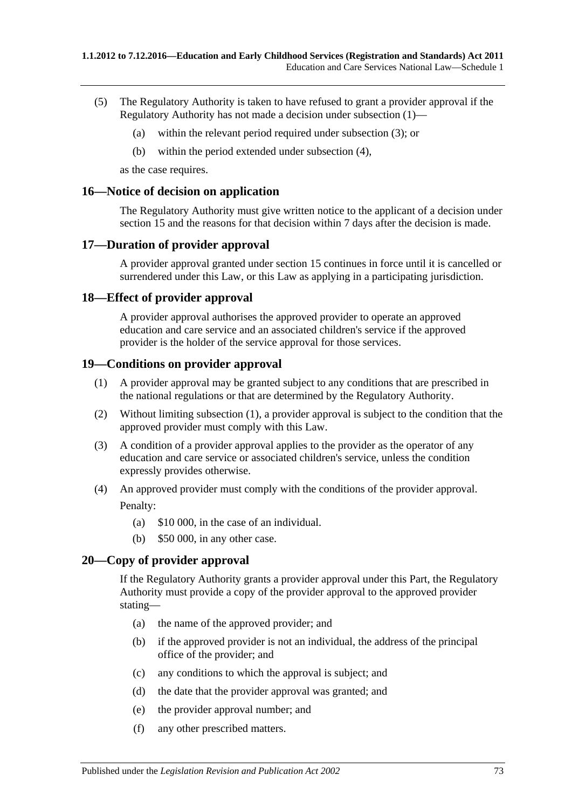- (5) The Regulatory Authority is taken to have refused to grant a provider approval if the Regulatory Authority has not made a decision under [subsection](#page-71-0) (1)—
	- (a) within the relevant period required under [subsection](#page-71-1) (3); or
	- (b) within the period extended under [subsection](#page-71-2) (4),

as the case requires.

#### **16—Notice of decision on application**

The Regulatory Authority must give written notice to the applicant of a decision under section 15 and the reasons for that decision within 7 days after the decision is made.

#### **17—Duration of provider approval**

A provider approval granted under section 15 continues in force until it is cancelled or surrendered under this Law, or this Law as applying in a participating jurisdiction.

#### **18—Effect of provider approval**

A provider approval authorises the approved provider to operate an approved education and care service and an associated children's service if the approved provider is the holder of the service approval for those services.

#### <span id="page-72-0"></span>**19—Conditions on provider approval**

- (1) A provider approval may be granted subject to any conditions that are prescribed in the national regulations or that are determined by the Regulatory Authority.
- (2) Without limiting [subsection](#page-72-0) (1), a provider approval is subject to the condition that the approved provider must comply with this Law.
- (3) A condition of a provider approval applies to the provider as the operator of any education and care service or associated children's service, unless the condition expressly provides otherwise.
- (4) An approved provider must comply with the conditions of the provider approval. Penalty:
	- (a) \$10 000, in the case of an individual.
	- (b) \$50 000, in any other case.

#### **20—Copy of provider approval**

If the Regulatory Authority grants a provider approval under this Part, the Regulatory Authority must provide a copy of the provider approval to the approved provider stating—

- (a) the name of the approved provider; and
- (b) if the approved provider is not an individual, the address of the principal office of the provider; and
- (c) any conditions to which the approval is subject; and
- (d) the date that the provider approval was granted; and
- (e) the provider approval number; and
- (f) any other prescribed matters.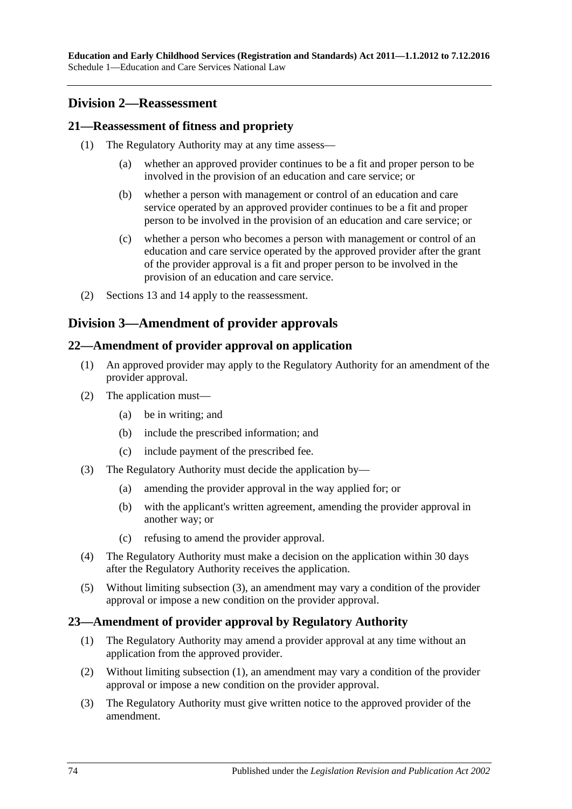# **Division 2—Reassessment**

# **21—Reassessment of fitness and propriety**

- (1) The Regulatory Authority may at any time assess—
	- (a) whether an approved provider continues to be a fit and proper person to be involved in the provision of an education and care service; or
	- (b) whether a person with management or control of an education and care service operated by an approved provider continues to be a fit and proper person to be involved in the provision of an education and care service; or
	- (c) whether a person who becomes a person with management or control of an education and care service operated by the approved provider after the grant of the provider approval is a fit and proper person to be involved in the provision of an education and care service.
- (2) Sections 13 and 14 apply to the reassessment.

# **Division 3—Amendment of provider approvals**

# **22—Amendment of provider approval on application**

- (1) An approved provider may apply to the Regulatory Authority for an amendment of the provider approval.
- (2) The application must—
	- (a) be in writing; and
	- (b) include the prescribed information; and
	- (c) include payment of the prescribed fee.
- <span id="page-73-0"></span>(3) The Regulatory Authority must decide the application by—
	- (a) amending the provider approval in the way applied for; or
	- (b) with the applicant's written agreement, amending the provider approval in another way; or
	- (c) refusing to amend the provider approval.
- (4) The Regulatory Authority must make a decision on the application within 30 days after the Regulatory Authority receives the application.
- (5) Without limiting [subsection](#page-73-0) (3), an amendment may vary a condition of the provider approval or impose a new condition on the provider approval.

# <span id="page-73-1"></span>**23—Amendment of provider approval by Regulatory Authority**

- (1) The Regulatory Authority may amend a provider approval at any time without an application from the approved provider.
- (2) Without limiting [subsection](#page-73-1) (1), an amendment may vary a condition of the provider approval or impose a new condition on the provider approval.
- <span id="page-73-2"></span>(3) The Regulatory Authority must give written notice to the approved provider of the amendment.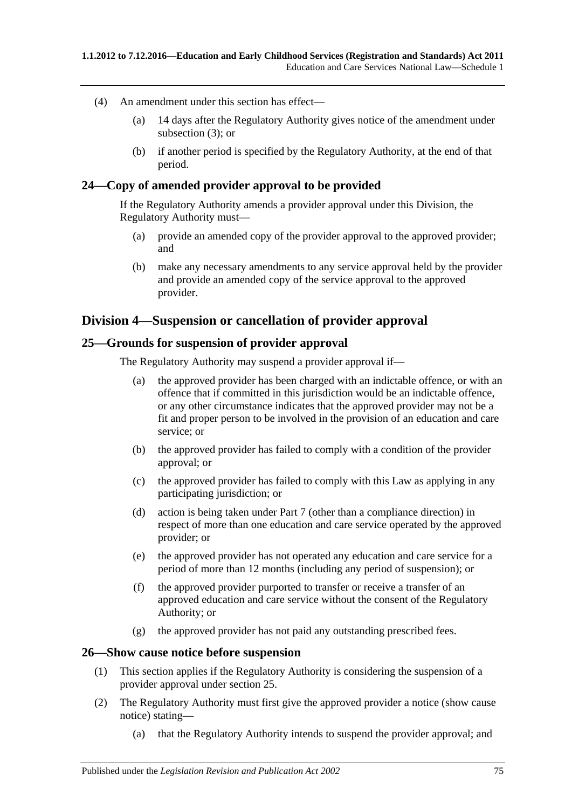- (4) An amendment under this section has effect—
	- (a) 14 days after the Regulatory Authority gives notice of the amendment under [subsection](#page-73-2) (3); or
	- (b) if another period is specified by the Regulatory Authority, at the end of that period.

### **24—Copy of amended provider approval to be provided**

If the Regulatory Authority amends a provider approval under this Division, the Regulatory Authority must—

- (a) provide an amended copy of the provider approval to the approved provider; and
- (b) make any necessary amendments to any service approval held by the provider and provide an amended copy of the service approval to the approved provider.

# **Division 4—Suspension or cancellation of provider approval**

### **25—Grounds for suspension of provider approval**

The Regulatory Authority may suspend a provider approval if—

- (a) the approved provider has been charged with an indictable offence, or with an offence that if committed in this jurisdiction would be an indictable offence, or any other circumstance indicates that the approved provider may not be a fit and proper person to be involved in the provision of an education and care service; or
- (b) the approved provider has failed to comply with a condition of the provider approval; or
- (c) the approved provider has failed to comply with this Law as applying in any participating jurisdiction; or
- (d) action is being taken under Part 7 (other than a compliance direction) in respect of more than one education and care service operated by the approved provider; or
- (e) the approved provider has not operated any education and care service for a period of more than 12 months (including any period of suspension); or
- (f) the approved provider purported to transfer or receive a transfer of an approved education and care service without the consent of the Regulatory Authority; or
- (g) the approved provider has not paid any outstanding prescribed fees.

#### **26—Show cause notice before suspension**

- (1) This section applies if the Regulatory Authority is considering the suspension of a provider approval under section 25.
- (2) The Regulatory Authority must first give the approved provider a notice (show cause notice) stating—
	- (a) that the Regulatory Authority intends to suspend the provider approval; and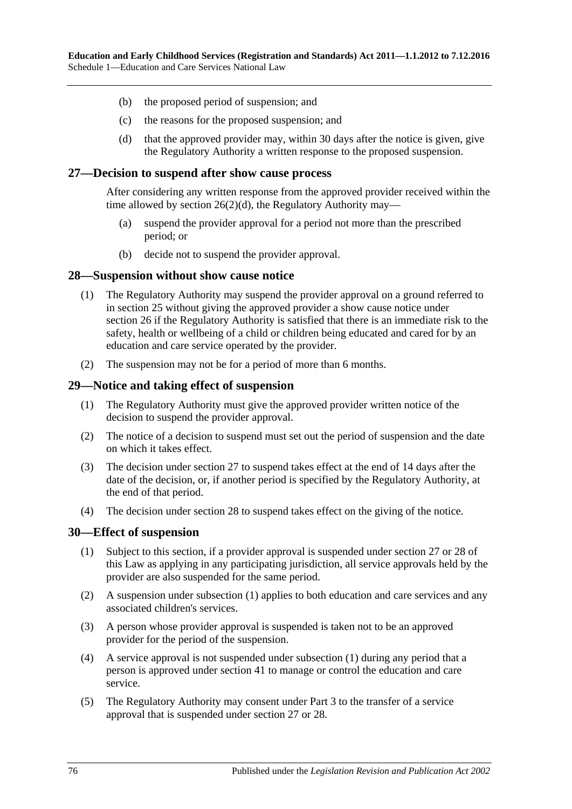- (b) the proposed period of suspension; and
- (c) the reasons for the proposed suspension; and
- (d) that the approved provider may, within 30 days after the notice is given, give the Regulatory Authority a written response to the proposed suspension.

#### <span id="page-75-0"></span>**27—Decision to suspend after show cause process**

After considering any written response from the approved provider received within the time allowed by section [26\(2\)\(d\),](#page-75-0) the Regulatory Authority may—

- (a) suspend the provider approval for a period not more than the prescribed period; or
- (b) decide not to suspend the provider approval.

#### **28—Suspension without show cause notice**

- (1) The Regulatory Authority may suspend the provider approval on a ground referred to in section 25 without giving the approved provider a show cause notice under section 26 if the Regulatory Authority is satisfied that there is an immediate risk to the safety, health or wellbeing of a child or children being educated and cared for by an education and care service operated by the provider.
- (2) The suspension may not be for a period of more than 6 months.

#### **29—Notice and taking effect of suspension**

- (1) The Regulatory Authority must give the approved provider written notice of the decision to suspend the provider approval.
- (2) The notice of a decision to suspend must set out the period of suspension and the date on which it takes effect.
- (3) The decision under section 27 to suspend takes effect at the end of 14 days after the date of the decision, or, if another period is specified by the Regulatory Authority, at the end of that period.
- (4) The decision under section 28 to suspend takes effect on the giving of the notice.

#### <span id="page-75-1"></span>**30—Effect of suspension**

- (1) Subject to this section, if a provider approval is suspended under section 27 or 28 of this Law as applying in any participating jurisdiction, all service approvals held by the provider are also suspended for the same period.
- (2) A suspension under [subsection](#page-75-1) (1) applies to both education and care services and any associated children's services.
- (3) A person whose provider approval is suspended is taken not to be an approved provider for the period of the suspension.
- (4) A service approval is not suspended under [subsection](#page-75-1) (1) during any period that a person is approved under section 41 to manage or control the education and care service.
- (5) The Regulatory Authority may consent under Part 3 to the transfer of a service approval that is suspended under section 27 or 28.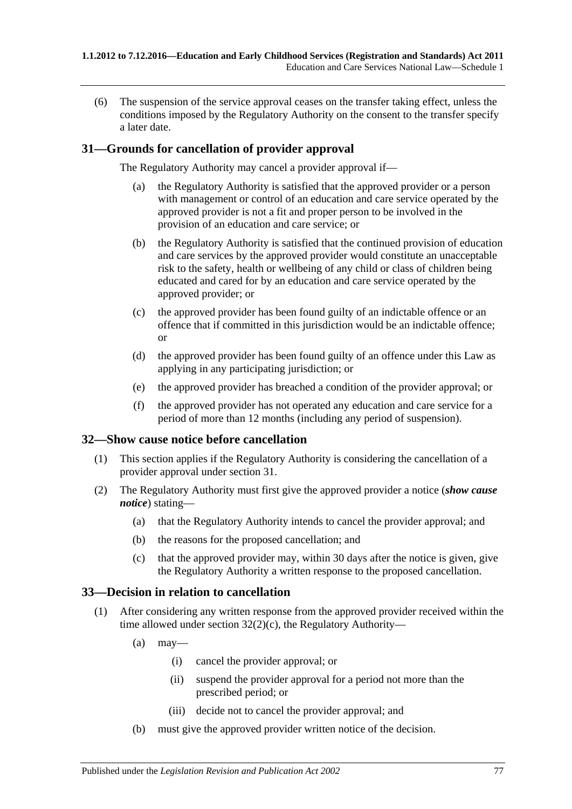(6) The suspension of the service approval ceases on the transfer taking effect, unless the conditions imposed by the Regulatory Authority on the consent to the transfer specify a later date.

# **31—Grounds for cancellation of provider approval**

The Regulatory Authority may cancel a provider approval if—

- (a) the Regulatory Authority is satisfied that the approved provider or a person with management or control of an education and care service operated by the approved provider is not a fit and proper person to be involved in the provision of an education and care service; or
- (b) the Regulatory Authority is satisfied that the continued provision of education and care services by the approved provider would constitute an unacceptable risk to the safety, health or wellbeing of any child or class of children being educated and cared for by an education and care service operated by the approved provider; or
- (c) the approved provider has been found guilty of an indictable offence or an offence that if committed in this jurisdiction would be an indictable offence; or
- (d) the approved provider has been found guilty of an offence under this Law as applying in any participating jurisdiction; or
- (e) the approved provider has breached a condition of the provider approval; or
- (f) the approved provider has not operated any education and care service for a period of more than 12 months (including any period of suspension).

# **32—Show cause notice before cancellation**

- (1) This section applies if the Regulatory Authority is considering the cancellation of a provider approval under section 31.
- (2) The Regulatory Authority must first give the approved provider a notice (*show cause notice*) stating—
	- (a) that the Regulatory Authority intends to cancel the provider approval; and
	- (b) the reasons for the proposed cancellation; and
	- (c) that the approved provider may, within 30 days after the notice is given, give the Regulatory Authority a written response to the proposed cancellation.

# <span id="page-76-0"></span>**33—Decision in relation to cancellation**

- (1) After considering any written response from the approved provider received within the time allowed under section [32\(2\)\(c\),](#page-76-0) the Regulatory Authority—
	- $(a)$  may—
		- (i) cancel the provider approval; or
		- (ii) suspend the provider approval for a period not more than the prescribed period; or
		- (iii) decide not to cancel the provider approval; and
	- (b) must give the approved provider written notice of the decision.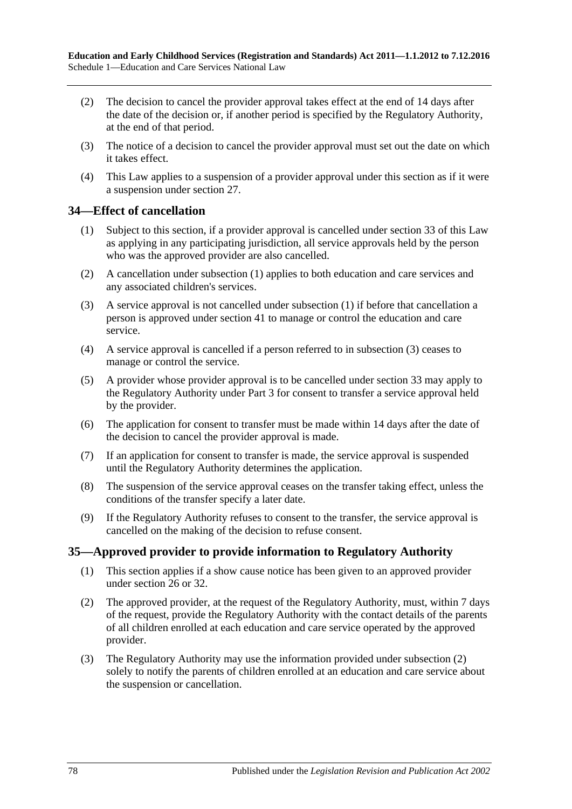- (2) The decision to cancel the provider approval takes effect at the end of 14 days after the date of the decision or, if another period is specified by the Regulatory Authority, at the end of that period.
- (3) The notice of a decision to cancel the provider approval must set out the date on which it takes effect.
- (4) This Law applies to a suspension of a provider approval under this section as if it were a suspension under section 27.

# <span id="page-77-0"></span>**34—Effect of cancellation**

- (1) Subject to this section, if a provider approval is cancelled under section 33 of this Law as applying in any participating jurisdiction, all service approvals held by the person who was the approved provider are also cancelled.
- (2) A cancellation under [subsection](#page-77-0) (1) applies to both education and care services and any associated children's services.
- <span id="page-77-1"></span>(3) A service approval is not cancelled under [subsection](#page-77-0) (1) if before that cancellation a person is approved under section 41 to manage or control the education and care service.
- (4) A service approval is cancelled if a person referred to in [subsection](#page-77-1) (3) ceases to manage or control the service.
- (5) A provider whose provider approval is to be cancelled under section 33 may apply to the Regulatory Authority under Part 3 for consent to transfer a service approval held by the provider.
- (6) The application for consent to transfer must be made within 14 days after the date of the decision to cancel the provider approval is made.
- (7) If an application for consent to transfer is made, the service approval is suspended until the Regulatory Authority determines the application.
- (8) The suspension of the service approval ceases on the transfer taking effect, unless the conditions of the transfer specify a later date.
- (9) If the Regulatory Authority refuses to consent to the transfer, the service approval is cancelled on the making of the decision to refuse consent.

# **35—Approved provider to provide information to Regulatory Authority**

- (1) This section applies if a show cause notice has been given to an approved provider under section 26 or 32.
- <span id="page-77-2"></span>(2) The approved provider, at the request of the Regulatory Authority, must, within 7 days of the request, provide the Regulatory Authority with the contact details of the parents of all children enrolled at each education and care service operated by the approved provider.
- (3) The Regulatory Authority may use the information provided under [subsection](#page-77-2) (2) solely to notify the parents of children enrolled at an education and care service about the suspension or cancellation.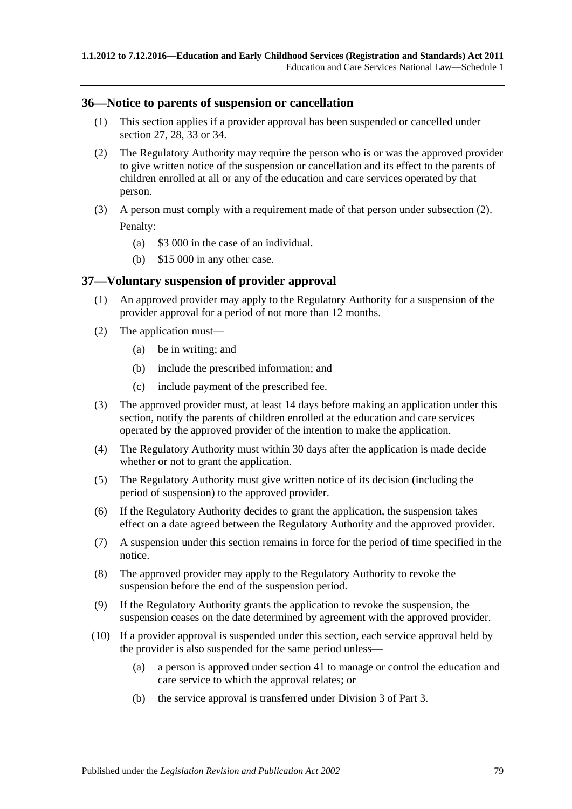### **36—Notice to parents of suspension or cancellation**

- (1) This section applies if a provider approval has been suspended or cancelled under section 27, 28, 33 or 34.
- <span id="page-78-0"></span>(2) The Regulatory Authority may require the person who is or was the approved provider to give written notice of the suspension or cancellation and its effect to the parents of children enrolled at all or any of the education and care services operated by that person.
- (3) A person must comply with a requirement made of that person under [subsection](#page-78-0) (2). Penalty:
	- (a) \$3 000 in the case of an individual.
	- (b) \$15 000 in any other case.

# **37—Voluntary suspension of provider approval**

- (1) An approved provider may apply to the Regulatory Authority for a suspension of the provider approval for a period of not more than 12 months.
- (2) The application must—
	- (a) be in writing; and
	- (b) include the prescribed information; and
	- (c) include payment of the prescribed fee.
- (3) The approved provider must, at least 14 days before making an application under this section, notify the parents of children enrolled at the education and care services operated by the approved provider of the intention to make the application.
- (4) The Regulatory Authority must within 30 days after the application is made decide whether or not to grant the application.
- (5) The Regulatory Authority must give written notice of its decision (including the period of suspension) to the approved provider.
- (6) If the Regulatory Authority decides to grant the application, the suspension takes effect on a date agreed between the Regulatory Authority and the approved provider.
- (7) A suspension under this section remains in force for the period of time specified in the notice.
- (8) The approved provider may apply to the Regulatory Authority to revoke the suspension before the end of the suspension period.
- (9) If the Regulatory Authority grants the application to revoke the suspension, the suspension ceases on the date determined by agreement with the approved provider.
- (10) If a provider approval is suspended under this section, each service approval held by the provider is also suspended for the same period unless—
	- (a) a person is approved under section 41 to manage or control the education and care service to which the approval relates; or
	- (b) the service approval is transferred under Division 3 of Part 3.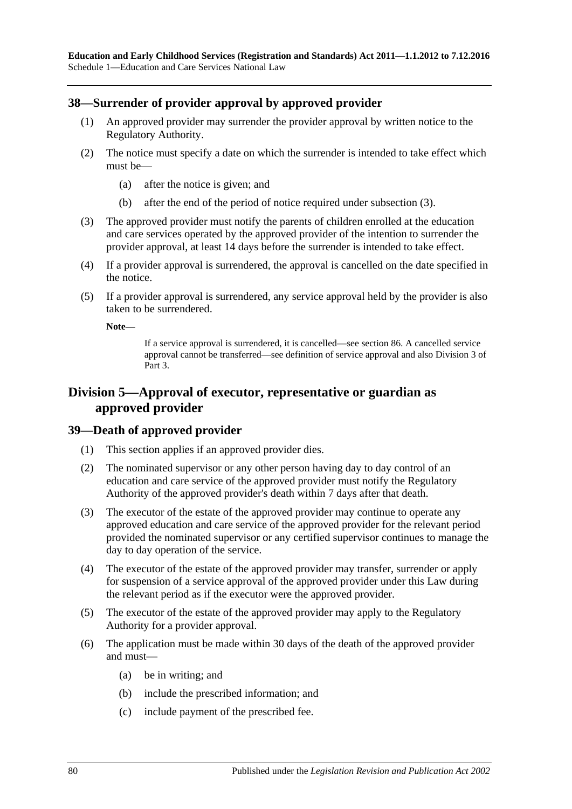# **38—Surrender of provider approval by approved provider**

- (1) An approved provider may surrender the provider approval by written notice to the Regulatory Authority.
- (2) The notice must specify a date on which the surrender is intended to take effect which must be—
	- (a) after the notice is given; and
	- (b) after the end of the period of notice required under [subsection](#page-79-0) (3).
- <span id="page-79-0"></span>(3) The approved provider must notify the parents of children enrolled at the education and care services operated by the approved provider of the intention to surrender the provider approval, at least 14 days before the surrender is intended to take effect.
- (4) If a provider approval is surrendered, the approval is cancelled on the date specified in the notice.
- (5) If a provider approval is surrendered, any service approval held by the provider is also taken to be surrendered.

**Note—**

If a service approval is surrendered, it is cancelled—see section 86. A cancelled service approval cannot be transferred—see definition of service approval and also Division 3 of Part 3.

# **Division 5—Approval of executor, representative or guardian as approved provider**

# **39—Death of approved provider**

- (1) This section applies if an approved provider dies.
- (2) The nominated supervisor or any other person having day to day control of an education and care service of the approved provider must notify the Regulatory Authority of the approved provider's death within 7 days after that death.
- (3) The executor of the estate of the approved provider may continue to operate any approved education and care service of the approved provider for the relevant period provided the nominated supervisor or any certified supervisor continues to manage the day to day operation of the service.
- (4) The executor of the estate of the approved provider may transfer, surrender or apply for suspension of a service approval of the approved provider under this Law during the relevant period as if the executor were the approved provider.
- <span id="page-79-1"></span>(5) The executor of the estate of the approved provider may apply to the Regulatory Authority for a provider approval.
- (6) The application must be made within 30 days of the death of the approved provider and must—
	- (a) be in writing; and
	- (b) include the prescribed information; and
	- (c) include payment of the prescribed fee.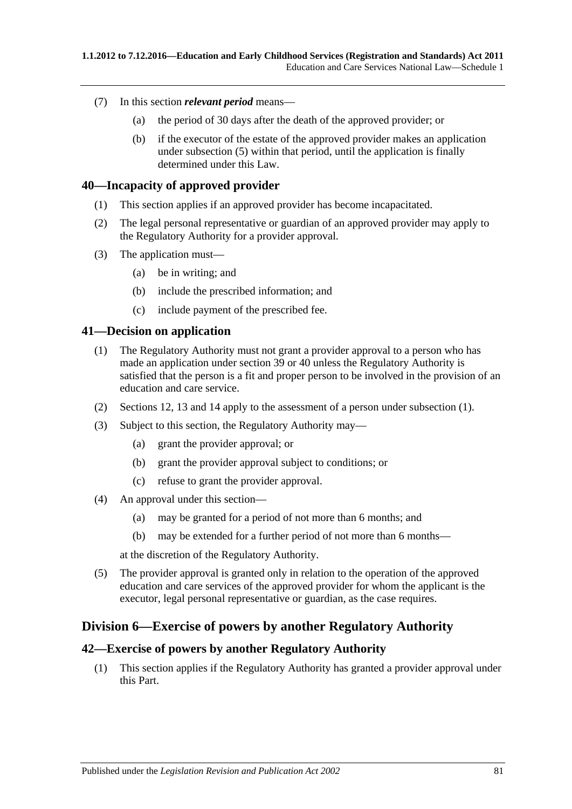- (7) In this section *relevant period* means—
	- (a) the period of 30 days after the death of the approved provider; or
	- (b) if the executor of the estate of the approved provider makes an application under [subsection](#page-79-1) (5) within that period, until the application is finally determined under this Law.

### **40—Incapacity of approved provider**

- (1) This section applies if an approved provider has become incapacitated.
- (2) The legal personal representative or guardian of an approved provider may apply to the Regulatory Authority for a provider approval.
- (3) The application must—
	- (a) be in writing; and
	- (b) include the prescribed information; and
	- (c) include payment of the prescribed fee.

### <span id="page-80-0"></span>**41—Decision on application**

- (1) The Regulatory Authority must not grant a provider approval to a person who has made an application under section 39 or 40 unless the Regulatory Authority is satisfied that the person is a fit and proper person to be involved in the provision of an education and care service.
- (2) Sections 12, 13 and 14 apply to the assessment of a person under [subsection](#page-80-0) (1).
- (3) Subject to this section, the Regulatory Authority may—
	- (a) grant the provider approval; or
	- (b) grant the provider approval subject to conditions; or
	- (c) refuse to grant the provider approval.
- (4) An approval under this section—
	- (a) may be granted for a period of not more than 6 months; and
	- (b) may be extended for a further period of not more than 6 months—

at the discretion of the Regulatory Authority.

(5) The provider approval is granted only in relation to the operation of the approved education and care services of the approved provider for whom the applicant is the executor, legal personal representative or guardian, as the case requires.

# **Division 6—Exercise of powers by another Regulatory Authority**

#### **42—Exercise of powers by another Regulatory Authority**

(1) This section applies if the Regulatory Authority has granted a provider approval under this Part.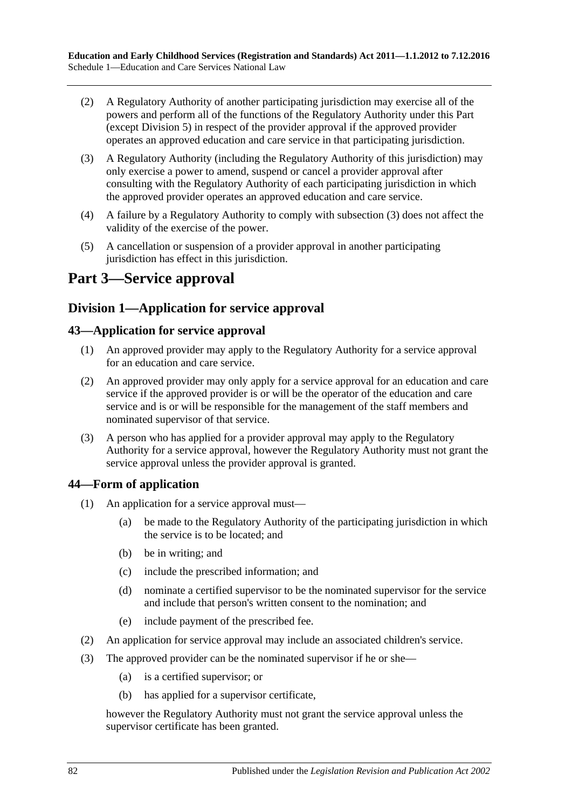- (2) A Regulatory Authority of another participating jurisdiction may exercise all of the powers and perform all of the functions of the Regulatory Authority under this Part (except Division 5) in respect of the provider approval if the approved provider operates an approved education and care service in that participating jurisdiction.
- <span id="page-81-0"></span>(3) A Regulatory Authority (including the Regulatory Authority of this jurisdiction) may only exercise a power to amend, suspend or cancel a provider approval after consulting with the Regulatory Authority of each participating jurisdiction in which the approved provider operates an approved education and care service.
- (4) A failure by a Regulatory Authority to comply with [subsection](#page-81-0) (3) does not affect the validity of the exercise of the power.
- (5) A cancellation or suspension of a provider approval in another participating jurisdiction has effect in this jurisdiction.

# **Part 3—Service approval**

# **Division 1—Application for service approval**

# **43—Application for service approval**

- (1) An approved provider may apply to the Regulatory Authority for a service approval for an education and care service.
- (2) An approved provider may only apply for a service approval for an education and care service if the approved provider is or will be the operator of the education and care service and is or will be responsible for the management of the staff members and nominated supervisor of that service.
- (3) A person who has applied for a provider approval may apply to the Regulatory Authority for a service approval, however the Regulatory Authority must not grant the service approval unless the provider approval is granted.

# **44—Form of application**

- (1) An application for a service approval must—
	- (a) be made to the Regulatory Authority of the participating jurisdiction in which the service is to be located; and
	- (b) be in writing; and
	- (c) include the prescribed information; and
	- (d) nominate a certified supervisor to be the nominated supervisor for the service and include that person's written consent to the nomination; and
	- (e) include payment of the prescribed fee.
- (2) An application for service approval may include an associated children's service.
- (3) The approved provider can be the nominated supervisor if he or she—
	- (a) is a certified supervisor; or
	- (b) has applied for a supervisor certificate,

however the Regulatory Authority must not grant the service approval unless the supervisor certificate has been granted.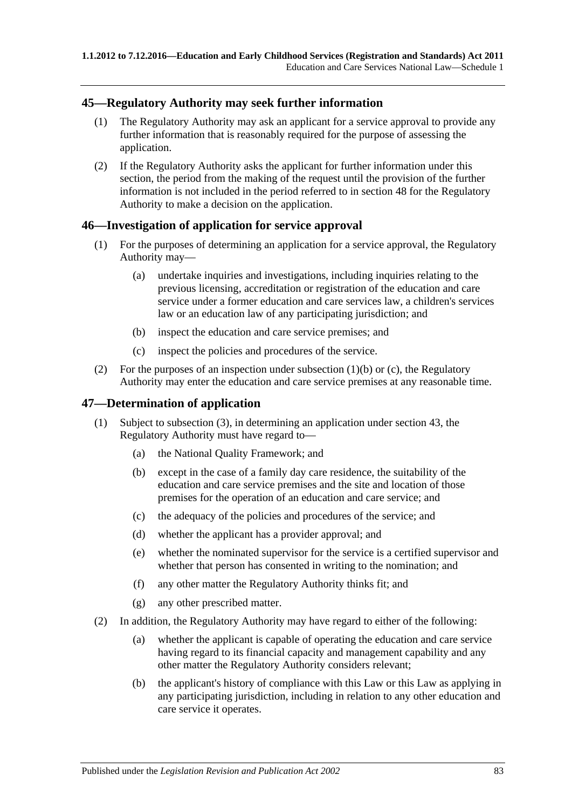# **45—Regulatory Authority may seek further information**

- (1) The Regulatory Authority may ask an applicant for a service approval to provide any further information that is reasonably required for the purpose of assessing the application.
- <span id="page-82-2"></span>(2) If the Regulatory Authority asks the applicant for further information under this section, the period from the making of the request until the provision of the further information is not included in the period referred to in section 48 for the Regulatory Authority to make a decision on the application.

# **46—Investigation of application for service approval**

- (1) For the purposes of determining an application for a service approval, the Regulatory Authority may—
	- (a) undertake inquiries and investigations, including inquiries relating to the previous licensing, accreditation or registration of the education and care service under a former education and care services law, a children's services law or an education law of any participating jurisdiction; and
	- (b) inspect the education and care service premises; and
	- (c) inspect the policies and procedures of the service.
- <span id="page-82-1"></span><span id="page-82-0"></span>(2) For the purposes of an inspection under [subsection](#page-82-0) (1)(b) or [\(c\),](#page-82-1) the Regulatory Authority may enter the education and care service premises at any reasonable time.

# **47—Determination of application**

- (1) Subject to [subsection](#page-83-0) (3), in determining an application under section 43, the Regulatory Authority must have regard to—
	- (a) the National Quality Framework; and
	- (b) except in the case of a family day care residence, the suitability of the education and care service premises and the site and location of those premises for the operation of an education and care service; and
	- (c) the adequacy of the policies and procedures of the service; and
	- (d) whether the applicant has a provider approval; and
	- (e) whether the nominated supervisor for the service is a certified supervisor and whether that person has consented in writing to the nomination; and
	- (f) any other matter the Regulatory Authority thinks fit; and
	- (g) any other prescribed matter.
- (2) In addition, the Regulatory Authority may have regard to either of the following:
	- (a) whether the applicant is capable of operating the education and care service having regard to its financial capacity and management capability and any other matter the Regulatory Authority considers relevant;
	- (b) the applicant's history of compliance with this Law or this Law as applying in any participating jurisdiction, including in relation to any other education and care service it operates.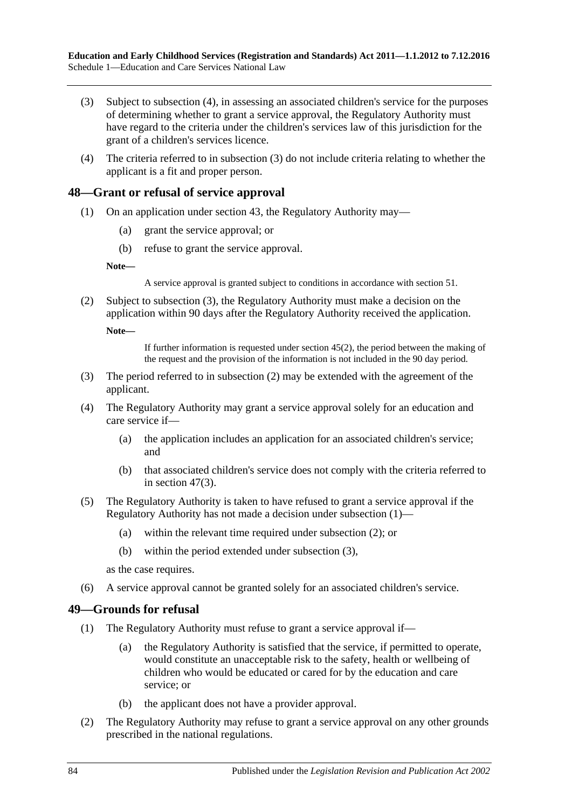- <span id="page-83-0"></span>(3) Subject to [subsection](#page-83-1) (4), in assessing an associated children's service for the purposes of determining whether to grant a service approval, the Regulatory Authority must have regard to the criteria under the children's services law of this jurisdiction for the grant of a children's services licence.
- <span id="page-83-1"></span>(4) The criteria referred to in [subsection](#page-83-0) (3) do not include criteria relating to whether the applicant is a fit and proper person.

# <span id="page-83-4"></span>**48—Grant or refusal of service approval**

- (1) On an application under section 43, the Regulatory Authority may—
	- (a) grant the service approval; or
	- (b) refuse to grant the service approval.

**Note—**

A service approval is granted subject to conditions in accordance with section 51.

<span id="page-83-3"></span>(2) Subject to [subsection](#page-83-2) (3), the Regulatory Authority must make a decision on the application within 90 days after the Regulatory Authority received the application.

**Note—**

If further information is requested under [section](#page-82-2) 45(2), the period between the making of the request and the provision of the information is not included in the 90 day period.

- <span id="page-83-2"></span>(3) The period referred to in [subsection](#page-83-3) (2) may be extended with the agreement of the applicant.
- (4) The Regulatory Authority may grant a service approval solely for an education and care service if—
	- (a) the application includes an application for an associated children's service; and
	- (b) that associated children's service does not comply with the criteria referred to in [section](#page-83-0) 47(3).
- (5) The Regulatory Authority is taken to have refused to grant a service approval if the Regulatory Authority has not made a decision under [subsection](#page-83-4) (1)—
	- (a) within the relevant time required under [subsection](#page-83-3) (2); or
	- (b) within the period extended under [subsection](#page-83-2) (3),

as the case requires.

(6) A service approval cannot be granted solely for an associated children's service.

#### **49—Grounds for refusal**

- (1) The Regulatory Authority must refuse to grant a service approval if—
	- (a) the Regulatory Authority is satisfied that the service, if permitted to operate, would constitute an unacceptable risk to the safety, health or wellbeing of children who would be educated or cared for by the education and care service; or
	- (b) the applicant does not have a provider approval.
- (2) The Regulatory Authority may refuse to grant a service approval on any other grounds prescribed in the national regulations.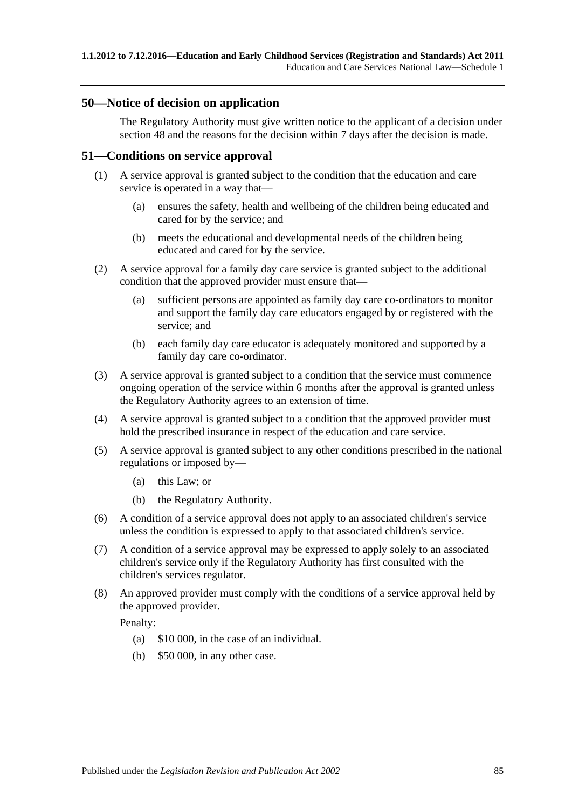### **50—Notice of decision on application**

The Regulatory Authority must give written notice to the applicant of a decision under section 48 and the reasons for the decision within 7 days after the decision is made.

### **51—Conditions on service approval**

- (1) A service approval is granted subject to the condition that the education and care service is operated in a way that—
	- (a) ensures the safety, health and wellbeing of the children being educated and cared for by the service; and
	- (b) meets the educational and developmental needs of the children being educated and cared for by the service.
- (2) A service approval for a family day care service is granted subject to the additional condition that the approved provider must ensure that—
	- (a) sufficient persons are appointed as family day care co-ordinators to monitor and support the family day care educators engaged by or registered with the service; and
	- (b) each family day care educator is adequately monitored and supported by a family day care co-ordinator.
- (3) A service approval is granted subject to a condition that the service must commence ongoing operation of the service within 6 months after the approval is granted unless the Regulatory Authority agrees to an extension of time.
- (4) A service approval is granted subject to a condition that the approved provider must hold the prescribed insurance in respect of the education and care service.
- (5) A service approval is granted subject to any other conditions prescribed in the national regulations or imposed by—
	- (a) this Law; or
	- (b) the Regulatory Authority.
- (6) A condition of a service approval does not apply to an associated children's service unless the condition is expressed to apply to that associated children's service.
- (7) A condition of a service approval may be expressed to apply solely to an associated children's service only if the Regulatory Authority has first consulted with the children's services regulator.
- (8) An approved provider must comply with the conditions of a service approval held by the approved provider.

Penalty:

- (a) \$10 000, in the case of an individual.
- (b) \$50 000, in any other case.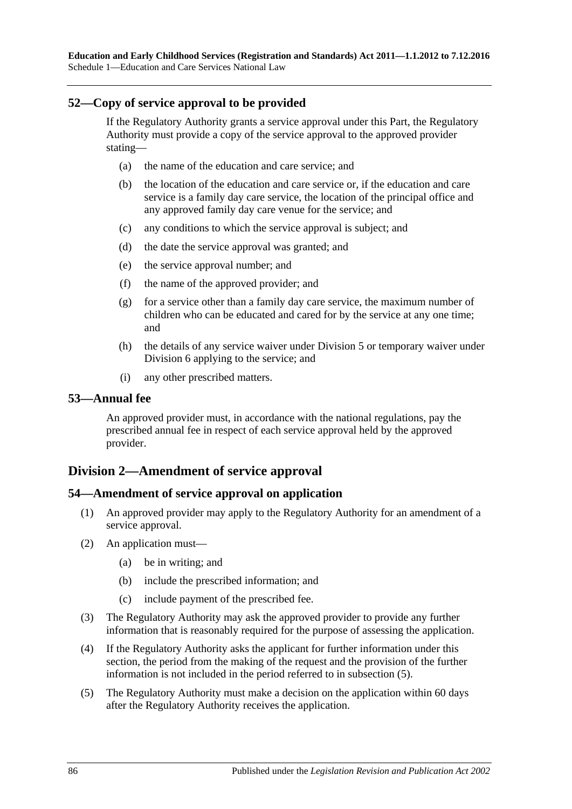# **52—Copy of service approval to be provided**

If the Regulatory Authority grants a service approval under this Part, the Regulatory Authority must provide a copy of the service approval to the approved provider stating—

- (a) the name of the education and care service; and
- (b) the location of the education and care service or, if the education and care service is a family day care service, the location of the principal office and any approved family day care venue for the service; and
- (c) any conditions to which the service approval is subject; and
- (d) the date the service approval was granted; and
- (e) the service approval number; and
- (f) the name of the approved provider; and
- (g) for a service other than a family day care service, the maximum number of children who can be educated and cared for by the service at any one time; and
- (h) the details of any service waiver under Division 5 or temporary waiver under Division 6 applying to the service; and
- (i) any other prescribed matters.

#### **53—Annual fee**

An approved provider must, in accordance with the national regulations, pay the prescribed annual fee in respect of each service approval held by the approved provider.

# **Division 2—Amendment of service approval**

# **54—Amendment of service approval on application**

- (1) An approved provider may apply to the Regulatory Authority for an amendment of a service approval.
- (2) An application must—
	- (a) be in writing; and
	- (b) include the prescribed information; and
	- (c) include payment of the prescribed fee.
- (3) The Regulatory Authority may ask the approved provider to provide any further information that is reasonably required for the purpose of assessing the application.
- (4) If the Regulatory Authority asks the applicant for further information under this section, the period from the making of the request and the provision of the further information is not included in the period referred to in [subsection](#page-85-0) (5).
- <span id="page-85-0"></span>(5) The Regulatory Authority must make a decision on the application within 60 days after the Regulatory Authority receives the application.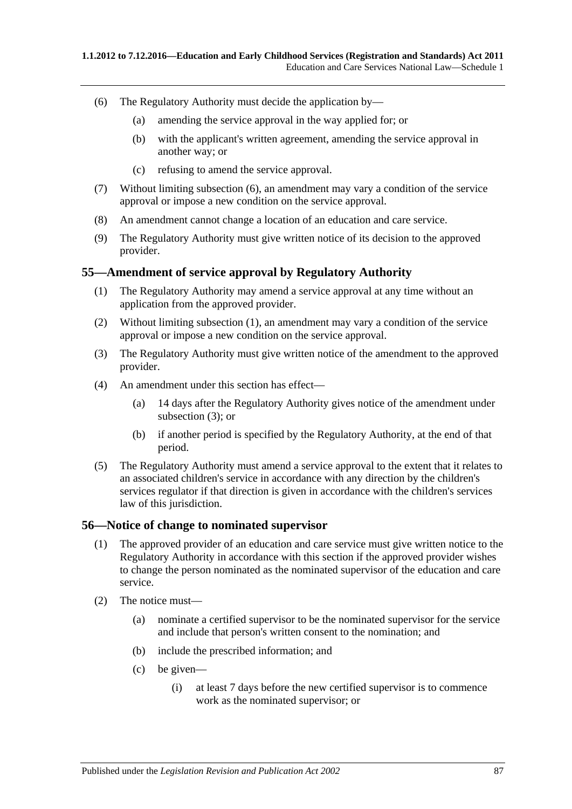- <span id="page-86-0"></span>(6) The Regulatory Authority must decide the application by—
	- (a) amending the service approval in the way applied for; or
	- (b) with the applicant's written agreement, amending the service approval in another way; or
	- (c) refusing to amend the service approval.
- (7) Without limiting [subsection](#page-86-0) (6), an amendment may vary a condition of the service approval or impose a new condition on the service approval.
- (8) An amendment cannot change a location of an education and care service.
- (9) The Regulatory Authority must give written notice of its decision to the approved provider.

### <span id="page-86-1"></span>**55—Amendment of service approval by Regulatory Authority**

- (1) The Regulatory Authority may amend a service approval at any time without an application from the approved provider.
- (2) Without limiting [subsection](#page-86-1) (1), an amendment may vary a condition of the service approval or impose a new condition on the service approval.
- <span id="page-86-2"></span>(3) The Regulatory Authority must give written notice of the amendment to the approved provider.
- (4) An amendment under this section has effect—
	- (a) 14 days after the Regulatory Authority gives notice of the amendment under [subsection](#page-86-2) (3); or
	- (b) if another period is specified by the Regulatory Authority, at the end of that period.
- (5) The Regulatory Authority must amend a service approval to the extent that it relates to an associated children's service in accordance with any direction by the children's services regulator if that direction is given in accordance with the children's services law of this jurisdiction.

# **56—Notice of change to nominated supervisor**

- (1) The approved provider of an education and care service must give written notice to the Regulatory Authority in accordance with this section if the approved provider wishes to change the person nominated as the nominated supervisor of the education and care service.
- (2) The notice must—
	- (a) nominate a certified supervisor to be the nominated supervisor for the service and include that person's written consent to the nomination; and
	- (b) include the prescribed information; and
	- (c) be given—
		- (i) at least 7 days before the new certified supervisor is to commence work as the nominated supervisor; or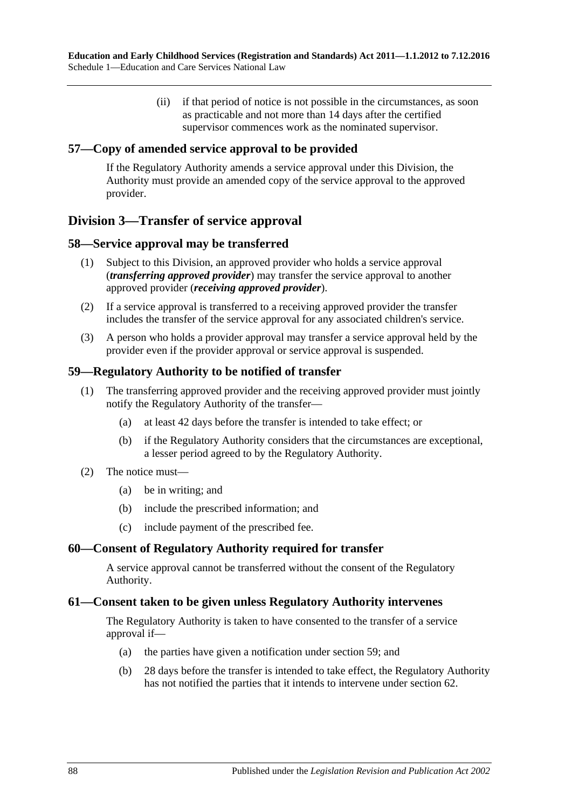(ii) if that period of notice is not possible in the circumstances, as soon as practicable and not more than 14 days after the certified supervisor commences work as the nominated supervisor.

# **57—Copy of amended service approval to be provided**

If the Regulatory Authority amends a service approval under this Division, the Authority must provide an amended copy of the service approval to the approved provider.

# **Division 3—Transfer of service approval**

#### **58—Service approval may be transferred**

- (1) Subject to this Division, an approved provider who holds a service approval (*transferring approved provider*) may transfer the service approval to another approved provider (*receiving approved provider*).
- (2) If a service approval is transferred to a receiving approved provider the transfer includes the transfer of the service approval for any associated children's service.
- (3) A person who holds a provider approval may transfer a service approval held by the provider even if the provider approval or service approval is suspended.

### **59—Regulatory Authority to be notified of transfer**

- (1) The transferring approved provider and the receiving approved provider must jointly notify the Regulatory Authority of the transfer—
	- (a) at least 42 days before the transfer is intended to take effect; or
	- (b) if the Regulatory Authority considers that the circumstances are exceptional, a lesser period agreed to by the Regulatory Authority.

#### (2) The notice must—

- (a) be in writing; and
- (b) include the prescribed information; and
- (c) include payment of the prescribed fee.

#### **60—Consent of Regulatory Authority required for transfer**

A service approval cannot be transferred without the consent of the Regulatory Authority.

#### **61—Consent taken to be given unless Regulatory Authority intervenes**

The Regulatory Authority is taken to have consented to the transfer of a service approval if—

- (a) the parties have given a notification under section 59; and
- (b) 28 days before the transfer is intended to take effect, the Regulatory Authority has not notified the parties that it intends to intervene under section 62.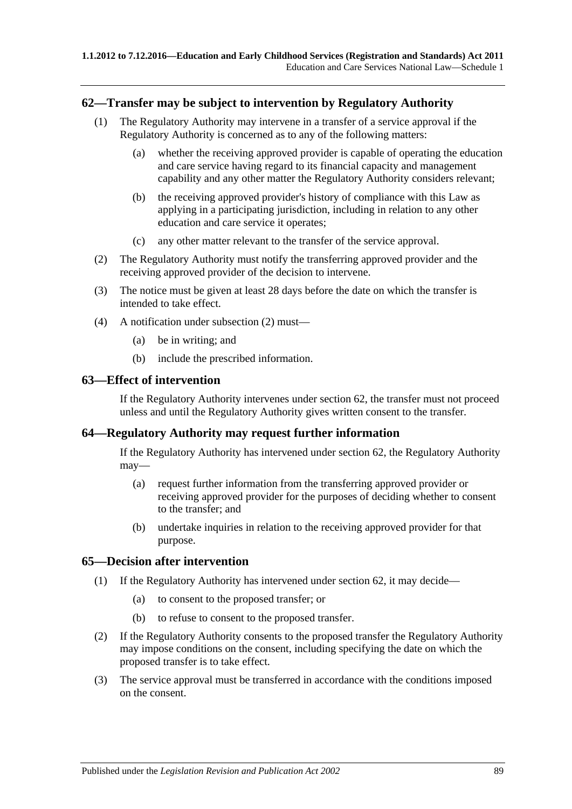# **62—Transfer may be subject to intervention by Regulatory Authority**

- (1) The Regulatory Authority may intervene in a transfer of a service approval if the Regulatory Authority is concerned as to any of the following matters:
	- (a) whether the receiving approved provider is capable of operating the education and care service having regard to its financial capacity and management capability and any other matter the Regulatory Authority considers relevant;
	- (b) the receiving approved provider's history of compliance with this Law as applying in a participating jurisdiction, including in relation to any other education and care service it operates;
	- (c) any other matter relevant to the transfer of the service approval.
- <span id="page-88-0"></span>(2) The Regulatory Authority must notify the transferring approved provider and the receiving approved provider of the decision to intervene.
- (3) The notice must be given at least 28 days before the date on which the transfer is intended to take effect.
- (4) A notification under [subsection](#page-88-0) (2) must—
	- (a) be in writing; and
	- (b) include the prescribed information.

# **63—Effect of intervention**

If the Regulatory Authority intervenes under section 62, the transfer must not proceed unless and until the Regulatory Authority gives written consent to the transfer.

### **64—Regulatory Authority may request further information**

If the Regulatory Authority has intervened under section 62, the Regulatory Authority may—

- (a) request further information from the transferring approved provider or receiving approved provider for the purposes of deciding whether to consent to the transfer; and
- (b) undertake inquiries in relation to the receiving approved provider for that purpose.

#### **65—Decision after intervention**

- (1) If the Regulatory Authority has intervened under section 62, it may decide—
	- (a) to consent to the proposed transfer; or
	- (b) to refuse to consent to the proposed transfer.
- (2) If the Regulatory Authority consents to the proposed transfer the Regulatory Authority may impose conditions on the consent, including specifying the date on which the proposed transfer is to take effect.
- (3) The service approval must be transferred in accordance with the conditions imposed on the consent.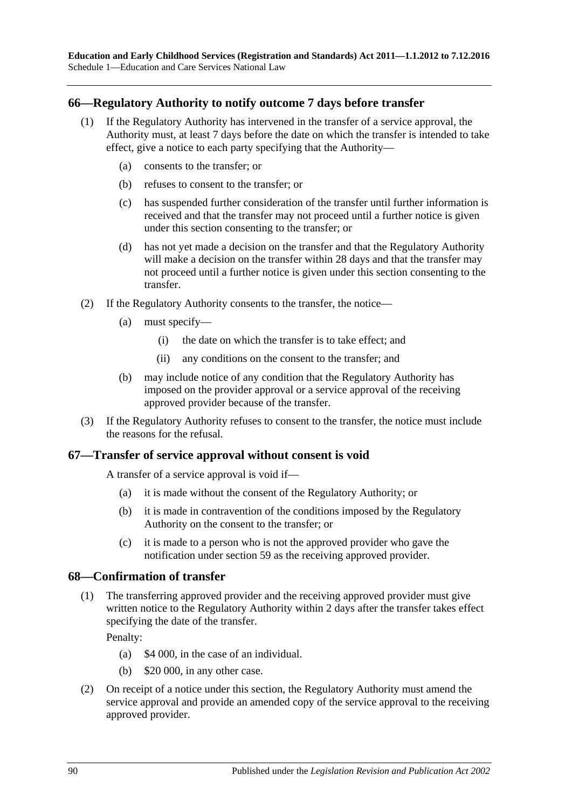# **66—Regulatory Authority to notify outcome 7 days before transfer**

- (1) If the Regulatory Authority has intervened in the transfer of a service approval, the Authority must, at least 7 days before the date on which the transfer is intended to take effect, give a notice to each party specifying that the Authority—
	- (a) consents to the transfer; or
	- (b) refuses to consent to the transfer; or
	- (c) has suspended further consideration of the transfer until further information is received and that the transfer may not proceed until a further notice is given under this section consenting to the transfer; or
	- (d) has not yet made a decision on the transfer and that the Regulatory Authority will make a decision on the transfer within 28 days and that the transfer may not proceed until a further notice is given under this section consenting to the transfer.
- (2) If the Regulatory Authority consents to the transfer, the notice—
	- (a) must specify—
		- (i) the date on which the transfer is to take effect; and
		- (ii) any conditions on the consent to the transfer; and
	- (b) may include notice of any condition that the Regulatory Authority has imposed on the provider approval or a service approval of the receiving approved provider because of the transfer.
- (3) If the Regulatory Authority refuses to consent to the transfer, the notice must include the reasons for the refusal.

# **67—Transfer of service approval without consent is void**

A transfer of a service approval is void if—

- (a) it is made without the consent of the Regulatory Authority; or
- (b) it is made in contravention of the conditions imposed by the Regulatory Authority on the consent to the transfer; or
- (c) it is made to a person who is not the approved provider who gave the notification under section 59 as the receiving approved provider.

#### **68—Confirmation of transfer**

(1) The transferring approved provider and the receiving approved provider must give written notice to the Regulatory Authority within 2 days after the transfer takes effect specifying the date of the transfer.

Penalty:

- (a) \$4 000, in the case of an individual.
- (b) \$20 000, in any other case.
- (2) On receipt of a notice under this section, the Regulatory Authority must amend the service approval and provide an amended copy of the service approval to the receiving approved provider.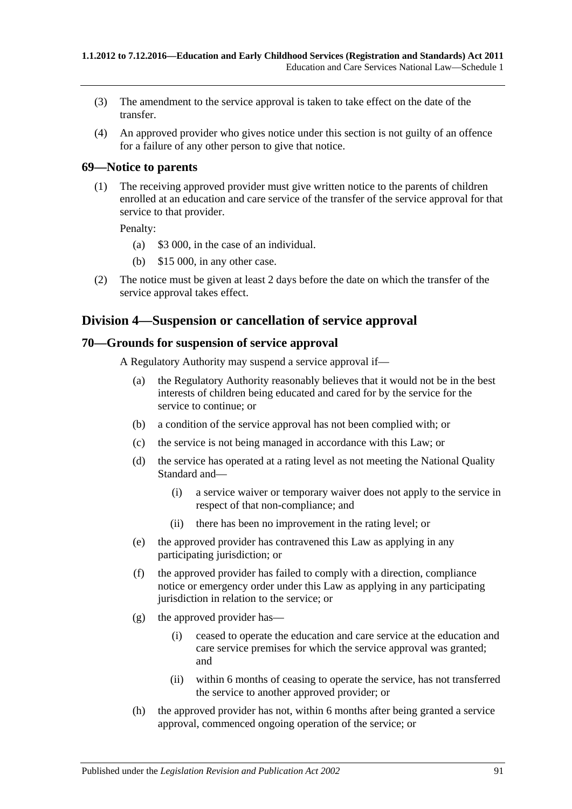- (3) The amendment to the service approval is taken to take effect on the date of the transfer.
- (4) An approved provider who gives notice under this section is not guilty of an offence for a failure of any other person to give that notice.

# **69—Notice to parents**

(1) The receiving approved provider must give written notice to the parents of children enrolled at an education and care service of the transfer of the service approval for that service to that provider.

Penalty:

- (a) \$3 000, in the case of an individual.
- (b) \$15 000, in any other case.
- (2) The notice must be given at least 2 days before the date on which the transfer of the service approval takes effect.

# **Division 4—Suspension or cancellation of service approval**

# **70—Grounds for suspension of service approval**

A Regulatory Authority may suspend a service approval if—

- (a) the Regulatory Authority reasonably believes that it would not be in the best interests of children being educated and cared for by the service for the service to continue; or
- (b) a condition of the service approval has not been complied with; or
- (c) the service is not being managed in accordance with this Law; or
- (d) the service has operated at a rating level as not meeting the National Quality Standard and—
	- (i) a service waiver or temporary waiver does not apply to the service in respect of that non-compliance; and
	- (ii) there has been no improvement in the rating level; or
- (e) the approved provider has contravened this Law as applying in any participating jurisdiction; or
- (f) the approved provider has failed to comply with a direction, compliance notice or emergency order under this Law as applying in any participating jurisdiction in relation to the service; or
- (g) the approved provider has—
	- (i) ceased to operate the education and care service at the education and care service premises for which the service approval was granted; and
	- (ii) within 6 months of ceasing to operate the service, has not transferred the service to another approved provider; or
- (h) the approved provider has not, within 6 months after being granted a service approval, commenced ongoing operation of the service; or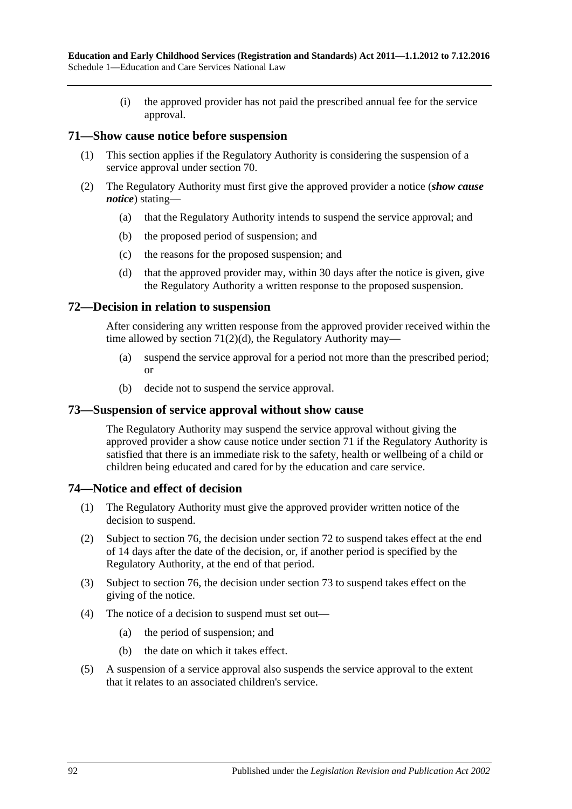(i) the approved provider has not paid the prescribed annual fee for the service approval.

### **71—Show cause notice before suspension**

- (1) This section applies if the Regulatory Authority is considering the suspension of a service approval under section 70.
- (2) The Regulatory Authority must first give the approved provider a notice (*show cause notice*) stating—
	- (a) that the Regulatory Authority intends to suspend the service approval; and
	- (b) the proposed period of suspension; and
	- (c) the reasons for the proposed suspension; and
	- (d) that the approved provider may, within 30 days after the notice is given, give the Regulatory Authority a written response to the proposed suspension.

### <span id="page-91-0"></span>**72—Decision in relation to suspension**

After considering any written response from the approved provider received within the time allowed by section  $71(2)(d)$ , the Regulatory Authority may—

- (a) suspend the service approval for a period not more than the prescribed period; or
- (b) decide not to suspend the service approval.

### **73—Suspension of service approval without show cause**

The Regulatory Authority may suspend the service approval without giving the approved provider a show cause notice under section 71 if the Regulatory Authority is satisfied that there is an immediate risk to the safety, health or wellbeing of a child or children being educated and cared for by the education and care service.

#### **74—Notice and effect of decision**

- (1) The Regulatory Authority must give the approved provider written notice of the decision to suspend.
- (2) Subject to section 76, the decision under section 72 to suspend takes effect at the end of 14 days after the date of the decision, or, if another period is specified by the Regulatory Authority, at the end of that period.
- (3) Subject to section 76, the decision under section 73 to suspend takes effect on the giving of the notice.
- (4) The notice of a decision to suspend must set out—
	- (a) the period of suspension; and
	- (b) the date on which it takes effect.
- (5) A suspension of a service approval also suspends the service approval to the extent that it relates to an associated children's service.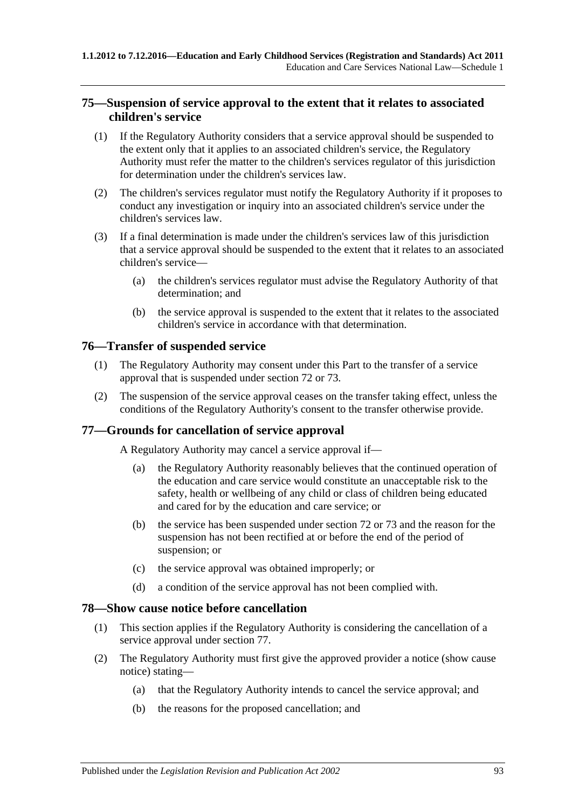# **75—Suspension of service approval to the extent that it relates to associated children's service**

- (1) If the Regulatory Authority considers that a service approval should be suspended to the extent only that it applies to an associated children's service, the Regulatory Authority must refer the matter to the children's services regulator of this jurisdiction for determination under the children's services law.
- (2) The children's services regulator must notify the Regulatory Authority if it proposes to conduct any investigation or inquiry into an associated children's service under the children's services law.
- (3) If a final determination is made under the children's services law of this jurisdiction that a service approval should be suspended to the extent that it relates to an associated children's service—
	- (a) the children's services regulator must advise the Regulatory Authority of that determination; and
	- (b) the service approval is suspended to the extent that it relates to the associated children's service in accordance with that determination.

# **76—Transfer of suspended service**

- (1) The Regulatory Authority may consent under this Part to the transfer of a service approval that is suspended under section 72 or 73.
- (2) The suspension of the service approval ceases on the transfer taking effect, unless the conditions of the Regulatory Authority's consent to the transfer otherwise provide.

# **77—Grounds for cancellation of service approval**

A Regulatory Authority may cancel a service approval if—

- (a) the Regulatory Authority reasonably believes that the continued operation of the education and care service would constitute an unacceptable risk to the safety, health or wellbeing of any child or class of children being educated and cared for by the education and care service; or
- (b) the service has been suspended under section 72 or 73 and the reason for the suspension has not been rectified at or before the end of the period of suspension; or
- (c) the service approval was obtained improperly; or
- (d) a condition of the service approval has not been complied with.

# **78—Show cause notice before cancellation**

- (1) This section applies if the Regulatory Authority is considering the cancellation of a service approval under section 77.
- (2) The Regulatory Authority must first give the approved provider a notice (show cause notice) stating—
	- (a) that the Regulatory Authority intends to cancel the service approval; and
	- (b) the reasons for the proposed cancellation; and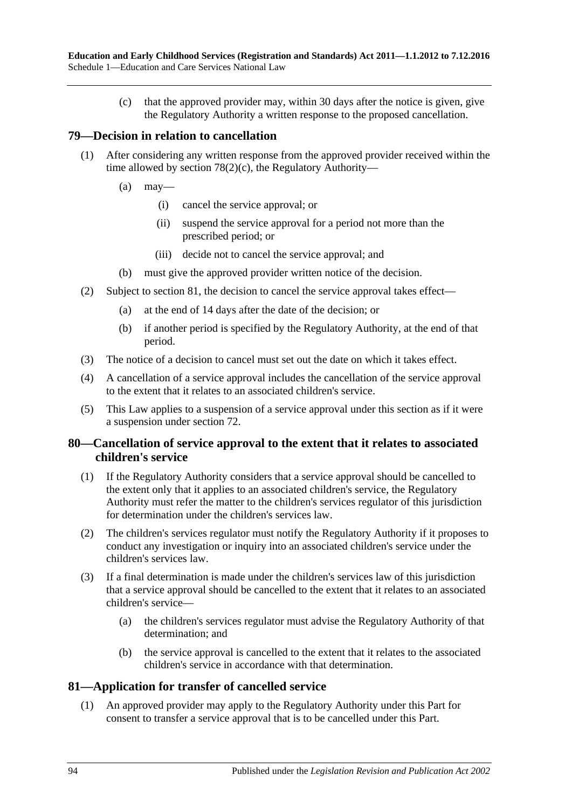(c) that the approved provider may, within 30 days after the notice is given, give the Regulatory Authority a written response to the proposed cancellation.

# <span id="page-93-0"></span>**79—Decision in relation to cancellation**

- (1) After considering any written response from the approved provider received within the time allowed by section [78\(2\)\(c\),](#page-93-0) the Regulatory Authority—
	- $(a)$  may—
		- (i) cancel the service approval; or
		- (ii) suspend the service approval for a period not more than the prescribed period; or
		- (iii) decide not to cancel the service approval; and
	- (b) must give the approved provider written notice of the decision.
- (2) Subject to section 81, the decision to cancel the service approval takes effect—
	- (a) at the end of 14 days after the date of the decision; or
	- (b) if another period is specified by the Regulatory Authority, at the end of that period.
- (3) The notice of a decision to cancel must set out the date on which it takes effect.
- (4) A cancellation of a service approval includes the cancellation of the service approval to the extent that it relates to an associated children's service.
- (5) This Law applies to a suspension of a service approval under this section as if it were a suspension under section 72.

# **80—Cancellation of service approval to the extent that it relates to associated children's service**

- (1) If the Regulatory Authority considers that a service approval should be cancelled to the extent only that it applies to an associated children's service, the Regulatory Authority must refer the matter to the children's services regulator of this jurisdiction for determination under the children's services law.
- (2) The children's services regulator must notify the Regulatory Authority if it proposes to conduct any investigation or inquiry into an associated children's service under the children's services law.
- (3) If a final determination is made under the children's services law of this jurisdiction that a service approval should be cancelled to the extent that it relates to an associated children's service—
	- (a) the children's services regulator must advise the Regulatory Authority of that determination; and
	- (b) the service approval is cancelled to the extent that it relates to the associated children's service in accordance with that determination.

# **81—Application for transfer of cancelled service**

(1) An approved provider may apply to the Regulatory Authority under this Part for consent to transfer a service approval that is to be cancelled under this Part.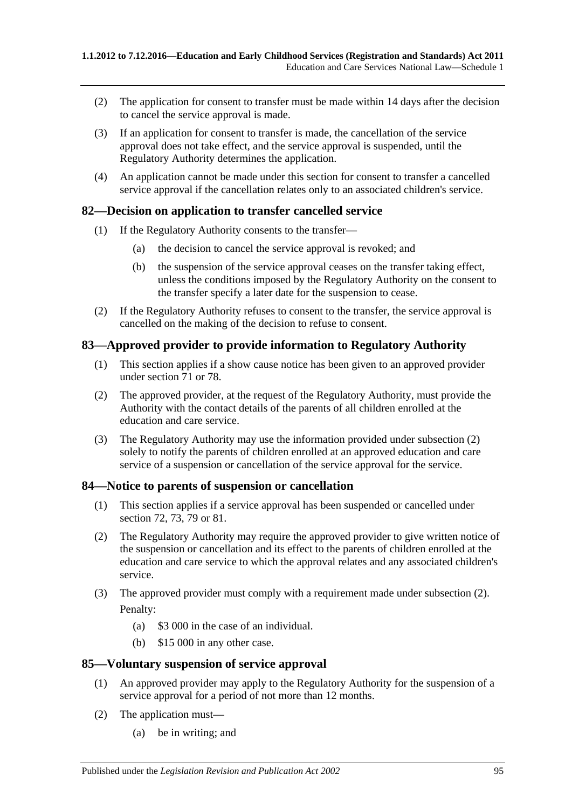- (2) The application for consent to transfer must be made within 14 days after the decision to cancel the service approval is made.
- (3) If an application for consent to transfer is made, the cancellation of the service approval does not take effect, and the service approval is suspended, until the Regulatory Authority determines the application.
- (4) An application cannot be made under this section for consent to transfer a cancelled service approval if the cancellation relates only to an associated children's service.

# **82—Decision on application to transfer cancelled service**

- (1) If the Regulatory Authority consents to the transfer—
	- (a) the decision to cancel the service approval is revoked; and
	- (b) the suspension of the service approval ceases on the transfer taking effect, unless the conditions imposed by the Regulatory Authority on the consent to the transfer specify a later date for the suspension to cease.
- (2) If the Regulatory Authority refuses to consent to the transfer, the service approval is cancelled on the making of the decision to refuse to consent.

# **83—Approved provider to provide information to Regulatory Authority**

- (1) This section applies if a show cause notice has been given to an approved provider under section 71 or 78.
- <span id="page-94-0"></span>(2) The approved provider, at the request of the Regulatory Authority, must provide the Authority with the contact details of the parents of all children enrolled at the education and care service.
- (3) The Regulatory Authority may use the information provided under [subsection](#page-94-0) (2) solely to notify the parents of children enrolled at an approved education and care service of a suspension or cancellation of the service approval for the service.

# **84—Notice to parents of suspension or cancellation**

- (1) This section applies if a service approval has been suspended or cancelled under section 72, 73, 79 or 81.
- <span id="page-94-1"></span>(2) The Regulatory Authority may require the approved provider to give written notice of the suspension or cancellation and its effect to the parents of children enrolled at the education and care service to which the approval relates and any associated children's service.
- (3) The approved provider must comply with a requirement made under [subsection](#page-94-1) (2). Penalty:
	- (a) \$3 000 in the case of an individual.
	- (b) \$15 000 in any other case.

# **85—Voluntary suspension of service approval**

- (1) An approved provider may apply to the Regulatory Authority for the suspension of a service approval for a period of not more than 12 months.
- (2) The application must—
	- (a) be in writing; and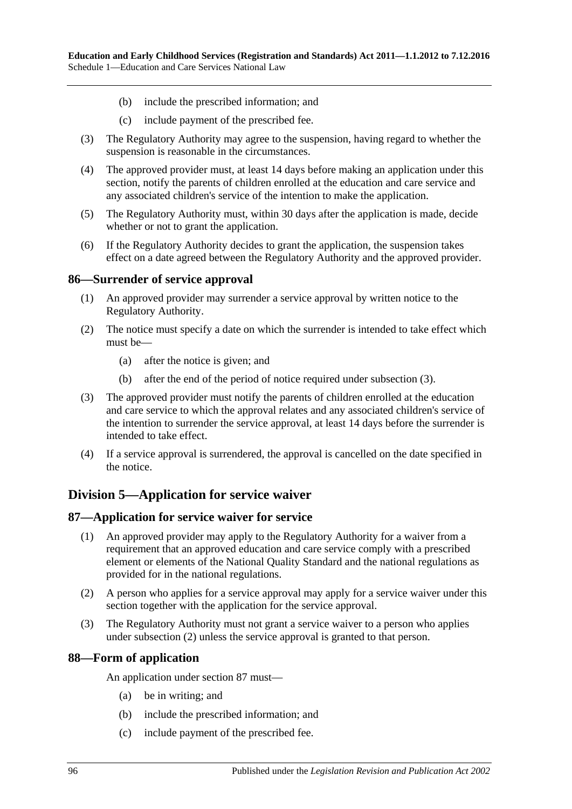- (b) include the prescribed information; and
- (c) include payment of the prescribed fee.
- (3) The Regulatory Authority may agree to the suspension, having regard to whether the suspension is reasonable in the circumstances.
- (4) The approved provider must, at least 14 days before making an application under this section, notify the parents of children enrolled at the education and care service and any associated children's service of the intention to make the application.
- (5) The Regulatory Authority must, within 30 days after the application is made, decide whether or not to grant the application.
- (6) If the Regulatory Authority decides to grant the application, the suspension takes effect on a date agreed between the Regulatory Authority and the approved provider.

#### **86—Surrender of service approval**

- (1) An approved provider may surrender a service approval by written notice to the Regulatory Authority.
- (2) The notice must specify a date on which the surrender is intended to take effect which must be—
	- (a) after the notice is given; and
	- (b) after the end of the period of notice required under [subsection](#page-95-0) (3).
- <span id="page-95-0"></span>(3) The approved provider must notify the parents of children enrolled at the education and care service to which the approval relates and any associated children's service of the intention to surrender the service approval, at least 14 days before the surrender is intended to take effect.
- (4) If a service approval is surrendered, the approval is cancelled on the date specified in the notice.

# **Division 5—Application for service waiver**

#### **87—Application for service waiver for service**

- (1) An approved provider may apply to the Regulatory Authority for a waiver from a requirement that an approved education and care service comply with a prescribed element or elements of the National Quality Standard and the national regulations as provided for in the national regulations.
- <span id="page-95-1"></span>(2) A person who applies for a service approval may apply for a service waiver under this section together with the application for the service approval.
- (3) The Regulatory Authority must not grant a service waiver to a person who applies under [subsection](#page-95-1) (2) unless the service approval is granted to that person.

#### **88—Form of application**

An application under section 87 must—

- (a) be in writing; and
- (b) include the prescribed information; and
- (c) include payment of the prescribed fee.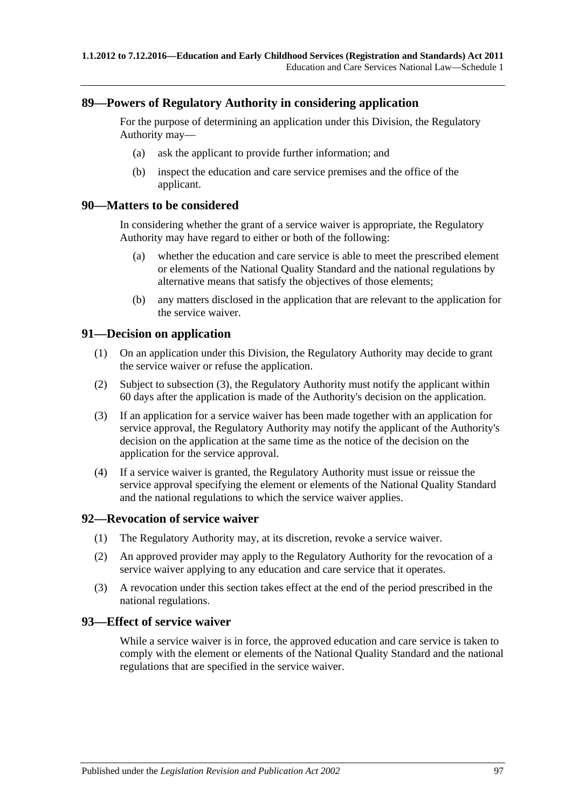### **89—Powers of Regulatory Authority in considering application**

For the purpose of determining an application under this Division, the Regulatory Authority may—

- (a) ask the applicant to provide further information; and
- (b) inspect the education and care service premises and the office of the applicant.

# **90—Matters to be considered**

In considering whether the grant of a service waiver is appropriate, the Regulatory Authority may have regard to either or both of the following:

- (a) whether the education and care service is able to meet the prescribed element or elements of the National Quality Standard and the national regulations by alternative means that satisfy the objectives of those elements;
- (b) any matters disclosed in the application that are relevant to the application for the service waiver.

### **91—Decision on application**

- (1) On an application under this Division, the Regulatory Authority may decide to grant the service waiver or refuse the application.
- (2) Subject to [subsection](#page-96-0) (3), the Regulatory Authority must notify the applicant within 60 days after the application is made of the Authority's decision on the application.
- <span id="page-96-0"></span>(3) If an application for a service waiver has been made together with an application for service approval, the Regulatory Authority may notify the applicant of the Authority's decision on the application at the same time as the notice of the decision on the application for the service approval.
- (4) If a service waiver is granted, the Regulatory Authority must issue or reissue the service approval specifying the element or elements of the National Quality Standard and the national regulations to which the service waiver applies.

#### **92—Revocation of service waiver**

- (1) The Regulatory Authority may, at its discretion, revoke a service waiver.
- (2) An approved provider may apply to the Regulatory Authority for the revocation of a service waiver applying to any education and care service that it operates.
- (3) A revocation under this section takes effect at the end of the period prescribed in the national regulations.

#### **93—Effect of service waiver**

While a service waiver is in force, the approved education and care service is taken to comply with the element or elements of the National Quality Standard and the national regulations that are specified in the service waiver.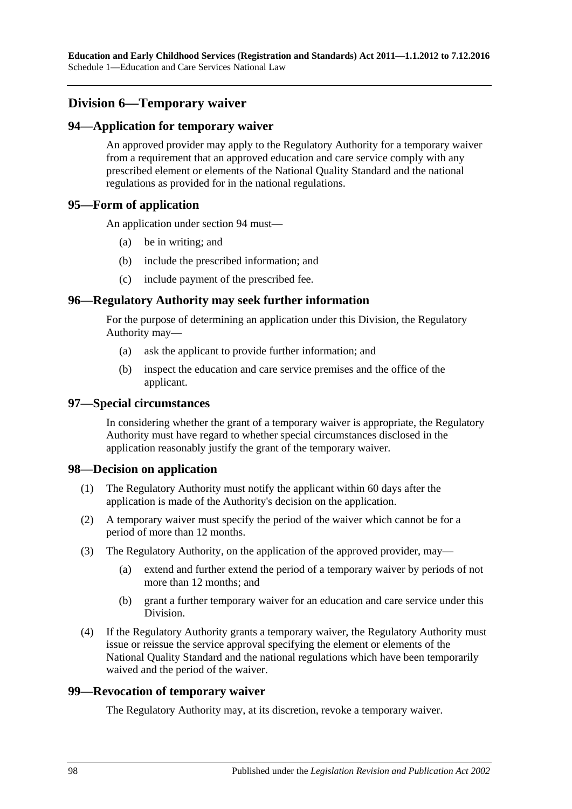# **Division 6—Temporary waiver**

### **94—Application for temporary waiver**

An approved provider may apply to the Regulatory Authority for a temporary waiver from a requirement that an approved education and care service comply with any prescribed element or elements of the National Quality Standard and the national regulations as provided for in the national regulations.

#### **95—Form of application**

An application under section 94 must—

- (a) be in writing; and
- (b) include the prescribed information; and
- (c) include payment of the prescribed fee.

#### **96—Regulatory Authority may seek further information**

For the purpose of determining an application under this Division, the Regulatory Authority may—

- (a) ask the applicant to provide further information; and
- (b) inspect the education and care service premises and the office of the applicant.

#### **97—Special circumstances**

In considering whether the grant of a temporary waiver is appropriate, the Regulatory Authority must have regard to whether special circumstances disclosed in the application reasonably justify the grant of the temporary waiver.

#### **98—Decision on application**

- (1) The Regulatory Authority must notify the applicant within 60 days after the application is made of the Authority's decision on the application.
- (2) A temporary waiver must specify the period of the waiver which cannot be for a period of more than 12 months.
- (3) The Regulatory Authority, on the application of the approved provider, may—
	- (a) extend and further extend the period of a temporary waiver by periods of not more than 12 months; and
	- (b) grant a further temporary waiver for an education and care service under this Division.
- (4) If the Regulatory Authority grants a temporary waiver, the Regulatory Authority must issue or reissue the service approval specifying the element or elements of the National Quality Standard and the national regulations which have been temporarily waived and the period of the waiver.

#### **99—Revocation of temporary waiver**

The Regulatory Authority may, at its discretion, revoke a temporary waiver.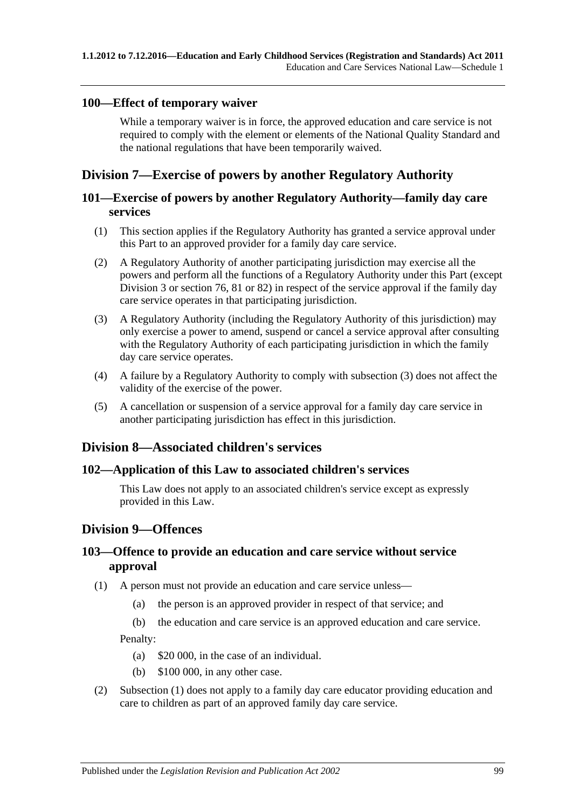# **100—Effect of temporary waiver**

While a temporary waiver is in force, the approved education and care service is not required to comply with the element or elements of the National Quality Standard and the national regulations that have been temporarily waived.

# **Division 7—Exercise of powers by another Regulatory Authority**

# **101—Exercise of powers by another Regulatory Authority—family day care services**

- (1) This section applies if the Regulatory Authority has granted a service approval under this Part to an approved provider for a family day care service.
- (2) A Regulatory Authority of another participating jurisdiction may exercise all the powers and perform all the functions of a Regulatory Authority under this Part (except Division 3 or section 76, 81 or 82) in respect of the service approval if the family day care service operates in that participating jurisdiction.
- <span id="page-98-0"></span>(3) A Regulatory Authority (including the Regulatory Authority of this jurisdiction) may only exercise a power to amend, suspend or cancel a service approval after consulting with the Regulatory Authority of each participating jurisdiction in which the family day care service operates.
- (4) A failure by a Regulatory Authority to comply with [subsection](#page-98-0) (3) does not affect the validity of the exercise of the power.
- (5) A cancellation or suspension of a service approval for a family day care service in another participating jurisdiction has effect in this jurisdiction.

# **Division 8—Associated children's services**

#### **102—Application of this Law to associated children's services**

This Law does not apply to an associated children's service except as expressly provided in this Law.

# **Division 9—Offences**

# **103—Offence to provide an education and care service without service approval**

- <span id="page-98-1"></span>(1) A person must not provide an education and care service unless—
	- (a) the person is an approved provider in respect of that service; and
	- (b) the education and care service is an approved education and care service.

#### Penalty:

- (a) \$20 000, in the case of an individual.
- (b) \$100 000, in any other case.
- (2) [Subsection \(1\)](#page-98-1) does not apply to a family day care educator providing education and care to children as part of an approved family day care service.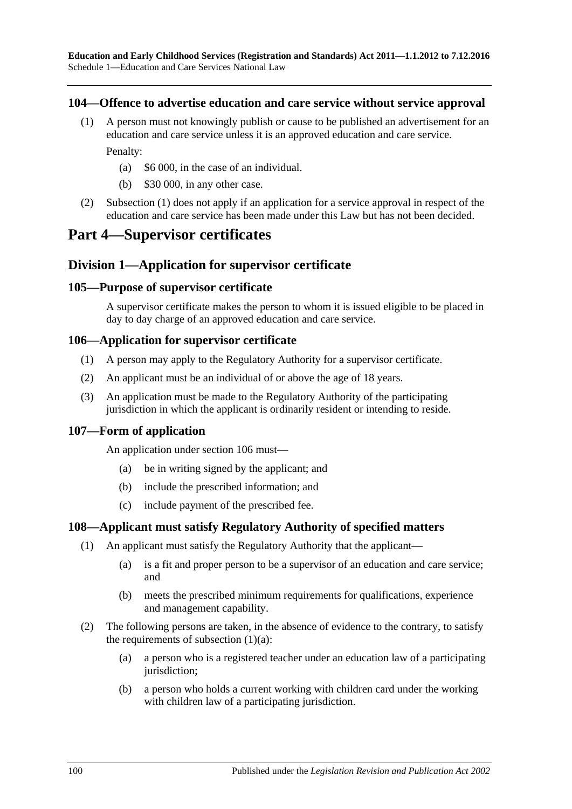**Education and Early Childhood Services (Registration and Standards) Act 2011—1.1.2012 to 7.12.2016** Schedule 1—Education and Care Services National Law

#### <span id="page-99-0"></span>**104—Offence to advertise education and care service without service approval**

- (1) A person must not knowingly publish or cause to be published an advertisement for an education and care service unless it is an approved education and care service. Penalty:
	- (a) \$6 000, in the case of an individual.
	- (b) \$30 000, in any other case.
- (2) [Subsection \(1\)](#page-99-0) does not apply if an application for a service approval in respect of the education and care service has been made under this Law but has not been decided.

# **Part 4—Supervisor certificates**

# **Division 1—Application for supervisor certificate**

#### **105—Purpose of supervisor certificate**

A supervisor certificate makes the person to whom it is issued eligible to be placed in day to day charge of an approved education and care service.

#### **106—Application for supervisor certificate**

- (1) A person may apply to the Regulatory Authority for a supervisor certificate.
- (2) An applicant must be an individual of or above the age of 18 years.
- (3) An application must be made to the Regulatory Authority of the participating jurisdiction in which the applicant is ordinarily resident or intending to reside.

#### **107—Form of application**

An application under section 106 must—

- (a) be in writing signed by the applicant; and
- (b) include the prescribed information; and
- (c) include payment of the prescribed fee.

#### **108—Applicant must satisfy Regulatory Authority of specified matters**

- <span id="page-99-1"></span>(1) An applicant must satisfy the Regulatory Authority that the applicant—
	- (a) is a fit and proper person to be a supervisor of an education and care service; and
	- (b) meets the prescribed minimum requirements for qualifications, experience and management capability.
- (2) The following persons are taken, in the absence of evidence to the contrary, to satisfy the requirements of [subsection](#page-99-1)  $(1)(a)$ :
	- (a) a person who is a registered teacher under an education law of a participating jurisdiction;
	- (b) a person who holds a current working with children card under the working with children law of a participating jurisdiction.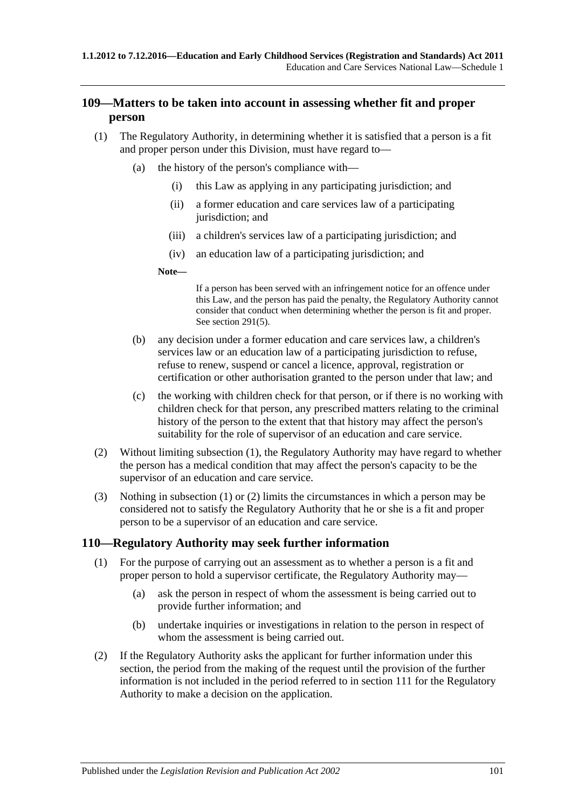# **109—Matters to be taken into account in assessing whether fit and proper person**

- <span id="page-100-0"></span>(1) The Regulatory Authority, in determining whether it is satisfied that a person is a fit and proper person under this Division, must have regard to—
	- (a) the history of the person's compliance with—
		- (i) this Law as applying in any participating jurisdiction; and
		- (ii) a former education and care services law of a participating jurisdiction; and
		- (iii) a children's services law of a participating jurisdiction; and
		- (iv) an education law of a participating jurisdiction; and

**Note—**

If a person has been served with an infringement notice for an offence under this Law, and the person has paid the penalty, the Regulatory Authority cannot consider that conduct when determining whether the person is fit and proper. See [section](#page-168-0) 291(5).

- (b) any decision under a former education and care services law, a children's services law or an education law of a participating jurisdiction to refuse, refuse to renew, suspend or cancel a licence, approval, registration or certification or other authorisation granted to the person under that law; and
- (c) the working with children check for that person, or if there is no working with children check for that person, any prescribed matters relating to the criminal history of the person to the extent that that history may affect the person's suitability for the role of supervisor of an education and care service.
- <span id="page-100-1"></span>(2) Without limiting [subsection](#page-100-0) (1), the Regulatory Authority may have regard to whether the person has a medical condition that may affect the person's capacity to be the supervisor of an education and care service.
- (3) Nothing in [subsection](#page-100-0) (1) or [\(2\)](#page-100-1) limits the circumstances in which a person may be considered not to satisfy the Regulatory Authority that he or she is a fit and proper person to be a supervisor of an education and care service.

# **110—Regulatory Authority may seek further information**

- (1) For the purpose of carrying out an assessment as to whether a person is a fit and proper person to hold a supervisor certificate, the Regulatory Authority may—
	- (a) ask the person in respect of whom the assessment is being carried out to provide further information; and
	- (b) undertake inquiries or investigations in relation to the person in respect of whom the assessment is being carried out.
- <span id="page-100-2"></span>(2) If the Regulatory Authority asks the applicant for further information under this section, the period from the making of the request until the provision of the further information is not included in the period referred to in section 111 for the Regulatory Authority to make a decision on the application.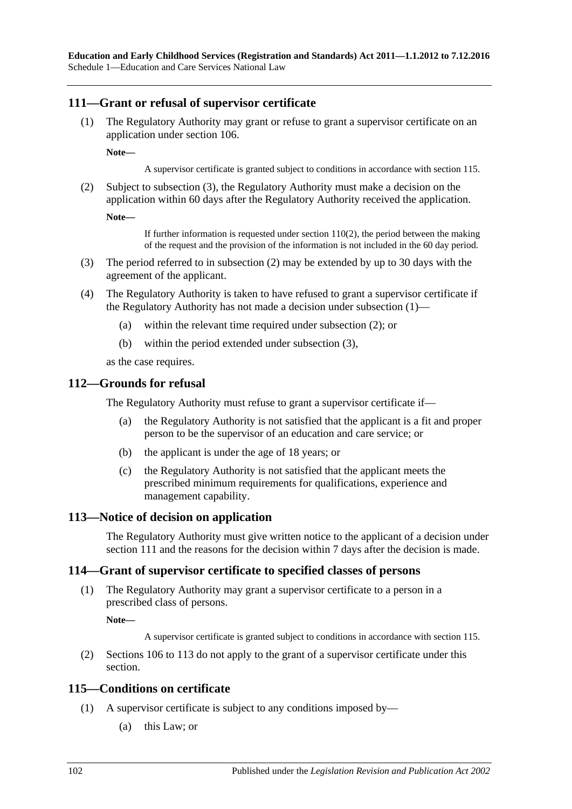# <span id="page-101-2"></span>**111—Grant or refusal of supervisor certificate**

(1) The Regulatory Authority may grant or refuse to grant a supervisor certificate on an application under section 106.

**Note—**

A supervisor certificate is granted subject to conditions in accordance with section 115.

<span id="page-101-1"></span>(2) Subject to [subsection](#page-101-0) (3), the Regulatory Authority must make a decision on the application within 60 days after the Regulatory Authority received the application.

**Note—**

If further information is requested under [section](#page-100-2)  $110(2)$ , the period between the making of the request and the provision of the information is not included in the 60 day period.

- <span id="page-101-0"></span>(3) The period referred to in [subsection](#page-101-1) (2) may be extended by up to 30 days with the agreement of the applicant.
- (4) The Regulatory Authority is taken to have refused to grant a supervisor certificate if the Regulatory Authority has not made a decision under [subsection](#page-101-2) (1)—
	- (a) within the relevant time required under [subsection](#page-101-1) (2); or
	- (b) within the period extended under [subsection](#page-101-0) (3),

as the case requires.

#### **112—Grounds for refusal**

The Regulatory Authority must refuse to grant a supervisor certificate if—

- (a) the Regulatory Authority is not satisfied that the applicant is a fit and proper person to be the supervisor of an education and care service; or
- (b) the applicant is under the age of 18 years; or
- (c) the Regulatory Authority is not satisfied that the applicant meets the prescribed minimum requirements for qualifications, experience and management capability.

#### **113—Notice of decision on application**

The Regulatory Authority must give written notice to the applicant of a decision under section 111 and the reasons for the decision within 7 days after the decision is made.

#### **114—Grant of supervisor certificate to specified classes of persons**

(1) The Regulatory Authority may grant a supervisor certificate to a person in a prescribed class of persons.

**Note—**

A supervisor certificate is granted subject to conditions in accordance with section 115.

(2) Sections 106 to 113 do not apply to the grant of a supervisor certificate under this section.

#### <span id="page-101-3"></span>**115—Conditions on certificate**

- (1) A supervisor certificate is subject to any conditions imposed by—
	- (a) this Law; or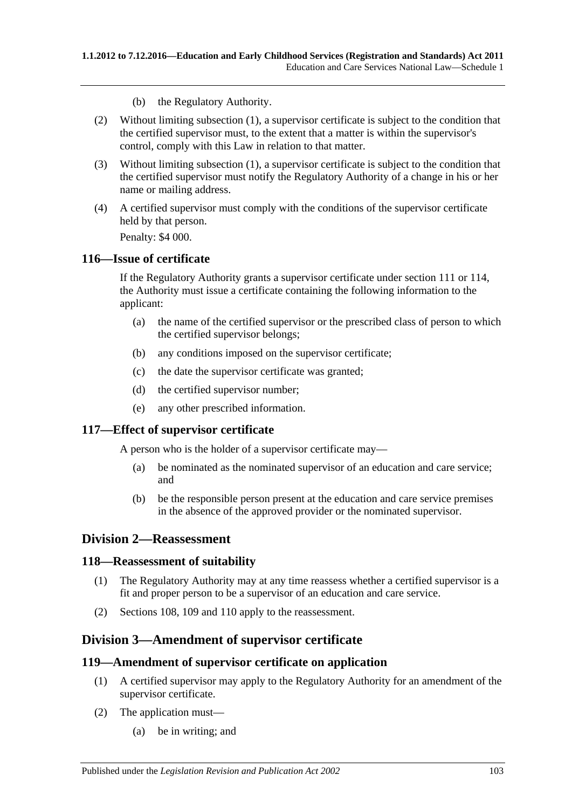- (b) the Regulatory Authority.
- (2) Without limiting [subsection](#page-101-3) (1), a supervisor certificate is subject to the condition that the certified supervisor must, to the extent that a matter is within the supervisor's control, comply with this Law in relation to that matter.
- (3) Without limiting [subsection](#page-101-3) (1), a supervisor certificate is subject to the condition that the certified supervisor must notify the Regulatory Authority of a change in his or her name or mailing address.
- (4) A certified supervisor must comply with the conditions of the supervisor certificate held by that person.

Penalty: \$4 000.

# **116—Issue of certificate**

If the Regulatory Authority grants a supervisor certificate under section 111 or 114, the Authority must issue a certificate containing the following information to the applicant:

- (a) the name of the certified supervisor or the prescribed class of person to which the certified supervisor belongs;
- (b) any conditions imposed on the supervisor certificate;
- (c) the date the supervisor certificate was granted;
- (d) the certified supervisor number;
- (e) any other prescribed information.

# **117—Effect of supervisor certificate**

A person who is the holder of a supervisor certificate may—

- (a) be nominated as the nominated supervisor of an education and care service; and
- (b) be the responsible person present at the education and care service premises in the absence of the approved provider or the nominated supervisor.

# **Division 2—Reassessment**

#### **118—Reassessment of suitability**

- (1) The Regulatory Authority may at any time reassess whether a certified supervisor is a fit and proper person to be a supervisor of an education and care service.
- (2) Sections 108, 109 and 110 apply to the reassessment.

# **Division 3—Amendment of supervisor certificate**

#### **119—Amendment of supervisor certificate on application**

- (1) A certified supervisor may apply to the Regulatory Authority for an amendment of the supervisor certificate.
- (2) The application must—
	- (a) be in writing; and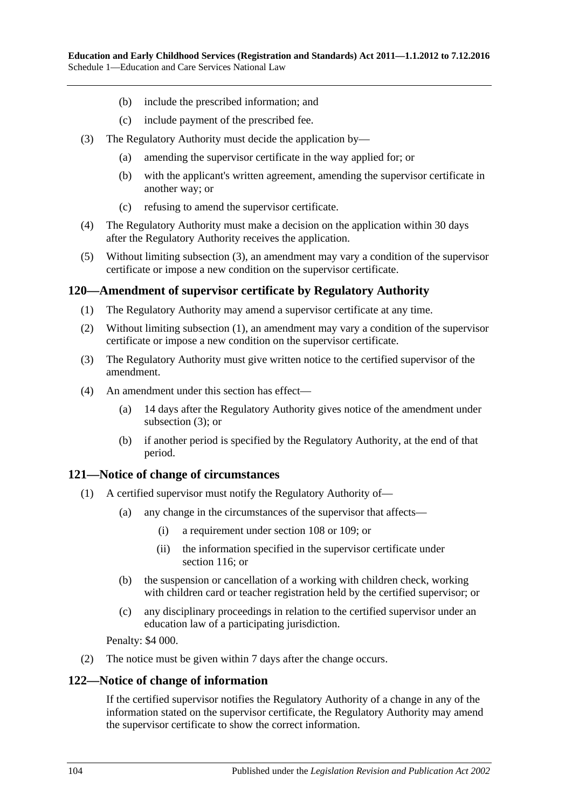- (b) include the prescribed information; and
- (c) include payment of the prescribed fee.
- <span id="page-103-0"></span>(3) The Regulatory Authority must decide the application by—
	- (a) amending the supervisor certificate in the way applied for; or
	- (b) with the applicant's written agreement, amending the supervisor certificate in another way; or
	- (c) refusing to amend the supervisor certificate.
- (4) The Regulatory Authority must make a decision on the application within 30 days after the Regulatory Authority receives the application.
- (5) Without limiting [subsection](#page-103-0) (3), an amendment may vary a condition of the supervisor certificate or impose a new condition on the supervisor certificate.

# <span id="page-103-1"></span>**120—Amendment of supervisor certificate by Regulatory Authority**

- (1) The Regulatory Authority may amend a supervisor certificate at any time.
- (2) Without limiting [subsection](#page-103-1) (1), an amendment may vary a condition of the supervisor certificate or impose a new condition on the supervisor certificate.
- <span id="page-103-2"></span>(3) The Regulatory Authority must give written notice to the certified supervisor of the amendment.
- (4) An amendment under this section has effect—
	- (a) 14 days after the Regulatory Authority gives notice of the amendment under [subsection](#page-103-2) (3); or
	- (b) if another period is specified by the Regulatory Authority, at the end of that period.

#### **121—Notice of change of circumstances**

- (1) A certified supervisor must notify the Regulatory Authority of—
	- (a) any change in the circumstances of the supervisor that affects—
		- (i) a requirement under section 108 or 109; or
		- (ii) the information specified in the supervisor certificate under section 116; or
	- (b) the suspension or cancellation of a working with children check, working with children card or teacher registration held by the certified supervisor; or
	- (c) any disciplinary proceedings in relation to the certified supervisor under an education law of a participating jurisdiction.

Penalty: \$4 000.

(2) The notice must be given within 7 days after the change occurs.

# **122—Notice of change of information**

If the certified supervisor notifies the Regulatory Authority of a change in any of the information stated on the supervisor certificate, the Regulatory Authority may amend the supervisor certificate to show the correct information.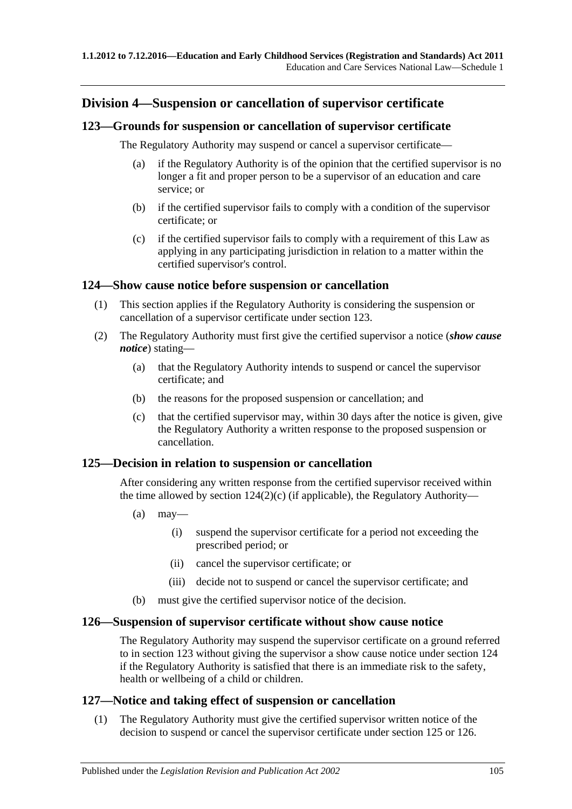# **Division 4—Suspension or cancellation of supervisor certificate**

# **123—Grounds for suspension or cancellation of supervisor certificate**

The Regulatory Authority may suspend or cancel a supervisor certificate—

- (a) if the Regulatory Authority is of the opinion that the certified supervisor is no longer a fit and proper person to be a supervisor of an education and care service; or
- (b) if the certified supervisor fails to comply with a condition of the supervisor certificate; or
- (c) if the certified supervisor fails to comply with a requirement of this Law as applying in any participating jurisdiction in relation to a matter within the certified supervisor's control.

# **124—Show cause notice before suspension or cancellation**

- (1) This section applies if the Regulatory Authority is considering the suspension or cancellation of a supervisor certificate under section 123.
- (2) The Regulatory Authority must first give the certified supervisor a notice (*show cause notice*) stating—
	- (a) that the Regulatory Authority intends to suspend or cancel the supervisor certificate; and
	- (b) the reasons for the proposed suspension or cancellation; and
	- (c) that the certified supervisor may, within 30 days after the notice is given, give the Regulatory Authority a written response to the proposed suspension or cancellation.

# <span id="page-104-0"></span>**125—Decision in relation to suspension or cancellation**

After considering any written response from the certified supervisor received within the time allowed by section [124\(2\)\(c\)](#page-104-0) (if applicable), the Regulatory Authority—

- $(a)$  may—
	- (i) suspend the supervisor certificate for a period not exceeding the prescribed period; or
	- (ii) cancel the supervisor certificate; or
	- (iii) decide not to suspend or cancel the supervisor certificate; and
- (b) must give the certified supervisor notice of the decision.

# **126—Suspension of supervisor certificate without show cause notice**

The Regulatory Authority may suspend the supervisor certificate on a ground referred to in section 123 without giving the supervisor a show cause notice under section 124 if the Regulatory Authority is satisfied that there is an immediate risk to the safety, health or wellbeing of a child or children.

# **127—Notice and taking effect of suspension or cancellation**

(1) The Regulatory Authority must give the certified supervisor written notice of the decision to suspend or cancel the supervisor certificate under section 125 or 126.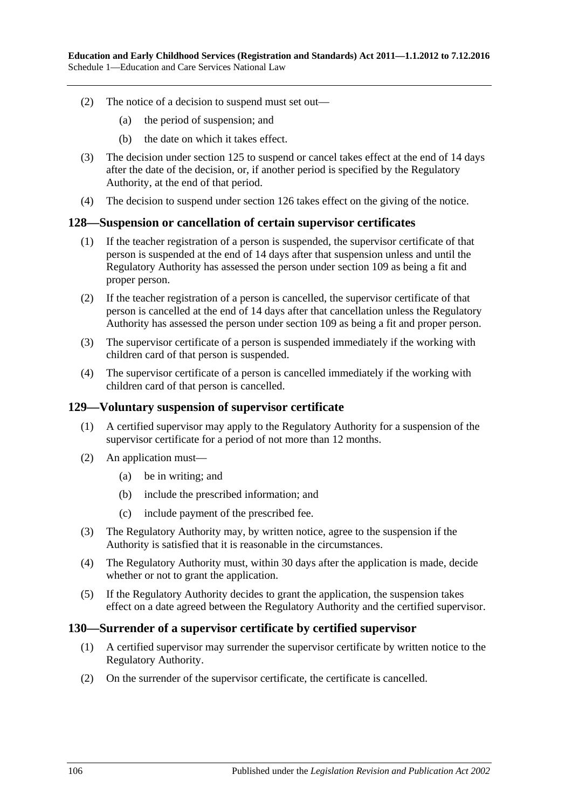- (2) The notice of a decision to suspend must set out—
	- (a) the period of suspension; and
	- (b) the date on which it takes effect.
- (3) The decision under section 125 to suspend or cancel takes effect at the end of 14 days after the date of the decision, or, if another period is specified by the Regulatory Authority, at the end of that period.
- (4) The decision to suspend under section 126 takes effect on the giving of the notice.

#### **128—Suspension or cancellation of certain supervisor certificates**

- (1) If the teacher registration of a person is suspended, the supervisor certificate of that person is suspended at the end of 14 days after that suspension unless and until the Regulatory Authority has assessed the person under section 109 as being a fit and proper person.
- (2) If the teacher registration of a person is cancelled, the supervisor certificate of that person is cancelled at the end of 14 days after that cancellation unless the Regulatory Authority has assessed the person under section 109 as being a fit and proper person.
- (3) The supervisor certificate of a person is suspended immediately if the working with children card of that person is suspended.
- (4) The supervisor certificate of a person is cancelled immediately if the working with children card of that person is cancelled.

#### **129—Voluntary suspension of supervisor certificate**

- (1) A certified supervisor may apply to the Regulatory Authority for a suspension of the supervisor certificate for a period of not more than 12 months.
- (2) An application must—
	- (a) be in writing; and
	- (b) include the prescribed information; and
	- (c) include payment of the prescribed fee.
- (3) The Regulatory Authority may, by written notice, agree to the suspension if the Authority is satisfied that it is reasonable in the circumstances.
- (4) The Regulatory Authority must, within 30 days after the application is made, decide whether or not to grant the application.
- (5) If the Regulatory Authority decides to grant the application, the suspension takes effect on a date agreed between the Regulatory Authority and the certified supervisor.

#### **130—Surrender of a supervisor certificate by certified supervisor**

- (1) A certified supervisor may surrender the supervisor certificate by written notice to the Regulatory Authority.
- (2) On the surrender of the supervisor certificate, the certificate is cancelled.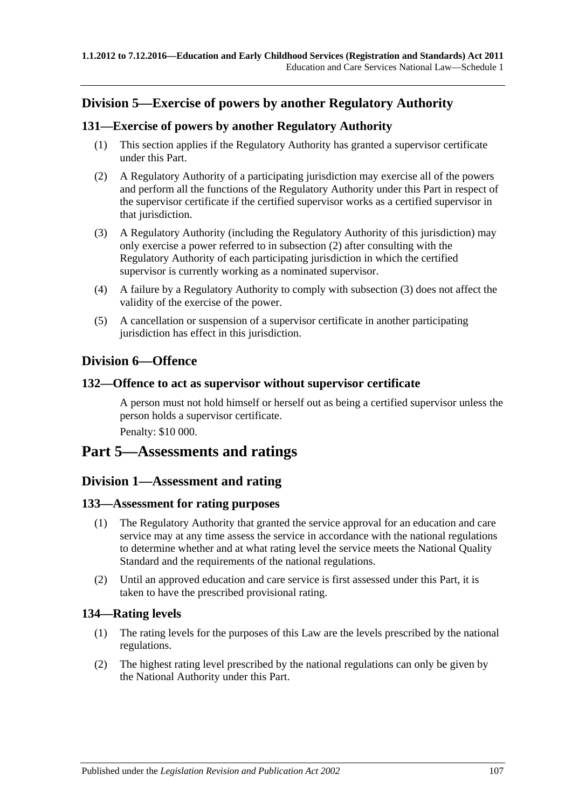# **Division 5—Exercise of powers by another Regulatory Authority**

# **131—Exercise of powers by another Regulatory Authority**

- (1) This section applies if the Regulatory Authority has granted a supervisor certificate under this Part.
- <span id="page-106-0"></span>(2) A Regulatory Authority of a participating jurisdiction may exercise all of the powers and perform all the functions of the Regulatory Authority under this Part in respect of the supervisor certificate if the certified supervisor works as a certified supervisor in that jurisdiction.
- <span id="page-106-1"></span>(3) A Regulatory Authority (including the Regulatory Authority of this jurisdiction) may only exercise a power referred to in [subsection](#page-106-0) (2) after consulting with the Regulatory Authority of each participating jurisdiction in which the certified supervisor is currently working as a nominated supervisor.
- (4) A failure by a Regulatory Authority to comply with [subsection](#page-106-1) (3) does not affect the validity of the exercise of the power.
- (5) A cancellation or suspension of a supervisor certificate in another participating jurisdiction has effect in this jurisdiction.

# **Division 6—Offence**

# **132—Offence to act as supervisor without supervisor certificate**

A person must not hold himself or herself out as being a certified supervisor unless the person holds a supervisor certificate.

Penalty: \$10 000.

# **Part 5—Assessments and ratings**

# **Division 1—Assessment and rating**

# **133—Assessment for rating purposes**

- (1) The Regulatory Authority that granted the service approval for an education and care service may at any time assess the service in accordance with the national regulations to determine whether and at what rating level the service meets the National Quality Standard and the requirements of the national regulations.
- (2) Until an approved education and care service is first assessed under this Part, it is taken to have the prescribed provisional rating.

# **134—Rating levels**

- (1) The rating levels for the purposes of this Law are the levels prescribed by the national regulations.
- (2) The highest rating level prescribed by the national regulations can only be given by the National Authority under this Part.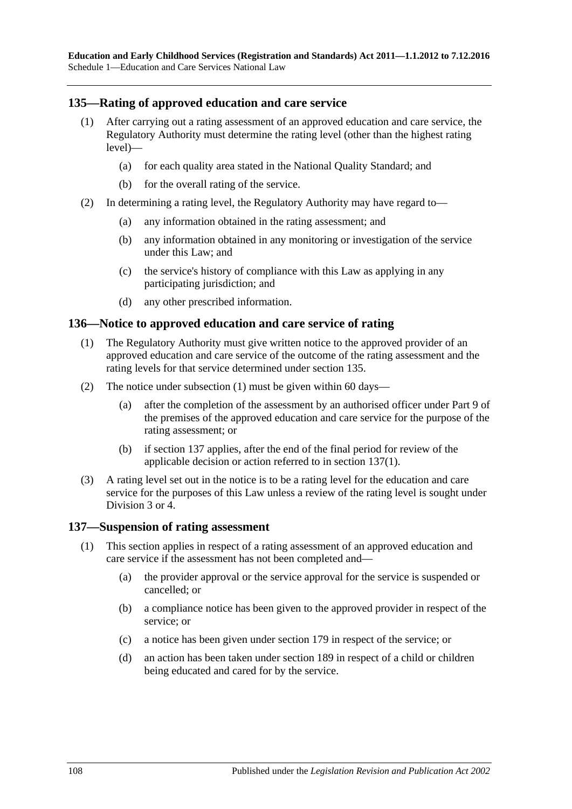# **135—Rating of approved education and care service**

- (1) After carrying out a rating assessment of an approved education and care service, the Regulatory Authority must determine the rating level (other than the highest rating level)—
	- (a) for each quality area stated in the National Quality Standard; and
	- (b) for the overall rating of the service.
- (2) In determining a rating level, the Regulatory Authority may have regard to—
	- (a) any information obtained in the rating assessment; and
	- (b) any information obtained in any monitoring or investigation of the service under this Law; and
	- (c) the service's history of compliance with this Law as applying in any participating jurisdiction; and
	- (d) any other prescribed information.

### <span id="page-107-0"></span>**136—Notice to approved education and care service of rating**

- (1) The Regulatory Authority must give written notice to the approved provider of an approved education and care service of the outcome of the rating assessment and the rating levels for that service determined under section 135.
- (2) The notice under [subsection](#page-107-0) (1) must be given within 60 days—
	- (a) after the completion of the assessment by an authorised officer under Part 9 of the premises of the approved education and care service for the purpose of the rating assessment; or
	- (b) if section 137 applies, after the end of the final period for review of the applicable decision or action referred to in [section](#page-107-1) 137(1).
- (3) A rating level set out in the notice is to be a rating level for the education and care service for the purposes of this Law unless a review of the rating level is sought under Division 3 or 4.

#### <span id="page-107-1"></span>**137—Suspension of rating assessment**

- (1) This section applies in respect of a rating assessment of an approved education and care service if the assessment has not been completed and—
	- (a) the provider approval or the service approval for the service is suspended or cancelled; or
	- (b) a compliance notice has been given to the approved provider in respect of the service; or
	- (c) a notice has been given under section 179 in respect of the service; or
	- (d) an action has been taken under section 189 in respect of a child or children being educated and cared for by the service.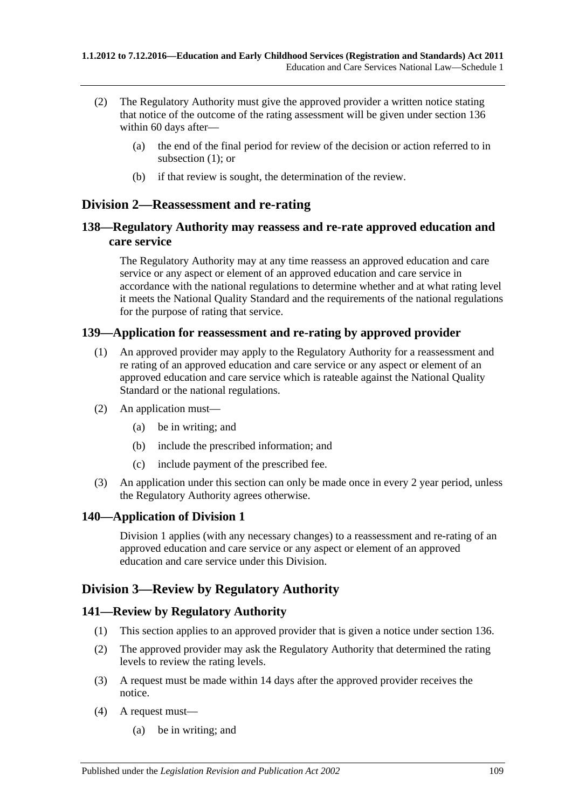- (2) The Regulatory Authority must give the approved provider a written notice stating that notice of the outcome of the rating assessment will be given under section 136 within 60 days after—
	- (a) the end of the final period for review of the decision or action referred to in [subsection](#page-107-0) (1); or
	- (b) if that review is sought, the determination of the review.

# **Division 2—Reassessment and re-rating**

## **138—Regulatory Authority may reassess and re-rate approved education and care service**

The Regulatory Authority may at any time reassess an approved education and care service or any aspect or element of an approved education and care service in accordance with the national regulations to determine whether and at what rating level it meets the National Quality Standard and the requirements of the national regulations for the purpose of rating that service.

## **139—Application for reassessment and re-rating by approved provider**

- (1) An approved provider may apply to the Regulatory Authority for a reassessment and re rating of an approved education and care service or any aspect or element of an approved education and care service which is rateable against the National Quality Standard or the national regulations.
- (2) An application must—
	- (a) be in writing; and
	- (b) include the prescribed information; and
	- (c) include payment of the prescribed fee.
- (3) An application under this section can only be made once in every 2 year period, unless the Regulatory Authority agrees otherwise.

## **140—Application of Division 1**

Division 1 applies (with any necessary changes) to a reassessment and re-rating of an approved education and care service or any aspect or element of an approved education and care service under this Division.

# **Division 3—Review by Regulatory Authority**

## **141—Review by Regulatory Authority**

- (1) This section applies to an approved provider that is given a notice under section 136.
- (2) The approved provider may ask the Regulatory Authority that determined the rating levels to review the rating levels.
- (3) A request must be made within 14 days after the approved provider receives the notice.
- (4) A request must—
	- (a) be in writing; and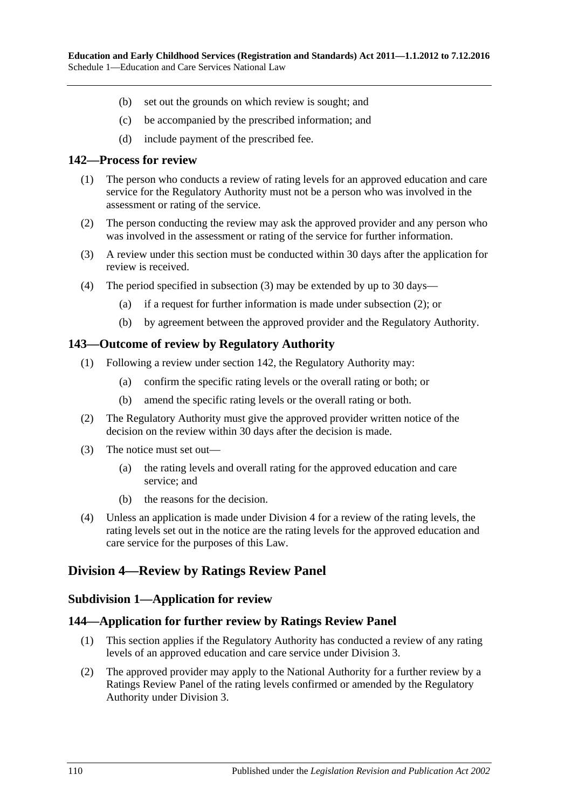- (b) set out the grounds on which review is sought; and
- (c) be accompanied by the prescribed information; and
- (d) include payment of the prescribed fee.

#### **142—Process for review**

- (1) The person who conducts a review of rating levels for an approved education and care service for the Regulatory Authority must not be a person who was involved in the assessment or rating of the service.
- <span id="page-109-1"></span>(2) The person conducting the review may ask the approved provider and any person who was involved in the assessment or rating of the service for further information.
- <span id="page-109-0"></span>(3) A review under this section must be conducted within 30 days after the application for review is received.
- (4) The period specified in [subsection](#page-109-0) (3) may be extended by up to 30 days—
	- (a) if a request for further information is made under [subsection](#page-109-1) (2); or
	- (b) by agreement between the approved provider and the Regulatory Authority.

#### **143—Outcome of review by Regulatory Authority**

- (1) Following a review under section 142, the Regulatory Authority may:
	- (a) confirm the specific rating levels or the overall rating or both; or
	- (b) amend the specific rating levels or the overall rating or both.
- (2) The Regulatory Authority must give the approved provider written notice of the decision on the review within 30 days after the decision is made.
- (3) The notice must set out—
	- (a) the rating levels and overall rating for the approved education and care service; and
	- (b) the reasons for the decision.
- (4) Unless an application is made under Division 4 for a review of the rating levels, the rating levels set out in the notice are the rating levels for the approved education and care service for the purposes of this Law.

# **Division 4—Review by Ratings Review Panel**

#### **Subdivision 1—Application for review**

#### **144—Application for further review by Ratings Review Panel**

- (1) This section applies if the Regulatory Authority has conducted a review of any rating levels of an approved education and care service under Division 3.
- (2) The approved provider may apply to the National Authority for a further review by a Ratings Review Panel of the rating levels confirmed or amended by the Regulatory Authority under Division 3.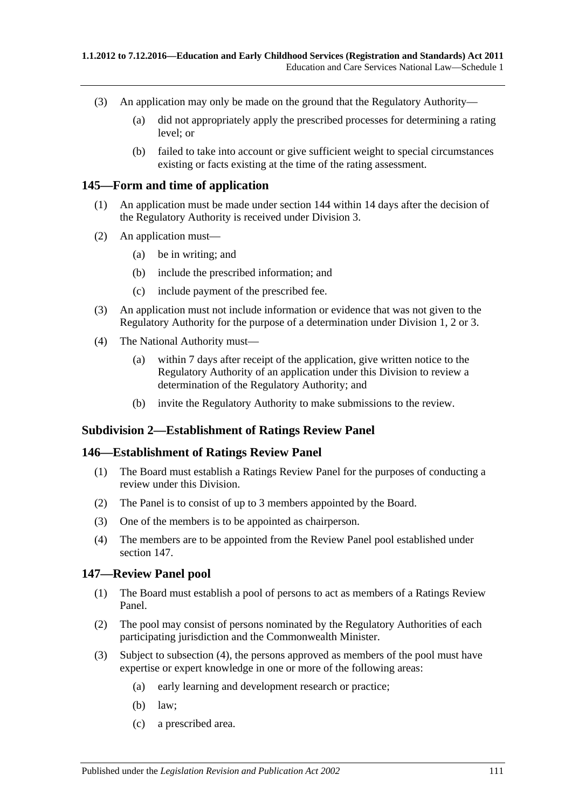- (3) An application may only be made on the ground that the Regulatory Authority—
	- (a) did not appropriately apply the prescribed processes for determining a rating level; or
	- (b) failed to take into account or give sufficient weight to special circumstances existing or facts existing at the time of the rating assessment.

#### **145—Form and time of application**

- (1) An application must be made under section 144 within 14 days after the decision of the Regulatory Authority is received under Division 3.
- (2) An application must—
	- (a) be in writing; and
	- (b) include the prescribed information; and
	- (c) include payment of the prescribed fee.
- (3) An application must not include information or evidence that was not given to the Regulatory Authority for the purpose of a determination under Division 1, 2 or 3.
- (4) The National Authority must—
	- (a) within 7 days after receipt of the application, give written notice to the Regulatory Authority of an application under this Division to review a determination of the Regulatory Authority; and
	- (b) invite the Regulatory Authority to make submissions to the review.

## **Subdivision 2—Establishment of Ratings Review Panel**

#### **146—Establishment of Ratings Review Panel**

- (1) The Board must establish a Ratings Review Panel for the purposes of conducting a review under this Division.
- (2) The Panel is to consist of up to 3 members appointed by the Board.
- (3) One of the members is to be appointed as chairperson.
- (4) The members are to be appointed from the Review Panel pool established under section 147.

#### **147—Review Panel pool**

- (1) The Board must establish a pool of persons to act as members of a Ratings Review Panel.
- (2) The pool may consist of persons nominated by the Regulatory Authorities of each participating jurisdiction and the Commonwealth Minister.
- (3) Subject to [subsection](#page-111-0) (4), the persons approved as members of the pool must have expertise or expert knowledge in one or more of the following areas:
	- (a) early learning and development research or practice;
	- (b) law;
	- (c) a prescribed area.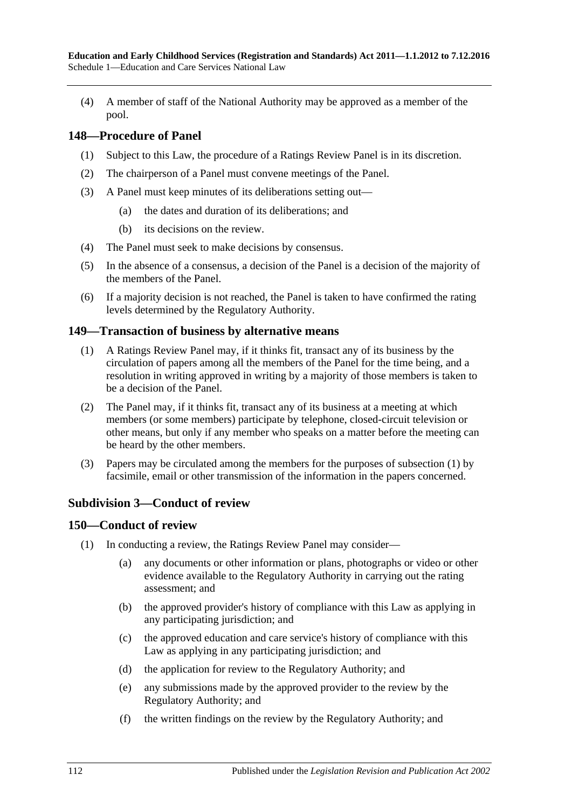<span id="page-111-0"></span>(4) A member of staff of the National Authority may be approved as a member of the pool.

# **148—Procedure of Panel**

- (1) Subject to this Law, the procedure of a Ratings Review Panel is in its discretion.
- (2) The chairperson of a Panel must convene meetings of the Panel.
- (3) A Panel must keep minutes of its deliberations setting out—
	- (a) the dates and duration of its deliberations; and
	- (b) its decisions on the review.
- (4) The Panel must seek to make decisions by consensus.
- (5) In the absence of a consensus, a decision of the Panel is a decision of the majority of the members of the Panel.
- (6) If a majority decision is not reached, the Panel is taken to have confirmed the rating levels determined by the Regulatory Authority.

## <span id="page-111-1"></span>**149—Transaction of business by alternative means**

- (1) A Ratings Review Panel may, if it thinks fit, transact any of its business by the circulation of papers among all the members of the Panel for the time being, and a resolution in writing approved in writing by a majority of those members is taken to be a decision of the Panel.
- (2) The Panel may, if it thinks fit, transact any of its business at a meeting at which members (or some members) participate by telephone, closed-circuit television or other means, but only if any member who speaks on a matter before the meeting can be heard by the other members.
- (3) Papers may be circulated among the members for the purposes of [subsection](#page-111-1) (1) by facsimile, email or other transmission of the information in the papers concerned.

# **Subdivision 3—Conduct of review**

## **150—Conduct of review**

- (1) In conducting a review, the Ratings Review Panel may consider—
	- (a) any documents or other information or plans, photographs or video or other evidence available to the Regulatory Authority in carrying out the rating assessment; and
	- (b) the approved provider's history of compliance with this Law as applying in any participating jurisdiction; and
	- (c) the approved education and care service's history of compliance with this Law as applying in any participating jurisdiction; and
	- (d) the application for review to the Regulatory Authority; and
	- (e) any submissions made by the approved provider to the review by the Regulatory Authority; and
	- (f) the written findings on the review by the Regulatory Authority; and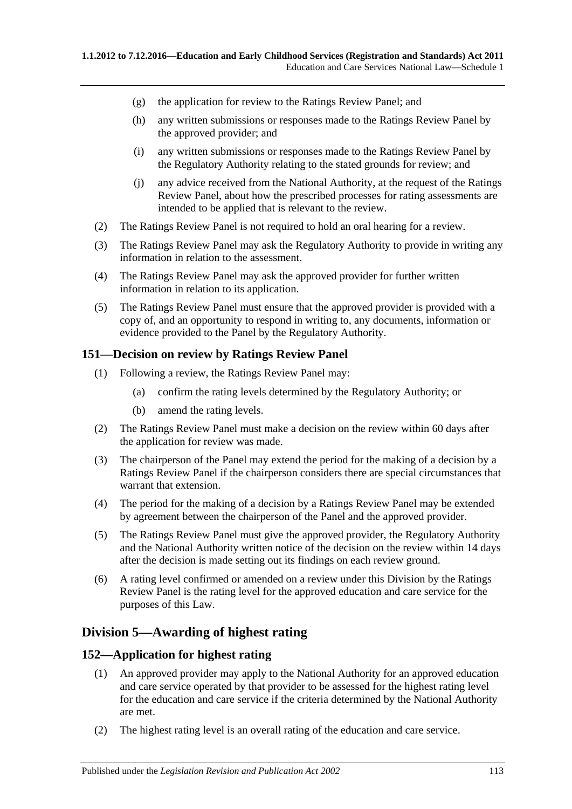- (g) the application for review to the Ratings Review Panel; and
- (h) any written submissions or responses made to the Ratings Review Panel by the approved provider; and
- (i) any written submissions or responses made to the Ratings Review Panel by the Regulatory Authority relating to the stated grounds for review; and
- (j) any advice received from the National Authority, at the request of the Ratings Review Panel, about how the prescribed processes for rating assessments are intended to be applied that is relevant to the review.
- (2) The Ratings Review Panel is not required to hold an oral hearing for a review.
- (3) The Ratings Review Panel may ask the Regulatory Authority to provide in writing any information in relation to the assessment.
- (4) The Ratings Review Panel may ask the approved provider for further written information in relation to its application.
- (5) The Ratings Review Panel must ensure that the approved provider is provided with a copy of, and an opportunity to respond in writing to, any documents, information or evidence provided to the Panel by the Regulatory Authority.

## **151—Decision on review by Ratings Review Panel**

- (1) Following a review, the Ratings Review Panel may:
	- (a) confirm the rating levels determined by the Regulatory Authority; or
	- (b) amend the rating levels.
- (2) The Ratings Review Panel must make a decision on the review within 60 days after the application for review was made.
- (3) The chairperson of the Panel may extend the period for the making of a decision by a Ratings Review Panel if the chairperson considers there are special circumstances that warrant that extension.
- (4) The period for the making of a decision by a Ratings Review Panel may be extended by agreement between the chairperson of the Panel and the approved provider.
- (5) The Ratings Review Panel must give the approved provider, the Regulatory Authority and the National Authority written notice of the decision on the review within 14 days after the decision is made setting out its findings on each review ground.
- (6) A rating level confirmed or amended on a review under this Division by the Ratings Review Panel is the rating level for the approved education and care service for the purposes of this Law.

# **Division 5—Awarding of highest rating**

## **152—Application for highest rating**

- (1) An approved provider may apply to the National Authority for an approved education and care service operated by that provider to be assessed for the highest rating level for the education and care service if the criteria determined by the National Authority are met.
- (2) The highest rating level is an overall rating of the education and care service.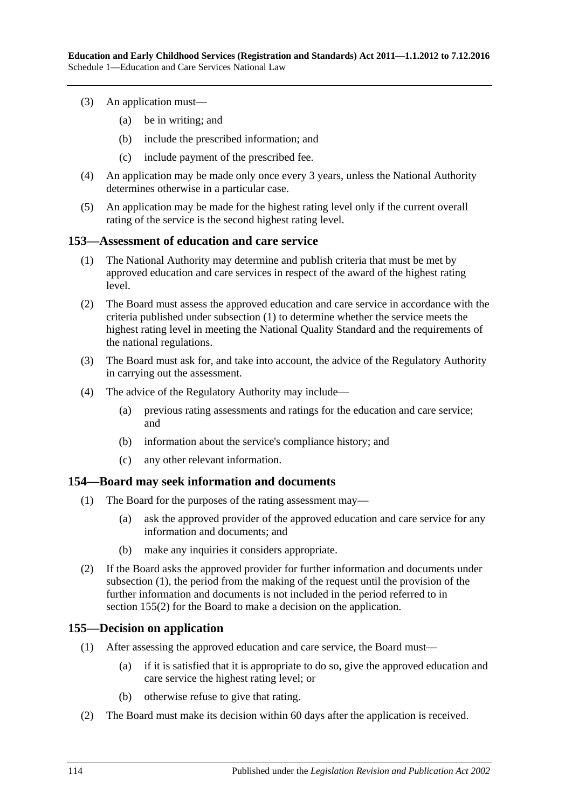- (3) An application must—
	- (a) be in writing; and
	- (b) include the prescribed information; and
	- (c) include payment of the prescribed fee.
- (4) An application may be made only once every 3 years, unless the National Authority determines otherwise in a particular case.
- (5) An application may be made for the highest rating level only if the current overall rating of the service is the second highest rating level.

#### <span id="page-113-0"></span>**153—Assessment of education and care service**

- (1) The National Authority may determine and publish criteria that must be met by approved education and care services in respect of the award of the highest rating level.
- (2) The Board must assess the approved education and care service in accordance with the criteria published under [subsection](#page-113-0) (1) to determine whether the service meets the highest rating level in meeting the National Quality Standard and the requirements of the national regulations.
- (3) The Board must ask for, and take into account, the advice of the Regulatory Authority in carrying out the assessment.
- (4) The advice of the Regulatory Authority may include—
	- (a) previous rating assessments and ratings for the education and care service; and
	- (b) information about the service's compliance history; and
	- (c) any other relevant information.

#### <span id="page-113-1"></span>**154—Board may seek information and documents**

- (1) The Board for the purposes of the rating assessment may—
	- (a) ask the approved provider of the approved education and care service for any information and documents; and
	- (b) make any inquiries it considers appropriate.
- (2) If the Board asks the approved provider for further information and documents under [subsection](#page-113-1) (1), the period from the making of the request until the provision of the further information and documents is not included in the period referred to in [section](#page-113-2) 155(2) for the Board to make a decision on the application.

#### **155—Decision on application**

- (1) After assessing the approved education and care service, the Board must—
	- (a) if it is satisfied that it is appropriate to do so, give the approved education and care service the highest rating level; or
	- (b) otherwise refuse to give that rating.
- <span id="page-113-2"></span>(2) The Board must make its decision within 60 days after the application is received.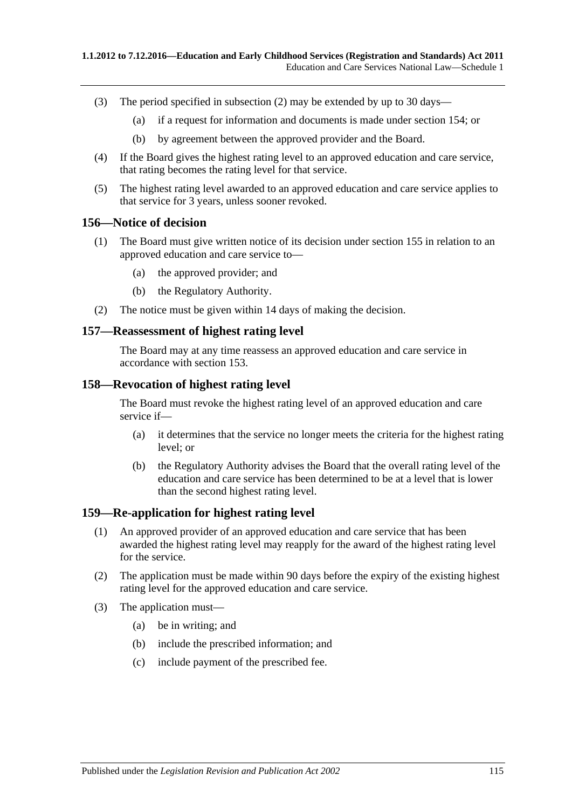- (3) The period specified in [subsection](#page-113-2) (2) may be extended by up to 30 days—
	- (a) if a request for information and documents is made under section 154; or
	- (b) by agreement between the approved provider and the Board.
- (4) If the Board gives the highest rating level to an approved education and care service, that rating becomes the rating level for that service.
- (5) The highest rating level awarded to an approved education and care service applies to that service for 3 years, unless sooner revoked.

#### **156—Notice of decision**

- (1) The Board must give written notice of its decision under section 155 in relation to an approved education and care service to—
	- (a) the approved provider; and
	- (b) the Regulatory Authority.
- (2) The notice must be given within 14 days of making the decision.

#### **157—Reassessment of highest rating level**

The Board may at any time reassess an approved education and care service in accordance with section 153.

#### **158—Revocation of highest rating level**

The Board must revoke the highest rating level of an approved education and care service if—

- (a) it determines that the service no longer meets the criteria for the highest rating level; or
- (b) the Regulatory Authority advises the Board that the overall rating level of the education and care service has been determined to be at a level that is lower than the second highest rating level.

## **159—Re-application for highest rating level**

- (1) An approved provider of an approved education and care service that has been awarded the highest rating level may reapply for the award of the highest rating level for the service.
- (2) The application must be made within 90 days before the expiry of the existing highest rating level for the approved education and care service.
- (3) The application must—
	- (a) be in writing; and
	- (b) include the prescribed information; and
	- (c) include payment of the prescribed fee.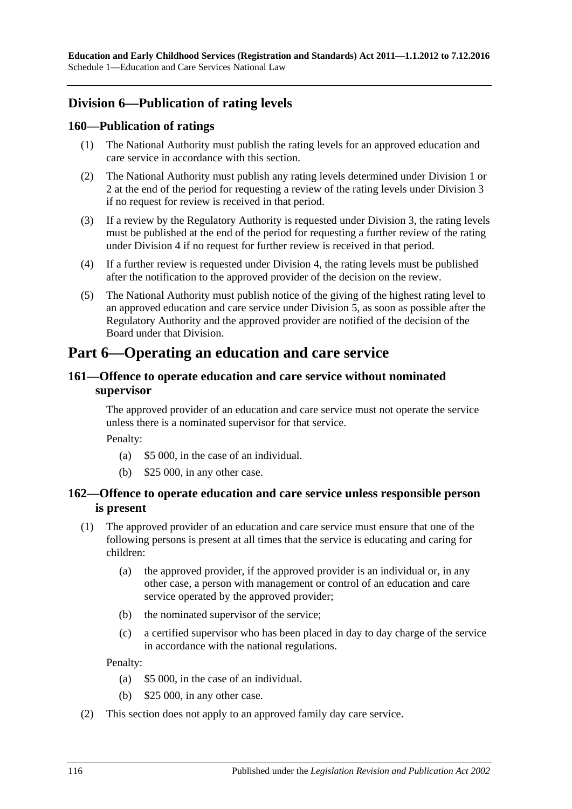# **Division 6—Publication of rating levels**

## **160—Publication of ratings**

- (1) The National Authority must publish the rating levels for an approved education and care service in accordance with this section.
- (2) The National Authority must publish any rating levels determined under Division 1 or 2 at the end of the period for requesting a review of the rating levels under Division 3 if no request for review is received in that period.
- (3) If a review by the Regulatory Authority is requested under Division 3, the rating levels must be published at the end of the period for requesting a further review of the rating under Division 4 if no request for further review is received in that period.
- (4) If a further review is requested under Division 4, the rating levels must be published after the notification to the approved provider of the decision on the review.
- (5) The National Authority must publish notice of the giving of the highest rating level to an approved education and care service under Division 5, as soon as possible after the Regulatory Authority and the approved provider are notified of the decision of the Board under that Division.

# **Part 6—Operating an education and care service**

## **161—Offence to operate education and care service without nominated supervisor**

The approved provider of an education and care service must not operate the service unless there is a nominated supervisor for that service.

Penalty:

- (a) \$5 000, in the case of an individual.
- (b) \$25 000, in any other case.

## **162—Offence to operate education and care service unless responsible person is present**

- (1) The approved provider of an education and care service must ensure that one of the following persons is present at all times that the service is educating and caring for children:
	- (a) the approved provider, if the approved provider is an individual or, in any other case, a person with management or control of an education and care service operated by the approved provider;
	- (b) the nominated supervisor of the service;
	- (c) a certified supervisor who has been placed in day to day charge of the service in accordance with the national regulations.

- (a) \$5 000, in the case of an individual.
- (b) \$25 000, in any other case.
- (2) This section does not apply to an approved family day care service.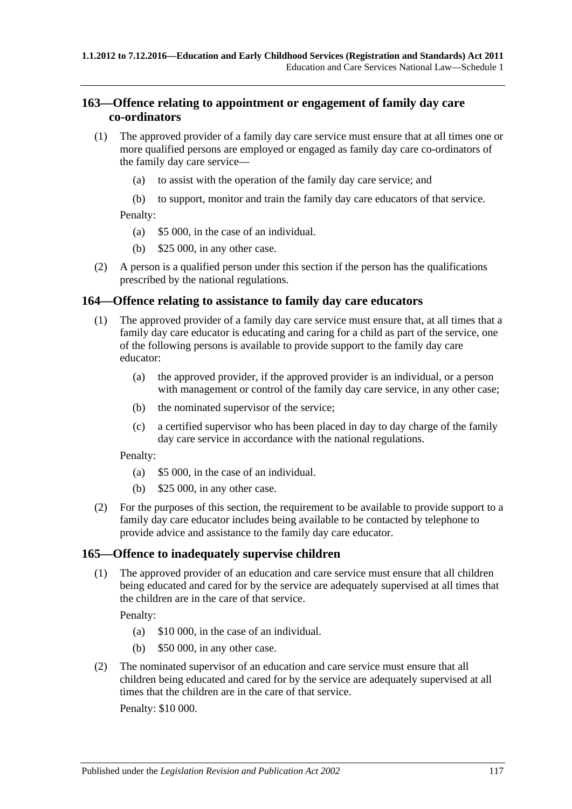# **163—Offence relating to appointment or engagement of family day care co-ordinators**

- (1) The approved provider of a family day care service must ensure that at all times one or more qualified persons are employed or engaged as family day care co-ordinators of the family day care service—
	- (a) to assist with the operation of the family day care service; and
	- (b) to support, monitor and train the family day care educators of that service.

Penalty:

- (a) \$5 000, in the case of an individual.
- (b) \$25 000, in any other case.
- (2) A person is a qualified person under this section if the person has the qualifications prescribed by the national regulations.

## **164—Offence relating to assistance to family day care educators**

- (1) The approved provider of a family day care service must ensure that, at all times that a family day care educator is educating and caring for a child as part of the service, one of the following persons is available to provide support to the family day care educator:
	- (a) the approved provider, if the approved provider is an individual, or a person with management or control of the family day care service, in any other case;
	- (b) the nominated supervisor of the service;
	- (c) a certified supervisor who has been placed in day to day charge of the family day care service in accordance with the national regulations.

Penalty:

- (a) \$5 000, in the case of an individual.
- (b) \$25 000, in any other case.
- (2) For the purposes of this section, the requirement to be available to provide support to a family day care educator includes being available to be contacted by telephone to provide advice and assistance to the family day care educator.

## **165—Offence to inadequately supervise children**

(1) The approved provider of an education and care service must ensure that all children being educated and cared for by the service are adequately supervised at all times that the children are in the care of that service.

Penalty:

- (a) \$10 000, in the case of an individual.
- (b) \$50 000, in any other case.
- (2) The nominated supervisor of an education and care service must ensure that all children being educated and cared for by the service are adequately supervised at all times that the children are in the care of that service.

Penalty: \$10 000.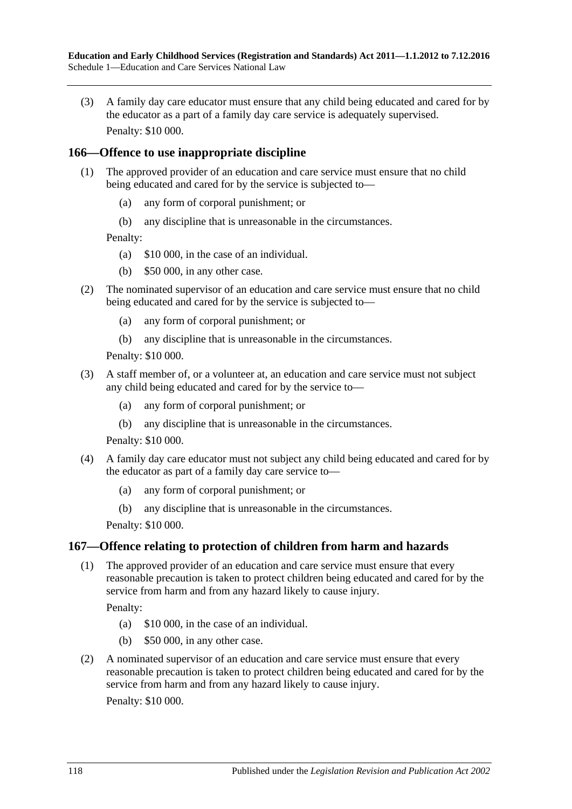(3) A family day care educator must ensure that any child being educated and cared for by the educator as a part of a family day care service is adequately supervised. Penalty: \$10 000.

## **166—Offence to use inappropriate discipline**

- (1) The approved provider of an education and care service must ensure that no child being educated and cared for by the service is subjected to—
	- (a) any form of corporal punishment; or
	- (b) any discipline that is unreasonable in the circumstances.

Penalty:

- (a) \$10 000, in the case of an individual.
- (b) \$50 000, in any other case.
- (2) The nominated supervisor of an education and care service must ensure that no child being educated and cared for by the service is subjected to—
	- (a) any form of corporal punishment; or
	- (b) any discipline that is unreasonable in the circumstances.

Penalty: \$10 000.

- (3) A staff member of, or a volunteer at, an education and care service must not subject any child being educated and cared for by the service to—
	- (a) any form of corporal punishment; or
	- (b) any discipline that is unreasonable in the circumstances.

Penalty: \$10 000.

- (4) A family day care educator must not subject any child being educated and cared for by the educator as part of a family day care service to—
	- (a) any form of corporal punishment; or
	- (b) any discipline that is unreasonable in the circumstances.

Penalty: \$10 000.

## **167—Offence relating to protection of children from harm and hazards**

(1) The approved provider of an education and care service must ensure that every reasonable precaution is taken to protect children being educated and cared for by the service from harm and from any hazard likely to cause injury.

Penalty:

- (a) \$10 000, in the case of an individual.
- (b) \$50 000, in any other case.
- (2) A nominated supervisor of an education and care service must ensure that every reasonable precaution is taken to protect children being educated and cared for by the service from harm and from any hazard likely to cause injury.

Penalty: \$10 000.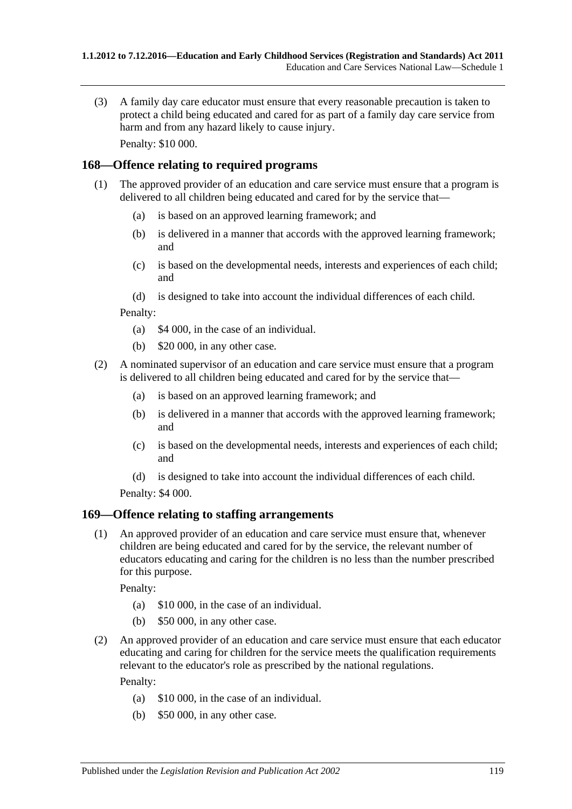(3) A family day care educator must ensure that every reasonable precaution is taken to protect a child being educated and cared for as part of a family day care service from harm and from any hazard likely to cause injury. Penalty: \$10 000.

## **168—Offence relating to required programs**

- (1) The approved provider of an education and care service must ensure that a program is delivered to all children being educated and cared for by the service that—
	- (a) is based on an approved learning framework; and
	- (b) is delivered in a manner that accords with the approved learning framework; and
	- (c) is based on the developmental needs, interests and experiences of each child; and
	- (d) is designed to take into account the individual differences of each child.

Penalty:

- (a) \$4 000, in the case of an individual.
- (b) \$20 000, in any other case.
- (2) A nominated supervisor of an education and care service must ensure that a program is delivered to all children being educated and cared for by the service that—
	- (a) is based on an approved learning framework; and
	- (b) is delivered in a manner that accords with the approved learning framework; and
	- (c) is based on the developmental needs, interests and experiences of each child; and
	- (d) is designed to take into account the individual differences of each child.

Penalty: \$4 000.

#### <span id="page-118-0"></span>**169—Offence relating to staffing arrangements**

(1) An approved provider of an education and care service must ensure that, whenever children are being educated and cared for by the service, the relevant number of educators educating and caring for the children is no less than the number prescribed for this purpose.

Penalty:

- (a) \$10 000, in the case of an individual.
- (b) \$50 000, in any other case.
- <span id="page-118-1"></span>(2) An approved provider of an education and care service must ensure that each educator educating and caring for children for the service meets the qualification requirements relevant to the educator's role as prescribed by the national regulations.

- (a) \$10 000, in the case of an individual.
- (b) \$50 000, in any other case.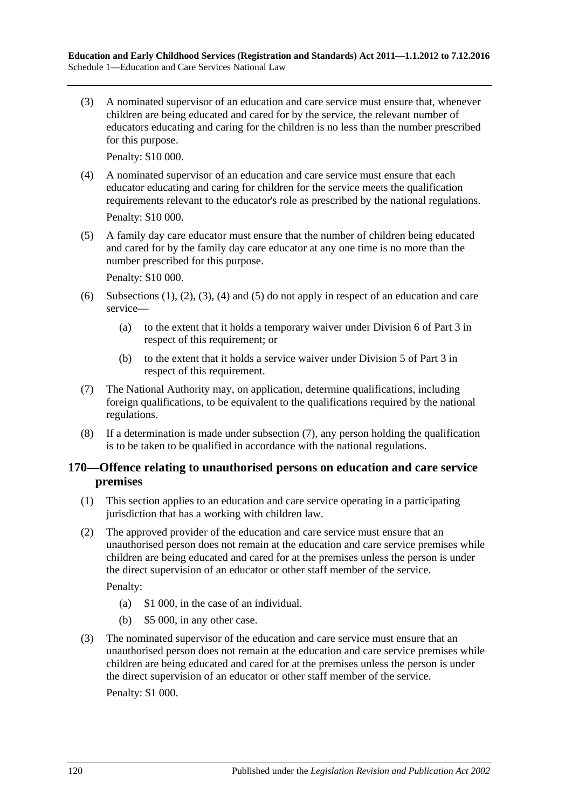<span id="page-119-0"></span>(3) A nominated supervisor of an education and care service must ensure that, whenever children are being educated and cared for by the service, the relevant number of educators educating and caring for the children is no less than the number prescribed for this purpose.

Penalty: \$10 000.

- <span id="page-119-1"></span>(4) A nominated supervisor of an education and care service must ensure that each educator educating and caring for children for the service meets the qualification requirements relevant to the educator's role as prescribed by the national regulations. Penalty: \$10 000.
- <span id="page-119-2"></span>(5) A family day care educator must ensure that the number of children being educated and cared for by the family day care educator at any one time is no more than the number prescribed for this purpose.

Penalty: \$10 000.

- (6) Subsections  $(1)$ ,  $(2)$ ,  $(3)$ ,  $(4)$  and  $(5)$  do not apply in respect of an education and care service—
	- (a) to the extent that it holds a temporary waiver under Division 6 of Part 3 in respect of this requirement; or
	- (b) to the extent that it holds a service waiver under Division 5 of Part 3 in respect of this requirement.
- <span id="page-119-3"></span>(7) The National Authority may, on application, determine qualifications, including foreign qualifications, to be equivalent to the qualifications required by the national regulations.
- (8) If a determination is made under [subsection](#page-119-3) (7), any person holding the qualification is to be taken to be qualified in accordance with the national regulations.

## **170—Offence relating to unauthorised persons on education and care service premises**

- (1) This section applies to an education and care service operating in a participating jurisdiction that has a working with children law.
- (2) The approved provider of the education and care service must ensure that an unauthorised person does not remain at the education and care service premises while children are being educated and cared for at the premises unless the person is under the direct supervision of an educator or other staff member of the service.

- (a) \$1 000, in the case of an individual.
- (b) \$5 000, in any other case.
- (3) The nominated supervisor of the education and care service must ensure that an unauthorised person does not remain at the education and care service premises while children are being educated and cared for at the premises unless the person is under the direct supervision of an educator or other staff member of the service. Penalty: \$1 000.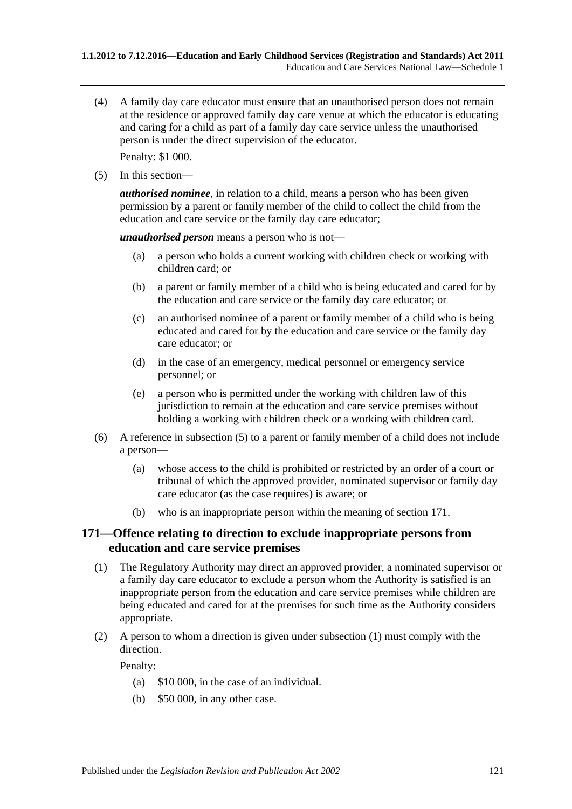(4) A family day care educator must ensure that an unauthorised person does not remain at the residence or approved family day care venue at which the educator is educating and caring for a child as part of a family day care service unless the unauthorised person is under the direct supervision of the educator.

Penalty: \$1 000.

<span id="page-120-0"></span>(5) In this section—

*authorised nominee*, in relation to a child, means a person who has been given permission by a parent or family member of the child to collect the child from the education and care service or the family day care educator;

*unauthorised person* means a person who is not—

- (a) a person who holds a current working with children check or working with children card; or
- (b) a parent or family member of a child who is being educated and cared for by the education and care service or the family day care educator; or
- (c) an authorised nominee of a parent or family member of a child who is being educated and cared for by the education and care service or the family day care educator; or
- (d) in the case of an emergency, medical personnel or emergency service personnel; or
- (e) a person who is permitted under the working with children law of this jurisdiction to remain at the education and care service premises without holding a working with children check or a working with children card.
- (6) A reference in [subsection](#page-120-0) (5) to a parent or family member of a child does not include a person—
	- (a) whose access to the child is prohibited or restricted by an order of a court or tribunal of which the approved provider, nominated supervisor or family day care educator (as the case requires) is aware; or
	- (b) who is an inappropriate person within the meaning of section 171.

## **171—Offence relating to direction to exclude inappropriate persons from education and care service premises**

- <span id="page-120-1"></span>(1) The Regulatory Authority may direct an approved provider, a nominated supervisor or a family day care educator to exclude a person whom the Authority is satisfied is an inappropriate person from the education and care service premises while children are being educated and cared for at the premises for such time as the Authority considers appropriate.
- (2) A person to whom a direction is given under [subsection](#page-120-1) (1) must comply with the direction.

- (a) \$10 000, in the case of an individual.
- (b) \$50 000, in any other case.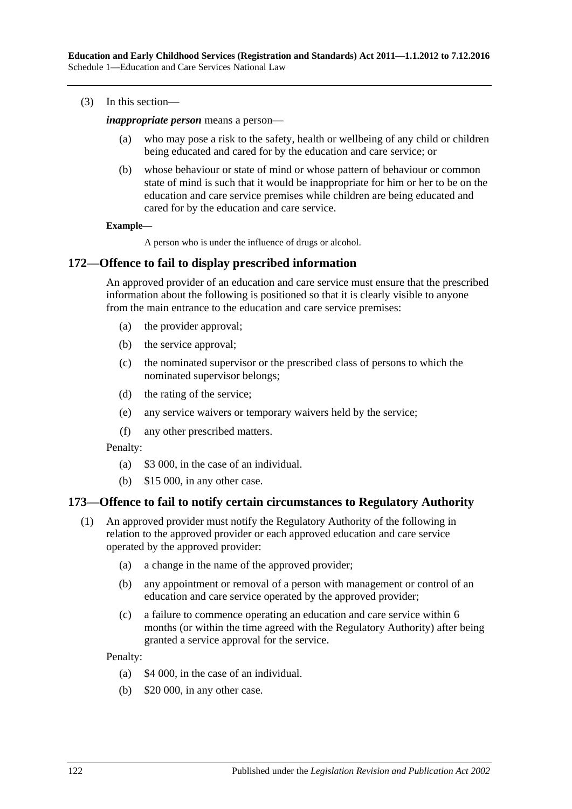#### (3) In this section—

*inappropriate person* means a person—

- (a) who may pose a risk to the safety, health or wellbeing of any child or children being educated and cared for by the education and care service; or
- (b) whose behaviour or state of mind or whose pattern of behaviour or common state of mind is such that it would be inappropriate for him or her to be on the education and care service premises while children are being educated and cared for by the education and care service.

#### **Example—**

A person who is under the influence of drugs or alcohol.

#### **172—Offence to fail to display prescribed information**

An approved provider of an education and care service must ensure that the prescribed information about the following is positioned so that it is clearly visible to anyone from the main entrance to the education and care service premises:

- (a) the provider approval;
- (b) the service approval;
- (c) the nominated supervisor or the prescribed class of persons to which the nominated supervisor belongs;
- (d) the rating of the service;
- (e) any service waivers or temporary waivers held by the service;
- (f) any other prescribed matters.

Penalty:

- (a) \$3 000, in the case of an individual.
- (b) \$15 000, in any other case.

#### <span id="page-121-0"></span>**173—Offence to fail to notify certain circumstances to Regulatory Authority**

- (1) An approved provider must notify the Regulatory Authority of the following in relation to the approved provider or each approved education and care service operated by the approved provider:
	- (a) a change in the name of the approved provider;
	- (b) any appointment or removal of a person with management or control of an education and care service operated by the approved provider;
	- (c) a failure to commence operating an education and care service within 6 months (or within the time agreed with the Regulatory Authority) after being granted a service approval for the service.

- (a) \$4 000, in the case of an individual.
- (b) \$20 000, in any other case.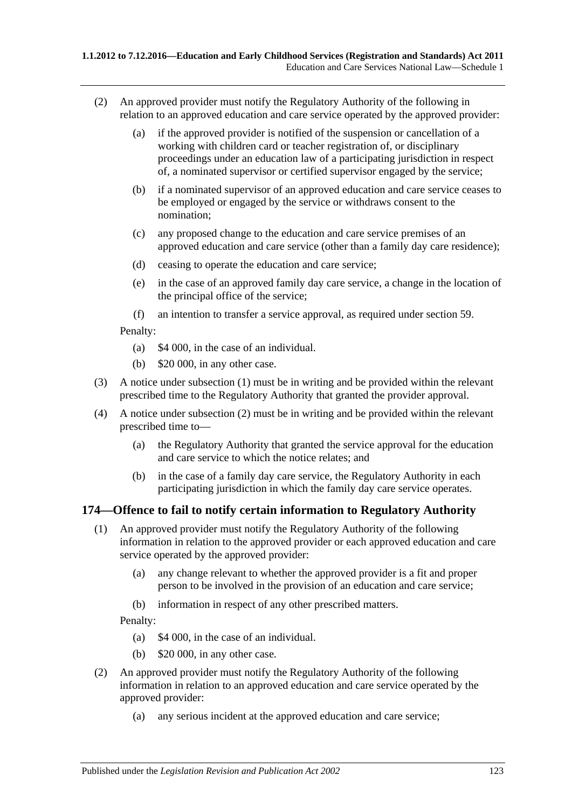- <span id="page-122-0"></span>(2) An approved provider must notify the Regulatory Authority of the following in relation to an approved education and care service operated by the approved provider:
	- (a) if the approved provider is notified of the suspension or cancellation of a working with children card or teacher registration of, or disciplinary proceedings under an education law of a participating jurisdiction in respect of, a nominated supervisor or certified supervisor engaged by the service;
	- (b) if a nominated supervisor of an approved education and care service ceases to be employed or engaged by the service or withdraws consent to the nomination;
	- (c) any proposed change to the education and care service premises of an approved education and care service (other than a family day care residence);
	- (d) ceasing to operate the education and care service;
	- (e) in the case of an approved family day care service, a change in the location of the principal office of the service;
	- (f) an intention to transfer a service approval, as required under section 59.

Penalty:

- (a) \$4 000, in the case of an individual.
- (b) \$20 000, in any other case.
- (3) A notice under [subsection](#page-121-0) (1) must be in writing and be provided within the relevant prescribed time to the Regulatory Authority that granted the provider approval.
- (4) A notice under [subsection](#page-122-0) (2) must be in writing and be provided within the relevant prescribed time to—
	- (a) the Regulatory Authority that granted the service approval for the education and care service to which the notice relates; and
	- (b) in the case of a family day care service, the Regulatory Authority in each participating jurisdiction in which the family day care service operates.

## <span id="page-122-1"></span>**174—Offence to fail to notify certain information to Regulatory Authority**

- (1) An approved provider must notify the Regulatory Authority of the following information in relation to the approved provider or each approved education and care service operated by the approved provider:
	- (a) any change relevant to whether the approved provider is a fit and proper person to be involved in the provision of an education and care service;
	- (b) information in respect of any other prescribed matters.

- (a) \$4 000, in the case of an individual.
- (b) \$20 000, in any other case.
- <span id="page-122-2"></span>(2) An approved provider must notify the Regulatory Authority of the following information in relation to an approved education and care service operated by the approved provider:
	- (a) any serious incident at the approved education and care service;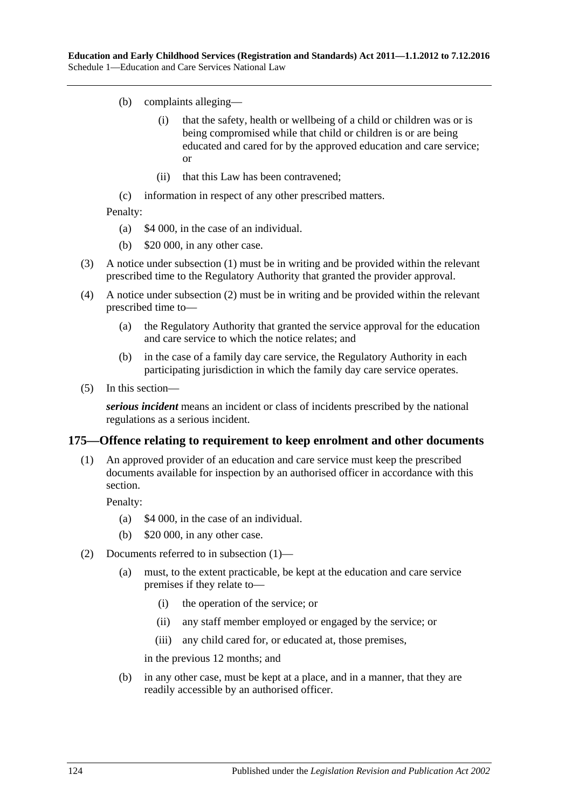- (b) complaints alleging—
	- (i) that the safety, health or wellbeing of a child or children was or is being compromised while that child or children is or are being educated and cared for by the approved education and care service; or
	- (ii) that this Law has been contravened;
- (c) information in respect of any other prescribed matters.

Penalty:

- (a) \$4 000, in the case of an individual.
- (b) \$20 000, in any other case.
- (3) A notice under [subsection](#page-122-1) (1) must be in writing and be provided within the relevant prescribed time to the Regulatory Authority that granted the provider approval.
- (4) A notice under [subsection](#page-122-2) (2) must be in writing and be provided within the relevant prescribed time to—
	- (a) the Regulatory Authority that granted the service approval for the education and care service to which the notice relates; and
	- (b) in the case of a family day care service, the Regulatory Authority in each participating jurisdiction in which the family day care service operates.
- (5) In this section—

*serious incident* means an incident or class of incidents prescribed by the national regulations as a serious incident.

## <span id="page-123-0"></span>**175—Offence relating to requirement to keep enrolment and other documents**

(1) An approved provider of an education and care service must keep the prescribed documents available for inspection by an authorised officer in accordance with this section.

Penalty:

- (a) \$4 000, in the case of an individual.
- (b) \$20 000, in any other case.
- (2) Documents referred to in [subsection](#page-123-0) (1)—
	- (a) must, to the extent practicable, be kept at the education and care service premises if they relate to—
		- (i) the operation of the service; or
		- (ii) any staff member employed or engaged by the service; or
		- (iii) any child cared for, or educated at, those premises,

in the previous 12 months; and

(b) in any other case, must be kept at a place, and in a manner, that they are readily accessible by an authorised officer.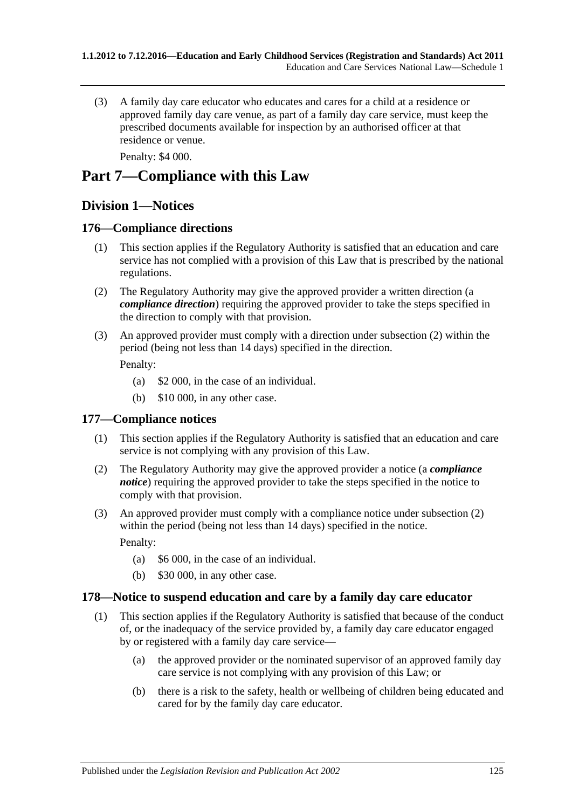(3) A family day care educator who educates and cares for a child at a residence or approved family day care venue, as part of a family day care service, must keep the prescribed documents available for inspection by an authorised officer at that residence or venue.

Penalty: \$4 000.

# **Part 7—Compliance with this Law**

# **Division 1—Notices**

## **176—Compliance directions**

- (1) This section applies if the Regulatory Authority is satisfied that an education and care service has not complied with a provision of this Law that is prescribed by the national regulations.
- <span id="page-124-0"></span>(2) The Regulatory Authority may give the approved provider a written direction (a *compliance direction*) requiring the approved provider to take the steps specified in the direction to comply with that provision.
- (3) An approved provider must comply with a direction under [subsection](#page-124-0) (2) within the period (being not less than 14 days) specified in the direction.

Penalty:

- (a) \$2 000, in the case of an individual.
- (b) \$10 000, in any other case.

## **177—Compliance notices**

- (1) This section applies if the Regulatory Authority is satisfied that an education and care service is not complying with any provision of this Law.
- <span id="page-124-1"></span>(2) The Regulatory Authority may give the approved provider a notice (a *compliance notice*) requiring the approved provider to take the steps specified in the notice to comply with that provision.
- (3) An approved provider must comply with a compliance notice under [subsection](#page-124-1) (2) within the period (being not less than 14 days) specified in the notice. Penalty:
	- (a) \$6 000, in the case of an individual.
	- (b) \$30 000, in any other case.

## **178—Notice to suspend education and care by a family day care educator**

- (1) This section applies if the Regulatory Authority is satisfied that because of the conduct of, or the inadequacy of the service provided by, a family day care educator engaged by or registered with a family day care service—
	- (a) the approved provider or the nominated supervisor of an approved family day care service is not complying with any provision of this Law; or
	- (b) there is a risk to the safety, health or wellbeing of children being educated and cared for by the family day care educator.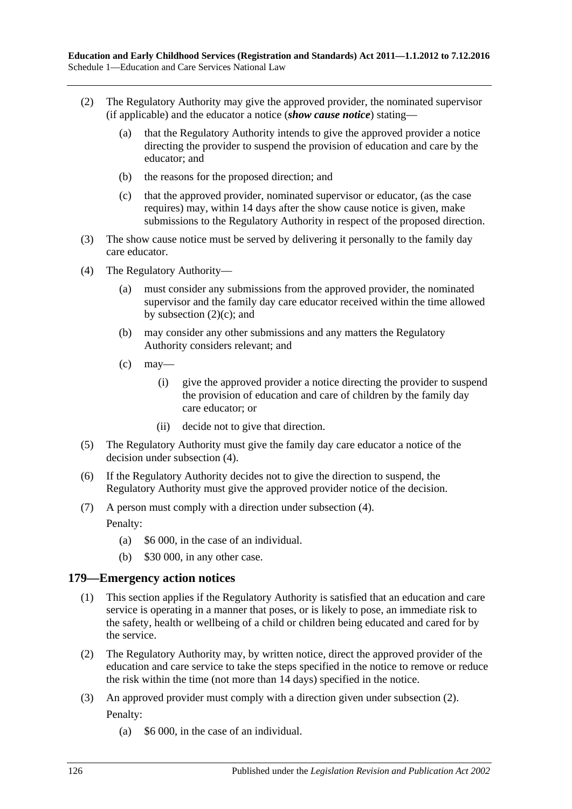- (2) The Regulatory Authority may give the approved provider, the nominated supervisor (if applicable) and the educator a notice (*show cause notice*) stating—
	- (a) that the Regulatory Authority intends to give the approved provider a notice directing the provider to suspend the provision of education and care by the educator; and
	- (b) the reasons for the proposed direction; and
	- (c) that the approved provider, nominated supervisor or educator, (as the case requires) may, within 14 days after the show cause notice is given, make submissions to the Regulatory Authority in respect of the proposed direction.
- <span id="page-125-0"></span>(3) The show cause notice must be served by delivering it personally to the family day care educator.
- <span id="page-125-1"></span>(4) The Regulatory Authority—
	- (a) must consider any submissions from the approved provider, the nominated supervisor and the family day care educator received within the time allowed by [subsection](#page-125-0)  $(2)(c)$ ; and
	- (b) may consider any other submissions and any matters the Regulatory Authority considers relevant; and
	- $\alpha$  may  $\alpha$ 
		- (i) give the approved provider a notice directing the provider to suspend the provision of education and care of children by the family day care educator; or
		- (ii) decide not to give that direction.
- (5) The Regulatory Authority must give the family day care educator a notice of the decision under [subsection](#page-125-1) (4).
- (6) If the Regulatory Authority decides not to give the direction to suspend, the Regulatory Authority must give the approved provider notice of the decision.
- (7) A person must comply with a direction under [subsection](#page-125-1) (4). Penalty:
	- (a) \$6 000, in the case of an individual.
	- (b) \$30 000, in any other case.

## **179—Emergency action notices**

- (1) This section applies if the Regulatory Authority is satisfied that an education and care service is operating in a manner that poses, or is likely to pose, an immediate risk to the safety, health or wellbeing of a child or children being educated and cared for by the service.
- <span id="page-125-2"></span>(2) The Regulatory Authority may, by written notice, direct the approved provider of the education and care service to take the steps specified in the notice to remove or reduce the risk within the time (not more than 14 days) specified in the notice.
- (3) An approved provider must comply with a direction given under [subsection](#page-125-2) (2). Penalty:
	- (a) \$6 000, in the case of an individual.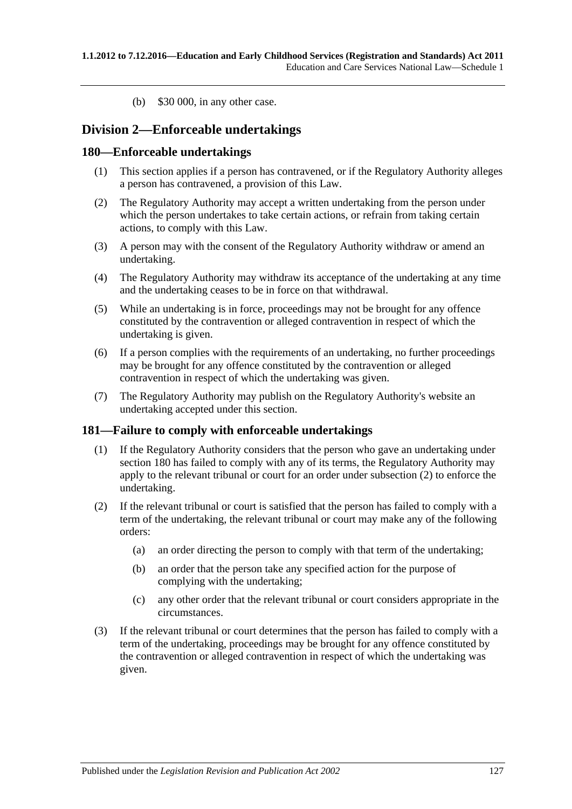(b) \$30 000, in any other case.

# **Division 2—Enforceable undertakings**

#### **180—Enforceable undertakings**

- (1) This section applies if a person has contravened, or if the Regulatory Authority alleges a person has contravened, a provision of this Law.
- (2) The Regulatory Authority may accept a written undertaking from the person under which the person undertakes to take certain actions, or refrain from taking certain actions, to comply with this Law.
- (3) A person may with the consent of the Regulatory Authority withdraw or amend an undertaking.
- (4) The Regulatory Authority may withdraw its acceptance of the undertaking at any time and the undertaking ceases to be in force on that withdrawal.
- (5) While an undertaking is in force, proceedings may not be brought for any offence constituted by the contravention or alleged contravention in respect of which the undertaking is given.
- (6) If a person complies with the requirements of an undertaking, no further proceedings may be brought for any offence constituted by the contravention or alleged contravention in respect of which the undertaking was given.
- (7) The Regulatory Authority may publish on the Regulatory Authority's website an undertaking accepted under this section.

## **181—Failure to comply with enforceable undertakings**

- (1) If the Regulatory Authority considers that the person who gave an undertaking under section 180 has failed to comply with any of its terms, the Regulatory Authority may apply to the relevant tribunal or court for an order under [subsection](#page-126-0) (2) to enforce the undertaking.
- <span id="page-126-0"></span>(2) If the relevant tribunal or court is satisfied that the person has failed to comply with a term of the undertaking, the relevant tribunal or court may make any of the following orders:
	- (a) an order directing the person to comply with that term of the undertaking;
	- (b) an order that the person take any specified action for the purpose of complying with the undertaking;
	- (c) any other order that the relevant tribunal or court considers appropriate in the circumstances.
- (3) If the relevant tribunal or court determines that the person has failed to comply with a term of the undertaking, proceedings may be brought for any offence constituted by the contravention or alleged contravention in respect of which the undertaking was given.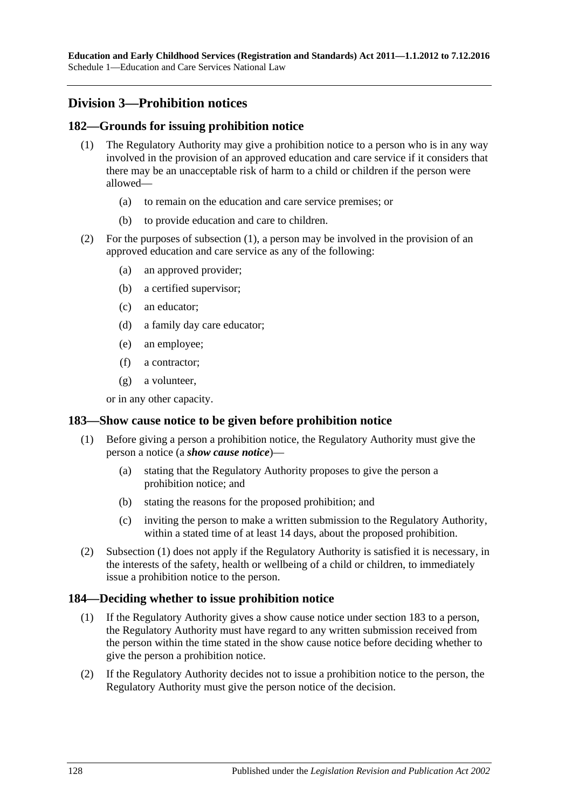# **Division 3—Prohibition notices**

## <span id="page-127-0"></span>**182—Grounds for issuing prohibition notice**

- (1) The Regulatory Authority may give a prohibition notice to a person who is in any way involved in the provision of an approved education and care service if it considers that there may be an unacceptable risk of harm to a child or children if the person were allowed—
	- (a) to remain on the education and care service premises; or
	- (b) to provide education and care to children.
- (2) For the purposes of [subsection](#page-127-0) (1), a person may be involved in the provision of an approved education and care service as any of the following:
	- (a) an approved provider;
	- (b) a certified supervisor;
	- (c) an educator;
	- (d) a family day care educator;
	- (e) an employee;
	- (f) a contractor;
	- (g) a volunteer,

or in any other capacity.

#### <span id="page-127-1"></span>**183—Show cause notice to be given before prohibition notice**

- (1) Before giving a person a prohibition notice, the Regulatory Authority must give the person a notice (a *show cause notice*)—
	- (a) stating that the Regulatory Authority proposes to give the person a prohibition notice; and
	- (b) stating the reasons for the proposed prohibition; and
	- (c) inviting the person to make a written submission to the Regulatory Authority, within a stated time of at least 14 days, about the proposed prohibition.
- (2) [Subsection \(1\)](#page-127-1) does not apply if the Regulatory Authority is satisfied it is necessary, in the interests of the safety, health or wellbeing of a child or children, to immediately issue a prohibition notice to the person.

## **184—Deciding whether to issue prohibition notice**

- (1) If the Regulatory Authority gives a show cause notice under section 183 to a person, the Regulatory Authority must have regard to any written submission received from the person within the time stated in the show cause notice before deciding whether to give the person a prohibition notice.
- (2) If the Regulatory Authority decides not to issue a prohibition notice to the person, the Regulatory Authority must give the person notice of the decision.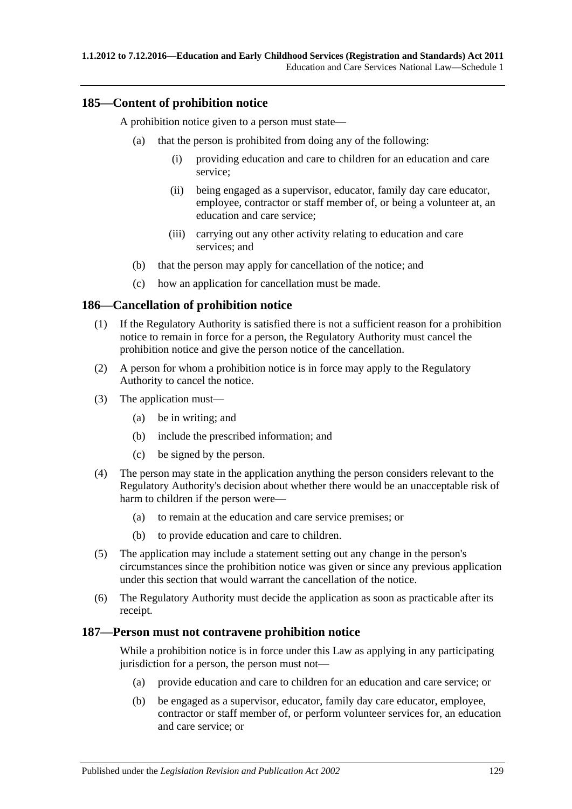## **185—Content of prohibition notice**

A prohibition notice given to a person must state—

- (a) that the person is prohibited from doing any of the following:
	- (i) providing education and care to children for an education and care service;
	- (ii) being engaged as a supervisor, educator, family day care educator, employee, contractor or staff member of, or being a volunteer at, an education and care service;
	- (iii) carrying out any other activity relating to education and care services; and
- (b) that the person may apply for cancellation of the notice; and
- (c) how an application for cancellation must be made.

#### **186—Cancellation of prohibition notice**

- (1) If the Regulatory Authority is satisfied there is not a sufficient reason for a prohibition notice to remain in force for a person, the Regulatory Authority must cancel the prohibition notice and give the person notice of the cancellation.
- (2) A person for whom a prohibition notice is in force may apply to the Regulatory Authority to cancel the notice.
- (3) The application must—
	- (a) be in writing; and
	- (b) include the prescribed information; and
	- (c) be signed by the person.
- (4) The person may state in the application anything the person considers relevant to the Regulatory Authority's decision about whether there would be an unacceptable risk of harm to children if the person were—
	- (a) to remain at the education and care service premises; or
	- (b) to provide education and care to children.
- (5) The application may include a statement setting out any change in the person's circumstances since the prohibition notice was given or since any previous application under this section that would warrant the cancellation of the notice.
- (6) The Regulatory Authority must decide the application as soon as practicable after its receipt.

#### **187—Person must not contravene prohibition notice**

While a prohibition notice is in force under this Law as applying in any participating jurisdiction for a person, the person must not—

- (a) provide education and care to children for an education and care service; or
- (b) be engaged as a supervisor, educator, family day care educator, employee, contractor or staff member of, or perform volunteer services for, an education and care service; or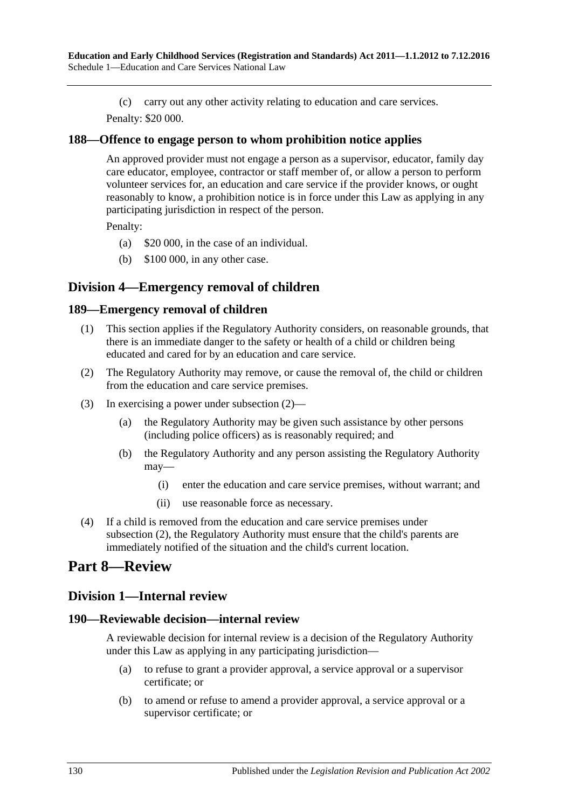(c) carry out any other activity relating to education and care services. Penalty: \$20 000.

## **188—Offence to engage person to whom prohibition notice applies**

An approved provider must not engage a person as a supervisor, educator, family day care educator, employee, contractor or staff member of, or allow a person to perform volunteer services for, an education and care service if the provider knows, or ought reasonably to know, a prohibition notice is in force under this Law as applying in any participating jurisdiction in respect of the person.

Penalty:

- (a) \$20 000, in the case of an individual.
- (b) \$100 000, in any other case.

# **Division 4—Emergency removal of children**

## **189—Emergency removal of children**

- (1) This section applies if the Regulatory Authority considers, on reasonable grounds, that there is an immediate danger to the safety or health of a child or children being educated and cared for by an education and care service.
- <span id="page-129-0"></span>(2) The Regulatory Authority may remove, or cause the removal of, the child or children from the education and care service premises.
- (3) In exercising a power under [subsection](#page-129-0) (2)—
	- (a) the Regulatory Authority may be given such assistance by other persons (including police officers) as is reasonably required; and
	- (b) the Regulatory Authority and any person assisting the Regulatory Authority may—
		- (i) enter the education and care service premises, without warrant; and
		- (ii) use reasonable force as necessary.
- (4) If a child is removed from the education and care service premises under [subsection](#page-129-0) (2), the Regulatory Authority must ensure that the child's parents are immediately notified of the situation and the child's current location.

# **Part 8—Review**

# **Division 1—Internal review**

## **190—Reviewable decision—internal review**

A reviewable decision for internal review is a decision of the Regulatory Authority under this Law as applying in any participating jurisdiction—

- (a) to refuse to grant a provider approval, a service approval or a supervisor certificate; or
- (b) to amend or refuse to amend a provider approval, a service approval or a supervisor certificate; or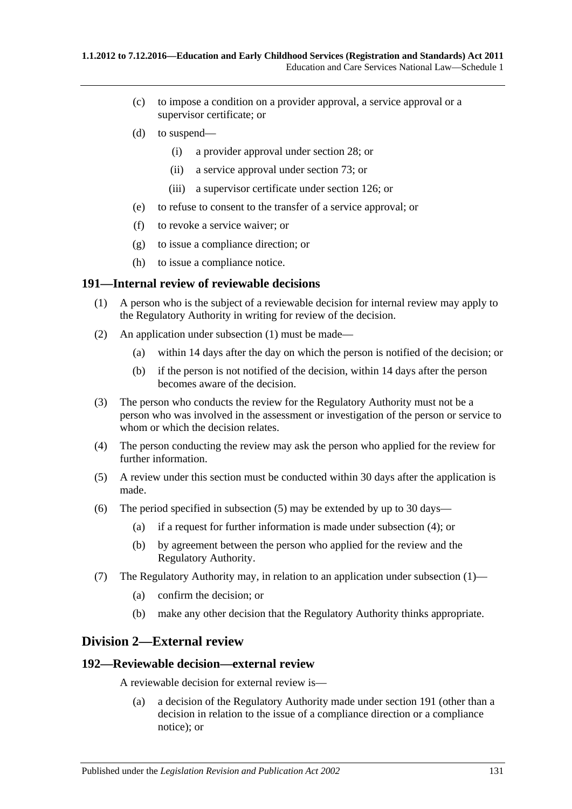- (c) to impose a condition on a provider approval, a service approval or a supervisor certificate; or
- (d) to suspend—
	- (i) a provider approval under section 28; or
	- (ii) a service approval under section 73; or
	- (iii) a supervisor certificate under section 126; or
- (e) to refuse to consent to the transfer of a service approval; or
- (f) to revoke a service waiver; or
- (g) to issue a compliance direction; or
- (h) to issue a compliance notice.

#### <span id="page-130-0"></span>**191—Internal review of reviewable decisions**

- (1) A person who is the subject of a reviewable decision for internal review may apply to the Regulatory Authority in writing for review of the decision.
- (2) An application under [subsection](#page-130-0) (1) must be made—
	- (a) within 14 days after the day on which the person is notified of the decision; or
	- (b) if the person is not notified of the decision, within 14 days after the person becomes aware of the decision.
- (3) The person who conducts the review for the Regulatory Authority must not be a person who was involved in the assessment or investigation of the person or service to whom or which the decision relates.
- <span id="page-130-2"></span>(4) The person conducting the review may ask the person who applied for the review for further information.
- <span id="page-130-1"></span>(5) A review under this section must be conducted within 30 days after the application is made.
- (6) The period specified in [subsection](#page-130-1) (5) may be extended by up to 30 days—
	- (a) if a request for further information is made under [subsection](#page-130-2) (4); or
	- (b) by agreement between the person who applied for the review and the Regulatory Authority.
- (7) The Regulatory Authority may, in relation to an application under [subsection](#page-130-0) (1)—
	- (a) confirm the decision; or
	- (b) make any other decision that the Regulatory Authority thinks appropriate.

## **Division 2—External review**

#### **192—Reviewable decision—external review**

A reviewable decision for external review is—

(a) a decision of the Regulatory Authority made under section 191 (other than a decision in relation to the issue of a compliance direction or a compliance notice); or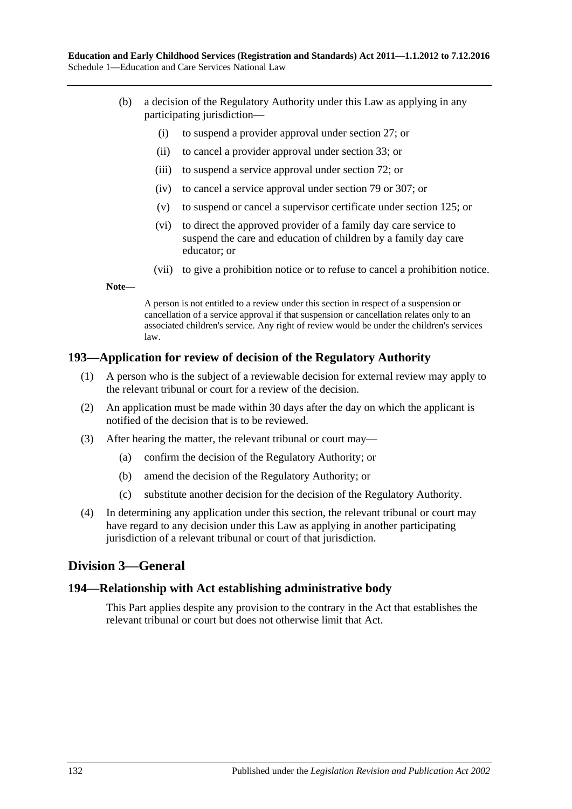- (b) a decision of the Regulatory Authority under this Law as applying in any participating jurisdiction—
	- (i) to suspend a provider approval under section 27; or
	- (ii) to cancel a provider approval under section 33; or
	- (iii) to suspend a service approval under section 72; or
	- (iv) to cancel a service approval under section 79 or 307; or
	- (v) to suspend or cancel a supervisor certificate under section 125; or
	- (vi) to direct the approved provider of a family day care service to suspend the care and education of children by a family day care educator; or
	- (vii) to give a prohibition notice or to refuse to cancel a prohibition notice.

**Note—**

A person is not entitled to a review under this section in respect of a suspension or cancellation of a service approval if that suspension or cancellation relates only to an associated children's service. Any right of review would be under the children's services law.

#### **193—Application for review of decision of the Regulatory Authority**

- (1) A person who is the subject of a reviewable decision for external review may apply to the relevant tribunal or court for a review of the decision.
- (2) An application must be made within 30 days after the day on which the applicant is notified of the decision that is to be reviewed.
- (3) After hearing the matter, the relevant tribunal or court may—
	- (a) confirm the decision of the Regulatory Authority; or
	- (b) amend the decision of the Regulatory Authority; or
	- (c) substitute another decision for the decision of the Regulatory Authority.
- (4) In determining any application under this section, the relevant tribunal or court may have regard to any decision under this Law as applying in another participating jurisdiction of a relevant tribunal or court of that jurisdiction.

# **Division 3—General**

## **194—Relationship with Act establishing administrative body**

This Part applies despite any provision to the contrary in the Act that establishes the relevant tribunal or court but does not otherwise limit that Act.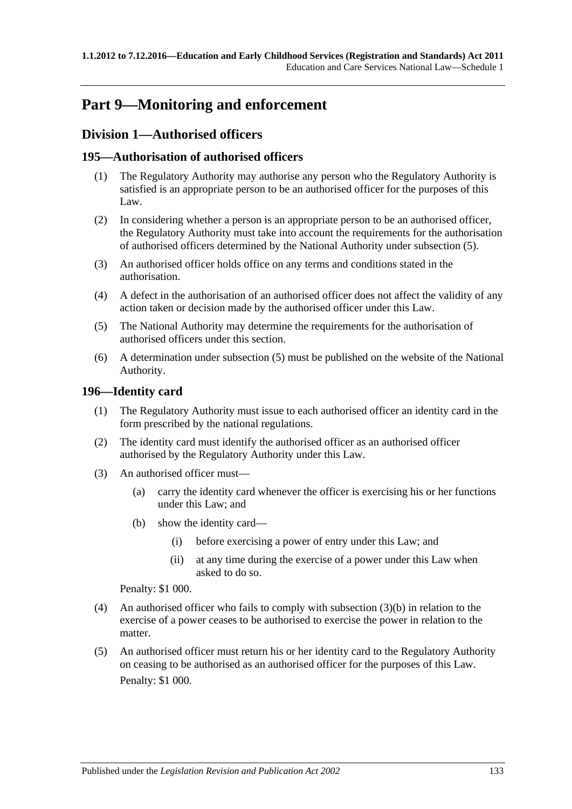# **Part 9—Monitoring and enforcement**

# **Division 1—Authorised officers**

## **195—Authorisation of authorised officers**

- (1) The Regulatory Authority may authorise any person who the Regulatory Authority is satisfied is an appropriate person to be an authorised officer for the purposes of this Law.
- (2) In considering whether a person is an appropriate person to be an authorised officer, the Regulatory Authority must take into account the requirements for the authorisation of authorised officers determined by the National Authority under [subsection](#page-132-0) (5).
- (3) An authorised officer holds office on any terms and conditions stated in the authorisation.
- (4) A defect in the authorisation of an authorised officer does not affect the validity of any action taken or decision made by the authorised officer under this Law.
- <span id="page-132-0"></span>(5) The National Authority may determine the requirements for the authorisation of authorised officers under this section.
- (6) A determination under [subsection](#page-132-0) (5) must be published on the website of the National Authority.

## **196—Identity card**

- (1) The Regulatory Authority must issue to each authorised officer an identity card in the form prescribed by the national regulations.
- (2) The identity card must identify the authorised officer as an authorised officer authorised by the Regulatory Authority under this Law.
- <span id="page-132-1"></span>(3) An authorised officer must—
	- (a) carry the identity card whenever the officer is exercising his or her functions under this Law; and
	- (b) show the identity card—
		- (i) before exercising a power of entry under this Law; and
		- (ii) at any time during the exercise of a power under this Law when asked to do so.

#### Penalty: \$1 000.

- (4) An authorised officer who fails to comply with [subsection](#page-132-1) (3)(b) in relation to the exercise of a power ceases to be authorised to exercise the power in relation to the matter.
- (5) An authorised officer must return his or her identity card to the Regulatory Authority on ceasing to be authorised as an authorised officer for the purposes of this Law. Penalty: \$1 000.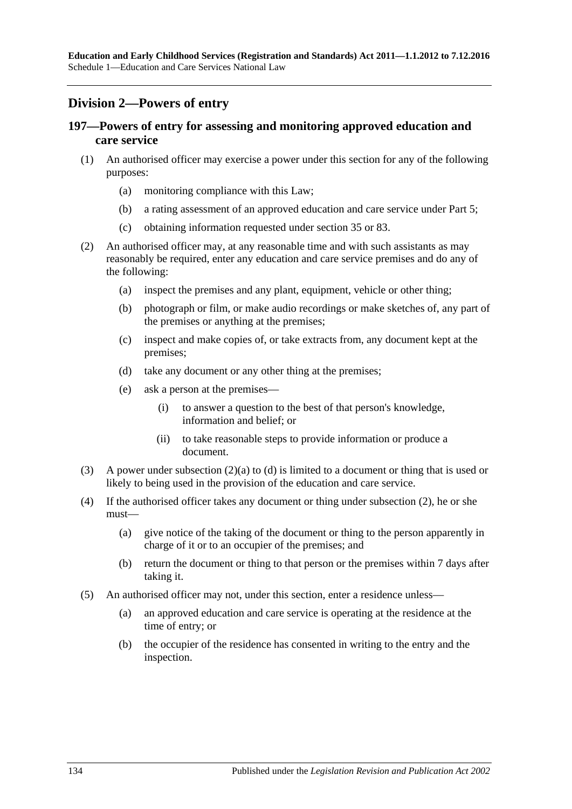# **Division 2—Powers of entry**

# **197—Powers of entry for assessing and monitoring approved education and care service**

- (1) An authorised officer may exercise a power under this section for any of the following purposes:
	- (a) monitoring compliance with this Law;
	- (b) a rating assessment of an approved education and care service under Part 5;
	- (c) obtaining information requested under section 35 or 83.
- <span id="page-133-2"></span><span id="page-133-0"></span>(2) An authorised officer may, at any reasonable time and with such assistants as may reasonably be required, enter any education and care service premises and do any of the following:
	- (a) inspect the premises and any plant, equipment, vehicle or other thing;
	- (b) photograph or film, or make audio recordings or make sketches of, any part of the premises or anything at the premises;
	- (c) inspect and make copies of, or take extracts from, any document kept at the premises;
	- (d) take any document or any other thing at the premises;
	- (e) ask a person at the premises—
		- (i) to answer a question to the best of that person's knowledge, information and belief; or
		- (ii) to take reasonable steps to provide information or produce a document.
- <span id="page-133-3"></span><span id="page-133-1"></span>(3) A power under [subsection](#page-133-0) (2)(a) to [\(d\)](#page-133-1) is limited to a document or thing that is used or likely to being used in the provision of the education and care service.
- (4) If the authorised officer takes any document or thing under [subsection](#page-133-2) (2), he or she must—
	- (a) give notice of the taking of the document or thing to the person apparently in charge of it or to an occupier of the premises; and
	- (b) return the document or thing to that person or the premises within 7 days after taking it.
- (5) An authorised officer may not, under this section, enter a residence unless—
	- (a) an approved education and care service is operating at the residence at the time of entry; or
	- (b) the occupier of the residence has consented in writing to the entry and the inspection.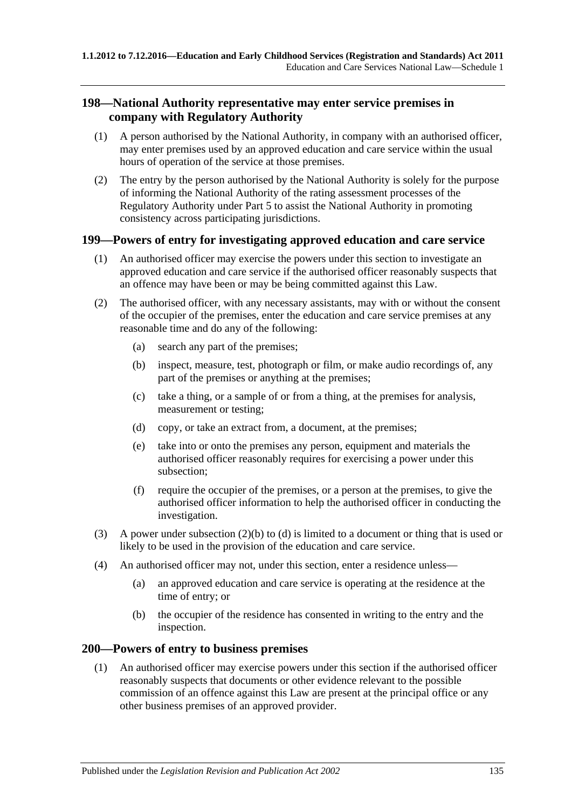# **198—National Authority representative may enter service premises in company with Regulatory Authority**

- (1) A person authorised by the National Authority, in company with an authorised officer, may enter premises used by an approved education and care service within the usual hours of operation of the service at those premises.
- (2) The entry by the person authorised by the National Authority is solely for the purpose of informing the National Authority of the rating assessment processes of the Regulatory Authority under Part 5 to assist the National Authority in promoting consistency across participating jurisdictions.

## **199—Powers of entry for investigating approved education and care service**

- (1) An authorised officer may exercise the powers under this section to investigate an approved education and care service if the authorised officer reasonably suspects that an offence may have been or may be being committed against this Law.
- <span id="page-134-0"></span>(2) The authorised officer, with any necessary assistants, may with or without the consent of the occupier of the premises, enter the education and care service premises at any reasonable time and do any of the following:
	- (a) search any part of the premises;
	- (b) inspect, measure, test, photograph or film, or make audio recordings of, any part of the premises or anything at the premises;
	- (c) take a thing, or a sample of or from a thing, at the premises for analysis, measurement or testing;
	- (d) copy, or take an extract from, a document, at the premises;
	- (e) take into or onto the premises any person, equipment and materials the authorised officer reasonably requires for exercising a power under this subsection;
	- (f) require the occupier of the premises, or a person at the premises, to give the authorised officer information to help the authorised officer in conducting the investigation.
- <span id="page-134-1"></span>(3) A power under [subsection](#page-134-0) (2)(b) to [\(d\)](#page-134-1) is limited to a document or thing that is used or likely to be used in the provision of the education and care service.
- (4) An authorised officer may not, under this section, enter a residence unless—
	- (a) an approved education and care service is operating at the residence at the time of entry; or
	- (b) the occupier of the residence has consented in writing to the entry and the inspection.

## **200—Powers of entry to business premises**

(1) An authorised officer may exercise powers under this section if the authorised officer reasonably suspects that documents or other evidence relevant to the possible commission of an offence against this Law are present at the principal office or any other business premises of an approved provider.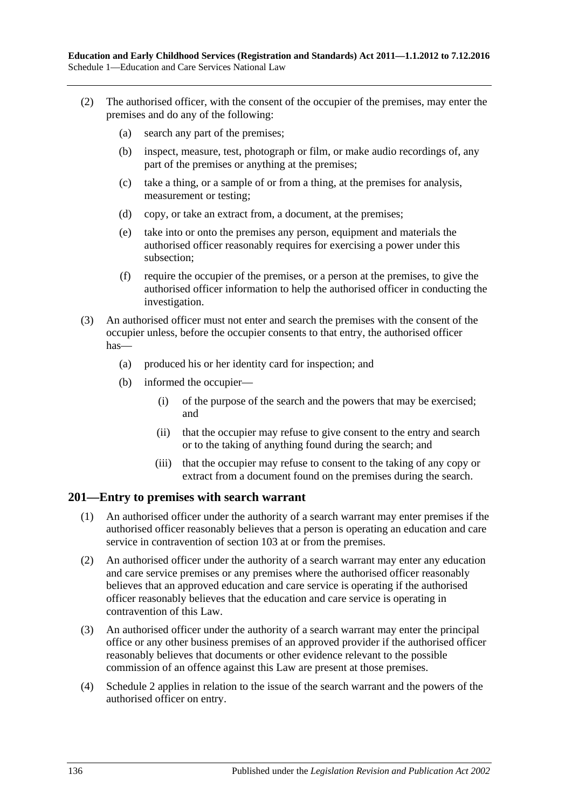- (2) The authorised officer, with the consent of the occupier of the premises, may enter the premises and do any of the following:
	- (a) search any part of the premises;
	- (b) inspect, measure, test, photograph or film, or make audio recordings of, any part of the premises or anything at the premises;
	- (c) take a thing, or a sample of or from a thing, at the premises for analysis, measurement or testing;
	- (d) copy, or take an extract from, a document, at the premises;
	- (e) take into or onto the premises any person, equipment and materials the authorised officer reasonably requires for exercising a power under this subsection;
	- (f) require the occupier of the premises, or a person at the premises, to give the authorised officer information to help the authorised officer in conducting the investigation.
- (3) An authorised officer must not enter and search the premises with the consent of the occupier unless, before the occupier consents to that entry, the authorised officer has—
	- (a) produced his or her identity card for inspection; and
	- (b) informed the occupier—
		- (i) of the purpose of the search and the powers that may be exercised; and
		- (ii) that the occupier may refuse to give consent to the entry and search or to the taking of anything found during the search; and
		- (iii) that the occupier may refuse to consent to the taking of any copy or extract from a document found on the premises during the search.

## **201—Entry to premises with search warrant**

- (1) An authorised officer under the authority of a search warrant may enter premises if the authorised officer reasonably believes that a person is operating an education and care service in contravention of section 103 at or from the premises.
- (2) An authorised officer under the authority of a search warrant may enter any education and care service premises or any premises where the authorised officer reasonably believes that an approved education and care service is operating if the authorised officer reasonably believes that the education and care service is operating in contravention of this Law.
- (3) An authorised officer under the authority of a search warrant may enter the principal office or any other business premises of an approved provider if the authorised officer reasonably believes that documents or other evidence relevant to the possible commission of an offence against this Law are present at those premises.
- (4) Schedule 2 applies in relation to the issue of the search warrant and the powers of the authorised officer on entry.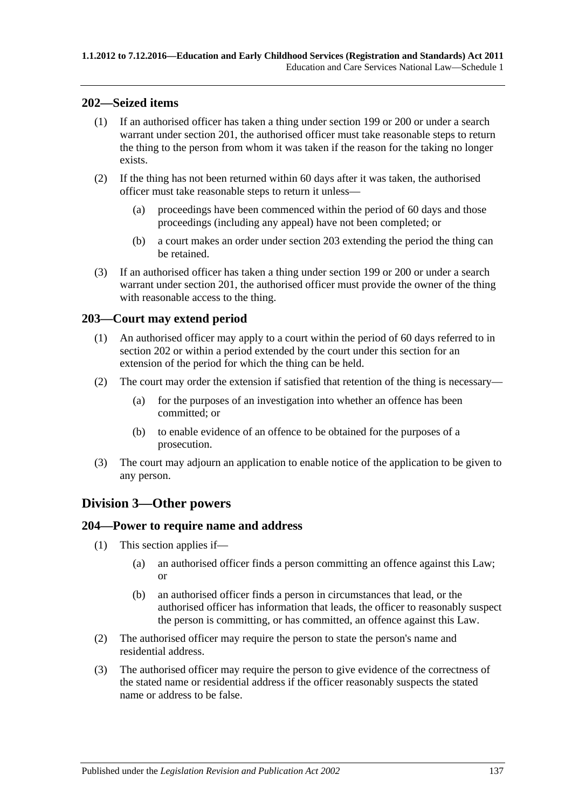## **202—Seized items**

- (1) If an authorised officer has taken a thing under section 199 or 200 or under a search warrant under section 201, the authorised officer must take reasonable steps to return the thing to the person from whom it was taken if the reason for the taking no longer exists.
- (2) If the thing has not been returned within 60 days after it was taken, the authorised officer must take reasonable steps to return it unless—
	- (a) proceedings have been commenced within the period of 60 days and those proceedings (including any appeal) have not been completed; or
	- (b) a court makes an order under section 203 extending the period the thing can be retained.
- (3) If an authorised officer has taken a thing under section 199 or 200 or under a search warrant under section 201, the authorised officer must provide the owner of the thing with reasonable access to the thing.

## **203—Court may extend period**

- (1) An authorised officer may apply to a court within the period of 60 days referred to in section 202 or within a period extended by the court under this section for an extension of the period for which the thing can be held.
- (2) The court may order the extension if satisfied that retention of the thing is necessary—
	- (a) for the purposes of an investigation into whether an offence has been committed; or
	- (b) to enable evidence of an offence to be obtained for the purposes of a prosecution.
- (3) The court may adjourn an application to enable notice of the application to be given to any person.

# **Division 3—Other powers**

## **204—Power to require name and address**

- (1) This section applies if—
	- (a) an authorised officer finds a person committing an offence against this Law; or
	- (b) an authorised officer finds a person in circumstances that lead, or the authorised officer has information that leads, the officer to reasonably suspect the person is committing, or has committed, an offence against this Law.
- (2) The authorised officer may require the person to state the person's name and residential address.
- (3) The authorised officer may require the person to give evidence of the correctness of the stated name or residential address if the officer reasonably suspects the stated name or address to be false.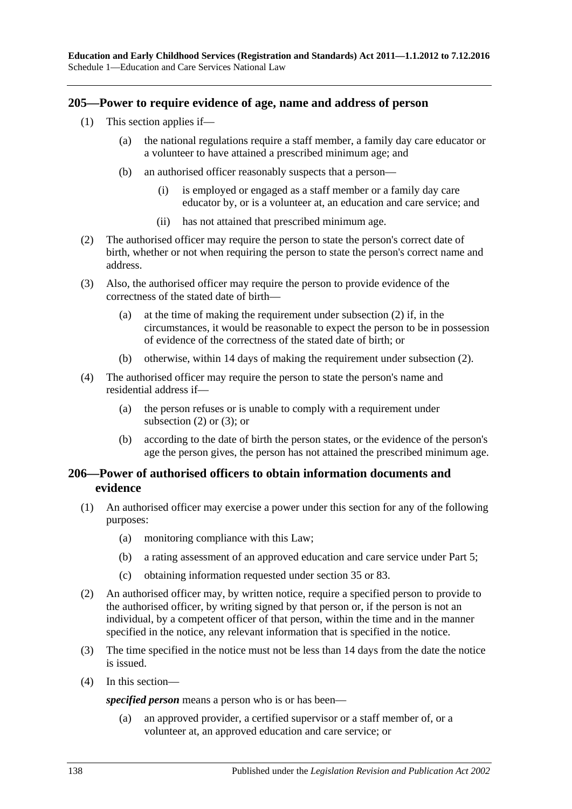**Education and Early Childhood Services (Registration and Standards) Act 2011—1.1.2012 to 7.12.2016** Schedule 1—Education and Care Services National Law

#### **205—Power to require evidence of age, name and address of person**

- (1) This section applies if—
	- (a) the national regulations require a staff member, a family day care educator or a volunteer to have attained a prescribed minimum age; and
	- (b) an authorised officer reasonably suspects that a person—
		- (i) is employed or engaged as a staff member or a family day care educator by, or is a volunteer at, an education and care service; and
		- (ii) has not attained that prescribed minimum age.
- <span id="page-137-0"></span>(2) The authorised officer may require the person to state the person's correct date of birth, whether or not when requiring the person to state the person's correct name and address.
- <span id="page-137-1"></span>(3) Also, the authorised officer may require the person to provide evidence of the correctness of the stated date of birth—
	- (a) at the time of making the requirement under [subsection](#page-137-0) (2) if, in the circumstances, it would be reasonable to expect the person to be in possession of evidence of the correctness of the stated date of birth; or
	- (b) otherwise, within 14 days of making the requirement under [subsection](#page-137-0) (2).
- (4) The authorised officer may require the person to state the person's name and residential address if—
	- (a) the person refuses or is unable to comply with a requirement under [subsection](#page-137-0)  $(2)$  or  $(3)$ ; or
	- (b) according to the date of birth the person states, or the evidence of the person's age the person gives, the person has not attained the prescribed minimum age.

## **206—Power of authorised officers to obtain information documents and evidence**

- (1) An authorised officer may exercise a power under this section for any of the following purposes:
	- (a) monitoring compliance with this Law;
	- (b) a rating assessment of an approved education and care service under Part 5;
	- (c) obtaining information requested under section 35 or 83.
- (2) An authorised officer may, by written notice, require a specified person to provide to the authorised officer, by writing signed by that person or, if the person is not an individual, by a competent officer of that person, within the time and in the manner specified in the notice, any relevant information that is specified in the notice.
- (3) The time specified in the notice must not be less than 14 days from the date the notice is issued.
- <span id="page-137-2"></span>(4) In this section—

*specified person* means a person who is or has been—

(a) an approved provider, a certified supervisor or a staff member of, or a volunteer at, an approved education and care service; or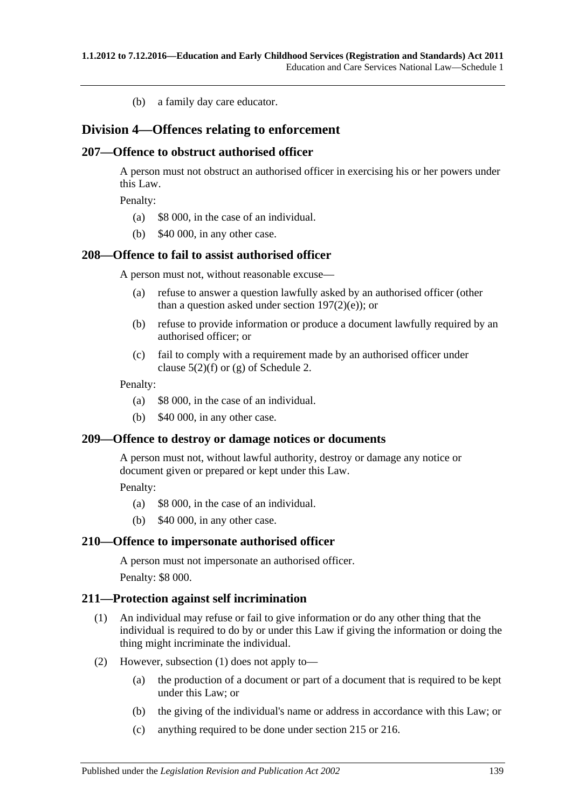(b) a family day care educator.

# **Division 4—Offences relating to enforcement**

#### **207—Offence to obstruct authorised officer**

A person must not obstruct an authorised officer in exercising his or her powers under this Law.

Penalty:

- (a) \$8 000, in the case of an individual.
- (b) \$40 000, in any other case.

#### **208—Offence to fail to assist authorised officer**

A person must not, without reasonable excuse—

- (a) refuse to answer a question lawfully asked by an authorised officer (other than a question asked under section  $197(2)(e)$ ; or
- (b) refuse to provide information or produce a document lawfully required by an authorised officer; or
- (c) fail to comply with a requirement made by an authorised officer under clause  $5(2)(f)$  or [\(g\)](#page-200-1) of Schedule 2.

Penalty:

- (a) \$8 000, in the case of an individual.
- (b) \$40 000, in any other case.

#### **209—Offence to destroy or damage notices or documents**

A person must not, without lawful authority, destroy or damage any notice or document given or prepared or kept under this Law.

Penalty:

- (a) \$8 000, in the case of an individual.
- (b) \$40 000, in any other case.

#### **210—Offence to impersonate authorised officer**

A person must not impersonate an authorised officer. Penalty: \$8 000.

#### <span id="page-138-0"></span>**211—Protection against self incrimination**

- (1) An individual may refuse or fail to give information or do any other thing that the individual is required to do by or under this Law if giving the information or doing the thing might incriminate the individual.
- <span id="page-138-1"></span>(2) However, [subsection](#page-138-0) (1) does not apply to—
	- (a) the production of a document or part of a document that is required to be kept under this Law; or
	- (b) the giving of the individual's name or address in accordance with this Law; or
	- (c) anything required to be done under section 215 or 216.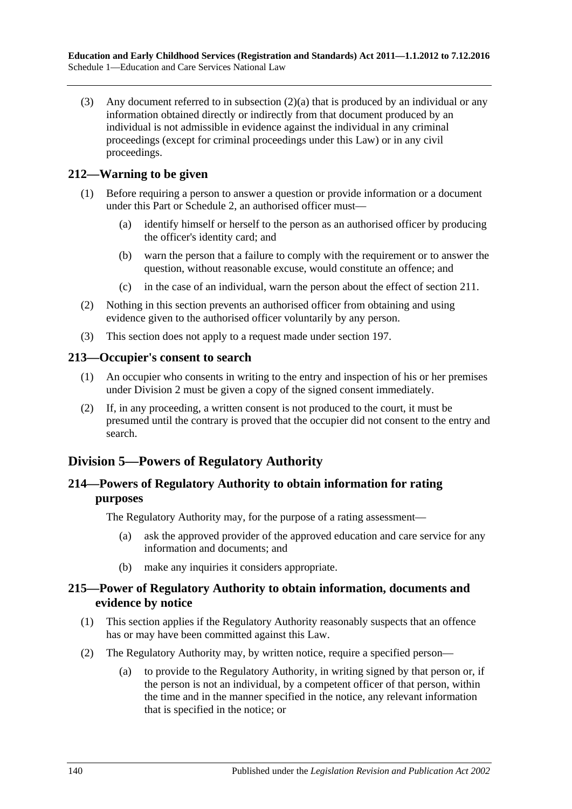(3) Any document referred to in [subsection](#page-138-1)  $(2)(a)$  that is produced by an individual or any information obtained directly or indirectly from that document produced by an individual is not admissible in evidence against the individual in any criminal proceedings (except for criminal proceedings under this Law) or in any civil proceedings.

# **212—Warning to be given**

- (1) Before requiring a person to answer a question or provide information or a document under this Part or Schedule 2, an authorised officer must—
	- (a) identify himself or herself to the person as an authorised officer by producing the officer's identity card; and
	- (b) warn the person that a failure to comply with the requirement or to answer the question, without reasonable excuse, would constitute an offence; and
	- (c) in the case of an individual, warn the person about the effect of section 211.
- (2) Nothing in this section prevents an authorised officer from obtaining and using evidence given to the authorised officer voluntarily by any person.
- (3) This section does not apply to a request made under section 197.

## **213—Occupier's consent to search**

- (1) An occupier who consents in writing to the entry and inspection of his or her premises under Division 2 must be given a copy of the signed consent immediately.
- (2) If, in any proceeding, a written consent is not produced to the court, it must be presumed until the contrary is proved that the occupier did not consent to the entry and search.

# **Division 5—Powers of Regulatory Authority**

# **214—Powers of Regulatory Authority to obtain information for rating purposes**

The Regulatory Authority may, for the purpose of a rating assessment—

- (a) ask the approved provider of the approved education and care service for any information and documents; and
- (b) make any inquiries it considers appropriate.

## **215—Power of Regulatory Authority to obtain information, documents and evidence by notice**

- (1) This section applies if the Regulatory Authority reasonably suspects that an offence has or may have been committed against this Law.
- (2) The Regulatory Authority may, by written notice, require a specified person—
	- (a) to provide to the Regulatory Authority, in writing signed by that person or, if the person is not an individual, by a competent officer of that person, within the time and in the manner specified in the notice, any relevant information that is specified in the notice; or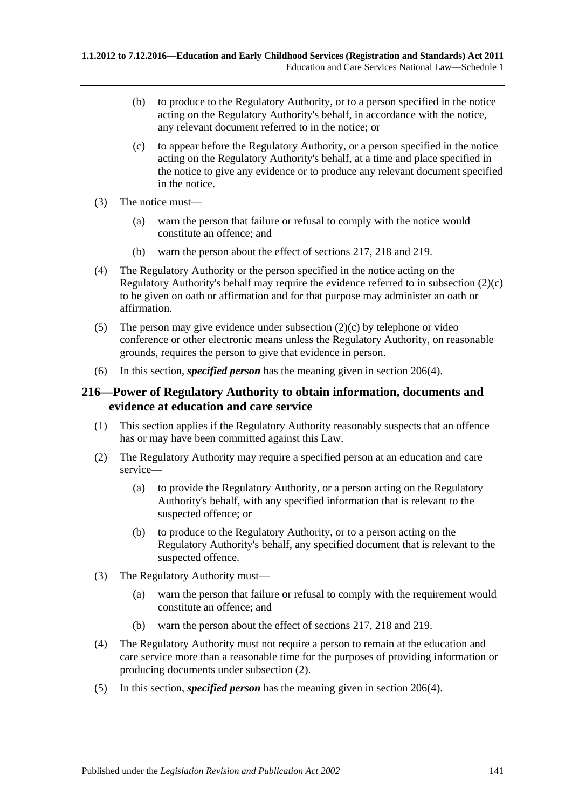- (b) to produce to the Regulatory Authority, or to a person specified in the notice acting on the Regulatory Authority's behalf, in accordance with the notice, any relevant document referred to in the notice; or
- <span id="page-140-0"></span>(c) to appear before the Regulatory Authority, or a person specified in the notice acting on the Regulatory Authority's behalf, at a time and place specified in the notice to give any evidence or to produce any relevant document specified in the notice.
- (3) The notice must—
	- (a) warn the person that failure or refusal to comply with the notice would constitute an offence; and
	- (b) warn the person about the effect of sections 217, 218 and 219.
- (4) The Regulatory Authority or the person specified in the notice acting on the Regulatory Authority's behalf may require the evidence referred to in [subsection](#page-140-0) (2)(c) to be given on oath or affirmation and for that purpose may administer an oath or affirmation.
- (5) The person may give evidence under [subsection](#page-140-0) (2)(c) by telephone or video conference or other electronic means unless the Regulatory Authority, on reasonable grounds, requires the person to give that evidence in person.
- (6) In this section, *specified person* has the meaning given in [section](#page-137-2) 206(4).

## **216—Power of Regulatory Authority to obtain information, documents and evidence at education and care service**

- (1) This section applies if the Regulatory Authority reasonably suspects that an offence has or may have been committed against this Law.
- <span id="page-140-1"></span>(2) The Regulatory Authority may require a specified person at an education and care service—
	- (a) to provide the Regulatory Authority, or a person acting on the Regulatory Authority's behalf, with any specified information that is relevant to the suspected offence; or
	- (b) to produce to the Regulatory Authority, or to a person acting on the Regulatory Authority's behalf, any specified document that is relevant to the suspected offence.
- (3) The Regulatory Authority must—
	- (a) warn the person that failure or refusal to comply with the requirement would constitute an offence; and
	- (b) warn the person about the effect of sections 217, 218 and 219.
- (4) The Regulatory Authority must not require a person to remain at the education and care service more than a reasonable time for the purposes of providing information or producing documents under [subsection](#page-140-1) (2).
- (5) In this section, *specified person* has the meaning given in [section](#page-137-2) 206(4).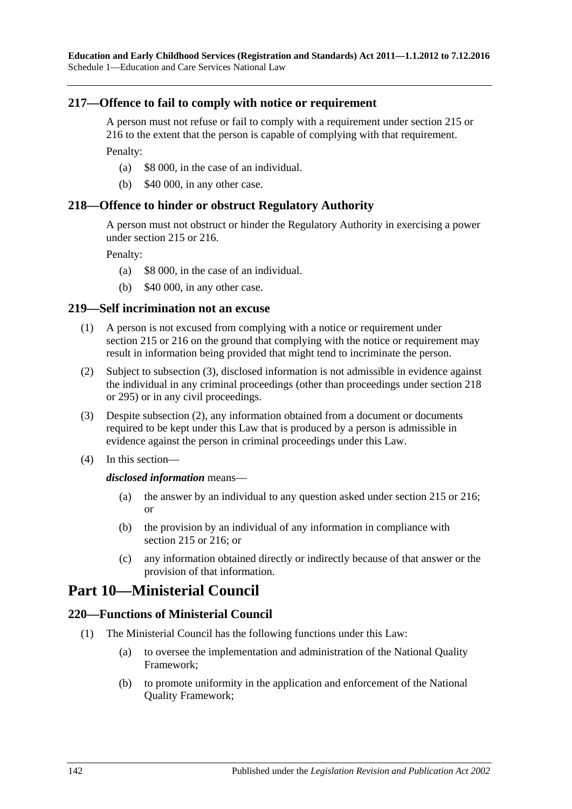## **217—Offence to fail to comply with notice or requirement**

A person must not refuse or fail to comply with a requirement under section 215 or 216 to the extent that the person is capable of complying with that requirement. Penalty:

- (a) \$8 000, in the case of an individual.
- (b) \$40 000, in any other case.

## **218—Offence to hinder or obstruct Regulatory Authority**

A person must not obstruct or hinder the Regulatory Authority in exercising a power under section 215 or 216.

Penalty:

- (a) \$8 000, in the case of an individual.
- (b) \$40 000, in any other case.

## **219—Self incrimination not an excuse**

- (1) A person is not excused from complying with a notice or requirement under section 215 or 216 on the ground that complying with the notice or requirement may result in information being provided that might tend to incriminate the person.
- <span id="page-141-1"></span>(2) Subject to [subsection](#page-141-0) (3), disclosed information is not admissible in evidence against the individual in any criminal proceedings (other than proceedings under section 218 or 295) or in any civil proceedings.
- <span id="page-141-0"></span>(3) Despite [subsection](#page-141-1) (2), any information obtained from a document or documents required to be kept under this Law that is produced by a person is admissible in evidence against the person in criminal proceedings under this Law.
- (4) In this section—

## *disclosed information* means—

- (a) the answer by an individual to any question asked under section 215 or 216; or
- (b) the provision by an individual of any information in compliance with section 215 or 216; or
- (c) any information obtained directly or indirectly because of that answer or the provision of that information.

# **Part 10—Ministerial Council**

# **220—Functions of Ministerial Council**

- (1) The Ministerial Council has the following functions under this Law:
	- (a) to oversee the implementation and administration of the National Quality Framework;
	- (b) to promote uniformity in the application and enforcement of the National Quality Framework;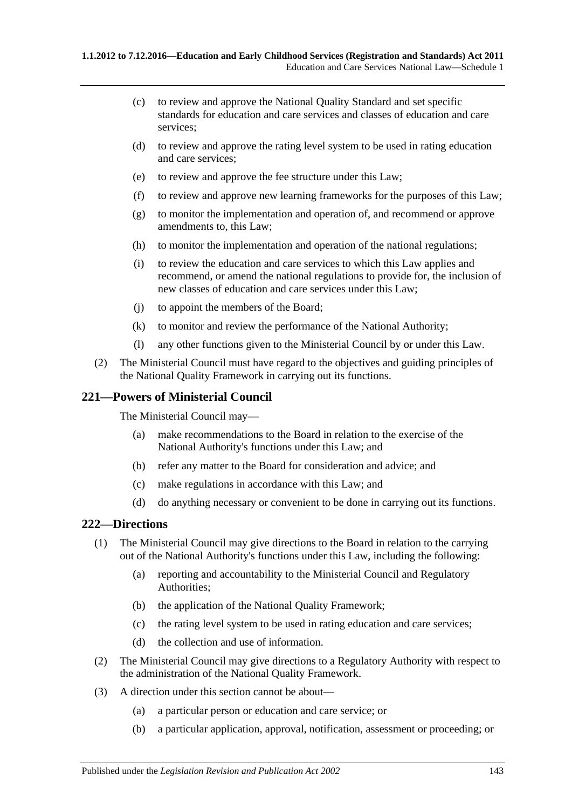- (c) to review and approve the National Quality Standard and set specific standards for education and care services and classes of education and care services;
- (d) to review and approve the rating level system to be used in rating education and care services;
- (e) to review and approve the fee structure under this Law;
- (f) to review and approve new learning frameworks for the purposes of this Law;
- (g) to monitor the implementation and operation of, and recommend or approve amendments to, this Law;
- (h) to monitor the implementation and operation of the national regulations;
- (i) to review the education and care services to which this Law applies and recommend, or amend the national regulations to provide for, the inclusion of new classes of education and care services under this Law;
- (j) to appoint the members of the Board;
- (k) to monitor and review the performance of the National Authority;
- (l) any other functions given to the Ministerial Council by or under this Law.
- (2) The Ministerial Council must have regard to the objectives and guiding principles of the National Quality Framework in carrying out its functions.

# **221—Powers of Ministerial Council**

The Ministerial Council may—

- (a) make recommendations to the Board in relation to the exercise of the National Authority's functions under this Law; and
- (b) refer any matter to the Board for consideration and advice; and
- (c) make regulations in accordance with this Law; and
- (d) do anything necessary or convenient to be done in carrying out its functions.

## **222—Directions**

- (1) The Ministerial Council may give directions to the Board in relation to the carrying out of the National Authority's functions under this Law, including the following:
	- (a) reporting and accountability to the Ministerial Council and Regulatory Authorities;
	- (b) the application of the National Quality Framework;
	- (c) the rating level system to be used in rating education and care services;
	- (d) the collection and use of information.
- (2) The Ministerial Council may give directions to a Regulatory Authority with respect to the administration of the National Quality Framework.
- (3) A direction under this section cannot be about—
	- (a) a particular person or education and care service; or
	- (b) a particular application, approval, notification, assessment or proceeding; or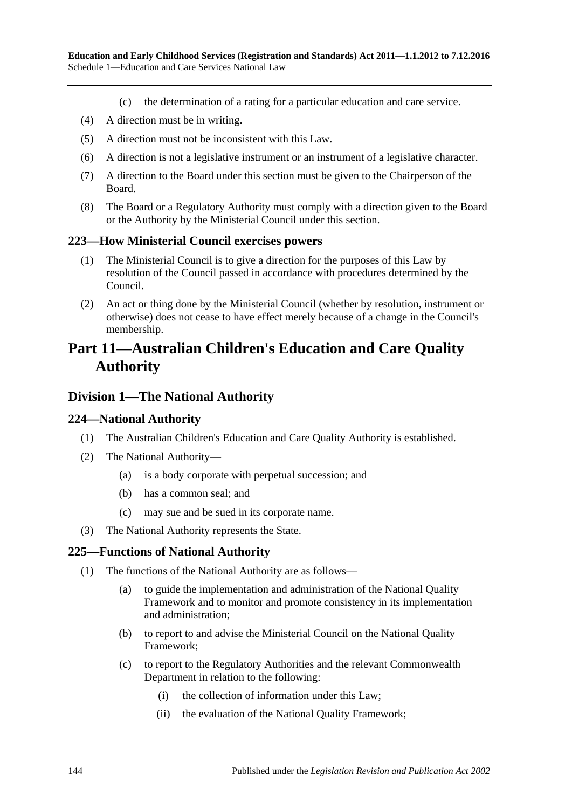- (c) the determination of a rating for a particular education and care service.
- (4) A direction must be in writing.
- (5) A direction must not be inconsistent with this Law.
- (6) A direction is not a legislative instrument or an instrument of a legislative character.
- (7) A direction to the Board under this section must be given to the Chairperson of the Board.
- (8) The Board or a Regulatory Authority must comply with a direction given to the Board or the Authority by the Ministerial Council under this section.

#### **223—How Ministerial Council exercises powers**

- (1) The Ministerial Council is to give a direction for the purposes of this Law by resolution of the Council passed in accordance with procedures determined by the Council.
- (2) An act or thing done by the Ministerial Council (whether by resolution, instrument or otherwise) does not cease to have effect merely because of a change in the Council's membership.

# **Part 11—Australian Children's Education and Care Quality Authority**

#### **Division 1—The National Authority**

#### **224—National Authority**

- (1) The Australian Children's Education and Care Quality Authority is established.
- (2) The National Authority—
	- (a) is a body corporate with perpetual succession; and
	- (b) has a common seal; and
	- (c) may sue and be sued in its corporate name.
- (3) The National Authority represents the State.

#### **225—Functions of National Authority**

- (1) The functions of the National Authority are as follows—
	- (a) to guide the implementation and administration of the National Quality Framework and to monitor and promote consistency in its implementation and administration;
	- (b) to report to and advise the Ministerial Council on the National Quality Framework;
	- (c) to report to the Regulatory Authorities and the relevant Commonwealth Department in relation to the following:
		- (i) the collection of information under this Law;
		- (ii) the evaluation of the National Quality Framework;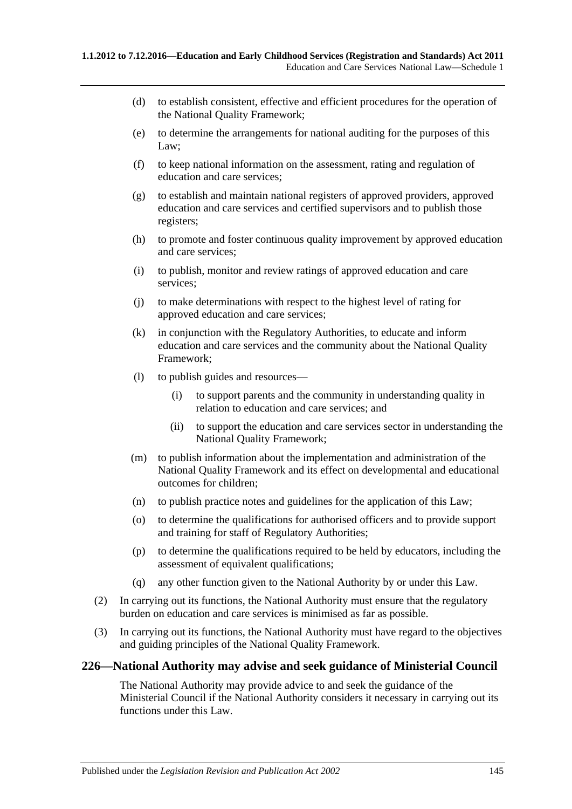- (d) to establish consistent, effective and efficient procedures for the operation of the National Quality Framework;
- (e) to determine the arrangements for national auditing for the purposes of this Law;
- (f) to keep national information on the assessment, rating and regulation of education and care services;
- (g) to establish and maintain national registers of approved providers, approved education and care services and certified supervisors and to publish those registers;
- (h) to promote and foster continuous quality improvement by approved education and care services;
- (i) to publish, monitor and review ratings of approved education and care services;
- (j) to make determinations with respect to the highest level of rating for approved education and care services;
- (k) in conjunction with the Regulatory Authorities, to educate and inform education and care services and the community about the National Quality Framework;
- (l) to publish guides and resources—
	- (i) to support parents and the community in understanding quality in relation to education and care services; and
	- (ii) to support the education and care services sector in understanding the National Quality Framework;
- (m) to publish information about the implementation and administration of the National Quality Framework and its effect on developmental and educational outcomes for children;
- (n) to publish practice notes and guidelines for the application of this Law;
- (o) to determine the qualifications for authorised officers and to provide support and training for staff of Regulatory Authorities;
- (p) to determine the qualifications required to be held by educators, including the assessment of equivalent qualifications;
- (q) any other function given to the National Authority by or under this Law.
- (2) In carrying out its functions, the National Authority must ensure that the regulatory burden on education and care services is minimised as far as possible.
- (3) In carrying out its functions, the National Authority must have regard to the objectives and guiding principles of the National Quality Framework.

#### **226—National Authority may advise and seek guidance of Ministerial Council**

The National Authority may provide advice to and seek the guidance of the Ministerial Council if the National Authority considers it necessary in carrying out its functions under this Law.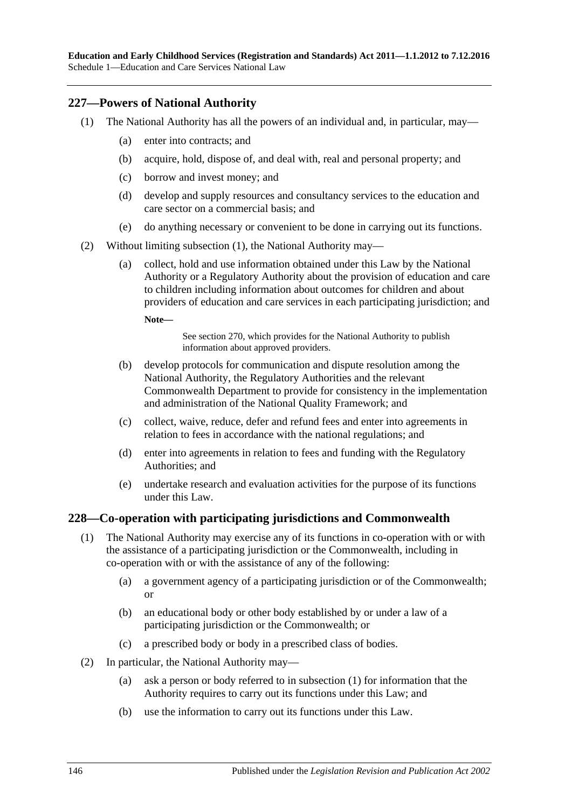## <span id="page-145-0"></span>**227—Powers of National Authority**

- (1) The National Authority has all the powers of an individual and, in particular, may—
	- (a) enter into contracts; and
	- (b) acquire, hold, dispose of, and deal with, real and personal property; and
	- (c) borrow and invest money; and
	- (d) develop and supply resources and consultancy services to the education and care sector on a commercial basis; and
	- (e) do anything necessary or convenient to be done in carrying out its functions.
- (2) Without limiting [subsection](#page-145-0) (1), the National Authority may—
	- (a) collect, hold and use information obtained under this Law by the National Authority or a Regulatory Authority about the provision of education and care to children including information about outcomes for children and about providers of education and care services in each participating jurisdiction; and

**Note—**

See section 270, which provides for the National Authority to publish information about approved providers.

- (b) develop protocols for communication and dispute resolution among the National Authority, the Regulatory Authorities and the relevant Commonwealth Department to provide for consistency in the implementation and administration of the National Quality Framework; and
- (c) collect, waive, reduce, defer and refund fees and enter into agreements in relation to fees in accordance with the national regulations; and
- (d) enter into agreements in relation to fees and funding with the Regulatory Authorities; and
- (e) undertake research and evaluation activities for the purpose of its functions under this Law.

## <span id="page-145-1"></span>**228—Co-operation with participating jurisdictions and Commonwealth**

- (1) The National Authority may exercise any of its functions in co-operation with or with the assistance of a participating jurisdiction or the Commonwealth, including in co-operation with or with the assistance of any of the following:
	- (a) a government agency of a participating jurisdiction or of the Commonwealth; or
	- (b) an educational body or other body established by or under a law of a participating jurisdiction or the Commonwealth; or
	- (c) a prescribed body or body in a prescribed class of bodies.
- (2) In particular, the National Authority may—
	- (a) ask a person or body referred to in [subsection](#page-145-1) (1) for information that the Authority requires to carry out its functions under this Law; and
	- (b) use the information to carry out its functions under this Law.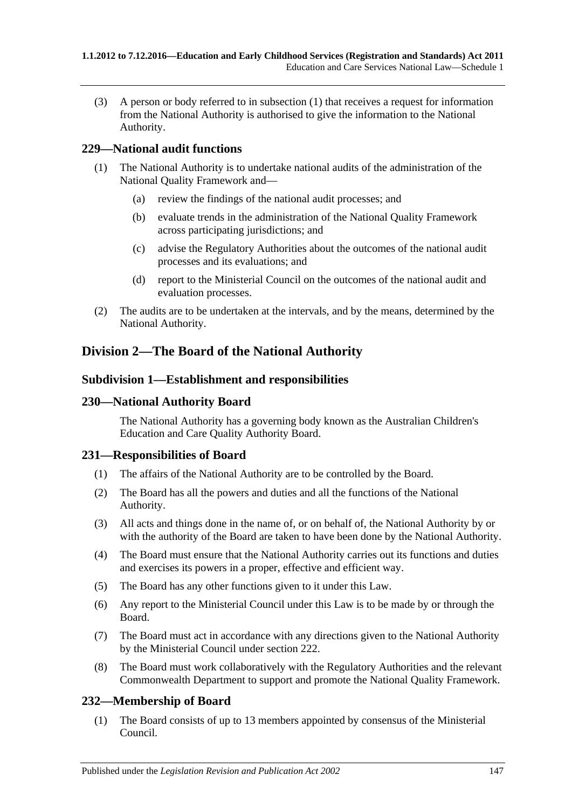(3) A person or body referred to in [subsection](#page-145-1) (1) that receives a request for information from the National Authority is authorised to give the information to the National Authority.

## **229—National audit functions**

- (1) The National Authority is to undertake national audits of the administration of the National Quality Framework and—
	- (a) review the findings of the national audit processes; and
	- (b) evaluate trends in the administration of the National Quality Framework across participating jurisdictions; and
	- (c) advise the Regulatory Authorities about the outcomes of the national audit processes and its evaluations; and
	- (d) report to the Ministerial Council on the outcomes of the national audit and evaluation processes.
- (2) The audits are to be undertaken at the intervals, and by the means, determined by the National Authority.

# **Division 2—The Board of the National Authority**

## **Subdivision 1—Establishment and responsibilities**

### **230—National Authority Board**

The National Authority has a governing body known as the Australian Children's Education and Care Quality Authority Board.

## **231—Responsibilities of Board**

- (1) The affairs of the National Authority are to be controlled by the Board.
- (2) The Board has all the powers and duties and all the functions of the National Authority.
- (3) All acts and things done in the name of, or on behalf of, the National Authority by or with the authority of the Board are taken to have been done by the National Authority.
- (4) The Board must ensure that the National Authority carries out its functions and duties and exercises its powers in a proper, effective and efficient way.
- (5) The Board has any other functions given to it under this Law.
- (6) Any report to the Ministerial Council under this Law is to be made by or through the Board.
- (7) The Board must act in accordance with any directions given to the National Authority by the Ministerial Council under section 222.
- (8) The Board must work collaboratively with the Regulatory Authorities and the relevant Commonwealth Department to support and promote the National Quality Framework.

## **232—Membership of Board**

(1) The Board consists of up to 13 members appointed by consensus of the Ministerial Council.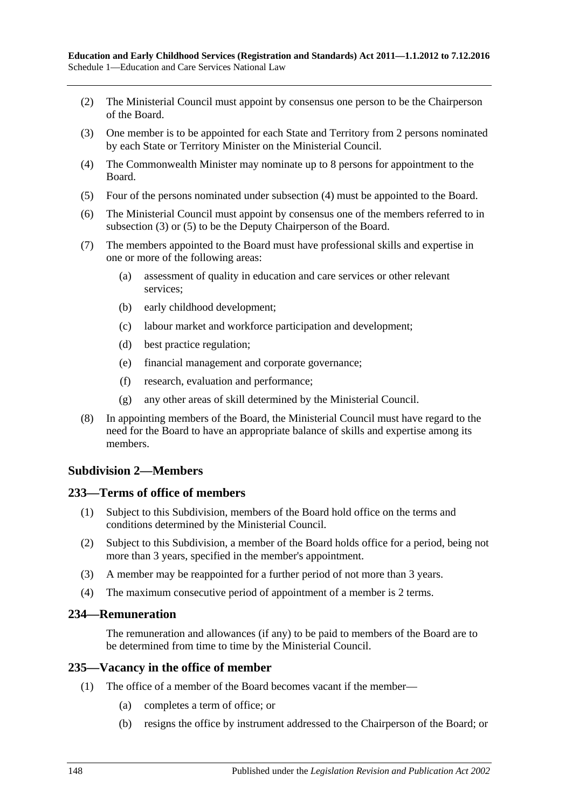- (2) The Ministerial Council must appoint by consensus one person to be the Chairperson of the Board.
- <span id="page-147-1"></span>(3) One member is to be appointed for each State and Territory from 2 persons nominated by each State or Territory Minister on the Ministerial Council.
- <span id="page-147-0"></span>(4) The Commonwealth Minister may nominate up to 8 persons for appointment to the Board.
- <span id="page-147-2"></span>(5) Four of the persons nominated under [subsection](#page-147-0) (4) must be appointed to the Board.
- (6) The Ministerial Council must appoint by consensus one of the members referred to in [subsection](#page-147-1) (3) or [\(5\)](#page-147-2) to be the Deputy Chairperson of the Board.
- (7) The members appointed to the Board must have professional skills and expertise in one or more of the following areas:
	- (a) assessment of quality in education and care services or other relevant services;
	- (b) early childhood development;
	- (c) labour market and workforce participation and development;
	- (d) best practice regulation;
	- (e) financial management and corporate governance;
	- (f) research, evaluation and performance;
	- (g) any other areas of skill determined by the Ministerial Council.
- (8) In appointing members of the Board, the Ministerial Council must have regard to the need for the Board to have an appropriate balance of skills and expertise among its members.

## **Subdivision 2—Members**

#### **233—Terms of office of members**

- (1) Subject to this Subdivision, members of the Board hold office on the terms and conditions determined by the Ministerial Council.
- (2) Subject to this Subdivision, a member of the Board holds office for a period, being not more than 3 years, specified in the member's appointment.
- (3) A member may be reappointed for a further period of not more than 3 years.
- (4) The maximum consecutive period of appointment of a member is 2 terms.

#### **234—Remuneration**

The remuneration and allowances (if any) to be paid to members of the Board are to be determined from time to time by the Ministerial Council.

#### **235—Vacancy in the office of member**

- (1) The office of a member of the Board becomes vacant if the member—
	- (a) completes a term of office; or
	- (b) resigns the office by instrument addressed to the Chairperson of the Board; or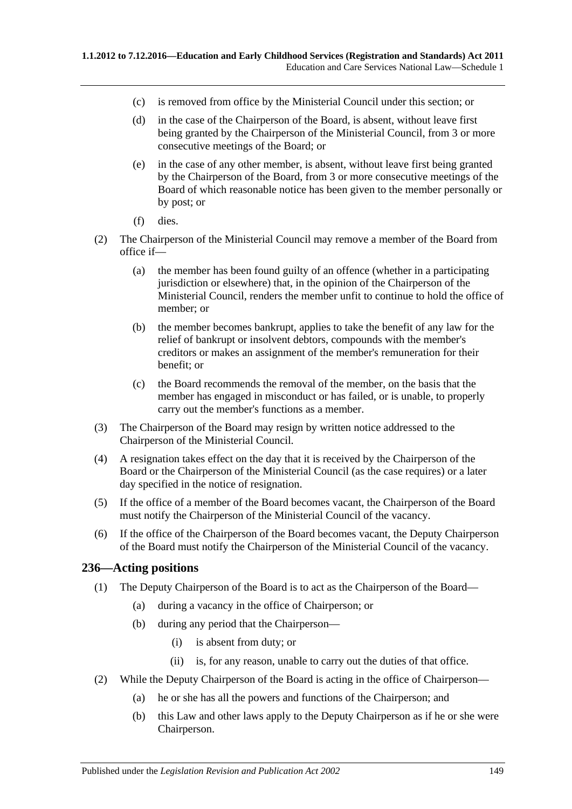- (c) is removed from office by the Ministerial Council under this section; or
- (d) in the case of the Chairperson of the Board, is absent, without leave first being granted by the Chairperson of the Ministerial Council, from 3 or more consecutive meetings of the Board; or
- (e) in the case of any other member, is absent, without leave first being granted by the Chairperson of the Board, from 3 or more consecutive meetings of the Board of which reasonable notice has been given to the member personally or by post; or
- (f) dies.
- (2) The Chairperson of the Ministerial Council may remove a member of the Board from office if—
	- (a) the member has been found guilty of an offence (whether in a participating jurisdiction or elsewhere) that, in the opinion of the Chairperson of the Ministerial Council, renders the member unfit to continue to hold the office of member; or
	- (b) the member becomes bankrupt, applies to take the benefit of any law for the relief of bankrupt or insolvent debtors, compounds with the member's creditors or makes an assignment of the member's remuneration for their benefit; or
	- (c) the Board recommends the removal of the member, on the basis that the member has engaged in misconduct or has failed, or is unable, to properly carry out the member's functions as a member.
- (3) The Chairperson of the Board may resign by written notice addressed to the Chairperson of the Ministerial Council.
- (4) A resignation takes effect on the day that it is received by the Chairperson of the Board or the Chairperson of the Ministerial Council (as the case requires) or a later day specified in the notice of resignation.
- (5) If the office of a member of the Board becomes vacant, the Chairperson of the Board must notify the Chairperson of the Ministerial Council of the vacancy.
- (6) If the office of the Chairperson of the Board becomes vacant, the Deputy Chairperson of the Board must notify the Chairperson of the Ministerial Council of the vacancy.

#### **236—Acting positions**

- (1) The Deputy Chairperson of the Board is to act as the Chairperson of the Board—
	- (a) during a vacancy in the office of Chairperson; or
	- (b) during any period that the Chairperson—
		- (i) is absent from duty; or
		- (ii) is, for any reason, unable to carry out the duties of that office.
- (2) While the Deputy Chairperson of the Board is acting in the office of Chairperson—
	- (a) he or she has all the powers and functions of the Chairperson; and
	- (b) this Law and other laws apply to the Deputy Chairperson as if he or she were Chairperson.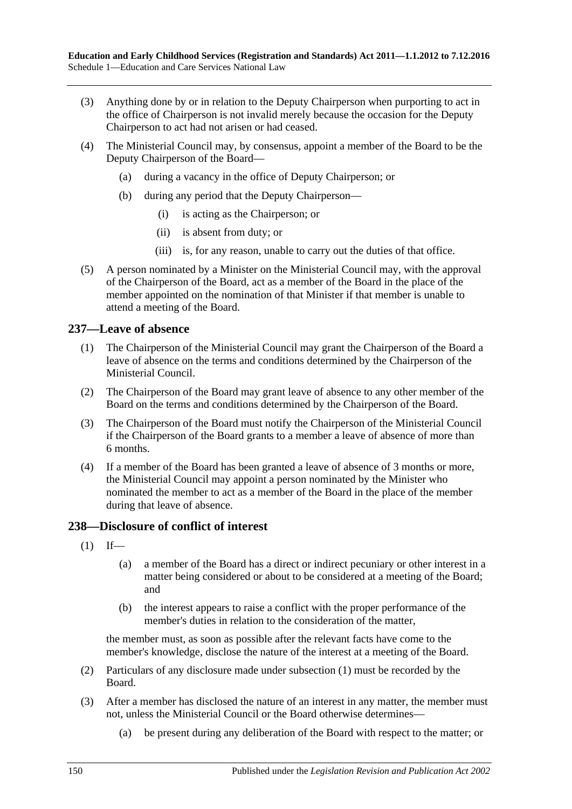- (3) Anything done by or in relation to the Deputy Chairperson when purporting to act in the office of Chairperson is not invalid merely because the occasion for the Deputy Chairperson to act had not arisen or had ceased.
- (4) The Ministerial Council may, by consensus, appoint a member of the Board to be the Deputy Chairperson of the Board—
	- (a) during a vacancy in the office of Deputy Chairperson; or
	- (b) during any period that the Deputy Chairperson—
		- (i) is acting as the Chairperson; or
		- (ii) is absent from duty; or
		- (iii) is, for any reason, unable to carry out the duties of that office.
- (5) A person nominated by a Minister on the Ministerial Council may, with the approval of the Chairperson of the Board, act as a member of the Board in the place of the member appointed on the nomination of that Minister if that member is unable to attend a meeting of the Board.

## **237—Leave of absence**

- (1) The Chairperson of the Ministerial Council may grant the Chairperson of the Board a leave of absence on the terms and conditions determined by the Chairperson of the Ministerial Council.
- (2) The Chairperson of the Board may grant leave of absence to any other member of the Board on the terms and conditions determined by the Chairperson of the Board.
- (3) The Chairperson of the Board must notify the Chairperson of the Ministerial Council if the Chairperson of the Board grants to a member a leave of absence of more than 6 months.
- (4) If a member of the Board has been granted a leave of absence of 3 months or more, the Ministerial Council may appoint a person nominated by the Minister who nominated the member to act as a member of the Board in the place of the member during that leave of absence.

## <span id="page-149-0"></span>**238—Disclosure of conflict of interest**

- $(1)$  If—
	- (a) a member of the Board has a direct or indirect pecuniary or other interest in a matter being considered or about to be considered at a meeting of the Board; and
	- (b) the interest appears to raise a conflict with the proper performance of the member's duties in relation to the consideration of the matter,

the member must, as soon as possible after the relevant facts have come to the member's knowledge, disclose the nature of the interest at a meeting of the Board.

- (2) Particulars of any disclosure made under [subsection](#page-149-0) (1) must be recorded by the Board.
- <span id="page-149-1"></span>(3) After a member has disclosed the nature of an interest in any matter, the member must not, unless the Ministerial Council or the Board otherwise determines—
	- (a) be present during any deliberation of the Board with respect to the matter; or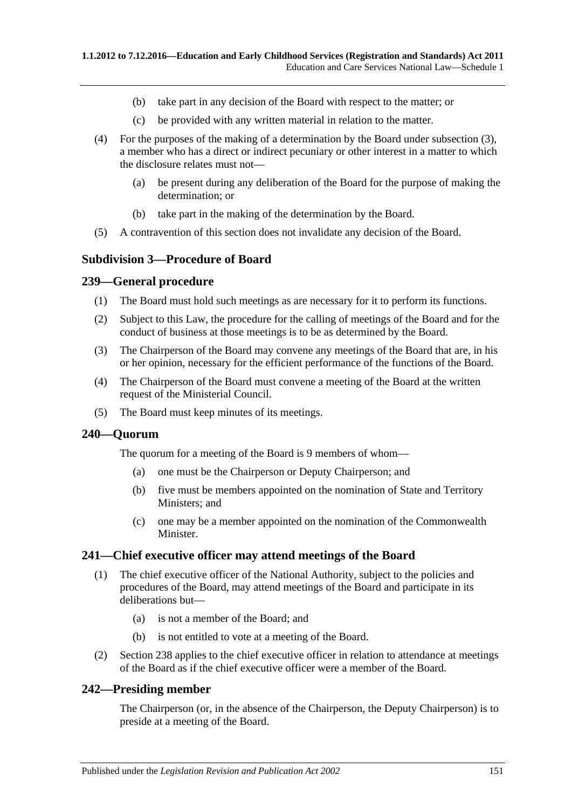- (b) take part in any decision of the Board with respect to the matter; or
- (c) be provided with any written material in relation to the matter.
- (4) For the purposes of the making of a determination by the Board under [subsection](#page-149-1) (3), a member who has a direct or indirect pecuniary or other interest in a matter to which the disclosure relates must not—
	- (a) be present during any deliberation of the Board for the purpose of making the determination; or
	- (b) take part in the making of the determination by the Board.
- (5) A contravention of this section does not invalidate any decision of the Board.

#### **Subdivision 3—Procedure of Board**

#### **239—General procedure**

- (1) The Board must hold such meetings as are necessary for it to perform its functions.
- (2) Subject to this Law, the procedure for the calling of meetings of the Board and for the conduct of business at those meetings is to be as determined by the Board.
- (3) The Chairperson of the Board may convene any meetings of the Board that are, in his or her opinion, necessary for the efficient performance of the functions of the Board.
- (4) The Chairperson of the Board must convene a meeting of the Board at the written request of the Ministerial Council.
- (5) The Board must keep minutes of its meetings.

#### **240—Quorum**

The quorum for a meeting of the Board is 9 members of whom—

- (a) one must be the Chairperson or Deputy Chairperson; and
- (b) five must be members appointed on the nomination of State and Territory Ministers; and
- (c) one may be a member appointed on the nomination of the Commonwealth **Minister**

#### **241—Chief executive officer may attend meetings of the Board**

- (1) The chief executive officer of the National Authority, subject to the policies and procedures of the Board, may attend meetings of the Board and participate in its deliberations but—
	- (a) is not a member of the Board; and
	- (b) is not entitled to vote at a meeting of the Board.
- (2) Section 238 applies to the chief executive officer in relation to attendance at meetings of the Board as if the chief executive officer were a member of the Board.

## **242—Presiding member**

The Chairperson (or, in the absence of the Chairperson, the Deputy Chairperson) is to preside at a meeting of the Board.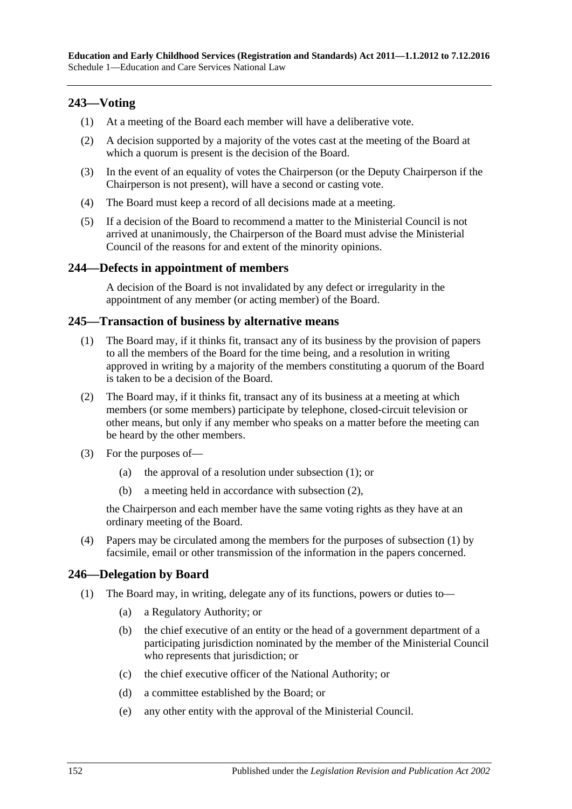# **243—Voting**

- (1) At a meeting of the Board each member will have a deliberative vote.
- (2) A decision supported by a majority of the votes cast at the meeting of the Board at which a quorum is present is the decision of the Board.
- (3) In the event of an equality of votes the Chairperson (or the Deputy Chairperson if the Chairperson is not present), will have a second or casting vote.
- (4) The Board must keep a record of all decisions made at a meeting.
- (5) If a decision of the Board to recommend a matter to the Ministerial Council is not arrived at unanimously, the Chairperson of the Board must advise the Ministerial Council of the reasons for and extent of the minority opinions.

## **244—Defects in appointment of members**

A decision of the Board is not invalidated by any defect or irregularity in the appointment of any member (or acting member) of the Board.

## <span id="page-151-0"></span>**245—Transaction of business by alternative means**

- (1) The Board may, if it thinks fit, transact any of its business by the provision of papers to all the members of the Board for the time being, and a resolution in writing approved in writing by a majority of the members constituting a quorum of the Board is taken to be a decision of the Board.
- <span id="page-151-1"></span>(2) The Board may, if it thinks fit, transact any of its business at a meeting at which members (or some members) participate by telephone, closed-circuit television or other means, but only if any member who speaks on a matter before the meeting can be heard by the other members.
- (3) For the purposes of—
	- (a) the approval of a resolution under [subsection](#page-151-0) (1); or
	- (b) a meeting held in accordance with [subsection](#page-151-1) (2),

the Chairperson and each member have the same voting rights as they have at an ordinary meeting of the Board.

(4) Papers may be circulated among the members for the purposes of [subsection](#page-151-0) (1) by facsimile, email or other transmission of the information in the papers concerned.

## <span id="page-151-2"></span>**246—Delegation by Board**

- (1) The Board may, in writing, delegate any of its functions, powers or duties to—
	- (a) a Regulatory Authority; or
	- (b) the chief executive of an entity or the head of a government department of a participating jurisdiction nominated by the member of the Ministerial Council who represents that jurisdiction; or
	- (c) the chief executive officer of the National Authority; or
	- (d) a committee established by the Board; or
	- (e) any other entity with the approval of the Ministerial Council.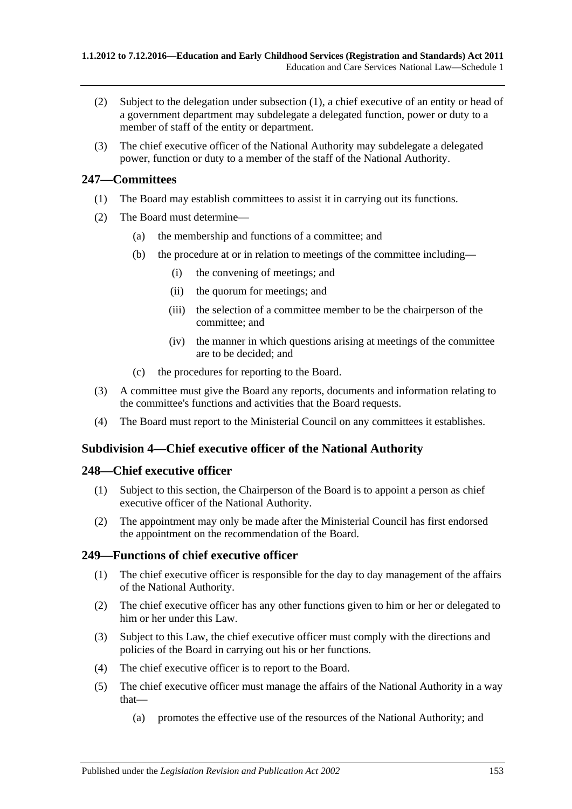- (2) Subject to the delegation under [subsection](#page-151-2) (1), a chief executive of an entity or head of a government department may subdelegate a delegated function, power or duty to a member of staff of the entity or department.
- (3) The chief executive officer of the National Authority may subdelegate a delegated power, function or duty to a member of the staff of the National Authority.

## **247—Committees**

- (1) The Board may establish committees to assist it in carrying out its functions.
- (2) The Board must determine—
	- (a) the membership and functions of a committee; and
	- (b) the procedure at or in relation to meetings of the committee including—
		- (i) the convening of meetings; and
		- (ii) the quorum for meetings; and
		- (iii) the selection of a committee member to be the chairperson of the committee; and
		- (iv) the manner in which questions arising at meetings of the committee are to be decided; and
	- (c) the procedures for reporting to the Board.
- (3) A committee must give the Board any reports, documents and information relating to the committee's functions and activities that the Board requests.
- (4) The Board must report to the Ministerial Council on any committees it establishes.

## **Subdivision 4—Chief executive officer of the National Authority**

## **248—Chief executive officer**

- (1) Subject to this section, the Chairperson of the Board is to appoint a person as chief executive officer of the National Authority.
- (2) The appointment may only be made after the Ministerial Council has first endorsed the appointment on the recommendation of the Board.

## **249—Functions of chief executive officer**

- (1) The chief executive officer is responsible for the day to day management of the affairs of the National Authority.
- (2) The chief executive officer has any other functions given to him or her or delegated to him or her under this Law.
- (3) Subject to this Law, the chief executive officer must comply with the directions and policies of the Board in carrying out his or her functions.
- (4) The chief executive officer is to report to the Board.
- (5) The chief executive officer must manage the affairs of the National Authority in a way that—
	- (a) promotes the effective use of the resources of the National Authority; and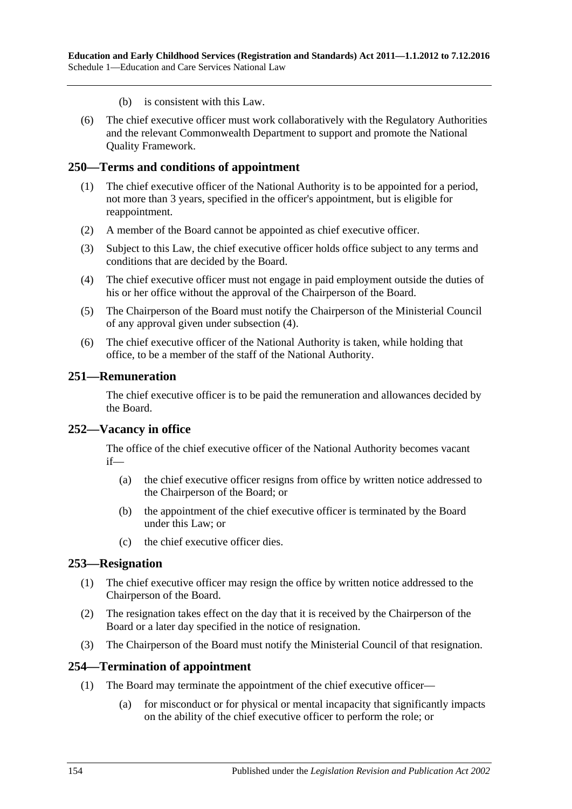- (b) is consistent with this Law.
- (6) The chief executive officer must work collaboratively with the Regulatory Authorities and the relevant Commonwealth Department to support and promote the National Quality Framework.

#### **250—Terms and conditions of appointment**

- (1) The chief executive officer of the National Authority is to be appointed for a period, not more than 3 years, specified in the officer's appointment, but is eligible for reappointment.
- (2) A member of the Board cannot be appointed as chief executive officer.
- (3) Subject to this Law, the chief executive officer holds office subject to any terms and conditions that are decided by the Board.
- <span id="page-153-0"></span>(4) The chief executive officer must not engage in paid employment outside the duties of his or her office without the approval of the Chairperson of the Board.
- (5) The Chairperson of the Board must notify the Chairperson of the Ministerial Council of any approval given under [subsection](#page-153-0) (4).
- (6) The chief executive officer of the National Authority is taken, while holding that office, to be a member of the staff of the National Authority.

#### **251—Remuneration**

The chief executive officer is to be paid the remuneration and allowances decided by the Board.

#### **252—Vacancy in office**

The office of the chief executive officer of the National Authority becomes vacant if—

- (a) the chief executive officer resigns from office by written notice addressed to the Chairperson of the Board; or
- (b) the appointment of the chief executive officer is terminated by the Board under this Law; or
- (c) the chief executive officer dies.

#### **253—Resignation**

- (1) The chief executive officer may resign the office by written notice addressed to the Chairperson of the Board.
- (2) The resignation takes effect on the day that it is received by the Chairperson of the Board or a later day specified in the notice of resignation.
- (3) The Chairperson of the Board must notify the Ministerial Council of that resignation.

#### **254—Termination of appointment**

- (1) The Board may terminate the appointment of the chief executive officer—
	- (a) for misconduct or for physical or mental incapacity that significantly impacts on the ability of the chief executive officer to perform the role; or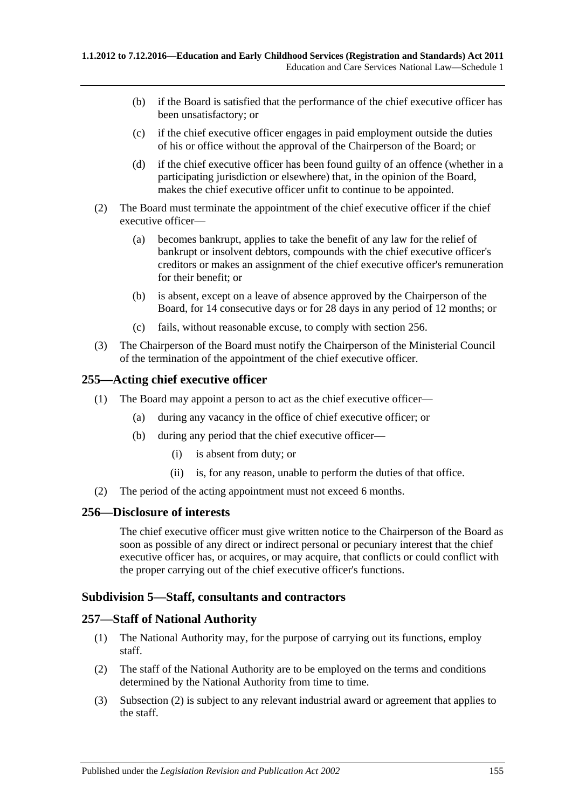- (b) if the Board is satisfied that the performance of the chief executive officer has been unsatisfactory; or
- (c) if the chief executive officer engages in paid employment outside the duties of his or office without the approval of the Chairperson of the Board; or
- (d) if the chief executive officer has been found guilty of an offence (whether in a participating jurisdiction or elsewhere) that, in the opinion of the Board, makes the chief executive officer unfit to continue to be appointed.
- (2) The Board must terminate the appointment of the chief executive officer if the chief executive officer—
	- (a) becomes bankrupt, applies to take the benefit of any law for the relief of bankrupt or insolvent debtors, compounds with the chief executive officer's creditors or makes an assignment of the chief executive officer's remuneration for their benefit; or
	- (b) is absent, except on a leave of absence approved by the Chairperson of the Board, for 14 consecutive days or for 28 days in any period of 12 months; or
	- (c) fails, without reasonable excuse, to comply with section 256.
- (3) The Chairperson of the Board must notify the Chairperson of the Ministerial Council of the termination of the appointment of the chief executive officer.

## **255—Acting chief executive officer**

- (1) The Board may appoint a person to act as the chief executive officer—
	- (a) during any vacancy in the office of chief executive officer; or
	- (b) during any period that the chief executive officer—
		- (i) is absent from duty; or
		- (ii) is, for any reason, unable to perform the duties of that office.
- (2) The period of the acting appointment must not exceed 6 months.

#### **256—Disclosure of interests**

The chief executive officer must give written notice to the Chairperson of the Board as soon as possible of any direct or indirect personal or pecuniary interest that the chief executive officer has, or acquires, or may acquire, that conflicts or could conflict with the proper carrying out of the chief executive officer's functions.

## **Subdivision 5—Staff, consultants and contractors**

#### **257—Staff of National Authority**

- (1) The National Authority may, for the purpose of carrying out its functions, employ staff.
- <span id="page-154-0"></span>(2) The staff of the National Authority are to be employed on the terms and conditions determined by the National Authority from time to time.
- (3) [Subsection \(2\)](#page-154-0) is subject to any relevant industrial award or agreement that applies to the staff.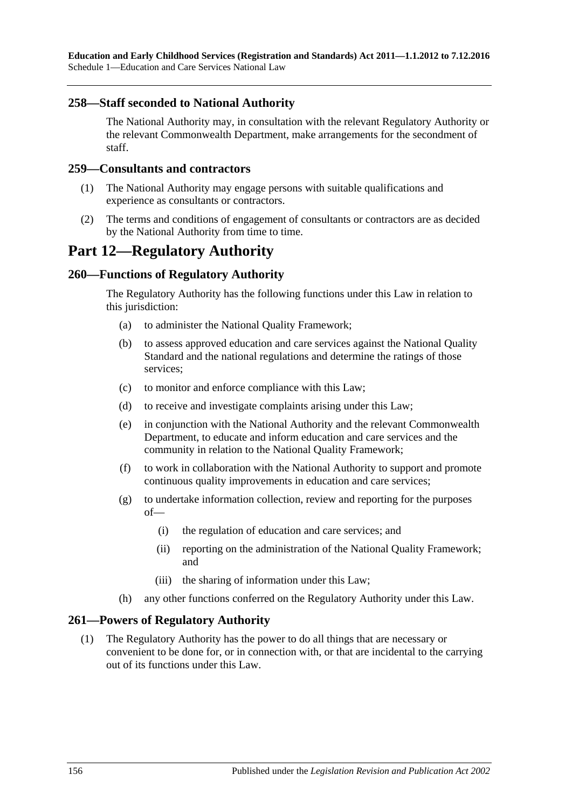### **258—Staff seconded to National Authority**

The National Authority may, in consultation with the relevant Regulatory Authority or the relevant Commonwealth Department, make arrangements for the secondment of staff.

#### **259—Consultants and contractors**

- (1) The National Authority may engage persons with suitable qualifications and experience as consultants or contractors.
- (2) The terms and conditions of engagement of consultants or contractors are as decided by the National Authority from time to time.

# **Part 12—Regulatory Authority**

## **260—Functions of Regulatory Authority**

The Regulatory Authority has the following functions under this Law in relation to this jurisdiction:

- (a) to administer the National Quality Framework;
- (b) to assess approved education and care services against the National Quality Standard and the national regulations and determine the ratings of those services;
- (c) to monitor and enforce compliance with this Law;
- (d) to receive and investigate complaints arising under this Law;
- (e) in conjunction with the National Authority and the relevant Commonwealth Department, to educate and inform education and care services and the community in relation to the National Quality Framework;
- (f) to work in collaboration with the National Authority to support and promote continuous quality improvements in education and care services;
- (g) to undertake information collection, review and reporting for the purposes of—
	- (i) the regulation of education and care services; and
	- (ii) reporting on the administration of the National Quality Framework; and
	- (iii) the sharing of information under this Law;
- (h) any other functions conferred on the Regulatory Authority under this Law.

#### <span id="page-155-0"></span>**261—Powers of Regulatory Authority**

(1) The Regulatory Authority has the power to do all things that are necessary or convenient to be done for, or in connection with, or that are incidental to the carrying out of its functions under this Law.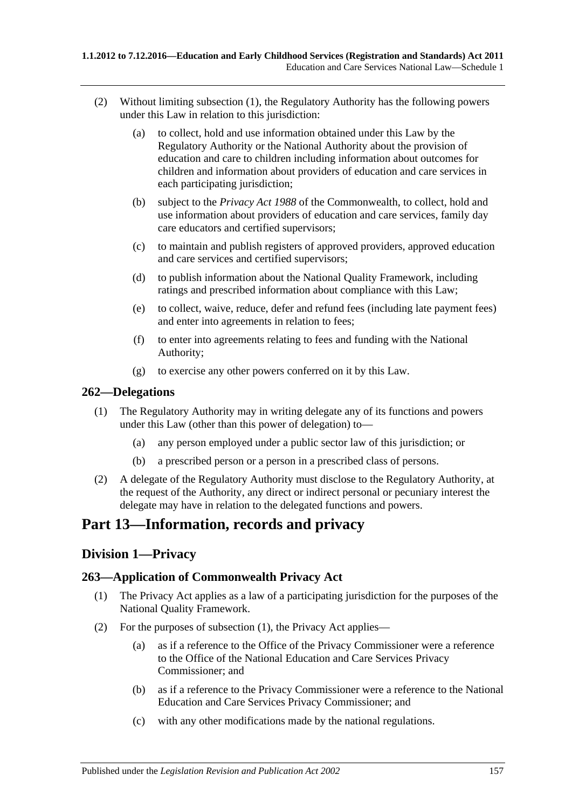- (2) Without limiting [subsection](#page-155-0) (1), the Regulatory Authority has the following powers under this Law in relation to this jurisdiction:
	- (a) to collect, hold and use information obtained under this Law by the Regulatory Authority or the National Authority about the provision of education and care to children including information about outcomes for children and information about providers of education and care services in each participating jurisdiction;
	- (b) subject to the *Privacy Act 1988* of the Commonwealth, to collect, hold and use information about providers of education and care services, family day care educators and certified supervisors;
	- (c) to maintain and publish registers of approved providers, approved education and care services and certified supervisors;
	- (d) to publish information about the National Quality Framework, including ratings and prescribed information about compliance with this Law;
	- (e) to collect, waive, reduce, defer and refund fees (including late payment fees) and enter into agreements in relation to fees;
	- (f) to enter into agreements relating to fees and funding with the National Authority;
	- (g) to exercise any other powers conferred on it by this Law.

#### **262—Delegations**

- (1) The Regulatory Authority may in writing delegate any of its functions and powers under this Law (other than this power of delegation) to—
	- (a) any person employed under a public sector law of this jurisdiction; or
	- (b) a prescribed person or a person in a prescribed class of persons.
- (2) A delegate of the Regulatory Authority must disclose to the Regulatory Authority, at the request of the Authority, any direct or indirect personal or pecuniary interest the delegate may have in relation to the delegated functions and powers.

# **Part 13—Information, records and privacy**

## **Division 1—Privacy**

## <span id="page-156-0"></span>**263—Application of Commonwealth Privacy Act**

- (1) The Privacy Act applies as a law of a participating jurisdiction for the purposes of the National Quality Framework.
- <span id="page-156-1"></span>(2) For the purposes of [subsection](#page-156-0) (1), the Privacy Act applies—
	- (a) as if a reference to the Office of the Privacy Commissioner were a reference to the Office of the National Education and Care Services Privacy Commissioner; and
	- (b) as if a reference to the Privacy Commissioner were a reference to the National Education and Care Services Privacy Commissioner; and
	- (c) with any other modifications made by the national regulations.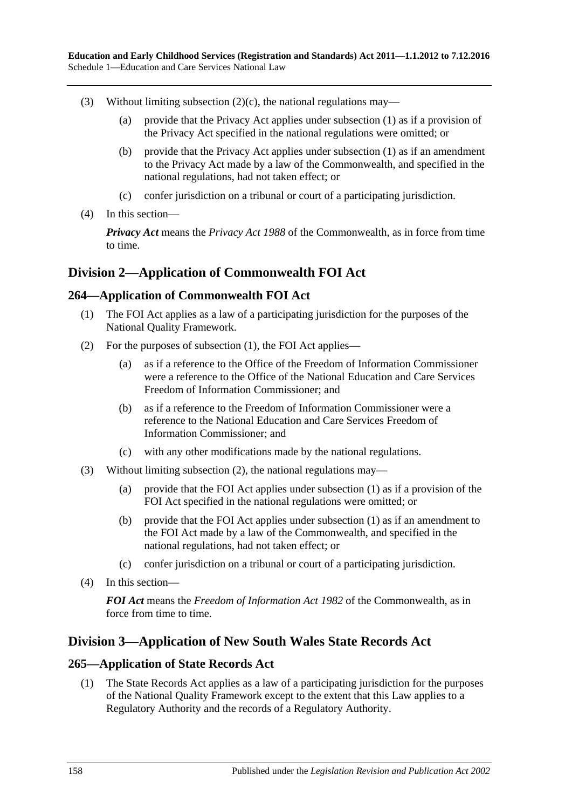- (3) Without limiting [subsection](#page-156-1)  $(2)(c)$ , the national regulations may—
	- (a) provide that the Privacy Act applies under [subsection](#page-156-0) (1) as if a provision of the Privacy Act specified in the national regulations were omitted; or
	- (b) provide that the Privacy Act applies under [subsection](#page-156-0) (1) as if an amendment to the Privacy Act made by a law of the Commonwealth, and specified in the national regulations, had not taken effect; or
	- (c) confer jurisdiction on a tribunal or court of a participating jurisdiction.
- (4) In this section—

*Privacy Act* means the *Privacy Act 1988* of the Commonwealth, as in force from time to time.

## **Division 2—Application of Commonwealth FOI Act**

## <span id="page-157-0"></span>**264—Application of Commonwealth FOI Act**

- (1) The FOI Act applies as a law of a participating jurisdiction for the purposes of the National Quality Framework.
- <span id="page-157-1"></span>(2) For the purposes of [subsection](#page-157-0) (1), the FOI Act applies—
	- (a) as if a reference to the Office of the Freedom of Information Commissioner were a reference to the Office of the National Education and Care Services Freedom of Information Commissioner; and
	- (b) as if a reference to the Freedom of Information Commissioner were a reference to the National Education and Care Services Freedom of Information Commissioner; and
	- (c) with any other modifications made by the national regulations.
- (3) Without limiting [subsection](#page-157-1) (2), the national regulations may—
	- (a) provide that the FOI Act applies under [subsection](#page-157-0) (1) as if a provision of the FOI Act specified in the national regulations were omitted; or
	- (b) provide that the FOI Act applies under [subsection](#page-157-0) (1) as if an amendment to the FOI Act made by a law of the Commonwealth, and specified in the national regulations, had not taken effect; or
	- (c) confer jurisdiction on a tribunal or court of a participating jurisdiction.
- (4) In this section—

*FOI Act* means the *Freedom of Information Act 1982* of the Commonwealth, as in force from time to time.

## **Division 3—Application of New South Wales State Records Act**

#### <span id="page-157-2"></span>**265—Application of State Records Act**

(1) The State Records Act applies as a law of a participating jurisdiction for the purposes of the National Quality Framework except to the extent that this Law applies to a Regulatory Authority and the records of a Regulatory Authority.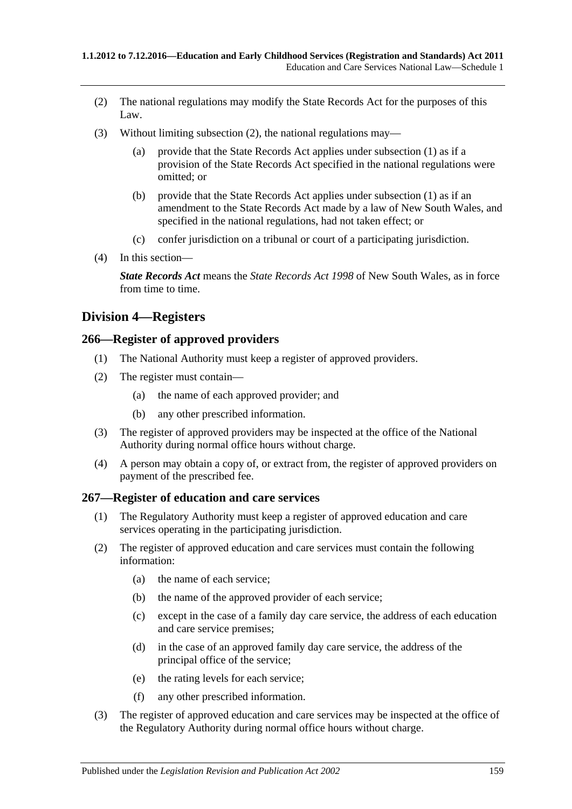- <span id="page-158-0"></span>(2) The national regulations may modify the State Records Act for the purposes of this Law.
- (3) Without limiting [subsection](#page-158-0) (2), the national regulations may—
	- (a) provide that the State Records Act applies under [subsection](#page-157-2) (1) as if a provision of the State Records Act specified in the national regulations were omitted; or
	- (b) provide that the State Records Act applies under [subsection](#page-157-2) (1) as if an amendment to the State Records Act made by a law of New South Wales, and specified in the national regulations, had not taken effect; or
	- (c) confer jurisdiction on a tribunal or court of a participating jurisdiction.
- (4) In this section—

*State Records Act* means the *State Records Act 1998* of New South Wales, as in force from time to time.

## **Division 4—Registers**

## **266—Register of approved providers**

- (1) The National Authority must keep a register of approved providers.
- (2) The register must contain—
	- (a) the name of each approved provider; and
	- (b) any other prescribed information.
- (3) The register of approved providers may be inspected at the office of the National Authority during normal office hours without charge.
- (4) A person may obtain a copy of, or extract from, the register of approved providers on payment of the prescribed fee.

## **267—Register of education and care services**

- (1) The Regulatory Authority must keep a register of approved education and care services operating in the participating jurisdiction.
- (2) The register of approved education and care services must contain the following information:
	- (a) the name of each service;
	- (b) the name of the approved provider of each service;
	- (c) except in the case of a family day care service, the address of each education and care service premises;
	- (d) in the case of an approved family day care service, the address of the principal office of the service;
	- (e) the rating levels for each service;
	- (f) any other prescribed information.
- (3) The register of approved education and care services may be inspected at the office of the Regulatory Authority during normal office hours without charge.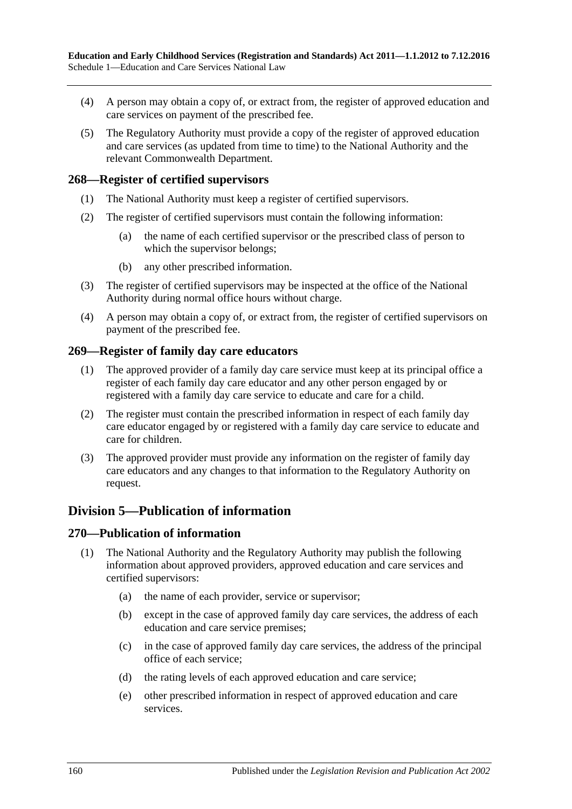- (4) A person may obtain a copy of, or extract from, the register of approved education and care services on payment of the prescribed fee.
- (5) The Regulatory Authority must provide a copy of the register of approved education and care services (as updated from time to time) to the National Authority and the relevant Commonwealth Department.

#### **268—Register of certified supervisors**

- (1) The National Authority must keep a register of certified supervisors.
- (2) The register of certified supervisors must contain the following information:
	- (a) the name of each certified supervisor or the prescribed class of person to which the supervisor belongs;
	- (b) any other prescribed information.
- (3) The register of certified supervisors may be inspected at the office of the National Authority during normal office hours without charge.
- (4) A person may obtain a copy of, or extract from, the register of certified supervisors on payment of the prescribed fee.

#### **269—Register of family day care educators**

- (1) The approved provider of a family day care service must keep at its principal office a register of each family day care educator and any other person engaged by or registered with a family day care service to educate and care for a child.
- (2) The register must contain the prescribed information in respect of each family day care educator engaged by or registered with a family day care service to educate and care for children.
- (3) The approved provider must provide any information on the register of family day care educators and any changes to that information to the Regulatory Authority on request.

## **Division 5—Publication of information**

#### **270—Publication of information**

- (1) The National Authority and the Regulatory Authority may publish the following information about approved providers, approved education and care services and certified supervisors:
	- (a) the name of each provider, service or supervisor;
	- (b) except in the case of approved family day care services, the address of each education and care service premises;
	- (c) in the case of approved family day care services, the address of the principal office of each service;
	- (d) the rating levels of each approved education and care service;
	- (e) other prescribed information in respect of approved education and care services.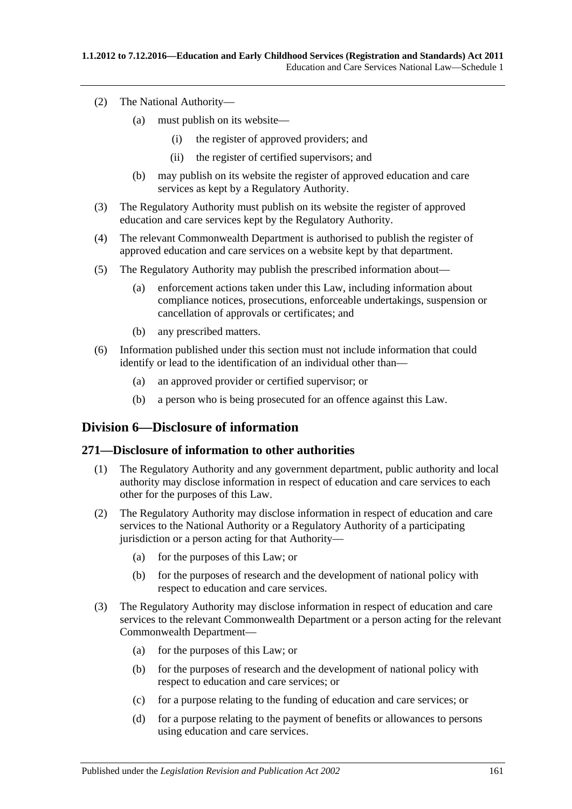- (2) The National Authority—
	- (a) must publish on its website—
		- (i) the register of approved providers; and
		- (ii) the register of certified supervisors; and
	- (b) may publish on its website the register of approved education and care services as kept by a Regulatory Authority.
- (3) The Regulatory Authority must publish on its website the register of approved education and care services kept by the Regulatory Authority.
- (4) The relevant Commonwealth Department is authorised to publish the register of approved education and care services on a website kept by that department.
- (5) The Regulatory Authority may publish the prescribed information about—
	- (a) enforcement actions taken under this Law, including information about compliance notices, prosecutions, enforceable undertakings, suspension or cancellation of approvals or certificates; and
	- (b) any prescribed matters.
- (6) Information published under this section must not include information that could identify or lead to the identification of an individual other than—
	- (a) an approved provider or certified supervisor; or
	- (b) a person who is being prosecuted for an offence against this Law.

## **Division 6—Disclosure of information**

#### **271—Disclosure of information to other authorities**

- (1) The Regulatory Authority and any government department, public authority and local authority may disclose information in respect of education and care services to each other for the purposes of this Law.
- (2) The Regulatory Authority may disclose information in respect of education and care services to the National Authority or a Regulatory Authority of a participating jurisdiction or a person acting for that Authority—
	- (a) for the purposes of this Law; or
	- (b) for the purposes of research and the development of national policy with respect to education and care services.
- (3) The Regulatory Authority may disclose information in respect of education and care services to the relevant Commonwealth Department or a person acting for the relevant Commonwealth Department—
	- (a) for the purposes of this Law; or
	- (b) for the purposes of research and the development of national policy with respect to education and care services; or
	- (c) for a purpose relating to the funding of education and care services; or
	- (d) for a purpose relating to the payment of benefits or allowances to persons using education and care services.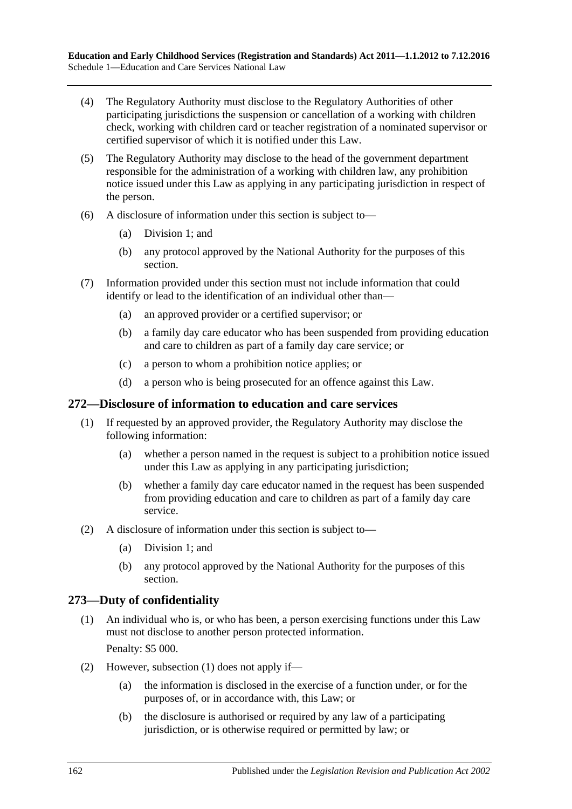- (4) The Regulatory Authority must disclose to the Regulatory Authorities of other participating jurisdictions the suspension or cancellation of a working with children check, working with children card or teacher registration of a nominated supervisor or certified supervisor of which it is notified under this Law.
- (5) The Regulatory Authority may disclose to the head of the government department responsible for the administration of a working with children law, any prohibition notice issued under this Law as applying in any participating jurisdiction in respect of the person.
- (6) A disclosure of information under this section is subject to—
	- (a) Division 1; and
	- (b) any protocol approved by the National Authority for the purposes of this section.
- (7) Information provided under this section must not include information that could identify or lead to the identification of an individual other than—
	- (a) an approved provider or a certified supervisor; or
	- (b) a family day care educator who has been suspended from providing education and care to children as part of a family day care service; or
	- (c) a person to whom a prohibition notice applies; or
	- (d) a person who is being prosecuted for an offence against this Law.

### **272—Disclosure of information to education and care services**

- (1) If requested by an approved provider, the Regulatory Authority may disclose the following information:
	- (a) whether a person named in the request is subject to a prohibition notice issued under this Law as applying in any participating jurisdiction;
	- (b) whether a family day care educator named in the request has been suspended from providing education and care to children as part of a family day care service.
- (2) A disclosure of information under this section is subject to—
	- (a) Division 1; and
	- (b) any protocol approved by the National Authority for the purposes of this section.

## <span id="page-161-0"></span>**273—Duty of confidentiality**

- (1) An individual who is, or who has been, a person exercising functions under this Law must not disclose to another person protected information. Penalty: \$5 000.
- (2) However, [subsection](#page-161-0) (1) does not apply if—
	- (a) the information is disclosed in the exercise of a function under, or for the purposes of, or in accordance with, this Law; or
	- (b) the disclosure is authorised or required by any law of a participating jurisdiction, or is otherwise required or permitted by law; or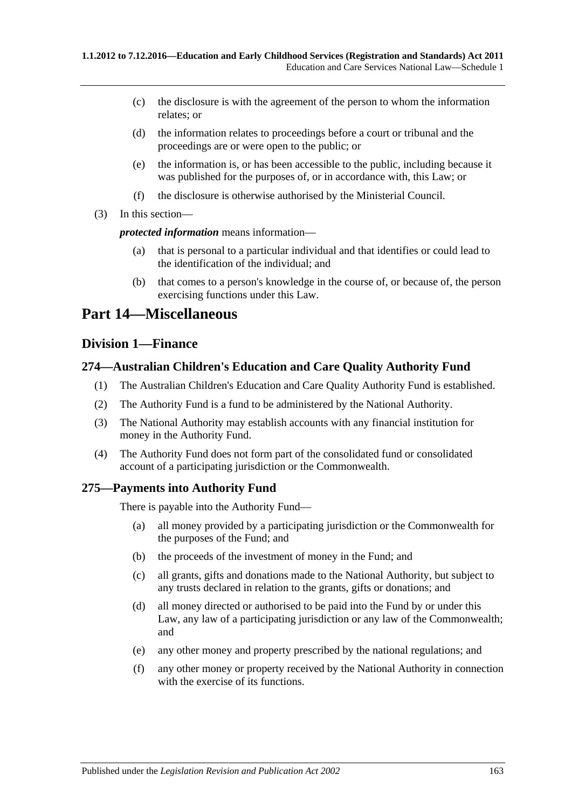- (c) the disclosure is with the agreement of the person to whom the information relates; or
- (d) the information relates to proceedings before a court or tribunal and the proceedings are or were open to the public; or
- (e) the information is, or has been accessible to the public, including because it was published for the purposes of, or in accordance with, this Law; or
- (f) the disclosure is otherwise authorised by the Ministerial Council.
- (3) In this section—

*protected information* means information—

- (a) that is personal to a particular individual and that identifies or could lead to the identification of the individual; and
- (b) that comes to a person's knowledge in the course of, or because of, the person exercising functions under this Law.

# **Part 14—Miscellaneous**

## **Division 1—Finance**

## **274—Australian Children's Education and Care Quality Authority Fund**

- (1) The Australian Children's Education and Care Quality Authority Fund is established.
- (2) The Authority Fund is a fund to be administered by the National Authority.
- (3) The National Authority may establish accounts with any financial institution for money in the Authority Fund.
- (4) The Authority Fund does not form part of the consolidated fund or consolidated account of a participating jurisdiction or the Commonwealth.

## **275—Payments into Authority Fund**

There is payable into the Authority Fund—

- (a) all money provided by a participating jurisdiction or the Commonwealth for the purposes of the Fund; and
- (b) the proceeds of the investment of money in the Fund; and
- (c) all grants, gifts and donations made to the National Authority, but subject to any trusts declared in relation to the grants, gifts or donations; and
- (d) all money directed or authorised to be paid into the Fund by or under this Law, any law of a participating jurisdiction or any law of the Commonwealth; and
- (e) any other money and property prescribed by the national regulations; and
- (f) any other money or property received by the National Authority in connection with the exercise of its functions.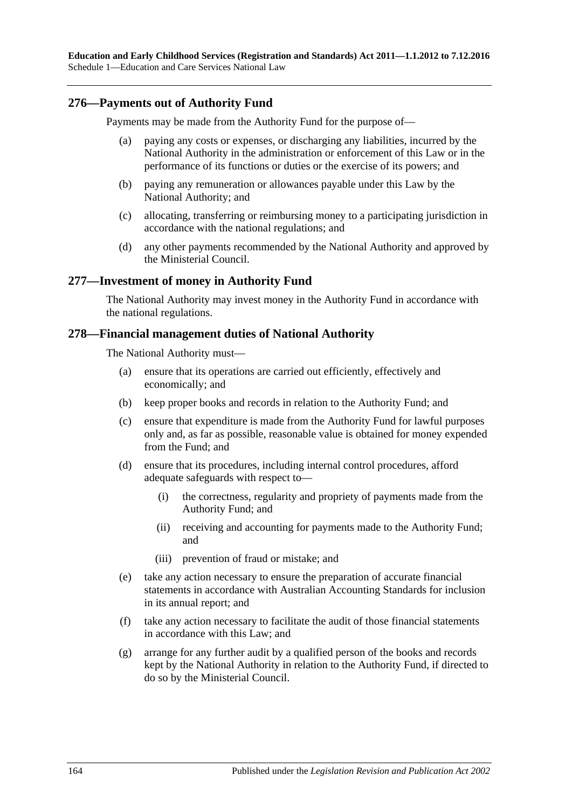## **276—Payments out of Authority Fund**

Payments may be made from the Authority Fund for the purpose of—

- (a) paying any costs or expenses, or discharging any liabilities, incurred by the National Authority in the administration or enforcement of this Law or in the performance of its functions or duties or the exercise of its powers; and
- (b) paying any remuneration or allowances payable under this Law by the National Authority; and
- (c) allocating, transferring or reimbursing money to a participating jurisdiction in accordance with the national regulations; and
- (d) any other payments recommended by the National Authority and approved by the Ministerial Council.

## **277—Investment of money in Authority Fund**

The National Authority may invest money in the Authority Fund in accordance with the national regulations.

#### **278—Financial management duties of National Authority**

The National Authority must—

- (a) ensure that its operations are carried out efficiently, effectively and economically; and
- (b) keep proper books and records in relation to the Authority Fund; and
- (c) ensure that expenditure is made from the Authority Fund for lawful purposes only and, as far as possible, reasonable value is obtained for money expended from the Fund; and
- (d) ensure that its procedures, including internal control procedures, afford adequate safeguards with respect to—
	- (i) the correctness, regularity and propriety of payments made from the Authority Fund; and
	- (ii) receiving and accounting for payments made to the Authority Fund; and
	- (iii) prevention of fraud or mistake; and
- (e) take any action necessary to ensure the preparation of accurate financial statements in accordance with Australian Accounting Standards for inclusion in its annual report; and
- (f) take any action necessary to facilitate the audit of those financial statements in accordance with this Law; and
- (g) arrange for any further audit by a qualified person of the books and records kept by the National Authority in relation to the Authority Fund, if directed to do so by the Ministerial Council.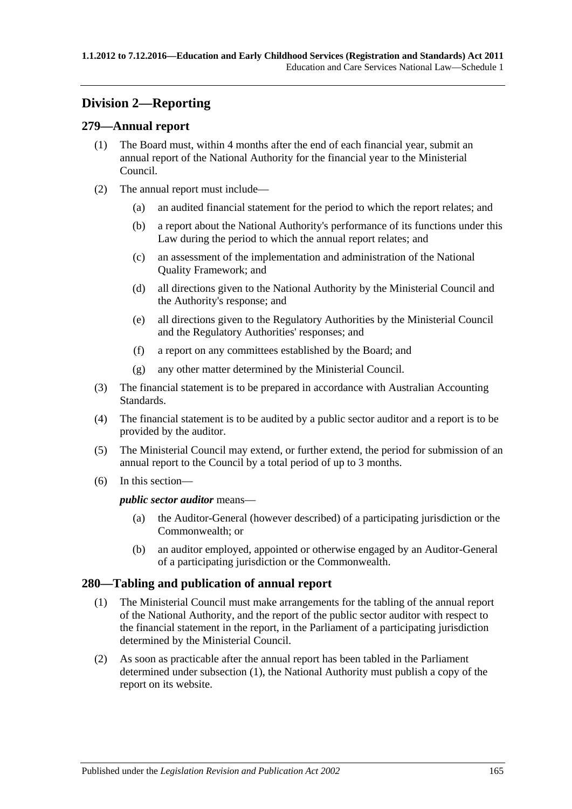# **Division 2—Reporting**

## **279—Annual report**

- (1) The Board must, within 4 months after the end of each financial year, submit an annual report of the National Authority for the financial year to the Ministerial Council.
- (2) The annual report must include—
	- (a) an audited financial statement for the period to which the report relates; and
	- (b) a report about the National Authority's performance of its functions under this Law during the period to which the annual report relates; and
	- (c) an assessment of the implementation and administration of the National Quality Framework; and
	- (d) all directions given to the National Authority by the Ministerial Council and the Authority's response; and
	- (e) all directions given to the Regulatory Authorities by the Ministerial Council and the Regulatory Authorities' responses; and
	- (f) a report on any committees established by the Board; and
	- (g) any other matter determined by the Ministerial Council.
- (3) The financial statement is to be prepared in accordance with Australian Accounting Standards.
- (4) The financial statement is to be audited by a public sector auditor and a report is to be provided by the auditor.
- (5) The Ministerial Council may extend, or further extend, the period for submission of an annual report to the Council by a total period of up to 3 months.
- (6) In this section—

#### *public sector auditor* means—

- (a) the Auditor-General (however described) of a participating jurisdiction or the Commonwealth; or
- (b) an auditor employed, appointed or otherwise engaged by an Auditor-General of a participating jurisdiction or the Commonwealth.

## <span id="page-164-0"></span>**280—Tabling and publication of annual report**

- (1) The Ministerial Council must make arrangements for the tabling of the annual report of the National Authority, and the report of the public sector auditor with respect to the financial statement in the report, in the Parliament of a participating jurisdiction determined by the Ministerial Council.
- (2) As soon as practicable after the annual report has been tabled in the Parliament determined under [subsection](#page-164-0) (1), the National Authority must publish a copy of the report on its website.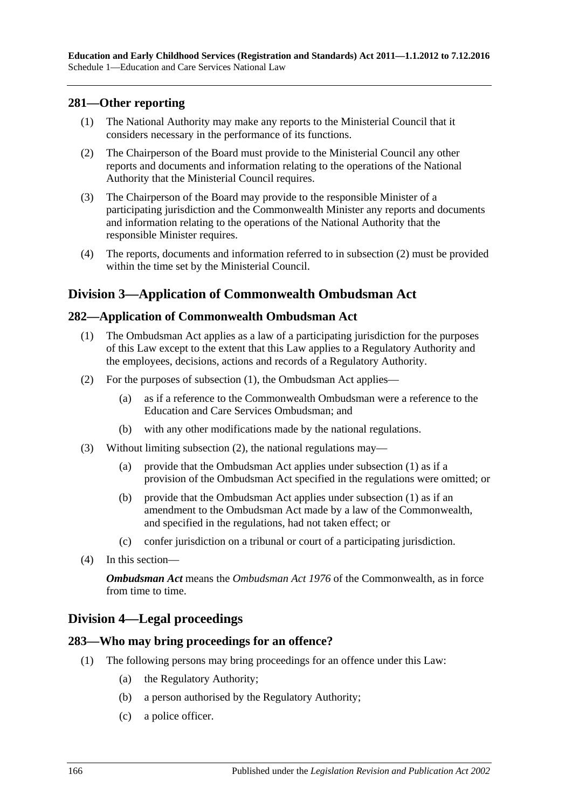## **281—Other reporting**

- (1) The National Authority may make any reports to the Ministerial Council that it considers necessary in the performance of its functions.
- <span id="page-165-0"></span>(2) The Chairperson of the Board must provide to the Ministerial Council any other reports and documents and information relating to the operations of the National Authority that the Ministerial Council requires.
- (3) The Chairperson of the Board may provide to the responsible Minister of a participating jurisdiction and the Commonwealth Minister any reports and documents and information relating to the operations of the National Authority that the responsible Minister requires.
- (4) The reports, documents and information referred to in [subsection](#page-165-0) (2) must be provided within the time set by the Ministerial Council.

# **Division 3—Application of Commonwealth Ombudsman Act**

## <span id="page-165-1"></span>**282—Application of Commonwealth Ombudsman Act**

- (1) The Ombudsman Act applies as a law of a participating jurisdiction for the purposes of this Law except to the extent that this Law applies to a Regulatory Authority and the employees, decisions, actions and records of a Regulatory Authority.
- <span id="page-165-2"></span>(2) For the purposes of [subsection](#page-165-1) (1), the Ombudsman Act applies—
	- (a) as if a reference to the Commonwealth Ombudsman were a reference to the Education and Care Services Ombudsman; and
	- (b) with any other modifications made by the national regulations.
- (3) Without limiting [subsection](#page-165-2) (2), the national regulations may—
	- (a) provide that the Ombudsman Act applies under [subsection](#page-165-1) (1) as if a provision of the Ombudsman Act specified in the regulations were omitted; or
	- (b) provide that the Ombudsman Act applies under [subsection](#page-165-1) (1) as if an amendment to the Ombudsman Act made by a law of the Commonwealth, and specified in the regulations, had not taken effect; or
	- (c) confer jurisdiction on a tribunal or court of a participating jurisdiction.
- (4) In this section—

*Ombudsman Act* means the *Ombudsman Act 1976* of the Commonwealth, as in force from time to time.

# **Division 4—Legal proceedings**

## **283—Who may bring proceedings for an offence?**

- (1) The following persons may bring proceedings for an offence under this Law:
	- (a) the Regulatory Authority;
	- (b) a person authorised by the Regulatory Authority;
	- (c) a police officer.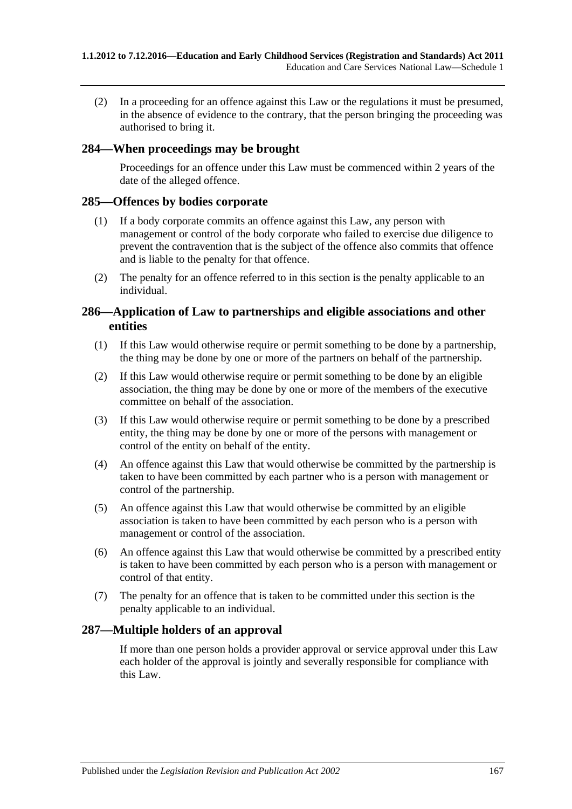(2) In a proceeding for an offence against this Law or the regulations it must be presumed, in the absence of evidence to the contrary, that the person bringing the proceeding was authorised to bring it.

## **284—When proceedings may be brought**

Proceedings for an offence under this Law must be commenced within 2 years of the date of the alleged offence.

### **285—Offences by bodies corporate**

- (1) If a body corporate commits an offence against this Law, any person with management or control of the body corporate who failed to exercise due diligence to prevent the contravention that is the subject of the offence also commits that offence and is liable to the penalty for that offence.
- (2) The penalty for an offence referred to in this section is the penalty applicable to an individual.

## **286—Application of Law to partnerships and eligible associations and other entities**

- (1) If this Law would otherwise require or permit something to be done by a partnership, the thing may be done by one or more of the partners on behalf of the partnership.
- (2) If this Law would otherwise require or permit something to be done by an eligible association, the thing may be done by one or more of the members of the executive committee on behalf of the association.
- (3) If this Law would otherwise require or permit something to be done by a prescribed entity, the thing may be done by one or more of the persons with management or control of the entity on behalf of the entity.
- (4) An offence against this Law that would otherwise be committed by the partnership is taken to have been committed by each partner who is a person with management or control of the partnership.
- (5) An offence against this Law that would otherwise be committed by an eligible association is taken to have been committed by each person who is a person with management or control of the association.
- (6) An offence against this Law that would otherwise be committed by a prescribed entity is taken to have been committed by each person who is a person with management or control of that entity.
- (7) The penalty for an offence that is taken to be committed under this section is the penalty applicable to an individual.

## **287—Multiple holders of an approval**

If more than one person holds a provider approval or service approval under this Law each holder of the approval is jointly and severally responsible for compliance with this Law.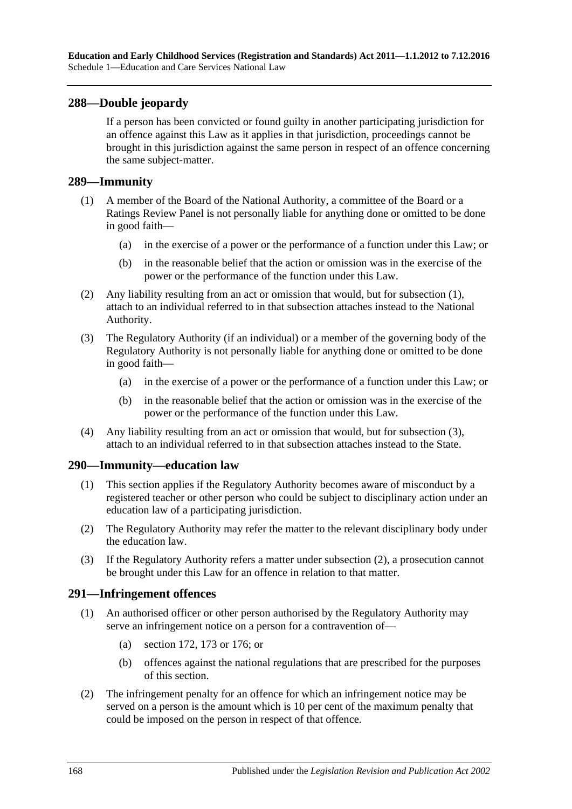### **288—Double jeopardy**

If a person has been convicted or found guilty in another participating jurisdiction for an offence against this Law as it applies in that jurisdiction, proceedings cannot be brought in this jurisdiction against the same person in respect of an offence concerning the same subject-matter.

#### <span id="page-167-0"></span>**289—Immunity**

- (1) A member of the Board of the National Authority, a committee of the Board or a Ratings Review Panel is not personally liable for anything done or omitted to be done in good faith—
	- (a) in the exercise of a power or the performance of a function under this Law; or
	- (b) in the reasonable belief that the action or omission was in the exercise of the power or the performance of the function under this Law.
- (2) Any liability resulting from an act or omission that would, but for [subsection](#page-167-0) (1), attach to an individual referred to in that subsection attaches instead to the National Authority.
- <span id="page-167-1"></span>(3) The Regulatory Authority (if an individual) or a member of the governing body of the Regulatory Authority is not personally liable for anything done or omitted to be done in good faith—
	- (a) in the exercise of a power or the performance of a function under this Law; or
	- (b) in the reasonable belief that the action or omission was in the exercise of the power or the performance of the function under this Law.
- (4) Any liability resulting from an act or omission that would, but for [subsection](#page-167-1) (3), attach to an individual referred to in that subsection attaches instead to the State.

## **290—Immunity—education law**

- (1) This section applies if the Regulatory Authority becomes aware of misconduct by a registered teacher or other person who could be subject to disciplinary action under an education law of a participating jurisdiction.
- <span id="page-167-2"></span>(2) The Regulatory Authority may refer the matter to the relevant disciplinary body under the education law.
- (3) If the Regulatory Authority refers a matter under [subsection](#page-167-2) (2), a prosecution cannot be brought under this Law for an offence in relation to that matter.

## **291—Infringement offences**

- (1) An authorised officer or other person authorised by the Regulatory Authority may serve an infringement notice on a person for a contravention of—
	- (a) section 172, 173 or 176; or
	- (b) offences against the national regulations that are prescribed for the purposes of this section.
- (2) The infringement penalty for an offence for which an infringement notice may be served on a person is the amount which is 10 per cent of the maximum penalty that could be imposed on the person in respect of that offence.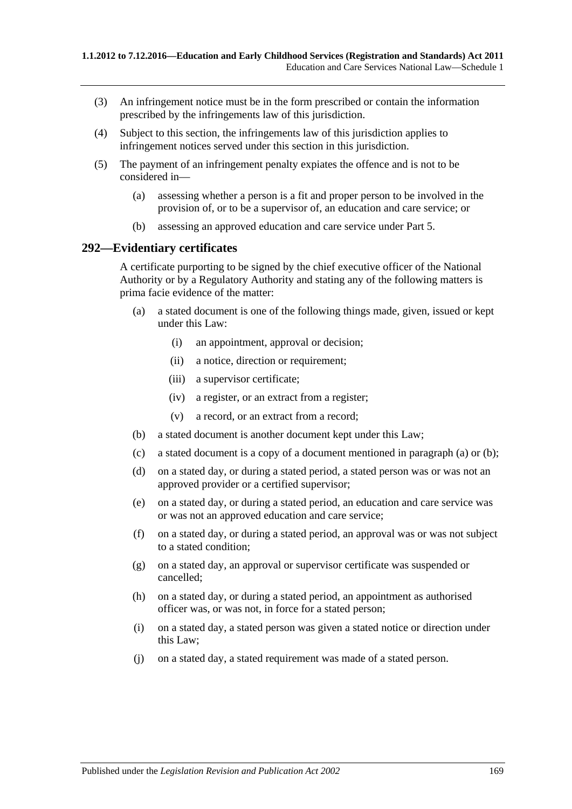- (3) An infringement notice must be in the form prescribed or contain the information prescribed by the infringements law of this jurisdiction.
- (4) Subject to this section, the infringements law of this jurisdiction applies to infringement notices served under this section in this jurisdiction.
- (5) The payment of an infringement penalty expiates the offence and is not to be considered in—
	- (a) assessing whether a person is a fit and proper person to be involved in the provision of, or to be a supervisor of, an education and care service; or
	- (b) assessing an approved education and care service under Part 5.

#### **292—Evidentiary certificates**

<span id="page-168-0"></span>A certificate purporting to be signed by the chief executive officer of the National Authority or by a Regulatory Authority and stating any of the following matters is prima facie evidence of the matter:

- (a) a stated document is one of the following things made, given, issued or kept under this Law:
	- (i) an appointment, approval or decision;
	- (ii) a notice, direction or requirement;
	- (iii) a supervisor certificate;
	- (iv) a register, or an extract from a register;
	- (v) a record, or an extract from a record;
- <span id="page-168-1"></span>(b) a stated document is another document kept under this Law;
- (c) a stated document is a copy of a document mentioned in [paragraph](#page-168-0) (a) or [\(b\);](#page-168-1)
- (d) on a stated day, or during a stated period, a stated person was or was not an approved provider or a certified supervisor;
- (e) on a stated day, or during a stated period, an education and care service was or was not an approved education and care service;
- (f) on a stated day, or during a stated period, an approval was or was not subject to a stated condition;
- (g) on a stated day, an approval or supervisor certificate was suspended or cancelled;
- (h) on a stated day, or during a stated period, an appointment as authorised officer was, or was not, in force for a stated person;
- (i) on a stated day, a stated person was given a stated notice or direction under this Law;
- (j) on a stated day, a stated requirement was made of a stated person.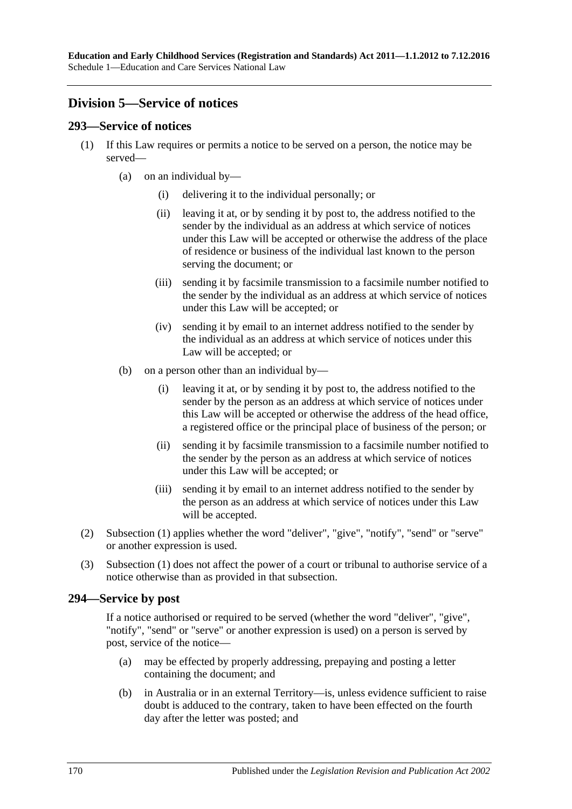# **Division 5—Service of notices**

## <span id="page-169-0"></span>**293—Service of notices**

- (1) If this Law requires or permits a notice to be served on a person, the notice may be served—
	- (a) on an individual by—
		- (i) delivering it to the individual personally; or
		- (ii) leaving it at, or by sending it by post to, the address notified to the sender by the individual as an address at which service of notices under this Law will be accepted or otherwise the address of the place of residence or business of the individual last known to the person serving the document; or
		- (iii) sending it by facsimile transmission to a facsimile number notified to the sender by the individual as an address at which service of notices under this Law will be accepted; or
		- (iv) sending it by email to an internet address notified to the sender by the individual as an address at which service of notices under this Law will be accepted; or
	- (b) on a person other than an individual by—
		- (i) leaving it at, or by sending it by post to, the address notified to the sender by the person as an address at which service of notices under this Law will be accepted or otherwise the address of the head office, a registered office or the principal place of business of the person; or
		- (ii) sending it by facsimile transmission to a facsimile number notified to the sender by the person as an address at which service of notices under this Law will be accepted; or
		- (iii) sending it by email to an internet address notified to the sender by the person as an address at which service of notices under this Law will be accepted.
- (2) [Subsection](#page-169-0) (1) applies whether the word "deliver", "give", "notify", "send" or "serve" or another expression is used.
- (3) [Subsection \(1\)](#page-169-0) does not affect the power of a court or tribunal to authorise service of a notice otherwise than as provided in that subsection.

## **294—Service by post**

If a notice authorised or required to be served (whether the word "deliver", "give", "notify", "send" or "serve" or another expression is used) on a person is served by post, service of the notice—

- (a) may be effected by properly addressing, prepaying and posting a letter containing the document; and
- (b) in Australia or in an external Territory—is, unless evidence sufficient to raise doubt is adduced to the contrary, taken to have been effected on the fourth day after the letter was posted; and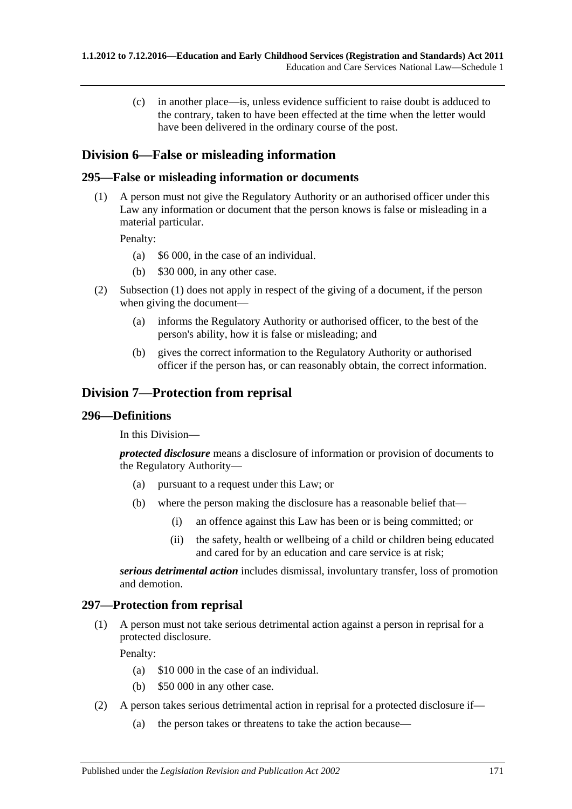(c) in another place—is, unless evidence sufficient to raise doubt is adduced to the contrary, taken to have been effected at the time when the letter would have been delivered in the ordinary course of the post.

## **Division 6—False or misleading information**

### <span id="page-170-0"></span>**295—False or misleading information or documents**

(1) A person must not give the Regulatory Authority or an authorised officer under this Law any information or document that the person knows is false or misleading in a material particular.

Penalty:

- (a) \$6 000, in the case of an individual.
- (b) \$30 000, in any other case.
- (2) [Subsection \(1\)](#page-170-0) does not apply in respect of the giving of a document, if the person when giving the document—
	- (a) informs the Regulatory Authority or authorised officer, to the best of the person's ability, how it is false or misleading; and
	- (b) gives the correct information to the Regulatory Authority or authorised officer if the person has, or can reasonably obtain, the correct information.

## **Division 7—Protection from reprisal**

#### **296—Definitions**

In this Division—

*protected disclosure* means a disclosure of information or provision of documents to the Regulatory Authority—

- (a) pursuant to a request under this Law; or
- (b) where the person making the disclosure has a reasonable belief that—
	- (i) an offence against this Law has been or is being committed; or
	- (ii) the safety, health or wellbeing of a child or children being educated and cared for by an education and care service is at risk;

*serious detrimental action* includes dismissal, involuntary transfer, loss of promotion and demotion.

#### **297—Protection from reprisal**

(1) A person must not take serious detrimental action against a person in reprisal for a protected disclosure.

Penalty:

- (a) \$10 000 in the case of an individual.
- (b) \$50 000 in any other case.
- <span id="page-170-1"></span>(2) A person takes serious detrimental action in reprisal for a protected disclosure if—
	- (a) the person takes or threatens to take the action because—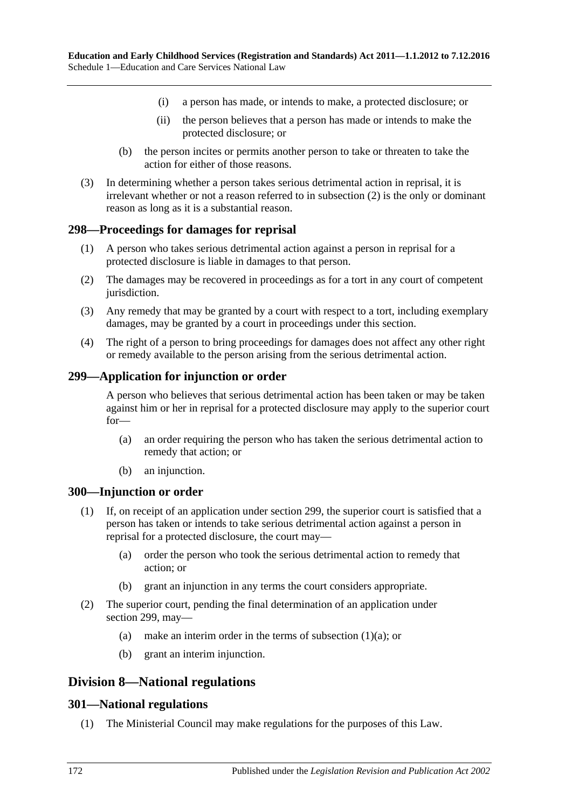- (i) a person has made, or intends to make, a protected disclosure; or
- (ii) the person believes that a person has made or intends to make the protected disclosure; or
- (b) the person incites or permits another person to take or threaten to take the action for either of those reasons.
- (3) In determining whether a person takes serious detrimental action in reprisal, it is irrelevant whether or not a reason referred to in [subsection](#page-170-1) (2) is the only or dominant reason as long as it is a substantial reason.

#### **298—Proceedings for damages for reprisal**

- (1) A person who takes serious detrimental action against a person in reprisal for a protected disclosure is liable in damages to that person.
- (2) The damages may be recovered in proceedings as for a tort in any court of competent jurisdiction.
- (3) Any remedy that may be granted by a court with respect to a tort, including exemplary damages, may be granted by a court in proceedings under this section.
- (4) The right of a person to bring proceedings for damages does not affect any other right or remedy available to the person arising from the serious detrimental action.

#### **299—Application for injunction or order**

A person who believes that serious detrimental action has been taken or may be taken against him or her in reprisal for a protected disclosure may apply to the superior court for—

- (a) an order requiring the person who has taken the serious detrimental action to remedy that action; or
- (b) an injunction.

#### **300—Injunction or order**

- <span id="page-171-0"></span>(1) If, on receipt of an application under section 299, the superior court is satisfied that a person has taken or intends to take serious detrimental action against a person in reprisal for a protected disclosure, the court may—
	- (a) order the person who took the serious detrimental action to remedy that action; or
	- (b) grant an injunction in any terms the court considers appropriate.
- (2) The superior court, pending the final determination of an application under section 299, may
	- (a) make an interim order in the terms of [subsection](#page-171-0)  $(1)(a)$ ; or
	- (b) grant an interim injunction.

## **Division 8—National regulations**

#### <span id="page-171-1"></span>**301—National regulations**

(1) The Ministerial Council may make regulations for the purposes of this Law.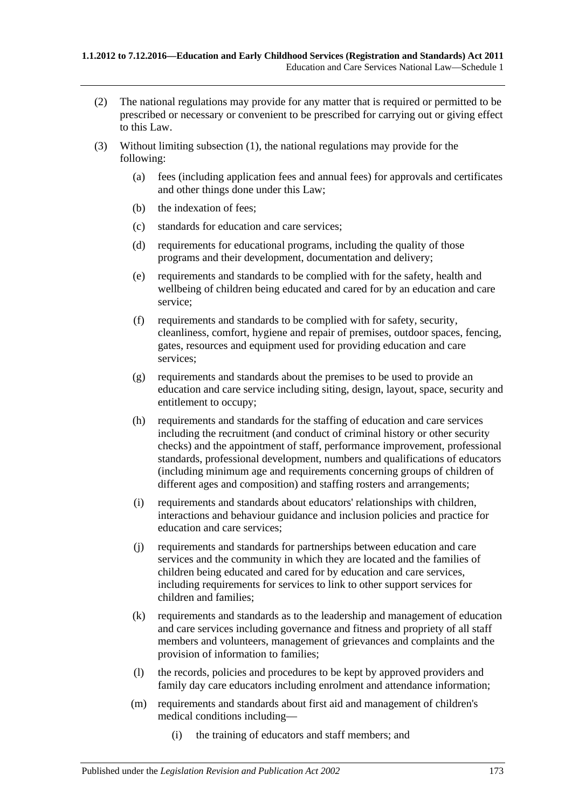- (2) The national regulations may provide for any matter that is required or permitted to be prescribed or necessary or convenient to be prescribed for carrying out or giving effect to this Law.
- (3) Without limiting [subsection](#page-171-1) (1), the national regulations may provide for the following:
	- (a) fees (including application fees and annual fees) for approvals and certificates and other things done under this Law;
	- (b) the indexation of fees;
	- (c) standards for education and care services;
	- (d) requirements for educational programs, including the quality of those programs and their development, documentation and delivery;
	- (e) requirements and standards to be complied with for the safety, health and wellbeing of children being educated and cared for by an education and care service;
	- (f) requirements and standards to be complied with for safety, security, cleanliness, comfort, hygiene and repair of premises, outdoor spaces, fencing, gates, resources and equipment used for providing education and care services;
	- (g) requirements and standards about the premises to be used to provide an education and care service including siting, design, layout, space, security and entitlement to occupy;
	- (h) requirements and standards for the staffing of education and care services including the recruitment (and conduct of criminal history or other security checks) and the appointment of staff, performance improvement, professional standards, professional development, numbers and qualifications of educators (including minimum age and requirements concerning groups of children of different ages and composition) and staffing rosters and arrangements;
	- (i) requirements and standards about educators' relationships with children, interactions and behaviour guidance and inclusion policies and practice for education and care services;
	- (j) requirements and standards for partnerships between education and care services and the community in which they are located and the families of children being educated and cared for by education and care services, including requirements for services to link to other support services for children and families;
	- (k) requirements and standards as to the leadership and management of education and care services including governance and fitness and propriety of all staff members and volunteers, management of grievances and complaints and the provision of information to families;
	- (l) the records, policies and procedures to be kept by approved providers and family day care educators including enrolment and attendance information;
	- (m) requirements and standards about first aid and management of children's medical conditions including—
		- (i) the training of educators and staff members; and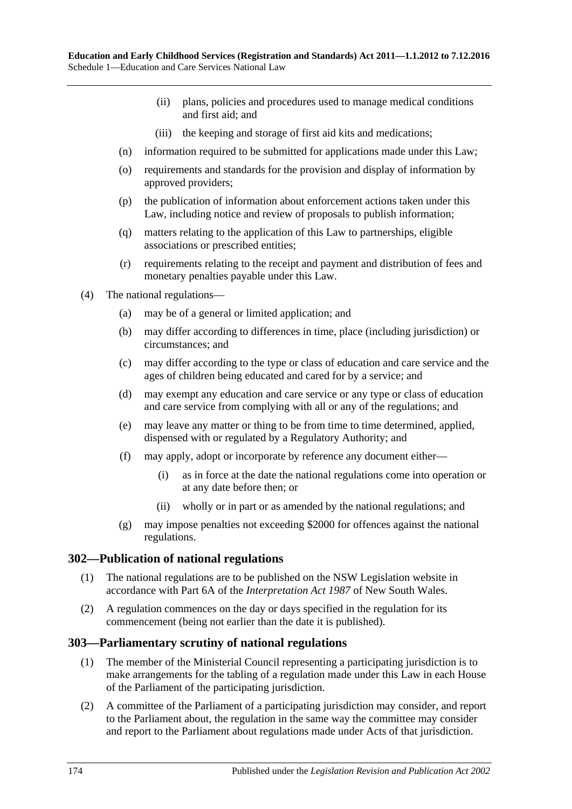- (ii) plans, policies and procedures used to manage medical conditions and first aid; and
- (iii) the keeping and storage of first aid kits and medications;
- (n) information required to be submitted for applications made under this Law;
- (o) requirements and standards for the provision and display of information by approved providers;
- (p) the publication of information about enforcement actions taken under this Law, including notice and review of proposals to publish information;
- (q) matters relating to the application of this Law to partnerships, eligible associations or prescribed entities;
- (r) requirements relating to the receipt and payment and distribution of fees and monetary penalties payable under this Law.
- (4) The national regulations—
	- (a) may be of a general or limited application; and
	- (b) may differ according to differences in time, place (including jurisdiction) or circumstances; and
	- (c) may differ according to the type or class of education and care service and the ages of children being educated and cared for by a service; and
	- (d) may exempt any education and care service or any type or class of education and care service from complying with all or any of the regulations; and
	- (e) may leave any matter or thing to be from time to time determined, applied, dispensed with or regulated by a Regulatory Authority; and
	- (f) may apply, adopt or incorporate by reference any document either—
		- (i) as in force at the date the national regulations come into operation or at any date before then; or
		- (ii) wholly or in part or as amended by the national regulations; and
	- (g) may impose penalties not exceeding \$2000 for offences against the national regulations.

#### **302—Publication of national regulations**

- (1) The national regulations are to be published on the NSW Legislation website in accordance with Part 6A of the *Interpretation Act 1987* of New South Wales.
- (2) A regulation commences on the day or days specified in the regulation for its commencement (being not earlier than the date it is published).

#### **303—Parliamentary scrutiny of national regulations**

- (1) The member of the Ministerial Council representing a participating jurisdiction is to make arrangements for the tabling of a regulation made under this Law in each House of the Parliament of the participating jurisdiction.
- (2) A committee of the Parliament of a participating jurisdiction may consider, and report to the Parliament about, the regulation in the same way the committee may consider and report to the Parliament about regulations made under Acts of that jurisdiction.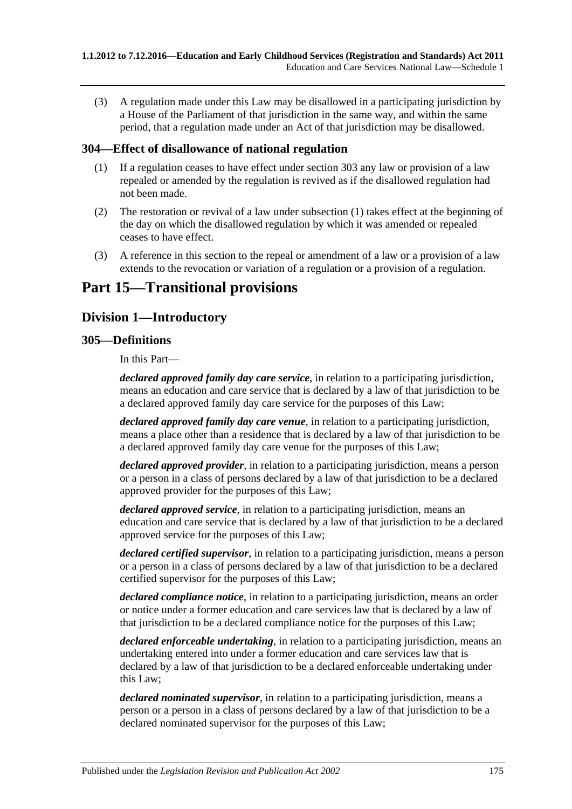(3) A regulation made under this Law may be disallowed in a participating jurisdiction by a House of the Parliament of that jurisdiction in the same way, and within the same period, that a regulation made under an Act of that jurisdiction may be disallowed.

### <span id="page-174-0"></span>**304—Effect of disallowance of national regulation**

- (1) If a regulation ceases to have effect under section 303 any law or provision of a law repealed or amended by the regulation is revived as if the disallowed regulation had not been made.
- (2) The restoration or revival of a law under [subsection](#page-174-0) (1) takes effect at the beginning of the day on which the disallowed regulation by which it was amended or repealed ceases to have effect.
- (3) A reference in this section to the repeal or amendment of a law or a provision of a law extends to the revocation or variation of a regulation or a provision of a regulation.

# **Part 15—Transitional provisions**

## **Division 1—Introductory**

#### **305—Definitions**

In this Part—

*declared approved family day care service*, in relation to a participating jurisdiction, means an education and care service that is declared by a law of that jurisdiction to be a declared approved family day care service for the purposes of this Law;

*declared approved family day care venue*, in relation to a participating jurisdiction, means a place other than a residence that is declared by a law of that jurisdiction to be a declared approved family day care venue for the purposes of this Law;

*declared approved provider*, in relation to a participating jurisdiction, means a person or a person in a class of persons declared by a law of that jurisdiction to be a declared approved provider for the purposes of this Law;

*declared approved service*, in relation to a participating jurisdiction, means an education and care service that is declared by a law of that jurisdiction to be a declared approved service for the purposes of this Law;

*declared certified supervisor*, in relation to a participating jurisdiction, means a person or a person in a class of persons declared by a law of that jurisdiction to be a declared certified supervisor for the purposes of this Law;

*declared compliance notice*, in relation to a participating jurisdiction, means an order or notice under a former education and care services law that is declared by a law of that jurisdiction to be a declared compliance notice for the purposes of this Law;

*declared enforceable undertaking*, in relation to a participating jurisdiction, means an undertaking entered into under a former education and care services law that is declared by a law of that jurisdiction to be a declared enforceable undertaking under this Law;

*declared nominated supervisor*, in relation to a participating jurisdiction, means a person or a person in a class of persons declared by a law of that jurisdiction to be a declared nominated supervisor for the purposes of this Law;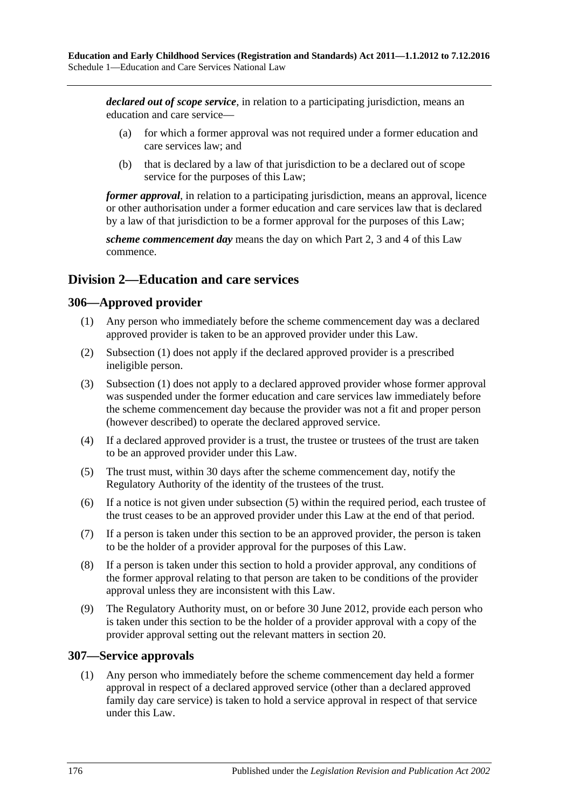*declared out of scope service*, in relation to a participating jurisdiction, means an education and care service—

- (a) for which a former approval was not required under a former education and care services law; and
- (b) that is declared by a law of that jurisdiction to be a declared out of scope service for the purposes of this Law;

*former approval*, in relation to a participating jurisdiction, means an approval, licence or other authorisation under a former education and care services law that is declared by a law of that jurisdiction to be a former approval for the purposes of this Law;

*scheme commencement day* means the day on which Part 2, 3 and 4 of this Law commence.

# **Division 2—Education and care services**

## <span id="page-175-0"></span>**306—Approved provider**

- (1) Any person who immediately before the scheme commencement day was a declared approved provider is taken to be an approved provider under this Law.
- (2) [Subsection \(1\)](#page-175-0) does not apply if the declared approved provider is a prescribed ineligible person.
- (3) [Subsection \(1\)](#page-175-0) does not apply to a declared approved provider whose former approval was suspended under the former education and care services law immediately before the scheme commencement day because the provider was not a fit and proper person (however described) to operate the declared approved service.
- (4) If a declared approved provider is a trust, the trustee or trustees of the trust are taken to be an approved provider under this Law.
- <span id="page-175-1"></span>(5) The trust must, within 30 days after the scheme commencement day, notify the Regulatory Authority of the identity of the trustees of the trust.
- (6) If a notice is not given under [subsection](#page-175-1) (5) within the required period, each trustee of the trust ceases to be an approved provider under this Law at the end of that period.
- (7) If a person is taken under this section to be an approved provider, the person is taken to be the holder of a provider approval for the purposes of this Law.
- (8) If a person is taken under this section to hold a provider approval, any conditions of the former approval relating to that person are taken to be conditions of the provider approval unless they are inconsistent with this Law.
- (9) The Regulatory Authority must, on or before 30 June 2012, provide each person who is taken under this section to be the holder of a provider approval with a copy of the provider approval setting out the relevant matters in section 20.

## <span id="page-175-2"></span>**307—Service approvals**

(1) Any person who immediately before the scheme commencement day held a former approval in respect of a declared approved service (other than a declared approved family day care service) is taken to hold a service approval in respect of that service under this Law.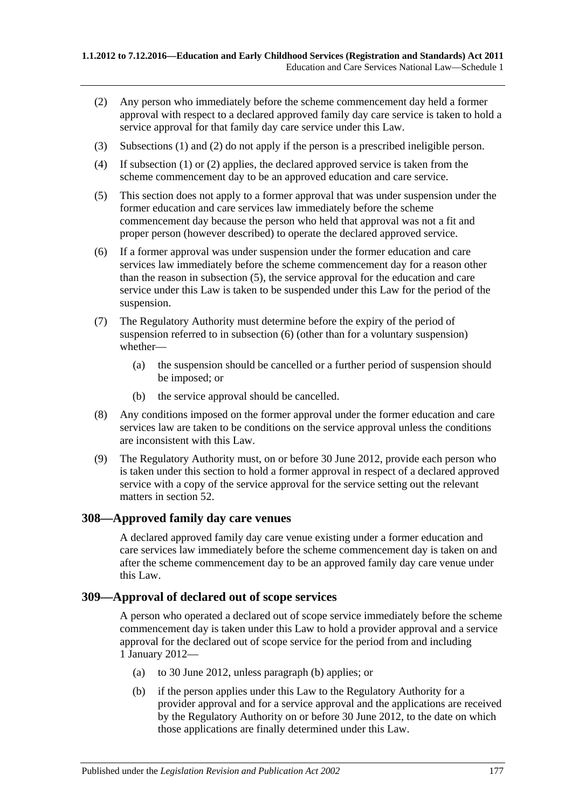- <span id="page-176-0"></span>(2) Any person who immediately before the scheme commencement day held a former approval with respect to a declared approved family day care service is taken to hold a service approval for that family day care service under this Law.
- (3) [Subsections \(1\)](#page-175-2) and [\(2\)](#page-176-0) do not apply if the person is a prescribed ineligible person.
- (4) If [subsection](#page-175-2) (1) or [\(2\)](#page-176-0) applies, the declared approved service is taken from the scheme commencement day to be an approved education and care service.
- <span id="page-176-1"></span>(5) This section does not apply to a former approval that was under suspension under the former education and care services law immediately before the scheme commencement day because the person who held that approval was not a fit and proper person (however described) to operate the declared approved service.
- <span id="page-176-2"></span>(6) If a former approval was under suspension under the former education and care services law immediately before the scheme commencement day for a reason other than the reason in [subsection](#page-176-1) (5), the service approval for the education and care service under this Law is taken to be suspended under this Law for the period of the suspension.
- (7) The Regulatory Authority must determine before the expiry of the period of suspension referred to in [subsection](#page-176-2) (6) (other than for a voluntary suspension) whether—
	- (a) the suspension should be cancelled or a further period of suspension should be imposed; or
	- (b) the service approval should be cancelled.
- (8) Any conditions imposed on the former approval under the former education and care services law are taken to be conditions on the service approval unless the conditions are inconsistent with this Law.
- (9) The Regulatory Authority must, on or before 30 June 2012, provide each person who is taken under this section to hold a former approval in respect of a declared approved service with a copy of the service approval for the service setting out the relevant matters in section 52.

#### **308—Approved family day care venues**

A declared approved family day care venue existing under a former education and care services law immediately before the scheme commencement day is taken on and after the scheme commencement day to be an approved family day care venue under this Law.

## **309—Approval of declared out of scope services**

A person who operated a declared out of scope service immediately before the scheme commencement day is taken under this Law to hold a provider approval and a service approval for the declared out of scope service for the period from and including 1 January 2012—

- (a) to 30 June 2012, unless [paragraph](#page-176-3) (b) applies; or
- <span id="page-176-3"></span>(b) if the person applies under this Law to the Regulatory Authority for a provider approval and for a service approval and the applications are received by the Regulatory Authority on or before 30 June 2012, to the date on which those applications are finally determined under this Law.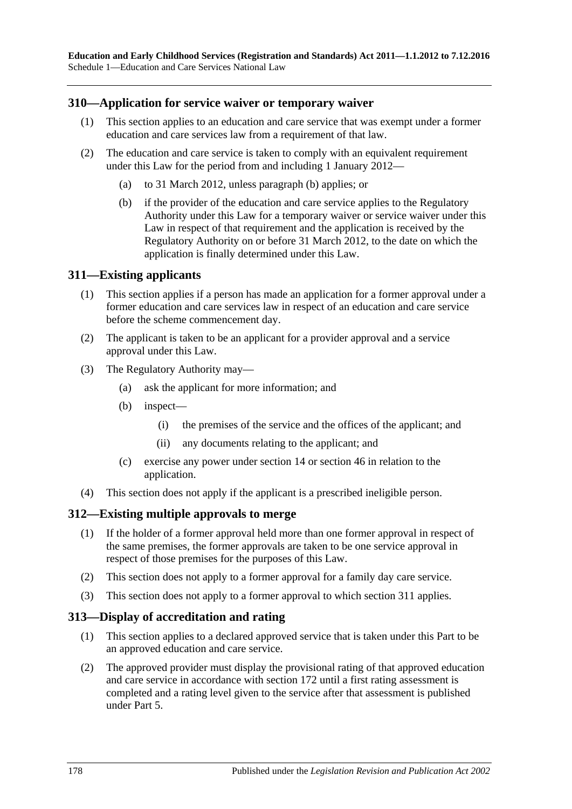## **310—Application for service waiver or temporary waiver**

- (1) This section applies to an education and care service that was exempt under a former education and care services law from a requirement of that law.
- <span id="page-177-0"></span>(2) The education and care service is taken to comply with an equivalent requirement under this Law for the period from and including 1 January 2012—
	- (a) to 31 March 2012, unless [paragraph](#page-177-0) (b) applies; or
	- (b) if the provider of the education and care service applies to the Regulatory Authority under this Law for a temporary waiver or service waiver under this Law in respect of that requirement and the application is received by the Regulatory Authority on or before 31 March 2012, to the date on which the application is finally determined under this Law.

## **311—Existing applicants**

- (1) This section applies if a person has made an application for a former approval under a former education and care services law in respect of an education and care service before the scheme commencement day.
- (2) The applicant is taken to be an applicant for a provider approval and a service approval under this Law.
- (3) The Regulatory Authority may—
	- (a) ask the applicant for more information; and
	- (b) inspect—
		- (i) the premises of the service and the offices of the applicant; and
		- (ii) any documents relating to the applicant; and
	- (c) exercise any power under section 14 or section 46 in relation to the application.
- (4) This section does not apply if the applicant is a prescribed ineligible person.

## **312—Existing multiple approvals to merge**

- (1) If the holder of a former approval held more than one former approval in respect of the same premises, the former approvals are taken to be one service approval in respect of those premises for the purposes of this Law.
- (2) This section does not apply to a former approval for a family day care service.
- (3) This section does not apply to a former approval to which section 311 applies.

#### **313—Display of accreditation and rating**

- (1) This section applies to a declared approved service that is taken under this Part to be an approved education and care service.
- (2) The approved provider must display the provisional rating of that approved education and care service in accordance with section 172 until a first rating assessment is completed and a rating level given to the service after that assessment is published under Part 5.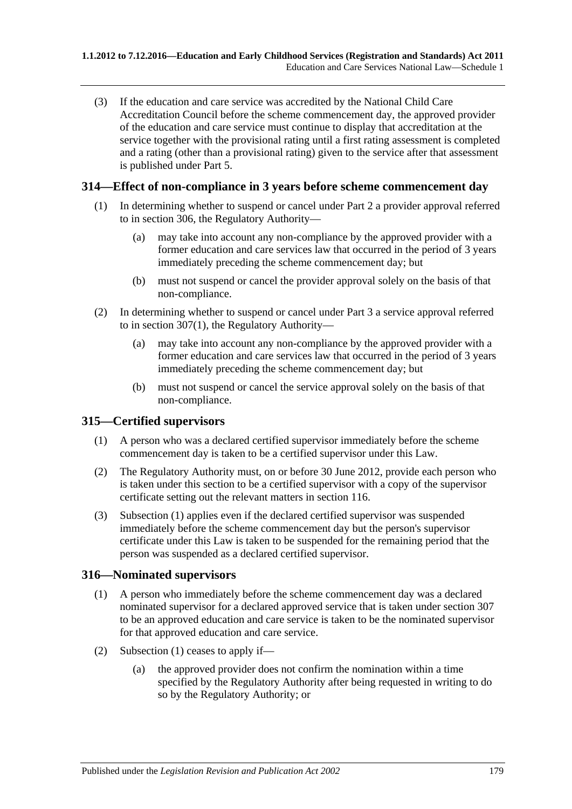(3) If the education and care service was accredited by the National Child Care Accreditation Council before the scheme commencement day, the approved provider of the education and care service must continue to display that accreditation at the service together with the provisional rating until a first rating assessment is completed and a rating (other than a provisional rating) given to the service after that assessment is published under Part 5.

## **314—Effect of non-compliance in 3 years before scheme commencement day**

- (1) In determining whether to suspend or cancel under Part 2 a provider approval referred to in section 306, the Regulatory Authority—
	- (a) may take into account any non-compliance by the approved provider with a former education and care services law that occurred in the period of 3 years immediately preceding the scheme commencement day; but
	- (b) must not suspend or cancel the provider approval solely on the basis of that non-compliance.
- (2) In determining whether to suspend or cancel under Part 3 a service approval referred to in [section](#page-175-2) 307(1), the Regulatory Authority—
	- (a) may take into account any non-compliance by the approved provider with a former education and care services law that occurred in the period of 3 years immediately preceding the scheme commencement day; but
	- (b) must not suspend or cancel the service approval solely on the basis of that non-compliance.

## <span id="page-178-0"></span>**315—Certified supervisors**

- (1) A person who was a declared certified supervisor immediately before the scheme commencement day is taken to be a certified supervisor under this Law.
- (2) The Regulatory Authority must, on or before 30 June 2012, provide each person who is taken under this section to be a certified supervisor with a copy of the supervisor certificate setting out the relevant matters in section 116.
- (3) [Subsection \(1\)](#page-178-0) applies even if the declared certified supervisor was suspended immediately before the scheme commencement day but the person's supervisor certificate under this Law is taken to be suspended for the remaining period that the person was suspended as a declared certified supervisor.

## <span id="page-178-1"></span>**316—Nominated supervisors**

- (1) A person who immediately before the scheme commencement day was a declared nominated supervisor for a declared approved service that is taken under section 307 to be an approved education and care service is taken to be the nominated supervisor for that approved education and care service.
- (2) [Subsection \(1\)](#page-178-1) ceases to apply if—
	- (a) the approved provider does not confirm the nomination within a time specified by the Regulatory Authority after being requested in writing to do so by the Regulatory Authority; or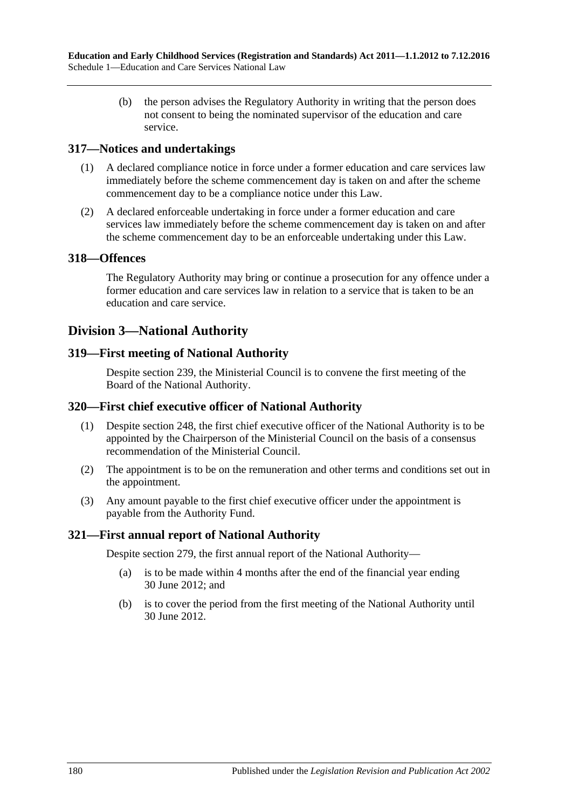(b) the person advises the Regulatory Authority in writing that the person does not consent to being the nominated supervisor of the education and care service.

#### **317—Notices and undertakings**

- (1) A declared compliance notice in force under a former education and care services law immediately before the scheme commencement day is taken on and after the scheme commencement day to be a compliance notice under this Law.
- (2) A declared enforceable undertaking in force under a former education and care services law immediately before the scheme commencement day is taken on and after the scheme commencement day to be an enforceable undertaking under this Law.

#### **318—Offences**

The Regulatory Authority may bring or continue a prosecution for any offence under a former education and care services law in relation to a service that is taken to be an education and care service.

## **Division 3—National Authority**

#### **319—First meeting of National Authority**

Despite section 239, the Ministerial Council is to convene the first meeting of the Board of the National Authority.

## **320—First chief executive officer of National Authority**

- (1) Despite section 248, the first chief executive officer of the National Authority is to be appointed by the Chairperson of the Ministerial Council on the basis of a consensus recommendation of the Ministerial Council.
- (2) The appointment is to be on the remuneration and other terms and conditions set out in the appointment.
- (3) Any amount payable to the first chief executive officer under the appointment is payable from the Authority Fund.

## **321—First annual report of National Authority**

Despite section 279, the first annual report of the National Authority—

- (a) is to be made within 4 months after the end of the financial year ending 30 June 2012; and
- (b) is to cover the period from the first meeting of the National Authority until 30 June 2012.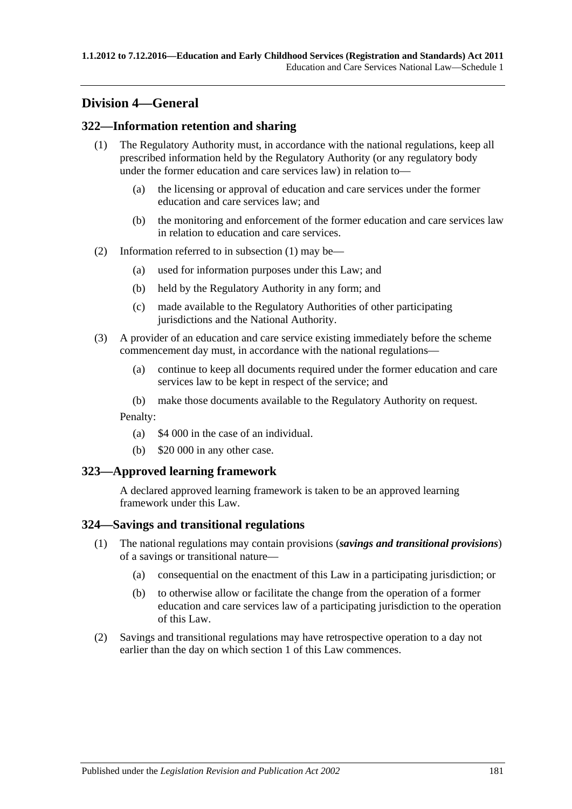# **Division 4—General**

## <span id="page-180-0"></span>**322—Information retention and sharing**

- (1) The Regulatory Authority must, in accordance with the national regulations, keep all prescribed information held by the Regulatory Authority (or any regulatory body under the former education and care services law) in relation to—
	- (a) the licensing or approval of education and care services under the former education and care services law; and
	- (b) the monitoring and enforcement of the former education and care services law in relation to education and care services.
- (2) Information referred to in [subsection](#page-180-0) (1) may be—
	- (a) used for information purposes under this Law; and
	- (b) held by the Regulatory Authority in any form; and
	- (c) made available to the Regulatory Authorities of other participating jurisdictions and the National Authority.
- (3) A provider of an education and care service existing immediately before the scheme commencement day must, in accordance with the national regulations—
	- (a) continue to keep all documents required under the former education and care services law to be kept in respect of the service; and
	- (b) make those documents available to the Regulatory Authority on request.

Penalty:

- (a) \$4 000 in the case of an individual.
- (b) \$20 000 in any other case.

#### **323—Approved learning framework**

A declared approved learning framework is taken to be an approved learning framework under this Law.

#### **324—Savings and transitional regulations**

- (1) The national regulations may contain provisions (*savings and transitional provisions*) of a savings or transitional nature—
	- (a) consequential on the enactment of this Law in a participating jurisdiction; or
	- (b) to otherwise allow or facilitate the change from the operation of a former education and care services law of a participating jurisdiction to the operation of this Law.
- (2) Savings and transitional regulations may have retrospective operation to a day not earlier than the day on which section 1 of this Law commences.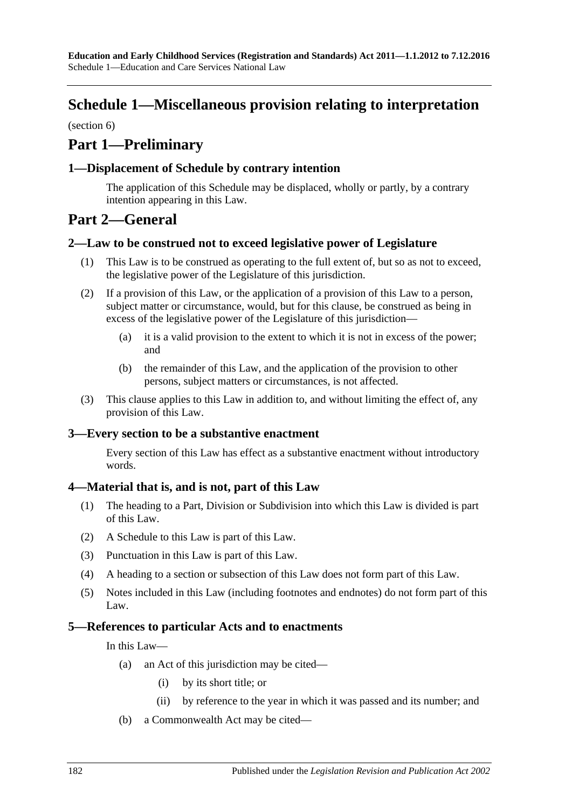# **Schedule 1—Miscellaneous provision relating to interpretation**

(section 6)

# **Part 1—Preliminary**

## **1—Displacement of Schedule by contrary intention**

The application of this Schedule may be displaced, wholly or partly, by a contrary intention appearing in this Law.

# **Part 2—General**

## **2—Law to be construed not to exceed legislative power of Legislature**

- (1) This Law is to be construed as operating to the full extent of, but so as not to exceed, the legislative power of the Legislature of this jurisdiction.
- (2) If a provision of this Law, or the application of a provision of this Law to a person, subject matter or circumstance, would, but for this clause, be construed as being in excess of the legislative power of the Legislature of this jurisdiction—
	- (a) it is a valid provision to the extent to which it is not in excess of the power; and
	- (b) the remainder of this Law, and the application of the provision to other persons, subject matters or circumstances, is not affected.
- (3) This clause applies to this Law in addition to, and without limiting the effect of, any provision of this Law.

### **3—Every section to be a substantive enactment**

Every section of this Law has effect as a substantive enactment without introductory words.

### **4—Material that is, and is not, part of this Law**

- (1) The heading to a Part, Division or Subdivision into which this Law is divided is part of this Law.
- (2) A Schedule to this Law is part of this Law.
- (3) Punctuation in this Law is part of this Law.
- (4) A heading to a section or subsection of this Law does not form part of this Law.
- (5) Notes included in this Law (including footnotes and endnotes) do not form part of this Law.

### **5—References to particular Acts and to enactments**

In this Law—

- (a) an Act of this jurisdiction may be cited—
	- (i) by its short title; or
	- (ii) by reference to the year in which it was passed and its number; and
- (b) a Commonwealth Act may be cited—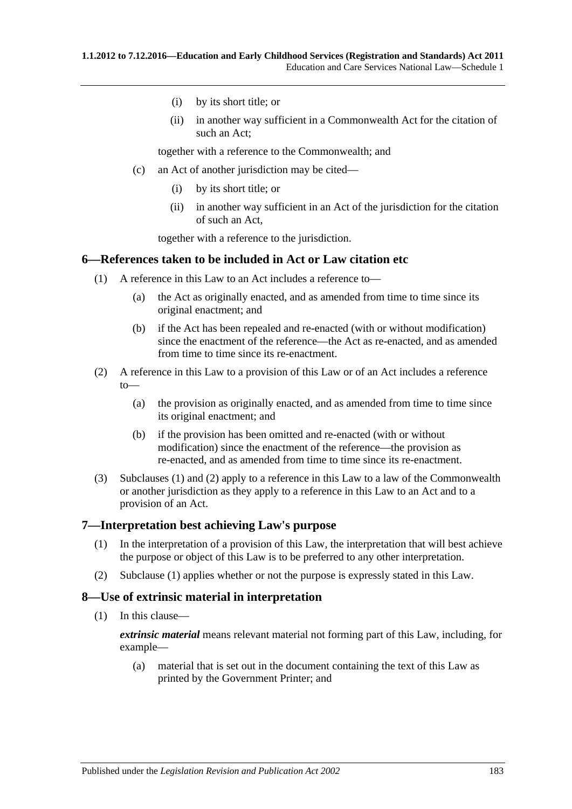- (i) by its short title; or
- (ii) in another way sufficient in a Commonwealth Act for the citation of such an Act;

together with a reference to the Commonwealth; and

- (c) an Act of another jurisdiction may be cited—
	- (i) by its short title; or
	- (ii) in another way sufficient in an Act of the jurisdiction for the citation of such an Act,

together with a reference to the jurisdiction.

#### <span id="page-182-0"></span>**6—References taken to be included in Act or Law citation etc**

- (1) A reference in this Law to an Act includes a reference to—
	- (a) the Act as originally enacted, and as amended from time to time since its original enactment; and
	- (b) if the Act has been repealed and re-enacted (with or without modification) since the enactment of the reference—the Act as re-enacted, and as amended from time to time since its re-enactment.
- <span id="page-182-1"></span>(2) A reference in this Law to a provision of this Law or of an Act includes a reference to—
	- (a) the provision as originally enacted, and as amended from time to time since its original enactment; and
	- (b) if the provision has been omitted and re-enacted (with or without modification) since the enactment of the reference—the provision as re-enacted, and as amended from time to time since its re-enactment.
- (3) [Subclauses](#page-182-0) (1) and [\(2\)](#page-182-1) apply to a reference in this Law to a law of the Commonwealth or another jurisdiction as they apply to a reference in this Law to an Act and to a provision of an Act.

### <span id="page-182-2"></span>**7—Interpretation best achieving Law's purpose**

- (1) In the interpretation of a provision of this Law, the interpretation that will best achieve the purpose or object of this Law is to be preferred to any other interpretation.
- (2) [Subclause](#page-182-2) (1) applies whether or not the purpose is expressly stated in this Law.

### **8—Use of extrinsic material in interpretation**

(1) In this clause—

*extrinsic material* means relevant material not forming part of this Law, including, for example—

(a) material that is set out in the document containing the text of this Law as printed by the Government Printer; and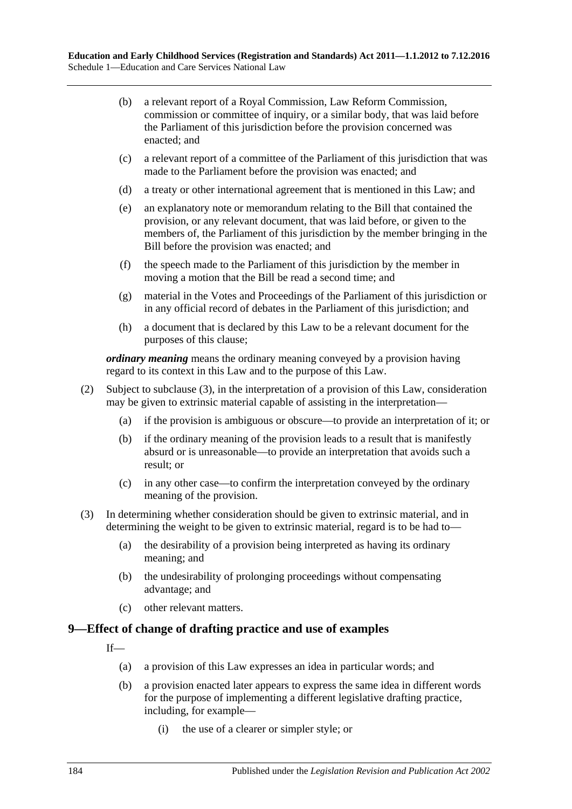- (b) a relevant report of a Royal Commission, Law Reform Commission, commission or committee of inquiry, or a similar body, that was laid before the Parliament of this jurisdiction before the provision concerned was enacted; and
- (c) a relevant report of a committee of the Parliament of this jurisdiction that was made to the Parliament before the provision was enacted; and
- (d) a treaty or other international agreement that is mentioned in this Law; and
- (e) an explanatory note or memorandum relating to the Bill that contained the provision, or any relevant document, that was laid before, or given to the members of, the Parliament of this jurisdiction by the member bringing in the Bill before the provision was enacted; and
- (f) the speech made to the Parliament of this jurisdiction by the member in moving a motion that the Bill be read a second time; and
- (g) material in the Votes and Proceedings of the Parliament of this jurisdiction or in any official record of debates in the Parliament of this jurisdiction; and
- (h) a document that is declared by this Law to be a relevant document for the purposes of this clause;

*ordinary meaning* means the ordinary meaning conveyed by a provision having regard to its context in this Law and to the purpose of this Law.

- (2) Subject to [subclause](#page-183-0) (3), in the interpretation of a provision of this Law, consideration may be given to extrinsic material capable of assisting in the interpretation—
	- (a) if the provision is ambiguous or obscure—to provide an interpretation of it; or
	- (b) if the ordinary meaning of the provision leads to a result that is manifestly absurd or is unreasonable—to provide an interpretation that avoids such a result; or
	- (c) in any other case—to confirm the interpretation conveyed by the ordinary meaning of the provision.
- <span id="page-183-0"></span>(3) In determining whether consideration should be given to extrinsic material, and in determining the weight to be given to extrinsic material, regard is to be had to—
	- (a) the desirability of a provision being interpreted as having its ordinary meaning; and
	- (b) the undesirability of prolonging proceedings without compensating advantage; and
	- (c) other relevant matters.

#### **9—Effect of change of drafting practice and use of examples**

If—

- (a) a provision of this Law expresses an idea in particular words; and
- (b) a provision enacted later appears to express the same idea in different words for the purpose of implementing a different legislative drafting practice, including, for example—
	- (i) the use of a clearer or simpler style; or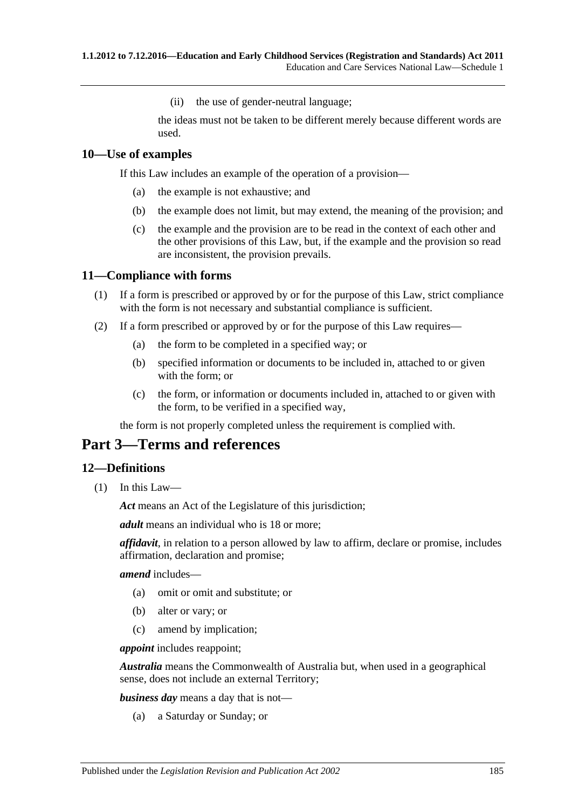(ii) the use of gender-neutral language;

the ideas must not be taken to be different merely because different words are used.

### **10—Use of examples**

If this Law includes an example of the operation of a provision—

- (a) the example is not exhaustive; and
- (b) the example does not limit, but may extend, the meaning of the provision; and
- (c) the example and the provision are to be read in the context of each other and the other provisions of this Law, but, if the example and the provision so read are inconsistent, the provision prevails.

### **11—Compliance with forms**

- (1) If a form is prescribed or approved by or for the purpose of this Law, strict compliance with the form is not necessary and substantial compliance is sufficient.
- (2) If a form prescribed or approved by or for the purpose of this Law requires—
	- (a) the form to be completed in a specified way; or
	- (b) specified information or documents to be included in, attached to or given with the form; or
	- (c) the form, or information or documents included in, attached to or given with the form, to be verified in a specified way,

the form is not properly completed unless the requirement is complied with.

# **Part 3—Terms and references**

### **12—Definitions**

(1) In this Law—

*Act* means an Act of the Legislature of this jurisdiction;

*adult* means an individual who is 18 or more;

*affidavit*, in relation to a person allowed by law to affirm, declare or promise, includes affirmation, declaration and promise;

*amend* includes—

- (a) omit or omit and substitute; or
- (b) alter or vary; or
- (c) amend by implication;

*appoint* includes reappoint;

*Australia* means the Commonwealth of Australia but, when used in a geographical sense, does not include an external Territory;

*business day* means a day that is not—

(a) a Saturday or Sunday; or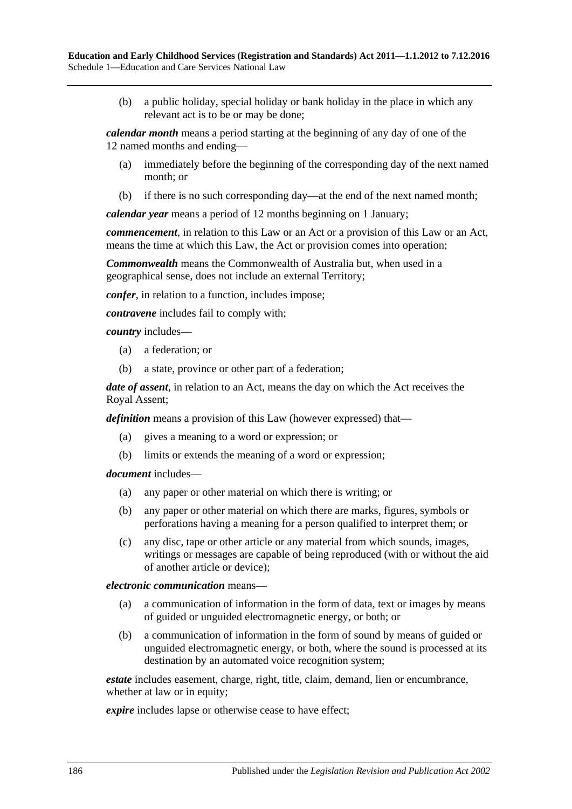(b) a public holiday, special holiday or bank holiday in the place in which any relevant act is to be or may be done;

*calendar month* means a period starting at the beginning of any day of one of the 12 named months and ending—

- (a) immediately before the beginning of the corresponding day of the next named month; or
- (b) if there is no such corresponding day—at the end of the next named month;

*calendar year* means a period of 12 months beginning on 1 January;

*commencement*, in relation to this Law or an Act or a provision of this Law or an Act, means the time at which this Law, the Act or provision comes into operation;

*Commonwealth* means the Commonwealth of Australia but, when used in a geographical sense, does not include an external Territory;

*confer*, in relation to a function, includes impose;

*contravene* includes fail to comply with;

*country* includes—

- (a) a federation; or
- (b) a state, province or other part of a federation;

*date of assent*, in relation to an Act, means the day on which the Act receives the Royal Assent;

*definition* means a provision of this Law (however expressed) that—

- (a) gives a meaning to a word or expression; or
- (b) limits or extends the meaning of a word or expression;

*document* includes—

- (a) any paper or other material on which there is writing; or
- (b) any paper or other material on which there are marks, figures, symbols or perforations having a meaning for a person qualified to interpret them; or
- (c) any disc, tape or other article or any material from which sounds, images, writings or messages are capable of being reproduced (with or without the aid of another article or device);

*electronic communication* means—

- (a) a communication of information in the form of data, text or images by means of guided or unguided electromagnetic energy, or both; or
- (b) a communication of information in the form of sound by means of guided or unguided electromagnetic energy, or both, where the sound is processed at its destination by an automated voice recognition system;

*estate* includes easement, charge, right, title, claim, demand, lien or encumbrance, whether at law or in equity;

*expire* includes lapse or otherwise cease to have effect;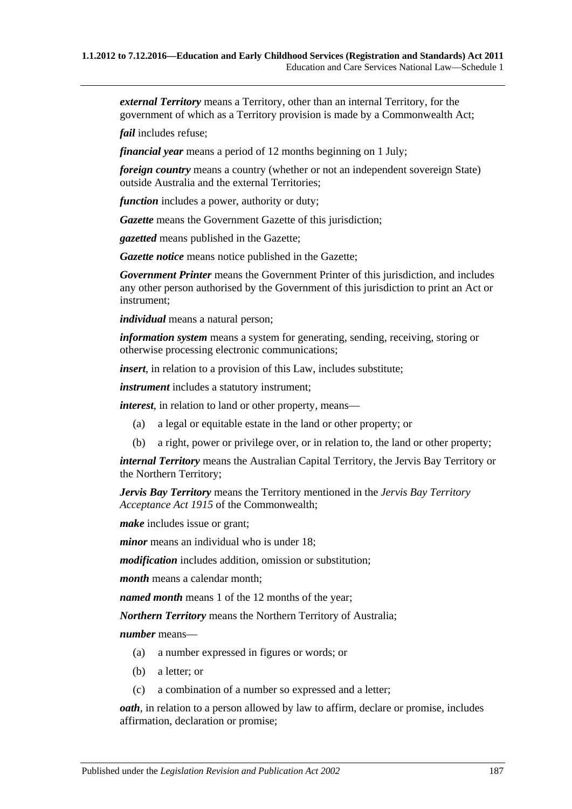*external Territory* means a Territory, other than an internal Territory, for the government of which as a Territory provision is made by a Commonwealth Act;

*fail* includes refuse;

*financial year* means a period of 12 months beginning on 1 July;

*foreign country* means a country (whether or not an independent sovereign State) outside Australia and the external Territories;

*function* includes a power, authority or duty;

*Gazette* means the Government Gazette of this jurisdiction;

*gazetted* means published in the Gazette;

*Gazette notice* means notice published in the Gazette;

*Government Printer* means the Government Printer of this jurisdiction, and includes any other person authorised by the Government of this jurisdiction to print an Act or instrument;

*individual* means a natural person;

*information system* means a system for generating, sending, receiving, storing or otherwise processing electronic communications;

*insert*, in relation to a provision of this Law, includes substitute;

*instrument* includes a statutory instrument;

*interest*, in relation to land or other property, means—

- (a) a legal or equitable estate in the land or other property; or
- (b) a right, power or privilege over, or in relation to, the land or other property;

*internal Territory* means the Australian Capital Territory, the Jervis Bay Territory or the Northern Territory;

*Jervis Bay Territory* means the Territory mentioned in the *Jervis Bay Territory Acceptance Act 1915* of the Commonwealth;

*make* includes issue or grant;

*minor* means an individual who is under 18;

*modification* includes addition, omission or substitution;

*month* means a calendar month;

*named month* means 1 of the 12 months of the year;

*Northern Territory* means the Northern Territory of Australia;

*number* means—

- (a) a number expressed in figures or words; or
- (b) a letter; or
- (c) a combination of a number so expressed and a letter;

*oath*, in relation to a person allowed by law to affirm, declare or promise, includes affirmation, declaration or promise;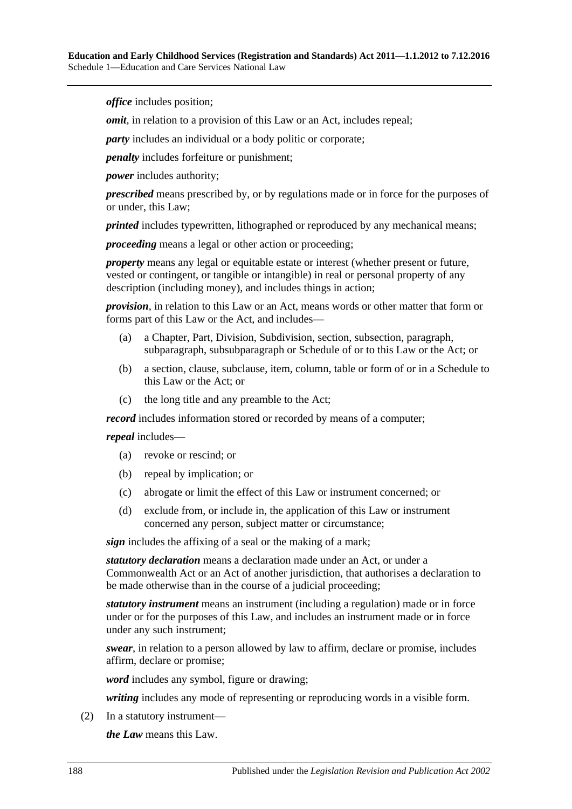*office* includes position;

*omit*, in relation to a provision of this Law or an Act, includes repeal;

*party* includes an individual or a body politic or corporate;

*penalty* includes forfeiture or punishment;

*power* includes authority;

*prescribed* means prescribed by, or by regulations made or in force for the purposes of or under, this Law;

*printed* includes typewritten, lithographed or reproduced by any mechanical means;

*proceeding* means a legal or other action or proceeding;

*property* means any legal or equitable estate or interest (whether present or future, vested or contingent, or tangible or intangible) in real or personal property of any description (including money), and includes things in action;

*provision*, in relation to this Law or an Act, means words or other matter that form or forms part of this Law or the Act, and includes—

- (a) a Chapter, Part, Division, Subdivision, section, subsection, paragraph, subparagraph, subsubparagraph or Schedule of or to this Law or the Act; or
- (b) a section, clause, subclause, item, column, table or form of or in a Schedule to this Law or the Act; or
- (c) the long title and any preamble to the Act;

*record* includes information stored or recorded by means of a computer;

#### *repeal* includes—

- (a) revoke or rescind; or
- (b) repeal by implication; or
- (c) abrogate or limit the effect of this Law or instrument concerned; or
- (d) exclude from, or include in, the application of this Law or instrument concerned any person, subject matter or circumstance;

*sign* includes the affixing of a seal or the making of a mark;

*statutory declaration* means a declaration made under an Act, or under a Commonwealth Act or an Act of another jurisdiction, that authorises a declaration to be made otherwise than in the course of a judicial proceeding;

*statutory instrument* means an instrument (including a regulation) made or in force under or for the purposes of this Law, and includes an instrument made or in force under any such instrument;

*swear*, in relation to a person allowed by law to affirm, declare or promise, includes affirm, declare or promise;

*word* includes any symbol, figure or drawing;

*writing* includes any mode of representing or reproducing words in a visible form.

(2) In a statutory instrument—

*the Law* means this Law.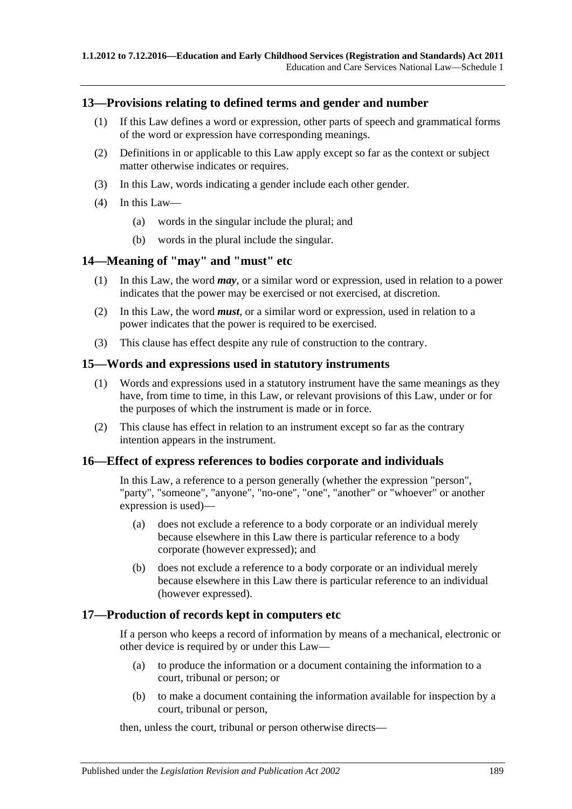### **13—Provisions relating to defined terms and gender and number**

- (1) If this Law defines a word or expression, other parts of speech and grammatical forms of the word or expression have corresponding meanings.
- (2) Definitions in or applicable to this Law apply except so far as the context or subject matter otherwise indicates or requires.
- (3) In this Law, words indicating a gender include each other gender.
- (4) In this Law—
	- (a) words in the singular include the plural; and
	- (b) words in the plural include the singular.

### **14—Meaning of "may" and "must" etc**

- (1) In this Law, the word *may*, or a similar word or expression, used in relation to a power indicates that the power may be exercised or not exercised, at discretion.
- (2) In this Law, the word *must*, or a similar word or expression, used in relation to a power indicates that the power is required to be exercised.
- (3) This clause has effect despite any rule of construction to the contrary.

#### **15—Words and expressions used in statutory instruments**

- (1) Words and expressions used in a statutory instrument have the same meanings as they have, from time to time, in this Law, or relevant provisions of this Law, under or for the purposes of which the instrument is made or in force.
- (2) This clause has effect in relation to an instrument except so far as the contrary intention appears in the instrument.

#### **16—Effect of express references to bodies corporate and individuals**

In this Law, a reference to a person generally (whether the expression "person", "party", "someone", "anyone", "no-one", "one", "another" or "whoever" or another expression is used)—

- (a) does not exclude a reference to a body corporate or an individual merely because elsewhere in this Law there is particular reference to a body corporate (however expressed); and
- (b) does not exclude a reference to a body corporate or an individual merely because elsewhere in this Law there is particular reference to an individual (however expressed).

#### **17—Production of records kept in computers etc**

If a person who keeps a record of information by means of a mechanical, electronic or other device is required by or under this Law—

- (a) to produce the information or a document containing the information to a court, tribunal or person; or
- (b) to make a document containing the information available for inspection by a court, tribunal or person,

then, unless the court, tribunal or person otherwise directs—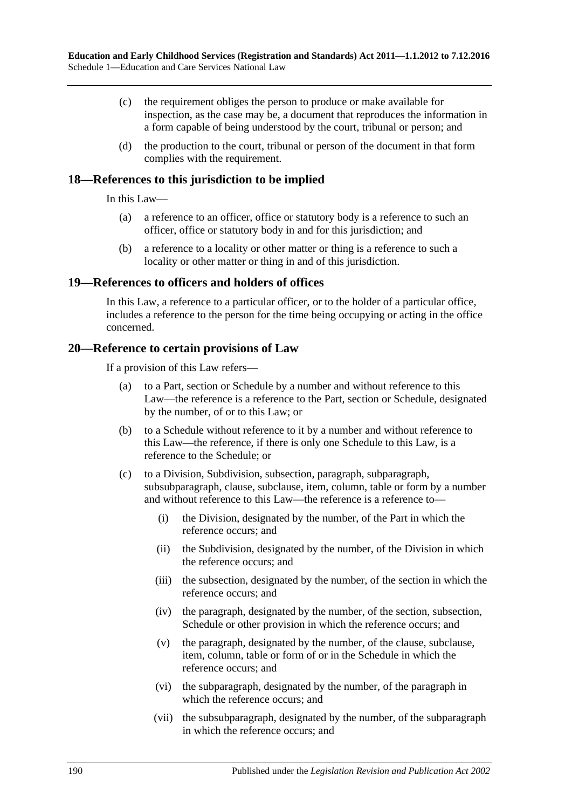- (c) the requirement obliges the person to produce or make available for inspection, as the case may be, a document that reproduces the information in a form capable of being understood by the court, tribunal or person; and
- (d) the production to the court, tribunal or person of the document in that form complies with the requirement.

### **18—References to this jurisdiction to be implied**

In this Law—

- (a) a reference to an officer, office or statutory body is a reference to such an officer, office or statutory body in and for this jurisdiction; and
- (b) a reference to a locality or other matter or thing is a reference to such a locality or other matter or thing in and of this jurisdiction.

#### **19—References to officers and holders of offices**

In this Law, a reference to a particular officer, or to the holder of a particular office, includes a reference to the person for the time being occupying or acting in the office concerned.

### **20—Reference to certain provisions of Law**

If a provision of this Law refers—

- (a) to a Part, section or Schedule by a number and without reference to this Law—the reference is a reference to the Part, section or Schedule, designated by the number, of or to this Law; or
- (b) to a Schedule without reference to it by a number and without reference to this Law—the reference, if there is only one Schedule to this Law, is a reference to the Schedule; or
- (c) to a Division, Subdivision, subsection, paragraph, subparagraph, subsubparagraph, clause, subclause, item, column, table or form by a number and without reference to this Law—the reference is a reference to—
	- (i) the Division, designated by the number, of the Part in which the reference occurs; and
	- (ii) the Subdivision, designated by the number, of the Division in which the reference occurs; and
	- (iii) the subsection, designated by the number, of the section in which the reference occurs; and
	- (iv) the paragraph, designated by the number, of the section, subsection, Schedule or other provision in which the reference occurs; and
	- (v) the paragraph, designated by the number, of the clause, subclause, item, column, table or form of or in the Schedule in which the reference occurs; and
	- (vi) the subparagraph, designated by the number, of the paragraph in which the reference occurs; and
	- (vii) the subsubparagraph, designated by the number, of the subparagraph in which the reference occurs; and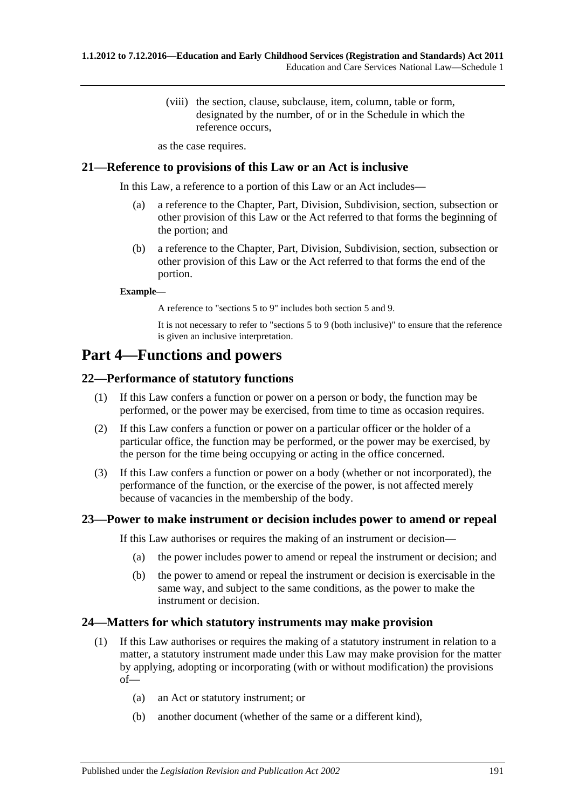(viii) the section, clause, subclause, item, column, table or form, designated by the number, of or in the Schedule in which the reference occurs,

as the case requires.

### **21—Reference to provisions of this Law or an Act is inclusive**

In this Law, a reference to a portion of this Law or an Act includes—

- (a) a reference to the Chapter, Part, Division, Subdivision, section, subsection or other provision of this Law or the Act referred to that forms the beginning of the portion; and
- (b) a reference to the Chapter, Part, Division, Subdivision, section, subsection or other provision of this Law or the Act referred to that forms the end of the portion.

#### **Example—**

A reference to "sections 5 to 9" includes both section 5 and 9.

It is not necessary to refer to "sections 5 to 9 (both inclusive)" to ensure that the reference is given an inclusive interpretation.

# **Part 4—Functions and powers**

### **22—Performance of statutory functions**

- (1) If this Law confers a function or power on a person or body, the function may be performed, or the power may be exercised, from time to time as occasion requires.
- (2) If this Law confers a function or power on a particular officer or the holder of a particular office, the function may be performed, or the power may be exercised, by the person for the time being occupying or acting in the office concerned.
- (3) If this Law confers a function or power on a body (whether or not incorporated), the performance of the function, or the exercise of the power, is not affected merely because of vacancies in the membership of the body.

### **23—Power to make instrument or decision includes power to amend or repeal**

If this Law authorises or requires the making of an instrument or decision—

- (a) the power includes power to amend or repeal the instrument or decision; and
- (b) the power to amend or repeal the instrument or decision is exercisable in the same way, and subject to the same conditions, as the power to make the instrument or decision.

### **24—Matters for which statutory instruments may make provision**

- (1) If this Law authorises or requires the making of a statutory instrument in relation to a matter, a statutory instrument made under this Law may make provision for the matter by applying, adopting or incorporating (with or without modification) the provisions of—
	- (a) an Act or statutory instrument; or
	- (b) another document (whether of the same or a different kind),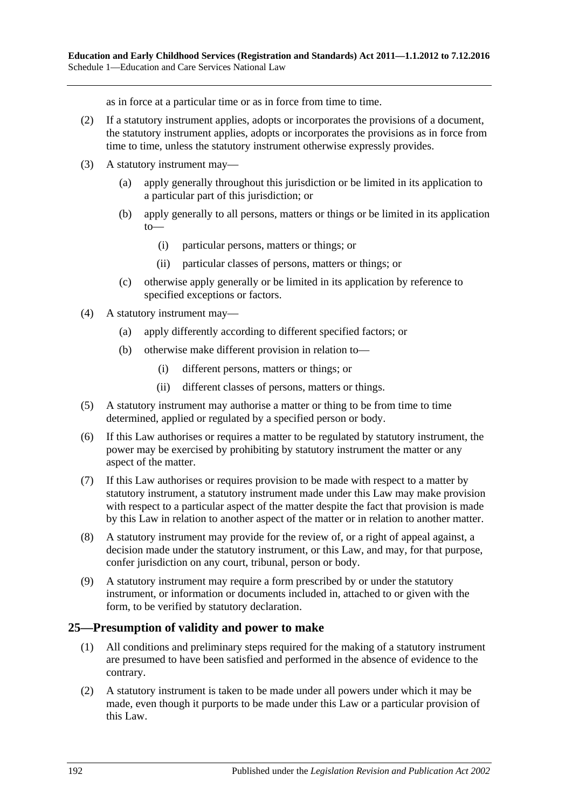as in force at a particular time or as in force from time to time.

- (2) If a statutory instrument applies, adopts or incorporates the provisions of a document, the statutory instrument applies, adopts or incorporates the provisions as in force from time to time, unless the statutory instrument otherwise expressly provides.
- (3) A statutory instrument may—
	- (a) apply generally throughout this jurisdiction or be limited in its application to a particular part of this jurisdiction; or
	- (b) apply generally to all persons, matters or things or be limited in its application to—
		- (i) particular persons, matters or things; or
		- (ii) particular classes of persons, matters or things; or
	- (c) otherwise apply generally or be limited in its application by reference to specified exceptions or factors.
- (4) A statutory instrument may—
	- (a) apply differently according to different specified factors; or
	- (b) otherwise make different provision in relation to—
		- (i) different persons, matters or things; or
		- (ii) different classes of persons, matters or things.
- (5) A statutory instrument may authorise a matter or thing to be from time to time determined, applied or regulated by a specified person or body.
- (6) If this Law authorises or requires a matter to be regulated by statutory instrument, the power may be exercised by prohibiting by statutory instrument the matter or any aspect of the matter.
- (7) If this Law authorises or requires provision to be made with respect to a matter by statutory instrument, a statutory instrument made under this Law may make provision with respect to a particular aspect of the matter despite the fact that provision is made by this Law in relation to another aspect of the matter or in relation to another matter.
- (8) A statutory instrument may provide for the review of, or a right of appeal against, a decision made under the statutory instrument, or this Law, and may, for that purpose, confer jurisdiction on any court, tribunal, person or body.
- (9) A statutory instrument may require a form prescribed by or under the statutory instrument, or information or documents included in, attached to or given with the form, to be verified by statutory declaration.

### **25—Presumption of validity and power to make**

- (1) All conditions and preliminary steps required for the making of a statutory instrument are presumed to have been satisfied and performed in the absence of evidence to the contrary.
- (2) A statutory instrument is taken to be made under all powers under which it may be made, even though it purports to be made under this Law or a particular provision of this Law.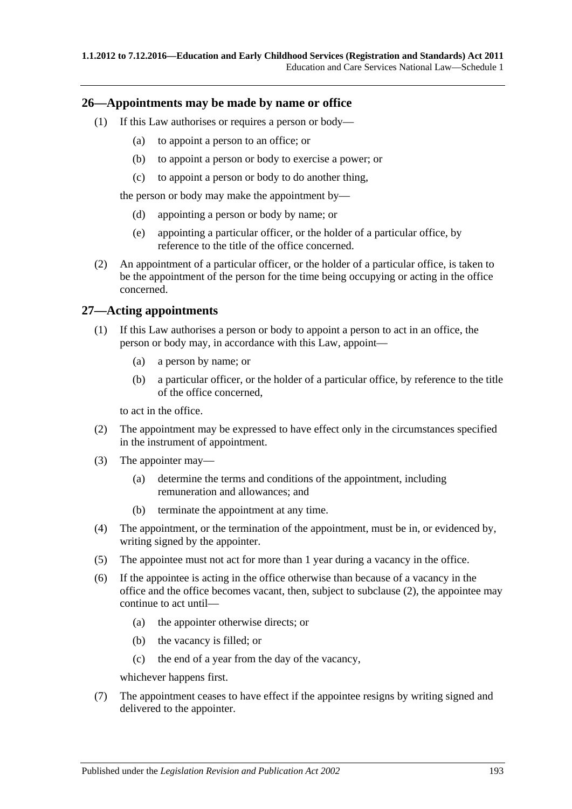### **26—Appointments may be made by name or office**

- (1) If this Law authorises or requires a person or body—
	- (a) to appoint a person to an office; or
	- (b) to appoint a person or body to exercise a power; or
	- (c) to appoint a person or body to do another thing,

the person or body may make the appointment by—

- (d) appointing a person or body by name; or
- (e) appointing a particular officer, or the holder of a particular office, by reference to the title of the office concerned.
- (2) An appointment of a particular officer, or the holder of a particular office, is taken to be the appointment of the person for the time being occupying or acting in the office concerned.

### **27—Acting appointments**

- (1) If this Law authorises a person or body to appoint a person to act in an office, the person or body may, in accordance with this Law, appoint—
	- (a) a person by name; or
	- (b) a particular officer, or the holder of a particular office, by reference to the title of the office concerned,

to act in the office.

- <span id="page-192-0"></span>(2) The appointment may be expressed to have effect only in the circumstances specified in the instrument of appointment.
- (3) The appointer may—
	- (a) determine the terms and conditions of the appointment, including remuneration and allowances; and
	- (b) terminate the appointment at any time.
- (4) The appointment, or the termination of the appointment, must be in, or evidenced by, writing signed by the appointer.
- (5) The appointee must not act for more than 1 year during a vacancy in the office.
- (6) If the appointee is acting in the office otherwise than because of a vacancy in the office and the office becomes vacant, then, subject to [subclause](#page-192-0) (2), the appointee may continue to act until—
	- (a) the appointer otherwise directs; or
	- (b) the vacancy is filled; or
	- (c) the end of a year from the day of the vacancy,

whichever happens first.

(7) The appointment ceases to have effect if the appointee resigns by writing signed and delivered to the appointer.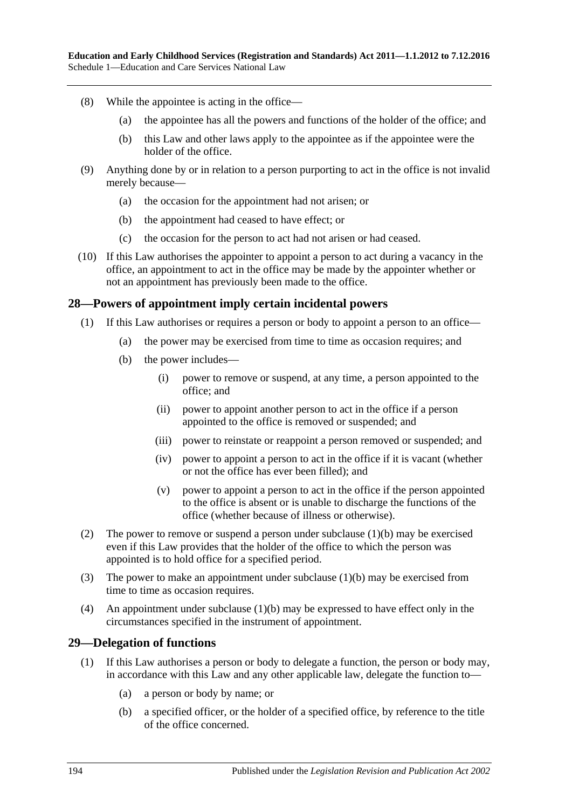- (8) While the appointee is acting in the office—
	- (a) the appointee has all the powers and functions of the holder of the office; and
	- (b) this Law and other laws apply to the appointee as if the appointee were the holder of the office.
- (9) Anything done by or in relation to a person purporting to act in the office is not invalid merely because—
	- (a) the occasion for the appointment had not arisen; or
	- (b) the appointment had ceased to have effect; or
	- (c) the occasion for the person to act had not arisen or had ceased.
- (10) If this Law authorises the appointer to appoint a person to act during a vacancy in the office, an appointment to act in the office may be made by the appointer whether or not an appointment has previously been made to the office.

### **28—Powers of appointment imply certain incidental powers**

- <span id="page-193-0"></span>(1) If this Law authorises or requires a person or body to appoint a person to an office—
	- (a) the power may be exercised from time to time as occasion requires; and
	- (b) the power includes—
		- (i) power to remove or suspend, at any time, a person appointed to the office; and
		- (ii) power to appoint another person to act in the office if a person appointed to the office is removed or suspended; and
		- (iii) power to reinstate or reappoint a person removed or suspended; and
		- (iv) power to appoint a person to act in the office if it is vacant (whether or not the office has ever been filled); and
		- (v) power to appoint a person to act in the office if the person appointed to the office is absent or is unable to discharge the functions of the office (whether because of illness or otherwise).
- (2) The power to remove or suspend a person under [subclause](#page-193-0)  $(1)(b)$  may be exercised even if this Law provides that the holder of the office to which the person was appointed is to hold office for a specified period.
- (3) The power to make an appointment under [subclause](#page-193-0) (1)(b) may be exercised from time to time as occasion requires.
- (4) An appointment under [subclause](#page-193-0) (1)(b) may be expressed to have effect only in the circumstances specified in the instrument of appointment.

#### **29—Delegation of functions**

- (1) If this Law authorises a person or body to delegate a function, the person or body may, in accordance with this Law and any other applicable law, delegate the function to—
	- (a) a person or body by name; or
	- (b) a specified officer, or the holder of a specified office, by reference to the title of the office concerned.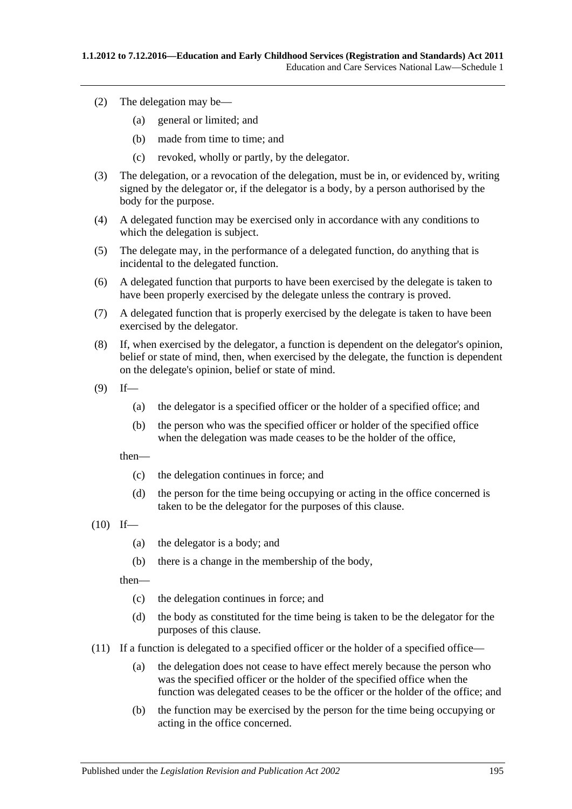- (2) The delegation may be—
	- (a) general or limited; and
	- (b) made from time to time; and
	- (c) revoked, wholly or partly, by the delegator.
- (3) The delegation, or a revocation of the delegation, must be in, or evidenced by, writing signed by the delegator or, if the delegator is a body, by a person authorised by the body for the purpose.
- (4) A delegated function may be exercised only in accordance with any conditions to which the delegation is subject.
- (5) The delegate may, in the performance of a delegated function, do anything that is incidental to the delegated function.
- (6) A delegated function that purports to have been exercised by the delegate is taken to have been properly exercised by the delegate unless the contrary is proved.
- (7) A delegated function that is properly exercised by the delegate is taken to have been exercised by the delegator.
- (8) If, when exercised by the delegator, a function is dependent on the delegator's opinion, belief or state of mind, then, when exercised by the delegate, the function is dependent on the delegate's opinion, belief or state of mind.
- $(9)$  If—
	- (a) the delegator is a specified officer or the holder of a specified office; and
	- (b) the person who was the specified officer or holder of the specified office when the delegation was made ceases to be the holder of the office,

then—

- (c) the delegation continues in force; and
- (d) the person for the time being occupying or acting in the office concerned is taken to be the delegator for the purposes of this clause.
- $(10)$  If—
	- (a) the delegator is a body; and
	- (b) there is a change in the membership of the body,

then—

- (c) the delegation continues in force; and
- (d) the body as constituted for the time being is taken to be the delegator for the purposes of this clause.
- (11) If a function is delegated to a specified officer or the holder of a specified office—
	- (a) the delegation does not cease to have effect merely because the person who was the specified officer or the holder of the specified office when the function was delegated ceases to be the officer or the holder of the office; and
	- (b) the function may be exercised by the person for the time being occupying or acting in the office concerned.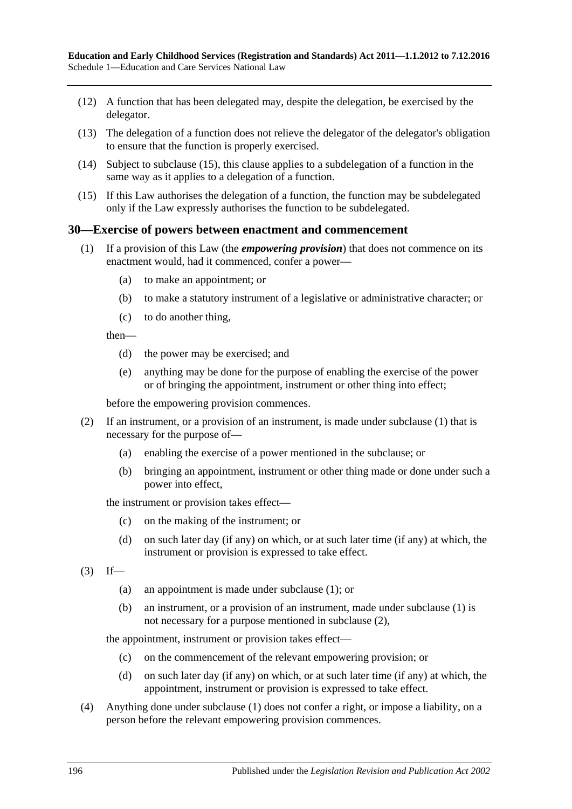- (12) A function that has been delegated may, despite the delegation, be exercised by the delegator.
- (13) The delegation of a function does not relieve the delegator of the delegator's obligation to ensure that the function is properly exercised.
- (14) Subject to [subclause](#page-195-0) (15), this clause applies to a subdelegation of a function in the same way as it applies to a delegation of a function.
- <span id="page-195-0"></span>(15) If this Law authorises the delegation of a function, the function may be subdelegated only if the Law expressly authorises the function to be subdelegated.

### <span id="page-195-1"></span>**30—Exercise of powers between enactment and commencement**

- (1) If a provision of this Law (the *empowering provision*) that does not commence on its enactment would, had it commenced, confer a power—
	- (a) to make an appointment; or
	- (b) to make a statutory instrument of a legislative or administrative character; or
	- (c) to do another thing,

then—

- (d) the power may be exercised; and
- (e) anything may be done for the purpose of enabling the exercise of the power or of bringing the appointment, instrument or other thing into effect;

before the empowering provision commences.

- <span id="page-195-2"></span>(2) If an instrument, or a provision of an instrument, is made under [subclause](#page-195-1) (1) that is necessary for the purpose of—
	- (a) enabling the exercise of a power mentioned in the subclause; or
	- (b) bringing an appointment, instrument or other thing made or done under such a power into effect,

the instrument or provision takes effect—

- (c) on the making of the instrument; or
- (d) on such later day (if any) on which, or at such later time (if any) at which, the instrument or provision is expressed to take effect.
- $(3)$  If—
	- (a) an appointment is made under [subclause](#page-195-1) (1); or
	- (b) an instrument, or a provision of an instrument, made under [subclause](#page-195-1) (1) is not necessary for a purpose mentioned in [subclause](#page-195-2) (2),

the appointment, instrument or provision takes effect—

- (c) on the commencement of the relevant empowering provision; or
- (d) on such later day (if any) on which, or at such later time (if any) at which, the appointment, instrument or provision is expressed to take effect.
- (4) Anything done under [subclause](#page-195-1) (1) does not confer a right, or impose a liability, on a person before the relevant empowering provision commences.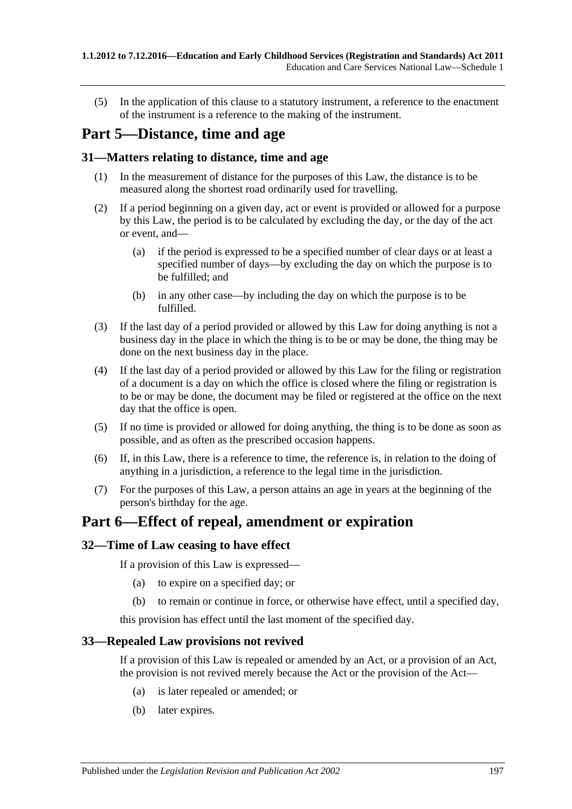(5) In the application of this clause to a statutory instrument, a reference to the enactment of the instrument is a reference to the making of the instrument.

# **Part 5—Distance, time and age**

### **31—Matters relating to distance, time and age**

- (1) In the measurement of distance for the purposes of this Law, the distance is to be measured along the shortest road ordinarily used for travelling.
- (2) If a period beginning on a given day, act or event is provided or allowed for a purpose by this Law, the period is to be calculated by excluding the day, or the day of the act or event, and—
	- (a) if the period is expressed to be a specified number of clear days or at least a specified number of days—by excluding the day on which the purpose is to be fulfilled; and
	- (b) in any other case—by including the day on which the purpose is to be fulfilled.
- (3) If the last day of a period provided or allowed by this Law for doing anything is not a business day in the place in which the thing is to be or may be done, the thing may be done on the next business day in the place.
- (4) If the last day of a period provided or allowed by this Law for the filing or registration of a document is a day on which the office is closed where the filing or registration is to be or may be done, the document may be filed or registered at the office on the next day that the office is open.
- (5) If no time is provided or allowed for doing anything, the thing is to be done as soon as possible, and as often as the prescribed occasion happens.
- (6) If, in this Law, there is a reference to time, the reference is, in relation to the doing of anything in a jurisdiction, a reference to the legal time in the jurisdiction.
- (7) For the purposes of this Law, a person attains an age in years at the beginning of the person's birthday for the age.

# **Part 6—Effect of repeal, amendment or expiration**

#### **32—Time of Law ceasing to have effect**

If a provision of this Law is expressed—

- (a) to expire on a specified day; or
- (b) to remain or continue in force, or otherwise have effect, until a specified day,

this provision has effect until the last moment of the specified day.

### **33—Repealed Law provisions not revived**

If a provision of this Law is repealed or amended by an Act, or a provision of an Act, the provision is not revived merely because the Act or the provision of the Act—

- (a) is later repealed or amended; or
- (b) later expires.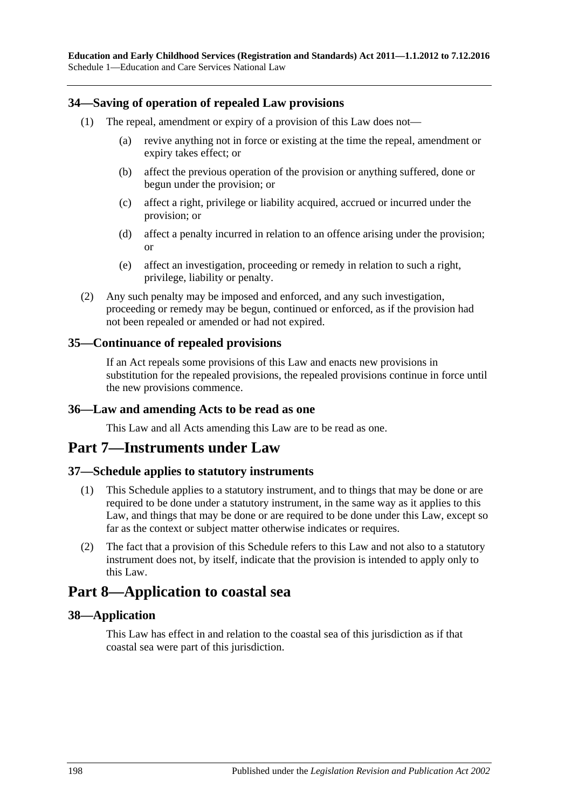**Education and Early Childhood Services (Registration and Standards) Act 2011—1.1.2012 to 7.12.2016** Schedule 1—Education and Care Services National Law

### **34—Saving of operation of repealed Law provisions**

- (1) The repeal, amendment or expiry of a provision of this Law does not—
	- (a) revive anything not in force or existing at the time the repeal, amendment or expiry takes effect; or
	- (b) affect the previous operation of the provision or anything suffered, done or begun under the provision; or
	- (c) affect a right, privilege or liability acquired, accrued or incurred under the provision; or
	- (d) affect a penalty incurred in relation to an offence arising under the provision; or
	- (e) affect an investigation, proceeding or remedy in relation to such a right, privilege, liability or penalty.
- (2) Any such penalty may be imposed and enforced, and any such investigation, proceeding or remedy may be begun, continued or enforced, as if the provision had not been repealed or amended or had not expired.

### **35—Continuance of repealed provisions**

If an Act repeals some provisions of this Law and enacts new provisions in substitution for the repealed provisions, the repealed provisions continue in force until the new provisions commence.

#### **36—Law and amending Acts to be read as one**

This Law and all Acts amending this Law are to be read as one.

# **Part 7—Instruments under Law**

#### **37—Schedule applies to statutory instruments**

- (1) This Schedule applies to a statutory instrument, and to things that may be done or are required to be done under a statutory instrument, in the same way as it applies to this Law, and things that may be done or are required to be done under this Law, except so far as the context or subject matter otherwise indicates or requires.
- (2) The fact that a provision of this Schedule refers to this Law and not also to a statutory instrument does not, by itself, indicate that the provision is intended to apply only to this Law.

# **Part 8—Application to coastal sea**

#### **38—Application**

This Law has effect in and relation to the coastal sea of this jurisdiction as if that coastal sea were part of this jurisdiction.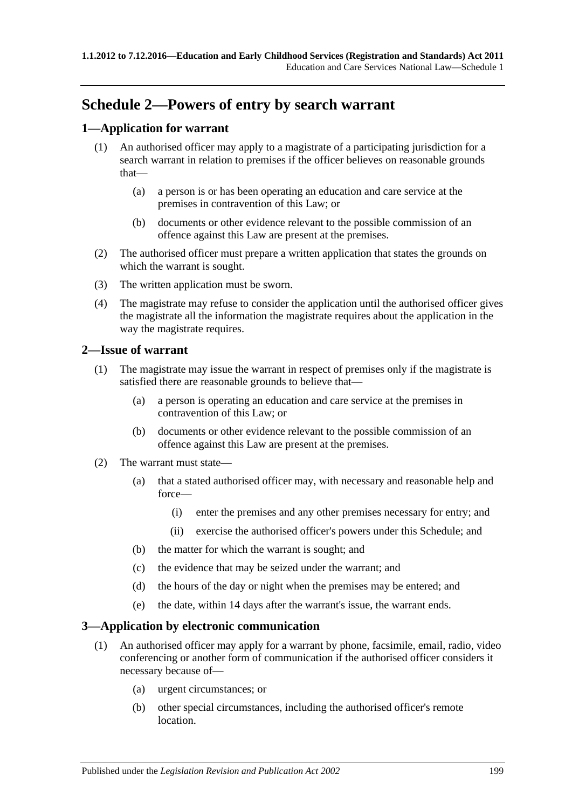# **Schedule 2—Powers of entry by search warrant**

## **1—Application for warrant**

- (1) An authorised officer may apply to a magistrate of a participating jurisdiction for a search warrant in relation to premises if the officer believes on reasonable grounds that—
	- (a) a person is or has been operating an education and care service at the premises in contravention of this Law; or
	- (b) documents or other evidence relevant to the possible commission of an offence against this Law are present at the premises.
- <span id="page-198-0"></span>(2) The authorised officer must prepare a written application that states the grounds on which the warrant is sought.
- <span id="page-198-2"></span>(3) The written application must be sworn.
- (4) The magistrate may refuse to consider the application until the authorised officer gives the magistrate all the information the magistrate requires about the application in the way the magistrate requires.

### **2—Issue of warrant**

- (1) The magistrate may issue the warrant in respect of premises only if the magistrate is satisfied there are reasonable grounds to believe that—
	- (a) a person is operating an education and care service at the premises in contravention of this Law; or
	- (b) documents or other evidence relevant to the possible commission of an offence against this Law are present at the premises.
- (2) The warrant must state—
	- (a) that a stated authorised officer may, with necessary and reasonable help and force—
		- (i) enter the premises and any other premises necessary for entry; and
		- (ii) exercise the authorised officer's powers under this Schedule; and
	- (b) the matter for which the warrant is sought; and
	- (c) the evidence that may be seized under the warrant; and
	- (d) the hours of the day or night when the premises may be entered; and
	- (e) the date, within 14 days after the warrant's issue, the warrant ends.

### <span id="page-198-1"></span>**3—Application by electronic communication**

- (1) An authorised officer may apply for a warrant by phone, facsimile, email, radio, video conferencing or another form of communication if the authorised officer considers it necessary because of—
	- (a) urgent circumstances; or
	- (b) other special circumstances, including the authorised officer's remote location.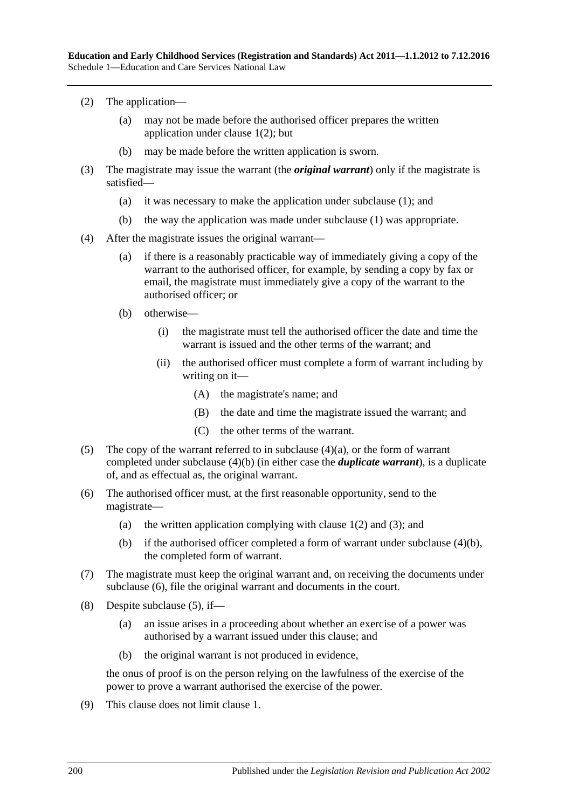- (2) The application—
	- (a) may not be made before the authorised officer prepares the written application under [clause](#page-198-0) 1(2); but
	- (b) may be made before the written application is sworn.
- (3) The magistrate may issue the warrant (the *original warrant*) only if the magistrate is satisfied—
	- (a) it was necessary to make the application under [subclause](#page-198-1) (1); and
	- (b) the way the application was made under [subclause](#page-198-1) (1) was appropriate.
- <span id="page-199-1"></span><span id="page-199-0"></span>(4) After the magistrate issues the original warrant—
	- (a) if there is a reasonably practicable way of immediately giving a copy of the warrant to the authorised officer, for example, by sending a copy by fax or email, the magistrate must immediately give a copy of the warrant to the authorised officer; or
	- (b) otherwise—
		- (i) the magistrate must tell the authorised officer the date and time the warrant is issued and the other terms of the warrant; and
		- (ii) the authorised officer must complete a form of warrant including by writing on it—
			- (A) the magistrate's name; and
			- (B) the date and time the magistrate issued the warrant; and
			- (C) the other terms of the warrant.
- <span id="page-199-3"></span>(5) The copy of the warrant referred to in [subclause](#page-199-0)  $(4)(a)$ , or the form of warrant completed under [subclause](#page-199-1) (4)(b) (in either case the *duplicate warrant*), is a duplicate of, and as effectual as, the original warrant.
- <span id="page-199-2"></span>(6) The authorised officer must, at the first reasonable opportunity, send to the magistrate
	- (a) the written application complying with [clause](#page-198-0)  $1(2)$  and  $(3)$ ; and
	- (b) if the authorised officer completed a form of warrant under [subclause](#page-199-1) (4)(b), the completed form of warrant.
- (7) The magistrate must keep the original warrant and, on receiving the documents under [subclause](#page-199-2) (6), file the original warrant and documents in the court.
- (8) Despite [subclause](#page-199-3) (5), if—
	- (a) an issue arises in a proceeding about whether an exercise of a power was authorised by a warrant issued under this clause; and
	- (b) the original warrant is not produced in evidence,

the onus of proof is on the person relying on the lawfulness of the exercise of the power to prove a warrant authorised the exercise of the power.

(9) This clause does not limit clause 1.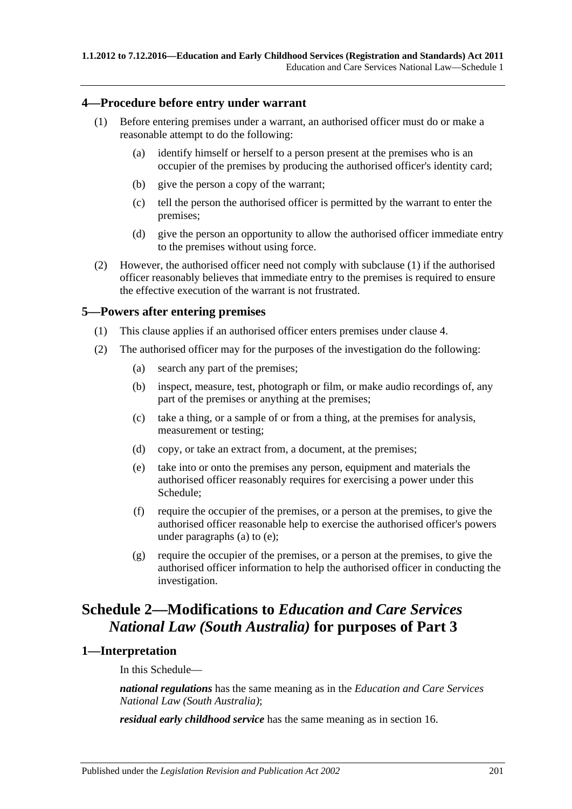#### <span id="page-200-0"></span>**4—Procedure before entry under warrant**

- (1) Before entering premises under a warrant, an authorised officer must do or make a reasonable attempt to do the following:
	- (a) identify himself or herself to a person present at the premises who is an occupier of the premises by producing the authorised officer's identity card;
	- (b) give the person a copy of the warrant;
	- (c) tell the person the authorised officer is permitted by the warrant to enter the premises;
	- (d) give the person an opportunity to allow the authorised officer immediate entry to the premises without using force.
- (2) However, the authorised officer need not comply with [subclause](#page-200-0) (1) if the authorised officer reasonably believes that immediate entry to the premises is required to ensure the effective execution of the warrant is not frustrated.

### **5—Powers after entering premises**

- (1) This clause applies if an authorised officer enters premises under clause 4.
- <span id="page-200-2"></span><span id="page-200-1"></span>(2) The authorised officer may for the purposes of the investigation do the following:
	- (a) search any part of the premises;
	- (b) inspect, measure, test, photograph or film, or make audio recordings of, any part of the premises or anything at the premises;
	- (c) take a thing, or a sample of or from a thing, at the premises for analysis, measurement or testing;
	- (d) copy, or take an extract from, a document, at the premises;
	- (e) take into or onto the premises any person, equipment and materials the authorised officer reasonably requires for exercising a power under this Schedule;
	- (f) require the occupier of the premises, or a person at the premises, to give the authorised officer reasonable help to exercise the authorised officer's powers under [paragraphs \(a\)](#page-200-1) to [\(e\);](#page-200-2)
	- (g) require the occupier of the premises, or a person at the premises, to give the authorised officer information to help the authorised officer in conducting the investigation.

# **Schedule 2—Modifications to** *Education and Care Services National Law (South Australia)* **for purposes of Part 3**

### **1—Interpretation**

In this Schedule—

*national regulations* has the same meaning as in the *Education and Care Services National Law (South Australia)*;

*residual early childhood service* has the same meaning as in [section](#page-28-0) 16.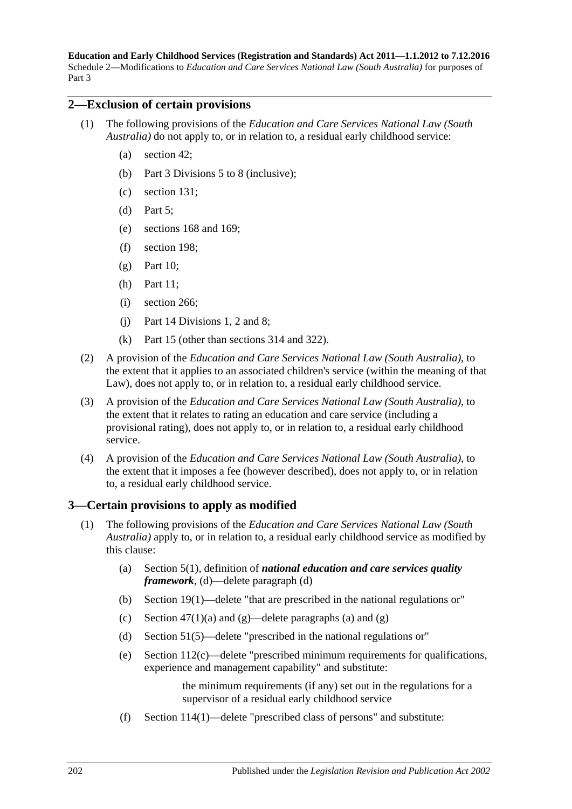**Education and Early Childhood Services (Registration and Standards) Act 2011—1.1.2012 to 7.12.2016** Schedule 2—Modifications to *Education and Care Services National Law (South Australia)* for purposes of Part 3

### **2—Exclusion of certain provisions**

- (1) The following provisions of the *Education and Care Services National Law (South Australia)* do not apply to, or in relation to, a residual early childhood service:
	- (a) section 42;
	- (b) Part 3 Divisions 5 to 8 (inclusive);
	- (c) section 131;
	- (d) Part 5;
	- (e) sections 168 and 169;
	- (f) section 198;
	- $(g)$  Part 10;
	- (h) Part 11;
	- (i) section 266;
	- (j) Part 14 Divisions 1, 2 and 8;
	- (k) Part 15 (other than sections 314 and 322).
- (2) A provision of the *Education and Care Services National Law (South Australia)*, to the extent that it applies to an associated children's service (within the meaning of that Law), does not apply to, or in relation to, a residual early childhood service.
- (3) A provision of the *Education and Care Services National Law (South Australia)*, to the extent that it relates to rating an education and care service (including a provisional rating), does not apply to, or in relation to, a residual early childhood service.
- (4) A provision of the *Education and Care Services National Law (South Australia)*, to the extent that it imposes a fee (however described), does not apply to, or in relation to, a residual early childhood service.

#### **3—Certain provisions to apply as modified**

- (1) The following provisions of the *Education and Care Services National Law (South Australia)* apply to, or in relation to, a residual early childhood service as modified by this clause:
	- (a) [Section](#page-62-0) 5(1), definition of *national education and care services quality framework*, (d)—delete paragraph (d)
	- (b) [Section](#page-72-0) 19(1)—delete "that are prescribed in the national regulations or"
	- (c) Section  $47(1)(a)$  and [\(g\)—](#page-82-1)delete paragraphs (a) and (g)
	- (d) [Section](#page-84-0) 51(5)—delete "prescribed in the national regulations or"
	- (e) [Section](#page-101-0) 112(c)—delete "prescribed minimum requirements for qualifications, experience and management capability" and substitute:

the minimum requirements (if any) set out in the regulations for a supervisor of a residual early childhood service

(f) [Section](#page-101-1) 114(1)—delete "prescribed class of persons" and substitute: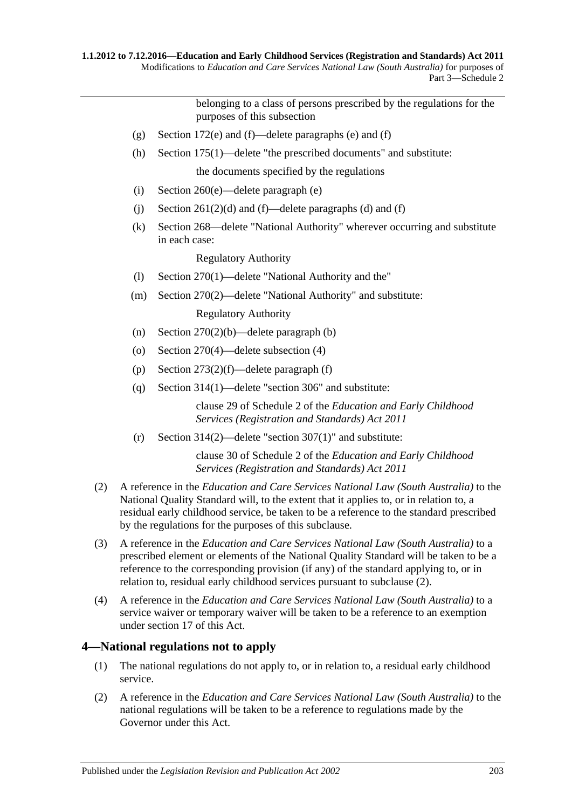belonging to a class of persons prescribed by the regulations for the purposes of this subsection

- (g) [Section](#page-121-0) 172(e) and [\(f\)—](#page-121-1)delete paragraphs (e) and (f)
- (h) [Section](#page-123-0) 175(1)—delete "the prescribed documents" and substitute: the documents specified by the regulations
- (i) [Section](#page-155-0) 260(e)—delete paragraph (e)
- (j) Section  $261(2)(d)$  and [\(f\)—](#page-156-1)delete paragraphs (d) and (f)
- (k) Section 268—delete "National Authority" wherever occurring and substitute in each case:

Regulatory Authority

- (l) [Section](#page-159-0) 270(1)—delete "National Authority and the"
- (m) [Section](#page-160-0) 270(2)—delete "National Authority" and substitute: Regulatory Authority
- (n) Section [270\(2\)\(b\)—](#page-160-1)delete paragraph (b)
- (o) [Section](#page-160-2) 270(4)—delete subsection (4)
- (p) Section [273\(2\)\(f\)—](#page-162-0)delete paragraph (f)
- (q) [Section](#page-178-0) 314(1)—delete "section 306" and substitute:

clause 29 of Schedule 2 of the *[Education and Early Childhood](http://www.legislation.sa.gov.au/index.aspx?action=legref&type=act&legtitle=Education%20and%20Early%20Childhood%20Services%20(Registration%20and%20Standards)%20Act%202011)  [Services \(Registration and Standards\) Act](http://www.legislation.sa.gov.au/index.aspx?action=legref&type=act&legtitle=Education%20and%20Early%20Childhood%20Services%20(Registration%20and%20Standards)%20Act%202011) 2011*

(r) [Section](#page-178-1) 314(2)—delete "section 307(1)" and substitute:

clause 30 of Schedule 2 of the *[Education and Early Childhood](http://www.legislation.sa.gov.au/index.aspx?action=legref&type=act&legtitle=Education%20and%20Early%20Childhood%20Services%20(Registration%20and%20Standards)%20Act%202011)  [Services \(Registration and Standards\) Act](http://www.legislation.sa.gov.au/index.aspx?action=legref&type=act&legtitle=Education%20and%20Early%20Childhood%20Services%20(Registration%20and%20Standards)%20Act%202011) 2011*

- <span id="page-202-0"></span>(2) A reference in the *Education and Care Services National Law (South Australia)* to the National Quality Standard will, to the extent that it applies to, or in relation to, a residual early childhood service, be taken to be a reference to the standard prescribed by the regulations for the purposes of this subclause.
- (3) A reference in the *Education and Care Services National Law (South Australia)* to a prescribed element or elements of the National Quality Standard will be taken to be a reference to the corresponding provision (if any) of the standard applying to, or in relation to, residual early childhood services pursuant to [subclause](#page-202-0) (2).
- (4) A reference in the *Education and Care Services National Law (South Australia)* to a service waiver or temporary waiver will be taken to be a reference to an exemption under [section](#page-28-1) 17 of this Act.

#### **4—National regulations not to apply**

- (1) The national regulations do not apply to, or in relation to, a residual early childhood service.
- (2) A reference in the *Education and Care Services National Law (South Australia)* to the national regulations will be taken to be a reference to regulations made by the Governor under this Act.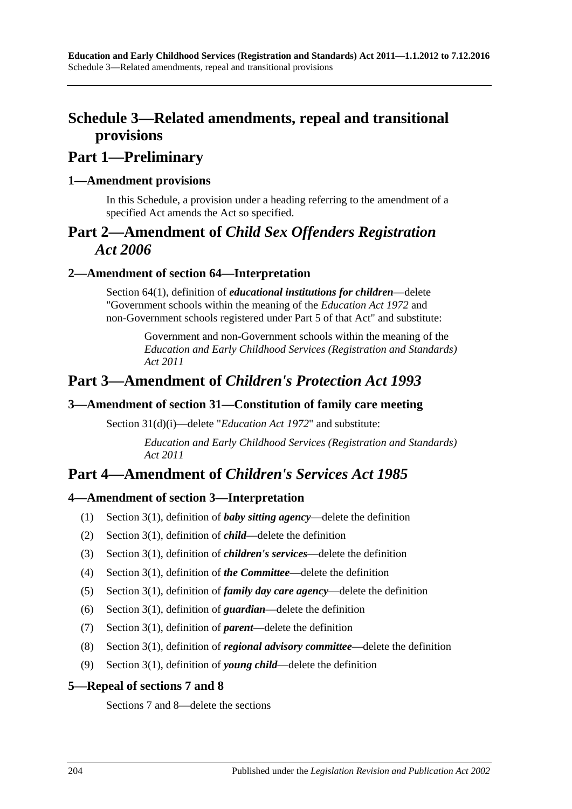# **Schedule 3—Related amendments, repeal and transitional provisions**

# **Part 1—Preliminary**

## **1—Amendment provisions**

In this Schedule, a provision under a heading referring to the amendment of a specified Act amends the Act so specified.

# **Part 2—Amendment of** *Child Sex Offenders Registration Act 2006*

# **2—Amendment of section 64—Interpretation**

Section 64(1), definition of *educational institutions for children*—delete "Government schools within the meaning of the *[Education Act](http://www.legislation.sa.gov.au/index.aspx?action=legref&type=act&legtitle=Education%20Act%201972) 1972* and non-Government schools registered under Part 5 of that Act" and substitute:

> Government and non-Government schools within the meaning of the *[Education and Early Childhood Services \(Registration and Standards\)](http://www.legislation.sa.gov.au/index.aspx?action=legref&type=act&legtitle=Education%20and%20Early%20Childhood%20Services%20(Registration%20and%20Standards)%20Act%202011)  Act [2011](http://www.legislation.sa.gov.au/index.aspx?action=legref&type=act&legtitle=Education%20and%20Early%20Childhood%20Services%20(Registration%20and%20Standards)%20Act%202011)*

# **Part 3—Amendment of** *Children's Protection Act 1993*

### **3—Amendment of section 31—Constitution of family care meeting**

Section 31(d)(i)—delete "*[Education Act](http://www.legislation.sa.gov.au/index.aspx?action=legref&type=act&legtitle=Education%20Act%201972) 1972*" and substitute:

*[Education and Early Childhood Services \(Registration and Standards\)](http://www.legislation.sa.gov.au/index.aspx?action=legref&type=act&legtitle=Education%20and%20Early%20Childhood%20Services%20(Registration%20and%20Standards)%20Act%202011)  Act [2011](http://www.legislation.sa.gov.au/index.aspx?action=legref&type=act&legtitle=Education%20and%20Early%20Childhood%20Services%20(Registration%20and%20Standards)%20Act%202011)*

# **Part 4—Amendment of** *Children's Services Act 1985*

### **4—Amendment of section 3—Interpretation**

- (1) Section 3(1), definition of *baby sitting agency*—delete the definition
- (2) Section 3(1), definition of *child*—delete the definition
- (3) Section 3(1), definition of *children's services*—delete the definition
- (4) Section 3(1), definition of *the Committee*—delete the definition
- (5) Section 3(1), definition of *family day care agency*—delete the definition
- (6) Section 3(1), definition of *guardian*—delete the definition
- (7) Section 3(1), definition of *parent*—delete the definition
- (8) Section 3(1), definition of *regional advisory committee*—delete the definition
- (9) Section 3(1), definition of *young child*—delete the definition

### **5—Repeal of sections 7 and 8**

Sections 7 and 8—delete the sections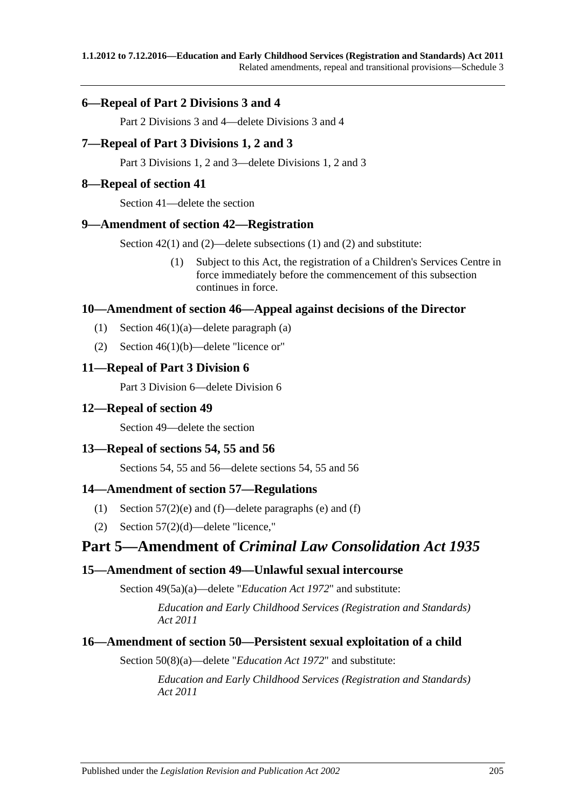### **6—Repeal of Part 2 Divisions 3 and 4**

Part 2 Divisions 3 and 4—delete Divisions 3 and 4

## **7—Repeal of Part 3 Divisions 1, 2 and 3**

Part 3 Divisions 1, 2 and 3—delete Divisions 1, 2 and 3

## **8—Repeal of section 41**

Section 41—delete the section

### **9—Amendment of section 42—Registration**

Section 42(1) and (2)—delete subsections (1) and (2) and substitute:

(1) Subject to this Act, the registration of a Children's Services Centre in force immediately before the commencement of this subsection continues in force.

## **10—Amendment of section 46—Appeal against decisions of the Director**

- (1) Section  $46(1)(a)$ —delete paragraph (a)
- (2) Section 46(1)(b)—delete "licence or"

### **11—Repeal of Part 3 Division 6**

Part 3 Division 6—delete Division 6

### **12—Repeal of section 49**

Section 49—delete the section

### **13—Repeal of sections 54, 55 and 56**

Sections 54, 55 and 56—delete sections 54, 55 and 56

### **14—Amendment of section 57—Regulations**

- (1) Section 57(2)(e) and (f)—delete paragraphs (e) and (f)
- (2) Section 57(2)(d)—delete "licence,"

# **Part 5—Amendment of** *Criminal Law Consolidation Act 1935*

### **15—Amendment of section 49—Unlawful sexual intercourse**

Section 49(5a)(a)—delete "*[Education Act](http://www.legislation.sa.gov.au/index.aspx?action=legref&type=act&legtitle=Education%20Act%201972) 1972*" and substitute:

*[Education and Early Childhood Services \(Registration and Standards\)](http://www.legislation.sa.gov.au/index.aspx?action=legref&type=act&legtitle=Education%20and%20Early%20Childhood%20Services%20(Registration%20and%20Standards)%20Act%202011)  Act [2011](http://www.legislation.sa.gov.au/index.aspx?action=legref&type=act&legtitle=Education%20and%20Early%20Childhood%20Services%20(Registration%20and%20Standards)%20Act%202011)*

### **16—Amendment of section 50—Persistent sexual exploitation of a child**

Section 50(8)(a)—delete "*[Education Act](http://www.legislation.sa.gov.au/index.aspx?action=legref&type=act&legtitle=Education%20Act%201972) 1972*" and substitute:

*[Education and Early Childhood Services \(Registration and Standards\)](http://www.legislation.sa.gov.au/index.aspx?action=legref&type=act&legtitle=Education%20and%20Early%20Childhood%20Services%20(Registration%20and%20Standards)%20Act%202011)  Act [2011](http://www.legislation.sa.gov.au/index.aspx?action=legref&type=act&legtitle=Education%20and%20Early%20Childhood%20Services%20(Registration%20and%20Standards)%20Act%202011)*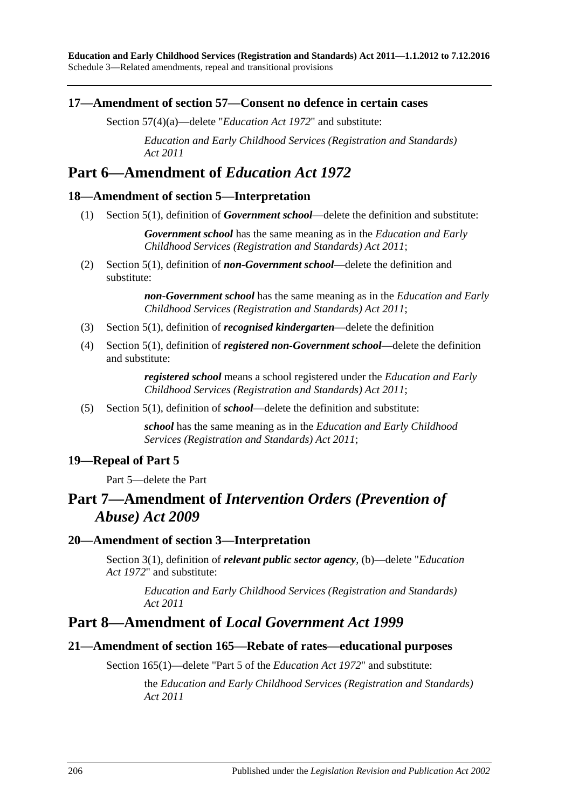**Education and Early Childhood Services (Registration and Standards) Act 2011—1.1.2012 to 7.12.2016** Schedule 3—Related amendments, repeal and transitional provisions

#### **17—Amendment of section 57—Consent no defence in certain cases**

Section 57(4)(a)—delete "*[Education Act](http://www.legislation.sa.gov.au/index.aspx?action=legref&type=act&legtitle=Education%20Act%201972) 1972*" and substitute:

*[Education and Early Childhood Services \(Registration and Standards\)](http://www.legislation.sa.gov.au/index.aspx?action=legref&type=act&legtitle=Education%20and%20Early%20Childhood%20Services%20(Registration%20and%20Standards)%20Act%202011)  Act [2011](http://www.legislation.sa.gov.au/index.aspx?action=legref&type=act&legtitle=Education%20and%20Early%20Childhood%20Services%20(Registration%20and%20Standards)%20Act%202011)*

# **Part 6—Amendment of** *Education Act 1972*

#### **18—Amendment of section 5—Interpretation**

(1) Section 5(1), definition of *Government school*—delete the definition and substitute:

*Government school* has the same meaning as in the *[Education and Early](http://www.legislation.sa.gov.au/index.aspx?action=legref&type=act&legtitle=Education%20and%20Early%20Childhood%20Services%20(Registration%20and%20Standards)%20Act%202011)  [Childhood Services \(Registration and Standards\) Act](http://www.legislation.sa.gov.au/index.aspx?action=legref&type=act&legtitle=Education%20and%20Early%20Childhood%20Services%20(Registration%20and%20Standards)%20Act%202011) 2011*;

(2) Section 5(1), definition of *non-Government school*—delete the definition and substitute:

> *non-Government school* has the same meaning as in the *[Education and Early](http://www.legislation.sa.gov.au/index.aspx?action=legref&type=act&legtitle=Education%20and%20Early%20Childhood%20Services%20(Registration%20and%20Standards)%20Act%202011)  [Childhood Services \(Registration and Standards\) Act](http://www.legislation.sa.gov.au/index.aspx?action=legref&type=act&legtitle=Education%20and%20Early%20Childhood%20Services%20(Registration%20and%20Standards)%20Act%202011) 2011*;

- (3) Section 5(1), definition of *recognised kindergarten*—delete the definition
- (4) Section 5(1), definition of *registered non-Government school*—delete the definition and substitute:

*registered school* means a school registered under the *[Education and Early](http://www.legislation.sa.gov.au/index.aspx?action=legref&type=act&legtitle=Education%20and%20Early%20Childhood%20Services%20(Registration%20and%20Standards)%20Act%202011)  [Childhood Services \(Registration and Standards\) Act](http://www.legislation.sa.gov.au/index.aspx?action=legref&type=act&legtitle=Education%20and%20Early%20Childhood%20Services%20(Registration%20and%20Standards)%20Act%202011) 2011*;

(5) Section 5(1), definition of *school*—delete the definition and substitute:

*school* has the same meaning as in the *[Education and Early Childhood](http://www.legislation.sa.gov.au/index.aspx?action=legref&type=act&legtitle=Education%20and%20Early%20Childhood%20Services%20(Registration%20and%20Standards)%20Act%202011)  [Services \(Registration and Standards\) Act](http://www.legislation.sa.gov.au/index.aspx?action=legref&type=act&legtitle=Education%20and%20Early%20Childhood%20Services%20(Registration%20and%20Standards)%20Act%202011) 2011*;

### **19—Repeal of Part 5**

Part 5—delete the Part

# **Part 7—Amendment of** *Intervention Orders (Prevention of Abuse) Act 2009*

#### **20—Amendment of section 3—Interpretation**

Section 3(1), definition of *relevant public sector agency*, (b)—delete "*[Education](http://www.legislation.sa.gov.au/index.aspx?action=legref&type=act&legtitle=Education%20Act%201972)  Act [1972](http://www.legislation.sa.gov.au/index.aspx?action=legref&type=act&legtitle=Education%20Act%201972)*" and substitute:

*[Education and Early Childhood Services \(Registration and Standards\)](http://www.legislation.sa.gov.au/index.aspx?action=legref&type=act&legtitle=Education%20and%20Early%20Childhood%20Services%20(Registration%20and%20Standards)%20Act%202011)  Act [2011](http://www.legislation.sa.gov.au/index.aspx?action=legref&type=act&legtitle=Education%20and%20Early%20Childhood%20Services%20(Registration%20and%20Standards)%20Act%202011)*

# **Part 8—Amendment of** *Local Government Act 1999*

### **21—Amendment of section 165—Rebate of rates—educational purposes**

Section 165(1)—delete "Part 5 of the *[Education Act](http://www.legislation.sa.gov.au/index.aspx?action=legref&type=act&legtitle=Education%20Act%201972) 1972*" and substitute:

the *[Education and Early Childhood Services \(Registration and Standards\)](http://www.legislation.sa.gov.au/index.aspx?action=legref&type=act&legtitle=Education%20and%20Early%20Childhood%20Services%20(Registration%20and%20Standards)%20Act%202011)  Act [2011](http://www.legislation.sa.gov.au/index.aspx?action=legref&type=act&legtitle=Education%20and%20Early%20Childhood%20Services%20(Registration%20and%20Standards)%20Act%202011)*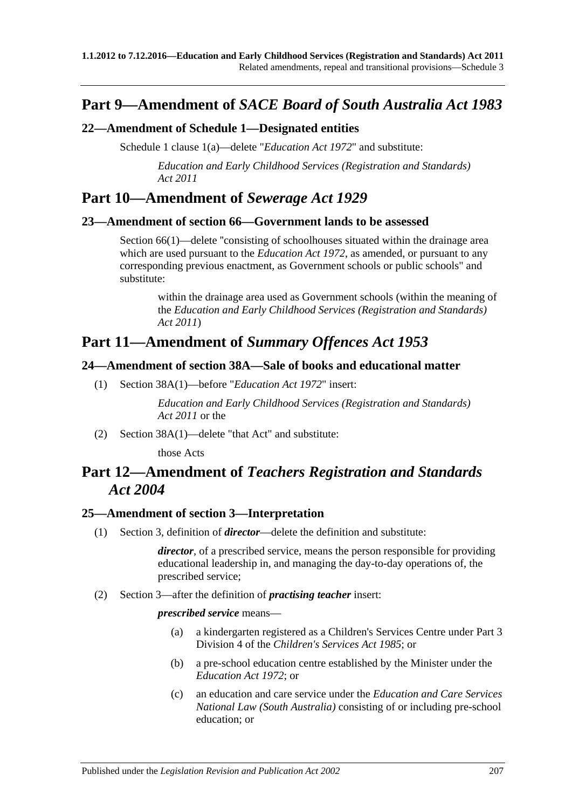# **Part 9—Amendment of** *SACE Board of South Australia Act 1983*

## **22—Amendment of Schedule 1—Designated entities**

Schedule 1 clause 1(a)—delete "*[Education Act](http://www.legislation.sa.gov.au/index.aspx?action=legref&type=act&legtitle=Education%20Act%201972) 1972*" and substitute:

*[Education and Early Childhood Services \(Registration and Standards\)](http://www.legislation.sa.gov.au/index.aspx?action=legref&type=act&legtitle=Education%20and%20Early%20Childhood%20Services%20(Registration%20and%20Standards)%20Act%202011)  Act [2011](http://www.legislation.sa.gov.au/index.aspx?action=legref&type=act&legtitle=Education%20and%20Early%20Childhood%20Services%20(Registration%20and%20Standards)%20Act%202011)*

# **Part 10—Amendment of** *Sewerage Act 1929*

### **23—Amendment of section 66—Government lands to be assessed**

Section 66(1)—delete ''consisting of schoolhouses situated within the drainage area which are used pursuant to the *[Education Act](http://www.legislation.sa.gov.au/index.aspx?action=legref&type=act&legtitle=Education%20Act%201972) 1972*, as amended, or pursuant to any corresponding previous enactment, as Government schools or public schools" and substitute:

> within the drainage area used as Government schools (within the meaning of the *[Education and Early Childhood Services \(Registration and Standards\)](http://www.legislation.sa.gov.au/index.aspx?action=legref&type=act&legtitle=Education%20and%20Early%20Childhood%20Services%20(Registration%20and%20Standards)%20Act%202011)  Act [2011](http://www.legislation.sa.gov.au/index.aspx?action=legref&type=act&legtitle=Education%20and%20Early%20Childhood%20Services%20(Registration%20and%20Standards)%20Act%202011)*)

# **Part 11—Amendment of** *Summary Offences Act 1953*

## **24—Amendment of section 38A—Sale of books and educational matter**

(1) Section 38A(1)—before "*[Education Act](http://www.legislation.sa.gov.au/index.aspx?action=legref&type=act&legtitle=Education%20Act%201972) 1972*" insert:

*[Education and Early Childhood Services \(Registration and Standards\)](http://www.legislation.sa.gov.au/index.aspx?action=legref&type=act&legtitle=Education%20and%20Early%20Childhood%20Services%20(Registration%20and%20Standards)%20Act%202011)  Act [2011](http://www.legislation.sa.gov.au/index.aspx?action=legref&type=act&legtitle=Education%20and%20Early%20Childhood%20Services%20(Registration%20and%20Standards)%20Act%202011)* or the

(2) Section 38A(1)—delete "that Act" and substitute:

those Acts

# **Part 12—Amendment of** *Teachers Registration and Standards Act 2004*

### **25—Amendment of section 3—Interpretation**

(1) Section 3, definition of *director*—delete the definition and substitute:

*director*, of a prescribed service, means the person responsible for providing educational leadership in, and managing the day-to-day operations of, the prescribed service;

(2) Section 3—after the definition of *practising teacher* insert:

#### *prescribed service* means—

- (a) a kindergarten registered as a Children's Services Centre under Part 3 Division 4 of the *[Children's Services Act](http://www.legislation.sa.gov.au/index.aspx?action=legref&type=act&legtitle=Childrens%20Services%20Act%201985) 1985*; or
- (b) a pre-school education centre established by the Minister under the *[Education Act](http://www.legislation.sa.gov.au/index.aspx?action=legref&type=act&legtitle=Education%20Act%201972) 1972*; or
- (c) an education and care service under the *Education and Care Services National Law (South Australia)* consisting of or including pre-school education; or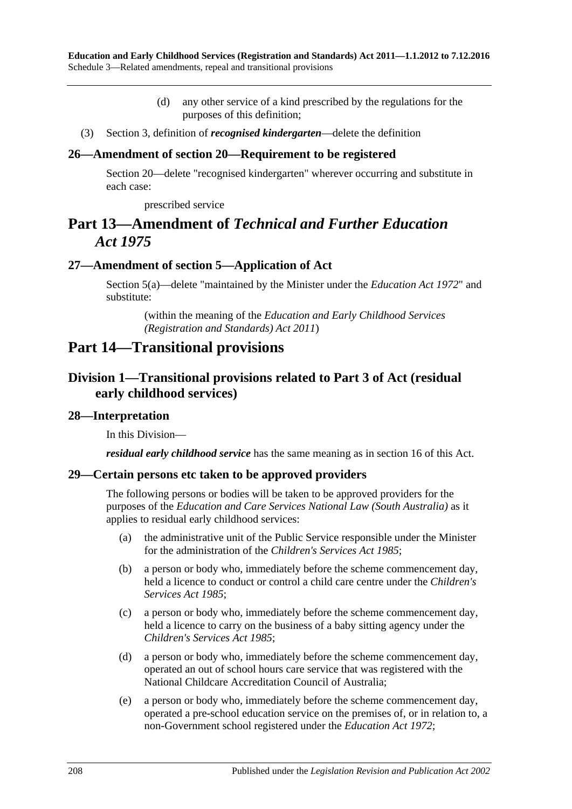- (d) any other service of a kind prescribed by the regulations for the purposes of this definition;
- (3) Section 3, definition of *recognised kindergarten*—delete the definition

### **26—Amendment of section 20—Requirement to be registered**

Section 20—delete "recognised kindergarten" wherever occurring and substitute in each case:

prescribed service

# **Part 13—Amendment of** *Technical and Further Education Act 1975*

## **27—Amendment of section 5—Application of Act**

Section 5(a)—delete "maintained by the Minister under the *[Education Act](http://www.legislation.sa.gov.au/index.aspx?action=legref&type=act&legtitle=Education%20Act%201972) 1972*" and substitute:

(within the meaning of the *[Education and Early Childhood Services](http://www.legislation.sa.gov.au/index.aspx?action=legref&type=act&legtitle=Education%20and%20Early%20Childhood%20Services%20(Registration%20and%20Standards)%20Act%202011)  [\(Registration and Standards\) Act](http://www.legislation.sa.gov.au/index.aspx?action=legref&type=act&legtitle=Education%20and%20Early%20Childhood%20Services%20(Registration%20and%20Standards)%20Act%202011) 2011*)

# **Part 14—Transitional provisions**

# **Division 1—Transitional provisions related to [Part](#page-28-2) 3 of Act (residual early childhood services)**

#### **28—Interpretation**

In this Division—

*residual early childhood service* has the same meaning as in [section](#page-28-0) 16 of this Act.

### **29—Certain persons etc taken to be approved providers**

The following persons or bodies will be taken to be approved providers for the purposes of the *Education and Care Services National Law (South Australia)* as it applies to residual early childhood services:

- (a) the administrative unit of the Public Service responsible under the Minister for the administration of the *[Children's Services Act](http://www.legislation.sa.gov.au/index.aspx?action=legref&type=act&legtitle=Childrens%20Services%20Act%201985) 1985*;
- (b) a person or body who, immediately before the scheme commencement day, held a licence to conduct or control a child care centre under the *[Children's](http://www.legislation.sa.gov.au/index.aspx?action=legref&type=act&legtitle=Childrens%20Services%20Act%201985)  [Services Act](http://www.legislation.sa.gov.au/index.aspx?action=legref&type=act&legtitle=Childrens%20Services%20Act%201985) 1985*;
- (c) a person or body who, immediately before the scheme commencement day, held a licence to carry on the business of a baby sitting agency under the *[Children's Services Act](http://www.legislation.sa.gov.au/index.aspx?action=legref&type=act&legtitle=Childrens%20Services%20Act%201985) 1985*;
- (d) a person or body who, immediately before the scheme commencement day, operated an out of school hours care service that was registered with the National Childcare Accreditation Council of Australia;
- (e) a person or body who, immediately before the scheme commencement day, operated a pre-school education service on the premises of, or in relation to, a non-Government school registered under the *[Education Act](http://www.legislation.sa.gov.au/index.aspx?action=legref&type=act&legtitle=Education%20Act%201972) 1972*;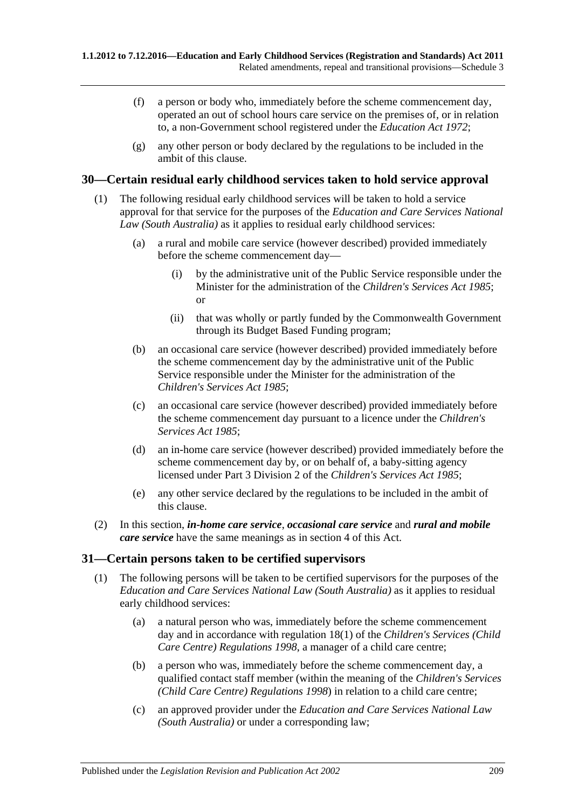- (f) a person or body who, immediately before the scheme commencement day, operated an out of school hours care service on the premises of, or in relation to, a non-Government school registered under the *[Education Act](http://www.legislation.sa.gov.au/index.aspx?action=legref&type=act&legtitle=Education%20Act%201972) 1972*;
- (g) any other person or body declared by the regulations to be included in the ambit of this clause.

### <span id="page-208-0"></span>**30—Certain residual early childhood services taken to hold service approval**

- (1) The following residual early childhood services will be taken to hold a service approval for that service for the purposes of the *Education and Care Services National Law (South Australia)* as it applies to residual early childhood services:
	- (a) a rural and mobile care service (however described) provided immediately before the scheme commencement day—
		- (i) by the administrative unit of the Public Service responsible under the Minister for the administration of the *[Children's Services Act](http://www.legislation.sa.gov.au/index.aspx?action=legref&type=act&legtitle=Childrens%20Services%20Act%201985) 1985*; or
		- (ii) that was wholly or partly funded by the Commonwealth Government through its Budget Based Funding program;
	- (b) an occasional care service (however described) provided immediately before the scheme commencement day by the administrative unit of the Public Service responsible under the Minister for the administration of the *[Children's Services Act](http://www.legislation.sa.gov.au/index.aspx?action=legref&type=act&legtitle=Childrens%20Services%20Act%201985) 1985*;
	- (c) an occasional care service (however described) provided immediately before the scheme commencement day pursuant to a licence under the *[Children's](http://www.legislation.sa.gov.au/index.aspx?action=legref&type=act&legtitle=Childrens%20Services%20Act%201985)  [Services Act](http://www.legislation.sa.gov.au/index.aspx?action=legref&type=act&legtitle=Childrens%20Services%20Act%201985) 1985*;
	- (d) an in-home care service (however described) provided immediately before the scheme commencement day by, or on behalf of, a baby-sitting agency licensed under Part 3 Division 2 of the *[Children's Services Act](http://www.legislation.sa.gov.au/index.aspx?action=legref&type=act&legtitle=Childrens%20Services%20Act%201985) 1985*;
	- (e) any other service declared by the regulations to be included in the ambit of this clause.
- (2) In this section, *in-home care service*, *occasional care service* and *rural and mobile care service* have the same meanings as in [section](#page-19-0) 4 of this Act.

#### **31—Certain persons taken to be certified supervisors**

- (1) The following persons will be taken to be certified supervisors for the purposes of the *Education and Care Services National Law (South Australia)* as it applies to residual early childhood services:
	- (a) a natural person who was, immediately before the scheme commencement day and in accordance with regulation 18(1) of the *[Children's Services \(Child](http://www.legislation.sa.gov.au/index.aspx?action=legref&type=subordleg&legtitle=Childrens%20Services%20(Child%20Care%20Centre)%20Regulations%201998)  [Care Centre\) Regulations](http://www.legislation.sa.gov.au/index.aspx?action=legref&type=subordleg&legtitle=Childrens%20Services%20(Child%20Care%20Centre)%20Regulations%201998) 1998*, a manager of a child care centre;
	- (b) a person who was, immediately before the scheme commencement day, a qualified contact staff member (within the meaning of the *[Children's Services](http://www.legislation.sa.gov.au/index.aspx?action=legref&type=subordleg&legtitle=Childrens%20Services%20(Child%20Care%20Centre)%20Regulations%201998)  [\(Child Care Centre\) Regulations](http://www.legislation.sa.gov.au/index.aspx?action=legref&type=subordleg&legtitle=Childrens%20Services%20(Child%20Care%20Centre)%20Regulations%201998) 1998*) in relation to a child care centre;
	- (c) an approved provider under the *Education and Care Services National Law (South Australia)* or under a corresponding law;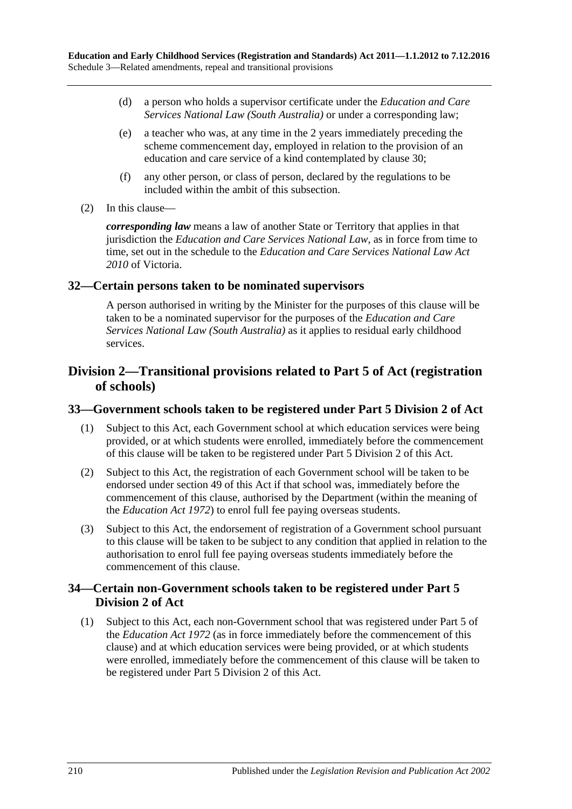- (d) a person who holds a supervisor certificate under the *Education and Care Services National Law (South Australia)* or under a corresponding law;
- (e) a teacher who was, at any time in the 2 years immediately preceding the scheme commencement day, employed in relation to the provision of an education and care service of a kind contemplated by [clause](#page-208-0) 30;
- (f) any other person, or class of person, declared by the regulations to be included within the ambit of this subsection.
- (2) In this clause—

*corresponding law* means a law of another State or Territory that applies in that jurisdiction the *Education and Care Services National Law*, as in force from time to time, set out in the schedule to the *Education and Care Services National Law Act 2010* of Victoria.

### **32—Certain persons taken to be nominated supervisors**

A person authorised in writing by the Minister for the purposes of this clause will be taken to be a nominated supervisor for the purposes of the *Education and Care Services National Law (South Australia)* as it applies to residual early childhood services.

# **Division 2—Transitional provisions related to [Part](#page-39-0) 5 of Act (registration of schools)**

# **33—Government schools taken to be registered under Part [5 Division](#page-40-0) 2 of Act**

- (1) Subject to this Act, each Government school at which education services were being provided, or at which students were enrolled, immediately before the commencement of this clause will be taken to be registered under Part [5 Division](#page-40-0) 2 of this Act.
- (2) Subject to this Act, the registration of each Government school will be taken to be endorsed under [section](#page-42-0) 49 of this Act if that school was, immediately before the commencement of this clause, authorised by the Department (within the meaning of the *[Education Act](http://www.legislation.sa.gov.au/index.aspx?action=legref&type=act&legtitle=Education%20Act%201972) 1972*) to enrol full fee paying overseas students.
- (3) Subject to this Act, the endorsement of registration of a Government school pursuant to this clause will be taken to be subject to any condition that applied in relation to the authorisation to enrol full fee paying overseas students immediately before the commencement of this clause.

## **34—Certain non-Government schools taken to be registered under [Part](#page-40-0) 5 [Division](#page-40-0) 2 of Act**

(1) Subject to this Act, each non-Government school that was registered under Part 5 of the *[Education Act](http://www.legislation.sa.gov.au/index.aspx?action=legref&type=act&legtitle=Education%20Act%201972) 1972* (as in force immediately before the commencement of this clause) and at which education services were being provided, or at which students were enrolled, immediately before the commencement of this clause will be taken to be registered under Part [5 Division](#page-40-0) 2 of this Act.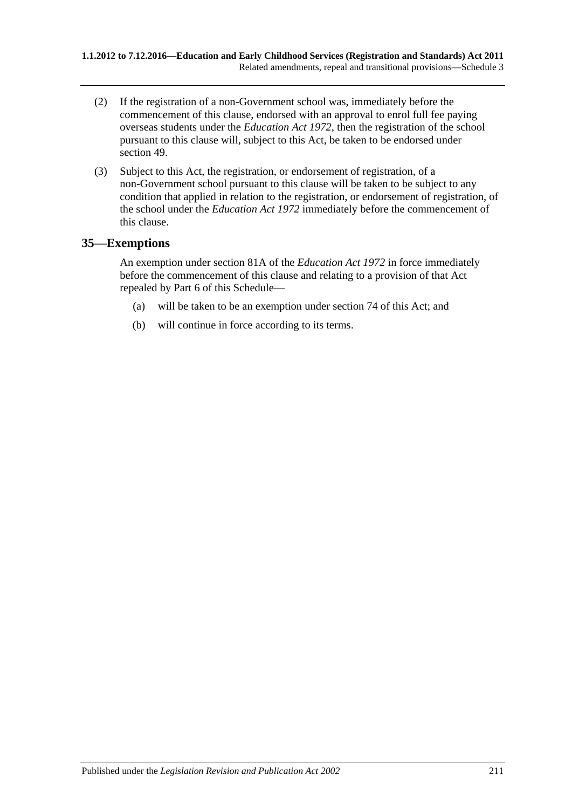- (2) If the registration of a non-Government school was, immediately before the commencement of this clause, endorsed with an approval to enrol full fee paying overseas students under the *[Education Act](http://www.legislation.sa.gov.au/index.aspx?action=legref&type=act&legtitle=Education%20Act%201972) 1972*, then the registration of the school pursuant to this clause will, subject to this Act, be taken to be endorsed under [section](#page-42-0) 49.
- (3) Subject to this Act, the registration, or endorsement of registration, of a non-Government school pursuant to this clause will be taken to be subject to any condition that applied in relation to the registration, or endorsement of registration, of the school under the *[Education Act](http://www.legislation.sa.gov.au/index.aspx?action=legref&type=act&legtitle=Education%20Act%201972) 1972* immediately before the commencement of this clause.

## **35—Exemptions**

An exemption under section 81A of the *[Education Act](http://www.legislation.sa.gov.au/index.aspx?action=legref&type=act&legtitle=Education%20Act%201972) 1972* in force immediately before the commencement of this clause and relating to a provision of that Act repealed by Part 6 of this Schedule—

- (a) will be taken to be an exemption under [section](#page-54-0) 74 of this Act; and
- (b) will continue in force according to its terms.